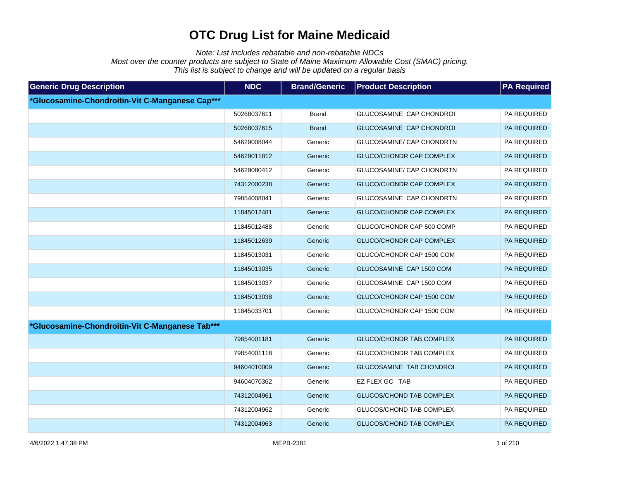Note: List includes rebatable and non-rebatable NDCs

Most over the counter products are subject to State of Maine Maximum Allowable Cost (SMAC) pricing.

This list is subject to change and will be updated on a regular basis

| <b>Generic Drug Description</b>                 | <b>NDC</b>  | <b>Brand/Generic</b> | <b>Product Description</b>      | <b>PA Required</b> |
|-------------------------------------------------|-------------|----------------------|---------------------------------|--------------------|
| *Glucosamine-Chondroitin-Vit C-Manganese Cap*** |             |                      |                                 |                    |
|                                                 | 50268037611 | <b>Brand</b>         | GLUCOSAMINE CAP CHONDROI        | PA REQUIRED        |
|                                                 | 50268037615 | <b>Brand</b>         | GLUCOSAMINE CAP CHONDROI        | PA REQUIRED        |
|                                                 | 54629008044 | Generic              | GLUCOSAMINE/ CAP CHONDRTN       | PA REQUIRED        |
|                                                 | 54629011812 | Generic              | GLUCO/CHONDR CAP COMPLEX        | PA REQUIRED        |
|                                                 | 54629080412 | Generic              | GLUCOSAMINE/ CAP CHONDRTN       | PA REQUIRED        |
|                                                 | 74312000238 | Generic              | <b>GLUCO/CHONDR CAP COMPLEX</b> | PA REQUIRED        |
|                                                 | 79854008041 | Generic              | GLUCOSAMINE CAP CHONDRTN        | PA REQUIRED        |
|                                                 | 11845012481 | Generic              | <b>GLUCO/CHONDR CAP COMPLEX</b> | PA REQUIRED        |
|                                                 | 11845012488 | Generic              | GLUCO/CHONDR CAP 500 COMP       | PA REQUIRED        |
|                                                 | 11845012639 | Generic              | <b>GLUCO/CHONDR CAP COMPLEX</b> | PA REQUIRED        |
|                                                 | 11845013031 | Generic              | GLUCO/CHONDR CAP 1500 COM       | PA REQUIRED        |
|                                                 | 11845013035 | Generic              | GLUCOSAMINE CAP 1500 COM        | PA REQUIRED        |
|                                                 | 11845013037 | Generic              | GLUCOSAMINE CAP 1500 COM        | PA REQUIRED        |
|                                                 | 11845013038 | Generic              | GLUCO/CHONDR CAP 1500 COM       | PA REQUIRED        |
|                                                 | 11845033701 | Generic              | GLUCO/CHONDR CAP 1500 COM       | PA REQUIRED        |
| *Glucosamine-Chondroitin-Vit C-Manganese Tab*** |             |                      |                                 |                    |
|                                                 | 79854001181 | Generic              | <b>GLUCO/CHONDR TAB COMPLEX</b> | PA REQUIRED        |
|                                                 | 79854001118 | Generic              | GLUCO/CHONDR TAB COMPLEX        | PA REQUIRED        |
|                                                 | 94604010009 | Generic              | GLUCOSAMINE TAB CHONDROI        | PA REQUIRED        |
|                                                 | 94604070362 | Generic              | EZ FLEX GC TAB                  | PA REQUIRED        |
|                                                 | 74312004961 | Generic              | <b>GLUCOS/CHOND TAB COMPLEX</b> | PA REQUIRED        |
|                                                 | 74312004962 | Generic              | GLUCOS/CHOND TAB COMPLEX        | PA REQUIRED        |
|                                                 | 74312004963 | Generic              | <b>GLUCOS/CHOND TAB COMPLEX</b> | PA REQUIRED        |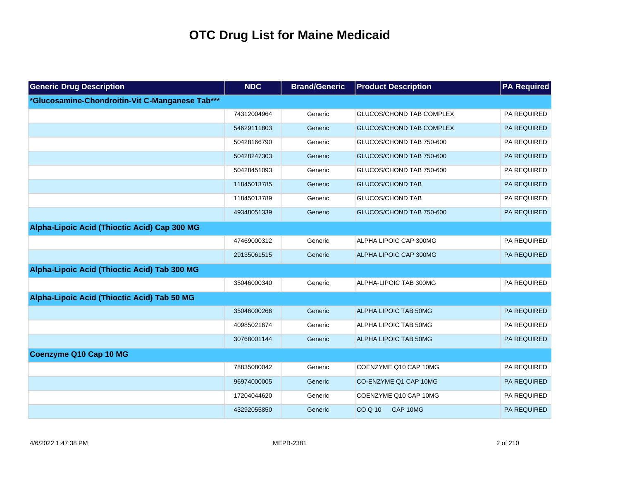| <b>Generic Drug Description</b>                 | <b>NDC</b>  | <b>Brand/Generic</b> | <b>Product Description</b>      | <b>PA Required</b> |
|-------------------------------------------------|-------------|----------------------|---------------------------------|--------------------|
| *Glucosamine-Chondroitin-Vit C-Manganese Tab*** |             |                      |                                 |                    |
|                                                 | 74312004964 | Generic              | <b>GLUCOS/CHOND TAB COMPLEX</b> | PA REQUIRED        |
|                                                 | 54629111803 | Generic              | GLUCOS/CHOND TAB COMPLEX        | PA REQUIRED        |
|                                                 | 50428166790 | Generic              | GLUCOS/CHOND TAB 750-600        | PA REQUIRED        |
|                                                 | 50428247303 | Generic              | GLUCOS/CHOND TAB 750-600        | PA REQUIRED        |
|                                                 | 50428451093 | Generic              | GLUCOS/CHOND TAB 750-600        | PA REQUIRED        |
|                                                 | 11845013785 | Generic              | <b>GLUCOS/CHOND TAB</b>         | PA REQUIRED        |
|                                                 | 11845013789 | Generic              | <b>GLUCOS/CHOND TAB</b>         | PA REQUIRED        |
|                                                 | 49348051339 | Generic              | GLUCOS/CHOND TAB 750-600        | <b>PA REQUIRED</b> |
| Alpha-Lipoic Acid (Thioctic Acid) Cap 300 MG    |             |                      |                                 |                    |
|                                                 | 47469000312 | Generic              | ALPHA LIPOIC CAP 300MG          | PA REQUIRED        |
|                                                 | 29135061515 | Generic              | ALPHA LIPOIC CAP 300MG          | <b>PA REQUIRED</b> |
| Alpha-Lipoic Acid (Thioctic Acid) Tab 300 MG    |             |                      |                                 |                    |
|                                                 | 35046000340 | Generic              | ALPHA-LIPOIC TAB 300MG          | PA REQUIRED        |
| Alpha-Lipoic Acid (Thioctic Acid) Tab 50 MG     |             |                      |                                 |                    |
|                                                 | 35046000266 | Generic              | ALPHA LIPOIC TAB 50MG           | <b>PA REQUIRED</b> |
|                                                 | 40985021674 | Generic              | ALPHA LIPOIC TAB 50MG           | PA REQUIRED        |
|                                                 | 30768001144 | Generic              | ALPHA LIPOIC TAB 50MG           | PA REQUIRED        |
| Coenzyme Q10 Cap 10 MG                          |             |                      |                                 |                    |
|                                                 | 78835080042 | Generic              | COENZYME Q10 CAP 10MG           | PA REQUIRED        |
|                                                 | 96974000005 | Generic              | CO-ENZYME Q1 CAP 10MG           | <b>PA REQUIRED</b> |
|                                                 | 17204044620 | Generic              | COENZYME Q10 CAP 10MG           | PA REQUIRED        |
|                                                 | 43292055850 | Generic              | <b>COQ10</b><br>CAP 10MG        | PA REQUIRED        |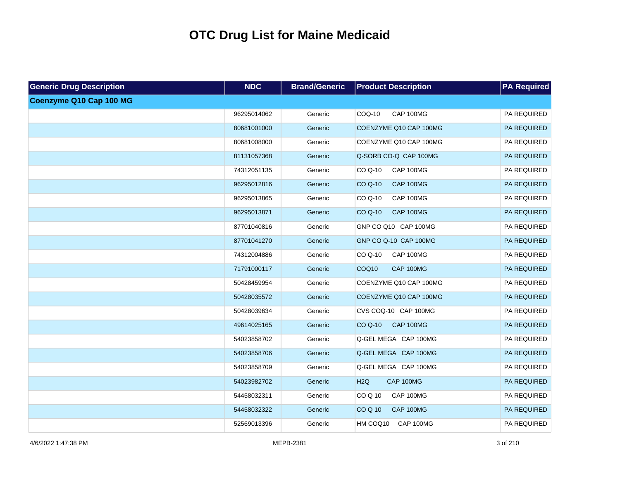| <b>Generic Drug Description</b> | <b>NDC</b>  | <b>Brand/Generic</b> | <b>Product Description</b>            | <b>PA Required</b> |
|---------------------------------|-------------|----------------------|---------------------------------------|--------------------|
| Coenzyme Q10 Cap 100 MG         |             |                      |                                       |                    |
|                                 | 96295014062 | Generic              | COQ-10<br>CAP 100MG                   | PA REQUIRED        |
|                                 | 80681001000 | Generic              | COENZYME Q10 CAP 100MG                | PA REQUIRED        |
|                                 | 80681008000 | Generic              | COENZYME Q10 CAP 100MG                | PA REQUIRED        |
|                                 | 81131057368 | Generic              | Q-SORB CO-Q CAP 100MG                 | PA REQUIRED        |
|                                 | 74312051135 | Generic              | <b>CAP 100MG</b><br>$COQ-10$          | PA REQUIRED        |
|                                 | 96295012816 | Generic              | <b>CO Q-10</b><br><b>CAP 100MG</b>    | PA REQUIRED        |
|                                 | 96295013865 | Generic              | CO Q-10<br>CAP 100MG                  | PA REQUIRED        |
|                                 | 96295013871 | Generic              | CO Q-10<br><b>CAP 100MG</b>           | PA REQUIRED        |
|                                 | 87701040816 | Generic              | GNP CO Q10 CAP 100MG                  | PA REQUIRED        |
|                                 | 87701041270 | Generic              | GNP CO Q-10 CAP 100MG                 | PA REQUIRED        |
|                                 | 74312004886 | Generic              | CAP 100MG<br>CO Q-10                  | PA REQUIRED        |
|                                 | 71791000117 | Generic              | COQ <sub>10</sub><br><b>CAP 100MG</b> | PA REQUIRED        |
|                                 | 50428459954 | Generic              | COENZYME Q10 CAP 100MG                | PA REQUIRED        |
|                                 | 50428035572 | Generic              | COENZYME Q10 CAP 100MG                | PA REQUIRED        |
|                                 | 50428039634 | Generic              | CVS COQ-10 CAP 100MG                  | PA REQUIRED        |
|                                 | 49614025165 | Generic              | CO Q-10<br>CAP 100MG                  | PA REQUIRED        |
|                                 | 54023858702 | Generic              | Q-GEL MEGA CAP 100MG                  | PA REQUIRED        |
|                                 | 54023858706 | Generic              | Q-GEL MEGA CAP 100MG                  | PA REQUIRED        |
|                                 | 54023858709 | Generic              | Q-GEL MEGA CAP 100MG                  | PA REQUIRED        |
|                                 | 54023982702 | Generic              | H <sub>2Q</sub><br>CAP 100MG          | PA REQUIRED        |
|                                 | 54458032311 | Generic              | COQ10<br>CAP 100MG                    | PA REQUIRED        |
|                                 | 54458032322 | Generic              | <b>COQ10</b><br><b>CAP 100MG</b>      | PA REQUIRED        |
|                                 | 52569013396 | Generic              | HM COQ10<br>CAP 100MG                 | PA REQUIRED        |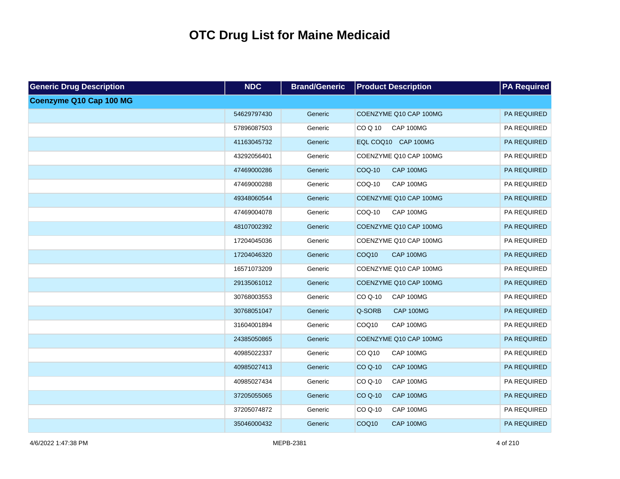| <b>Generic Drug Description</b> | <b>NDC</b>  | <b>Brand/Generic</b> | <b>Product Description</b>         | <b>PA Required</b> |
|---------------------------------|-------------|----------------------|------------------------------------|--------------------|
| Coenzyme Q10 Cap 100 MG         |             |                      |                                    |                    |
|                                 | 54629797430 | Generic              | COENZYME Q10 CAP 100MG             | PA REQUIRED        |
|                                 | 57896087503 | Generic              | CAP 100MG<br>CO Q 10               | PA REQUIRED        |
|                                 | 41163045732 | Generic              | EQL COQ10 CAP 100MG                | PA REQUIRED        |
|                                 | 43292056401 | Generic              | COENZYME Q10 CAP 100MG             | PA REQUIRED        |
|                                 | 47469000286 | Generic              | <b>COQ-10</b><br><b>CAP 100MG</b>  | PA REQUIRED        |
|                                 | 47469000288 | Generic              | COQ-10<br>CAP 100MG                | PA REQUIRED        |
|                                 | 49348060544 | Generic              | COENZYME Q10 CAP 100MG             | PA REQUIRED        |
|                                 | 47469004078 | Generic              | CAP 100MG<br>COQ-10                | PA REQUIRED        |
|                                 | 48107002392 | Generic              | COENZYME Q10 CAP 100MG             | PA REQUIRED        |
|                                 | 17204045036 | Generic              | COENZYME Q10 CAP 100MG             | PA REQUIRED        |
|                                 | 17204046320 | Generic              | COQ10<br><b>CAP 100MG</b>          | PA REQUIRED        |
|                                 | 16571073209 | Generic              | COENZYME Q10 CAP 100MG             | PA REQUIRED        |
|                                 | 29135061012 | Generic              | COENZYME Q10 CAP 100MG             | PA REQUIRED        |
|                                 | 30768003553 | Generic              | CO Q-10<br>CAP 100MG               | PA REQUIRED        |
|                                 | 30768051047 | Generic              | Q-SORB<br>CAP 100MG                | PA REQUIRED        |
|                                 | 31604001894 | Generic              | COQ10<br>CAP 100MG                 | PA REQUIRED        |
|                                 | 24385050865 | Generic              | COENZYME Q10 CAP 100MG             | PA REQUIRED        |
|                                 | 40985022337 | Generic              | CO Q10<br>CAP 100MG                | PA REQUIRED        |
|                                 | 40985027413 | Generic              | <b>CO Q-10</b><br><b>CAP 100MG</b> | PA REQUIRED        |
|                                 | 40985027434 | Generic              | CO Q-10<br>CAP 100MG               | PA REQUIRED        |
|                                 | 37205055065 | Generic              | <b>CO Q-10</b><br><b>CAP 100MG</b> | PA REQUIRED        |
|                                 | 37205074872 | Generic              | CO Q-10<br>CAP 100MG               | PA REQUIRED        |
|                                 | 35046000432 | Generic              | COQ <sub>10</sub><br>CAP 100MG     | PA REQUIRED        |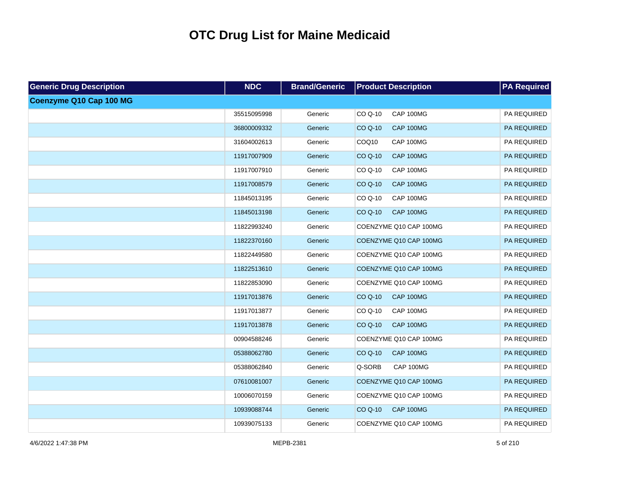| <b>Generic Drug Description</b> | <b>NDC</b>  | <b>Brand/Generic</b> | <b>Product Description</b>         | <b>PA Required</b> |
|---------------------------------|-------------|----------------------|------------------------------------|--------------------|
| Coenzyme Q10 Cap 100 MG         |             |                      |                                    |                    |
|                                 | 35515095998 | Generic              | CO Q-10<br>CAP 100MG               | PA REQUIRED        |
|                                 | 36800009332 | Generic              | <b>CO Q-10</b><br>CAP 100MG        | PA REQUIRED        |
|                                 | 31604002613 | Generic              | COQ10<br>CAP 100MG                 | PA REQUIRED        |
|                                 | 11917007909 | Generic              | <b>CO Q-10</b><br>CAP 100MG        | PA REQUIRED        |
|                                 | 11917007910 | Generic              | CO Q-10<br>CAP 100MG               | PA REQUIRED        |
|                                 | 11917008579 | Generic              | <b>CO Q-10</b><br>CAP 100MG        | PA REQUIRED        |
|                                 | 11845013195 | Generic              | CO Q-10<br>CAP 100MG               | PA REQUIRED        |
|                                 | 11845013198 | Generic              | <b>CO Q-10</b><br>CAP 100MG        | PA REQUIRED        |
|                                 | 11822993240 | Generic              | COENZYME Q10 CAP 100MG             | PA REQUIRED        |
|                                 | 11822370160 | Generic              | COENZYME Q10 CAP 100MG             | PA REQUIRED        |
|                                 | 11822449580 | Generic              | COENZYME Q10 CAP 100MG             | PA REQUIRED        |
|                                 | 11822513610 | Generic              | COENZYME Q10 CAP 100MG             | PA REQUIRED        |
|                                 | 11822853090 | Generic              | COENZYME Q10 CAP 100MG             | PA REQUIRED        |
|                                 | 11917013876 | Generic              | <b>CO Q-10</b><br>CAP 100MG        | PA REQUIRED        |
|                                 | 11917013877 | Generic              | CO Q-10<br>CAP 100MG               | PA REQUIRED        |
|                                 | 11917013878 | Generic              | <b>CO Q-10</b><br>CAP 100MG        | PA REQUIRED        |
|                                 | 00904588246 | Generic              | COENZYME Q10 CAP 100MG             | PA REQUIRED        |
|                                 | 05388062780 | Generic              | CAP 100MG<br>CO Q-10               | PA REQUIRED        |
|                                 | 05388062840 | Generic              | Q-SORB<br>CAP 100MG                | PA REQUIRED        |
|                                 | 07610081007 | Generic              | COENZYME Q10 CAP 100MG             | PA REQUIRED        |
|                                 | 10006070159 | Generic              | COENZYME Q10 CAP 100MG             | PA REQUIRED        |
|                                 | 10939088744 | Generic              | <b>CO Q-10</b><br><b>CAP 100MG</b> | PA REQUIRED        |
|                                 | 10939075133 | Generic              | COENZYME Q10 CAP 100MG             | PA REQUIRED        |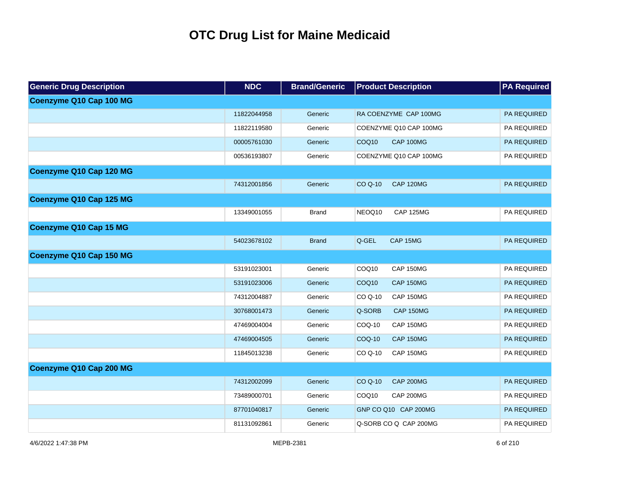| <b>Generic Drug Description</b> | <b>NDC</b>  | <b>Brand/Generic</b> | <b>Product Description</b>            | <b>PA Required</b> |
|---------------------------------|-------------|----------------------|---------------------------------------|--------------------|
| Coenzyme Q10 Cap 100 MG         |             |                      |                                       |                    |
|                                 | 11822044958 | Generic              | RA COENZYME CAP 100MG                 | PA REQUIRED        |
|                                 | 11822119580 | Generic              | COENZYME Q10 CAP 100MG                | PA REQUIRED        |
|                                 | 00005761030 | Generic              | COQ <sub>10</sub><br>CAP 100MG        | PA REQUIRED        |
|                                 | 00536193807 | Generic              | COENZYME Q10 CAP 100MG                | PA REQUIRED        |
| Coenzyme Q10 Cap 120 MG         |             |                      |                                       |                    |
|                                 | 74312001856 | Generic              | <b>CAP 120MG</b><br><b>CO Q-10</b>    | PA REQUIRED        |
| Coenzyme Q10 Cap 125 MG         |             |                      |                                       |                    |
|                                 | 13349001055 | <b>Brand</b>         | NEOQ10<br><b>CAP 125MG</b>            | PA REQUIRED        |
| Coenzyme Q10 Cap 15 MG          |             |                      |                                       |                    |
|                                 | 54023678102 | <b>Brand</b>         | Q-GEL<br>CAP 15MG                     | <b>PA REQUIRED</b> |
| Coenzyme Q10 Cap 150 MG         |             |                      |                                       |                    |
|                                 | 53191023001 | Generic              | COQ10<br>CAP 150MG                    | PA REQUIRED        |
|                                 | 53191023006 | Generic              | COQ <sub>10</sub><br><b>CAP 150MG</b> | <b>PA REQUIRED</b> |
|                                 | 74312004887 | Generic              | CO Q-10<br>CAP 150MG                  | PA REQUIRED        |
|                                 | 30768001473 | Generic              | Q-SORB<br><b>CAP 150MG</b>            | <b>PA REQUIRED</b> |
|                                 | 47469004004 | Generic              | COQ-10<br>CAP 150MG                   | PA REQUIRED        |
|                                 | 47469004505 | Generic              | <b>COQ-10</b><br><b>CAP 150MG</b>     | PA REQUIRED        |
|                                 | 11845013238 | Generic              | CO Q-10<br>CAP 150MG                  | PA REQUIRED        |
| Coenzyme Q10 Cap 200 MG         |             |                      |                                       |                    |
|                                 | 74312002099 | Generic              | CO Q-10<br><b>CAP 200MG</b>           | PA REQUIRED        |
|                                 | 73489000701 | Generic              | COQ <sub>10</sub><br><b>CAP 200MG</b> | PA REQUIRED        |
|                                 | 87701040817 | Generic              | GNP CO Q10 CAP 200MG                  | PA REQUIRED        |
|                                 | 81131092861 | Generic              | Q-SORB CO Q CAP 200MG                 | PA REQUIRED        |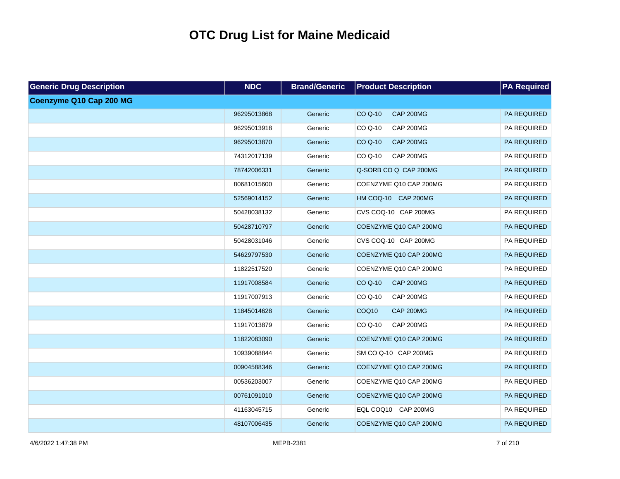| <b>Generic Drug Description</b> | <b>NDC</b>  | <b>Brand/Generic</b> | <b>Product Description</b>         | <b>PA Required</b> |
|---------------------------------|-------------|----------------------|------------------------------------|--------------------|
| Coenzyme Q10 Cap 200 MG         |             |                      |                                    |                    |
|                                 | 96295013868 | Generic              | CO Q-10<br><b>CAP 200MG</b>        | PA REQUIRED        |
|                                 | 96295013918 | Generic              | CO Q-10<br>CAP 200MG               | PA REQUIRED        |
|                                 | 96295013870 | Generic              | CO Q-10<br><b>CAP 200MG</b>        | PA REQUIRED        |
|                                 | 74312017139 | Generic              | CO Q-10<br><b>CAP 200MG</b>        | PA REQUIRED        |
|                                 | 78742006331 | Generic              | Q-SORB CO Q CAP 200MG              | PA REQUIRED        |
|                                 | 80681015600 | Generic              | COENZYME Q10 CAP 200MG             | PA REQUIRED        |
|                                 | 52569014152 | Generic              | HM COQ-10 CAP 200MG                | PA REQUIRED        |
|                                 | 50428038132 | Generic              | CVS COQ-10 CAP 200MG               | PA REQUIRED        |
|                                 | 50428710797 | Generic              | COENZYME Q10 CAP 200MG             | PA REQUIRED        |
|                                 | 50428031046 | Generic              | CVS COQ-10 CAP 200MG               | PA REQUIRED        |
|                                 | 54629797530 | Generic              | COENZYME Q10 CAP 200MG             | PA REQUIRED        |
|                                 | 11822517520 | Generic              | COENZYME Q10 CAP 200MG             | PA REQUIRED        |
|                                 | 11917008584 | Generic              | <b>CAP 200MG</b><br><b>CO Q-10</b> | PA REQUIRED        |
|                                 | 11917007913 | Generic              | <b>CAP 200MG</b><br>CO Q-10        | PA REQUIRED        |
|                                 | 11845014628 | Generic              | COQ10<br><b>CAP 200MG</b>          | PA REQUIRED        |
|                                 | 11917013879 | Generic              | <b>CAP 200MG</b><br>CO Q-10        | PA REQUIRED        |
|                                 | 11822083090 | Generic              | COENZYME Q10 CAP 200MG             | PA REQUIRED        |
|                                 | 10939088844 | Generic              | SM CO Q-10 CAP 200MG               | PA REQUIRED        |
|                                 | 00904588346 | Generic              | COENZYME Q10 CAP 200MG             | PA REQUIRED        |
|                                 | 00536203007 | Generic              | COENZYME Q10 CAP 200MG             | PA REQUIRED        |
|                                 | 00761091010 | Generic              | COENZYME Q10 CAP 200MG             | PA REQUIRED        |
|                                 | 41163045715 | Generic              | EQL COQ10 CAP 200MG                | PA REQUIRED        |
|                                 | 48107006435 | Generic              | COENZYME Q10 CAP 200MG             | PA REQUIRED        |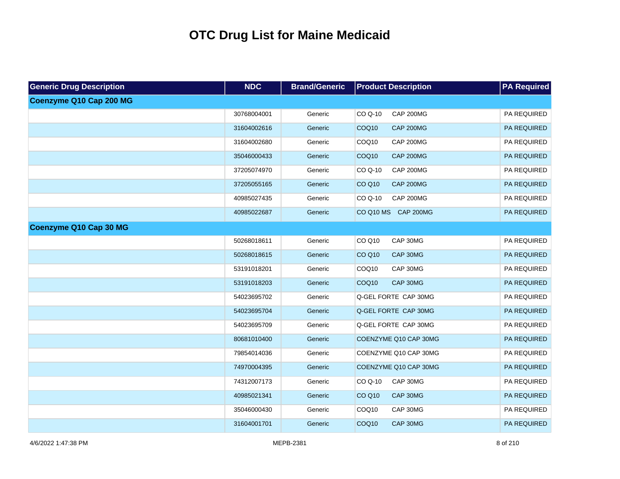| <b>Generic Drug Description</b> | <b>NDC</b>  | <b>Brand/Generic</b> | <b>Product Description</b>            | <b>PA Required</b> |
|---------------------------------|-------------|----------------------|---------------------------------------|--------------------|
| Coenzyme Q10 Cap 200 MG         |             |                      |                                       |                    |
|                                 | 30768004001 | Generic              | <b>CAP 200MG</b><br>CO Q-10           | PA REQUIRED        |
|                                 | 31604002616 | Generic              | COQ <sub>10</sub><br><b>CAP 200MG</b> | <b>PA REQUIRED</b> |
|                                 | 31604002680 | Generic              | COQ10<br>CAP 200MG                    | PA REQUIRED        |
|                                 | 35046000433 | Generic              | COQ <sub>10</sub><br><b>CAP 200MG</b> | PA REQUIRED        |
|                                 | 37205074970 | Generic              | CO Q-10<br><b>CAP 200MG</b>           | PA REQUIRED        |
|                                 | 37205055165 | Generic              | <b>CO Q10</b><br><b>CAP 200MG</b>     | PA REQUIRED        |
|                                 | 40985027435 | Generic              | <b>CAP 200MG</b><br>CO Q-10           | PA REQUIRED        |
|                                 | 40985022687 | Generic              | CO Q10 MS CAP 200MG                   | PA REQUIRED        |
| Coenzyme Q10 Cap 30 MG          |             |                      |                                       |                    |
|                                 | 50268018611 | Generic              | CO Q10<br>CAP 30MG                    | PA REQUIRED        |
|                                 | 50268018615 | Generic              | CAP 30MG<br><b>CO Q10</b>             | PA REQUIRED        |
|                                 | 53191018201 | Generic              | COQ10<br>CAP 30MG                     | PA REQUIRED        |
|                                 | 53191018203 | Generic              | CAP 30MG<br>COQ <sub>10</sub>         | PA REQUIRED        |
|                                 | 54023695702 | Generic              | Q-GEL FORTE CAP 30MG                  | PA REQUIRED        |
|                                 | 54023695704 | Generic              | Q-GEL FORTE CAP 30MG                  | PA REQUIRED        |
|                                 | 54023695709 | Generic              | Q-GEL FORTE CAP 30MG                  | PA REQUIRED        |
|                                 | 80681010400 | Generic              | COENZYME Q10 CAP 30MG                 | PA REQUIRED        |
|                                 | 79854014036 | Generic              | COENZYME Q10 CAP 30MG                 | PA REQUIRED        |
|                                 | 74970004395 | Generic              | COENZYME Q10 CAP 30MG                 | PA REQUIRED        |
|                                 | 74312007173 | Generic              | CO Q-10<br>CAP 30MG                   | PA REQUIRED        |
|                                 | 40985021341 | Generic              | <b>CO Q10</b><br>CAP 30MG             | PA REQUIRED        |
|                                 | 35046000430 | Generic              | CAP 30MG<br>COQ10                     | PA REQUIRED        |
|                                 | 31604001701 | Generic              | COQ <sub>10</sub><br>CAP 30MG         | PA REQUIRED        |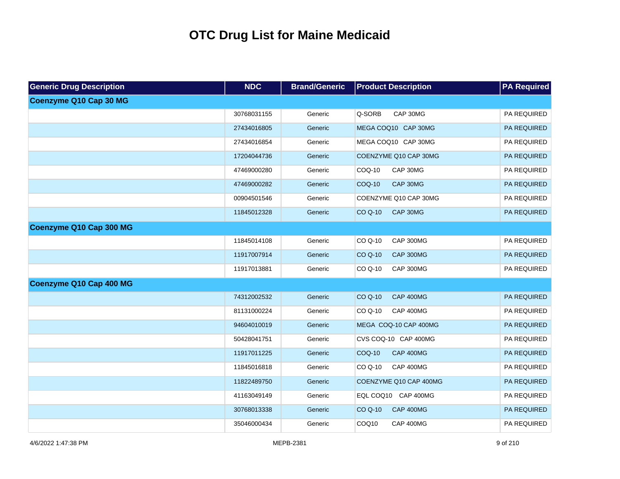| <b>Generic Drug Description</b> | <b>NDC</b>  | <b>Brand/Generic</b> | <b>Product Description</b>         | <b>PA Required</b> |
|---------------------------------|-------------|----------------------|------------------------------------|--------------------|
| Coenzyme Q10 Cap 30 MG          |             |                      |                                    |                    |
|                                 | 30768031155 | Generic              | Q-SORB<br>CAP 30MG                 | PA REQUIRED        |
|                                 | 27434016805 | Generic              | MEGA COQ10 CAP 30MG                | PA REQUIRED        |
|                                 | 27434016854 | Generic              | MEGA COQ10 CAP 30MG                | PA REQUIRED        |
|                                 | 17204044736 | Generic              | COENZYME Q10 CAP 30MG              | PA REQUIRED        |
|                                 | 47469000280 | Generic              | COQ-10<br>CAP 30MG                 | PA REQUIRED        |
|                                 | 47469000282 | Generic              | CAP 30MG<br>COQ-10                 | PA REQUIRED        |
|                                 | 00904501546 | Generic              | COENZYME Q10 CAP 30MG              | PA REQUIRED        |
|                                 | 11845012328 | Generic              | CAP 30MG<br><b>CO Q-10</b>         | PA REQUIRED        |
| Coenzyme Q10 Cap 300 MG         |             |                      |                                    |                    |
|                                 | 11845014108 | Generic              | <b>CAP 300MG</b><br>CO Q-10        | PA REQUIRED        |
|                                 | 11917007914 | Generic              | <b>CO Q-10</b><br><b>CAP 300MG</b> | PA REQUIRED        |
|                                 | 11917013881 | Generic              | CO Q-10<br>CAP 300MG               | PA REQUIRED        |
| Coenzyme Q10 Cap 400 MG         |             |                      |                                    |                    |
|                                 | 74312002532 | Generic              | <b>CO Q-10</b><br><b>CAP 400MG</b> | PA REQUIRED        |
|                                 | 81131000224 | Generic              | $COQ-10$<br><b>CAP 400MG</b>       | PA REQUIRED        |
|                                 | 94604010019 | Generic              | MEGA COQ-10 CAP 400MG              | PA REQUIRED        |
|                                 | 50428041751 | Generic              | CVS COQ-10 CAP 400MG               | PA REQUIRED        |
|                                 | 11917011225 | Generic              | COQ-10<br><b>CAP 400MG</b>         | PA REQUIRED        |
|                                 | 11845016818 | Generic              | CO Q-10<br><b>CAP 400MG</b>        | PA REQUIRED        |
|                                 | 11822489750 | Generic              | COENZYME Q10 CAP 400MG             | PA REQUIRED        |
|                                 | 41163049149 | Generic              | EQL COQ10 CAP 400MG                | PA REQUIRED        |
|                                 | 30768013338 | Generic              | <b>CO Q-10</b><br><b>CAP 400MG</b> | PA REQUIRED        |
|                                 | 35046000434 | Generic              | COQ10<br><b>CAP 400MG</b>          | PA REQUIRED        |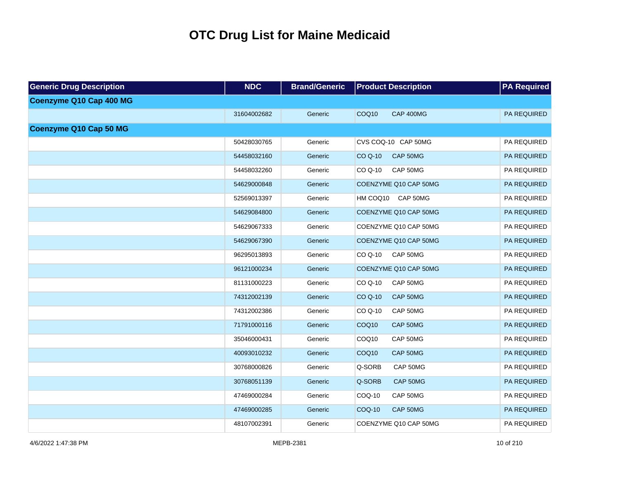| <b>Generic Drug Description</b> | <b>NDC</b>  | <b>Brand/Generic</b> | <b>Product Description</b>            | <b>PA Required</b> |
|---------------------------------|-------------|----------------------|---------------------------------------|--------------------|
| Coenzyme Q10 Cap 400 MG         |             |                      |                                       |                    |
|                                 | 31604002682 | Generic              | COQ <sub>10</sub><br><b>CAP 400MG</b> | <b>PA REQUIRED</b> |
| Coenzyme Q10 Cap 50 MG          |             |                      |                                       |                    |
|                                 | 50428030765 | Generic              | CVS COQ-10 CAP 50MG                   | PA REQUIRED        |
|                                 | 54458032160 | Generic              | <b>CO Q-10</b><br>CAP 50MG            | PA REQUIRED        |
|                                 | 54458032260 | Generic              | $COQ-10$<br>CAP 50MG                  | PA REQUIRED        |
|                                 | 54629000848 | Generic              | COENZYME Q10 CAP 50MG                 | PA REQUIRED        |
|                                 | 52569013397 | Generic              | HM COQ10 CAP 50MG                     | PA REQUIRED        |
|                                 | 54629084800 | Generic              | COENZYME Q10 CAP 50MG                 | PA REQUIRED        |
|                                 | 54629067333 | Generic              | COENZYME Q10 CAP 50MG                 | PA REQUIRED        |
|                                 | 54629067390 | Generic              | COENZYME Q10 CAP 50MG                 | PA REQUIRED        |
|                                 | 96295013893 | Generic              | CAP 50MG<br>CO Q-10                   | PA REQUIRED        |
|                                 | 96121000234 | Generic              | COENZYME Q10 CAP 50MG                 | PA REQUIRED        |
|                                 | 81131000223 | Generic              | CO Q-10<br>CAP 50MG                   | PA REQUIRED        |
|                                 | 74312002139 | Generic              | CO Q-10<br>CAP 50MG                   | <b>PA REQUIRED</b> |
|                                 | 74312002386 | Generic              | CO Q-10<br>CAP 50MG                   | PA REQUIRED        |
|                                 | 71791000116 | Generic              | COQ <sub>10</sub><br>CAP 50MG         | <b>PA REQUIRED</b> |
|                                 | 35046000431 | Generic              | COQ10<br>CAP 50MG                     | PA REQUIRED        |
|                                 | 40093010232 | Generic              | COQ <sub>10</sub><br>CAP 50MG         | PA REQUIRED        |
|                                 | 30768000826 | Generic              | Q-SORB<br>CAP 50MG                    | PA REQUIRED        |
|                                 | 30768051139 | Generic              | Q-SORB<br>CAP 50MG                    | PA REQUIRED        |
|                                 | 47469000284 | Generic              | COQ-10<br>CAP 50MG                    | PA REQUIRED        |
|                                 | 47469000285 | Generic              | <b>COQ-10</b><br>CAP 50MG             | PA REQUIRED        |
|                                 | 48107002391 | Generic              | COENZYME Q10 CAP 50MG                 | PA REQUIRED        |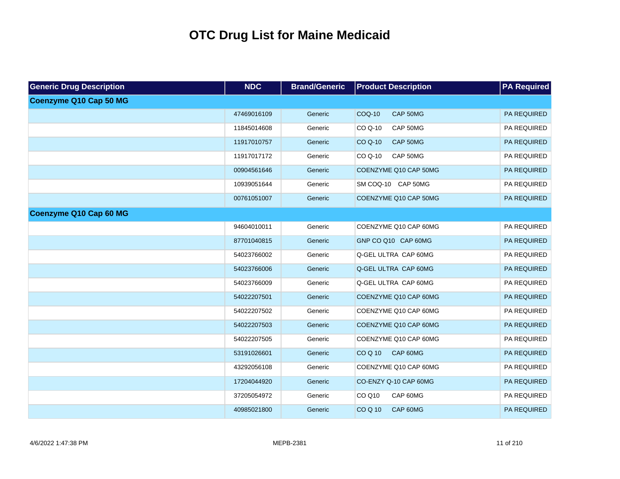| <b>Generic Drug Description</b> | <b>NDC</b>  | <b>Brand/Generic</b> | <b>Product Description</b>  | <b>PA Required</b> |
|---------------------------------|-------------|----------------------|-----------------------------|--------------------|
| Coenzyme Q10 Cap 50 MG          |             |                      |                             |                    |
|                                 | 47469016109 | Generic              | <b>COQ-10</b><br>CAP 50MG   | <b>PA REQUIRED</b> |
|                                 | 11845014608 | Generic              | CAP 50MG<br>CO Q-10         | PA REQUIRED        |
|                                 | 11917010757 | Generic              | <b>CO Q-10</b><br>CAP 50MG  | PA REQUIRED        |
|                                 | 11917017172 | Generic              | CAP 50MG<br>CO Q-10         | PA REQUIRED        |
|                                 | 00904561646 | Generic              | COENZYME Q10 CAP 50MG       | <b>PA REQUIRED</b> |
|                                 | 10939051644 | Generic              | SM COQ-10 CAP 50MG          | PA REQUIRED        |
|                                 | 00761051007 | Generic              | COENZYME Q10 CAP 50MG       | PA REQUIRED        |
| Coenzyme Q10 Cap 60 MG          |             |                      |                             |                    |
|                                 | 94604010011 | Generic              | COENZYME Q10 CAP 60MG       | PA REQUIRED        |
|                                 | 87701040815 | Generic              | GNP CO Q10 CAP 60MG         | PA REQUIRED        |
|                                 | 54023766002 | Generic              | Q-GEL ULTRA CAP 60MG        | PA REQUIRED        |
|                                 | 54023766006 | Generic              | <b>Q-GEL ULTRA CAP 60MG</b> | PA REQUIRED        |
|                                 | 54023766009 | Generic              | Q-GEL ULTRA CAP 60MG        | PA REQUIRED        |
|                                 | 54022207501 | Generic              | COENZYME Q10 CAP 60MG       | PA REQUIRED        |
|                                 | 54022207502 | Generic              | COENZYME Q10 CAP 60MG       | PA REQUIRED        |
|                                 | 54022207503 | Generic              | COENZYME Q10 CAP 60MG       | PA REQUIRED        |
|                                 | 54022207505 | Generic              | COENZYME Q10 CAP 60MG       | PA REQUIRED        |
|                                 | 53191026601 | Generic              | CAP 60MG<br><b>COQ10</b>    | PA REQUIRED        |
|                                 | 43292056108 | Generic              | COENZYME Q10 CAP 60MG       | PA REQUIRED        |
|                                 | 17204044920 | Generic              | CO-ENZY Q-10 CAP 60MG       | PA REQUIRED        |
|                                 | 37205054972 | Generic              | CO Q10<br>CAP 60MG          | PA REQUIRED        |
|                                 | 40985021800 | Generic              | <b>COQ10</b><br>CAP 60MG    | PA REQUIRED        |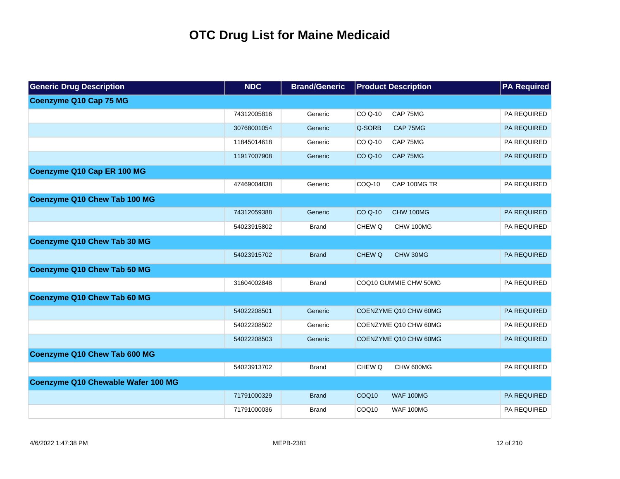| <b>Generic Drug Description</b>    | <b>NDC</b>  | <b>Brand/Generic</b> | <b>Product Description</b>            | <b>PA Required</b> |
|------------------------------------|-------------|----------------------|---------------------------------------|--------------------|
| <b>Coenzyme Q10 Cap 75 MG</b>      |             |                      |                                       |                    |
|                                    | 74312005816 | Generic              | CAP 75MG<br>CO Q-10                   | PA REQUIRED        |
|                                    | 30768001054 | Generic              | Q-SORB<br>CAP 75MG                    | <b>PA REQUIRED</b> |
|                                    | 11845014618 | Generic              | CO Q-10<br>CAP 75MG                   | PA REQUIRED        |
|                                    | 11917007908 | Generic              | <b>CO Q-10</b><br>CAP 75MG            | <b>PA REQUIRED</b> |
| Coenzyme Q10 Cap ER 100 MG         |             |                      |                                       |                    |
|                                    | 47469004838 | Generic              | COQ-10<br>CAP 100MG TR                | PA REQUIRED        |
| Coenzyme Q10 Chew Tab 100 MG       |             |                      |                                       |                    |
|                                    | 74312059388 | Generic              | <b>CO Q-10</b><br>CHW 100MG           | PA REQUIRED        |
|                                    | 54023915802 | <b>Brand</b>         | CHEW Q<br>CHW 100MG                   | PA REQUIRED        |
| Coenzyme Q10 Chew Tab 30 MG        |             |                      |                                       |                    |
|                                    | 54023915702 | <b>Brand</b>         | CHEW Q<br>CHW 30MG                    | PA REQUIRED        |
| Coenzyme Q10 Chew Tab 50 MG        |             |                      |                                       |                    |
|                                    | 31604002848 | <b>Brand</b>         | COQ10 GUMMIE CHW 50MG                 | PA REQUIRED        |
| Coenzyme Q10 Chew Tab 60 MG        |             |                      |                                       |                    |
|                                    | 54022208501 | Generic              | COENZYME Q10 CHW 60MG                 | PA REQUIRED        |
|                                    | 54022208502 | Generic              | COENZYME Q10 CHW 60MG                 | PA REQUIRED        |
|                                    | 54022208503 | Generic              | COENZYME Q10 CHW 60MG                 | <b>PA REQUIRED</b> |
| Coenzyme Q10 Chew Tab 600 MG       |             |                      |                                       |                    |
|                                    | 54023913702 | <b>Brand</b>         | CHEW Q<br>CHW 600MG                   | <b>PA REQUIRED</b> |
| Coenzyme Q10 Chewable Wafer 100 MG |             |                      |                                       |                    |
|                                    | 71791000329 | <b>Brand</b>         | COQ <sub>10</sub><br><b>WAF 100MG</b> | <b>PA REQUIRED</b> |
|                                    | 71791000036 | <b>Brand</b>         | COQ <sub>10</sub><br><b>WAF 100MG</b> | <b>PA REQUIRED</b> |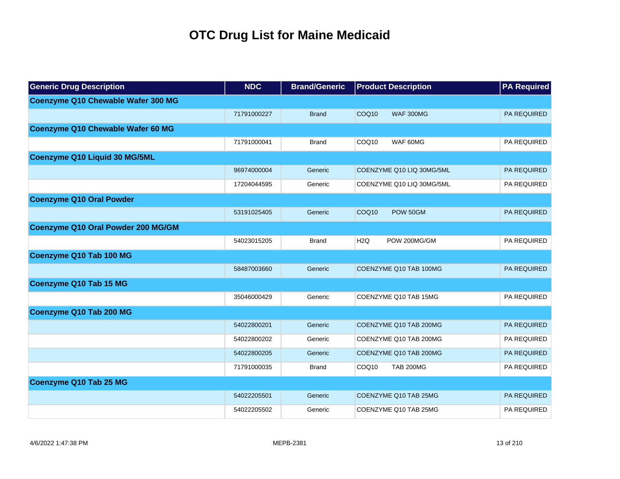| <b>Generic Drug Description</b>    | <b>NDC</b>  | <b>Brand/Generic</b> | <b>Product Description</b>            | <b>PA Required</b> |
|------------------------------------|-------------|----------------------|---------------------------------------|--------------------|
| Coenzyme Q10 Chewable Wafer 300 MG |             |                      |                                       |                    |
|                                    | 71791000227 | <b>Brand</b>         | COQ <sub>10</sub><br><b>WAF 300MG</b> | <b>PA REQUIRED</b> |
| Coenzyme Q10 Chewable Wafer 60 MG  |             |                      |                                       |                    |
|                                    | 71791000041 | <b>Brand</b>         | COQ <sub>10</sub><br>WAF 60MG         | <b>PA REQUIRED</b> |
| Coenzyme Q10 Liquid 30 MG/5ML      |             |                      |                                       |                    |
|                                    | 96974000004 | Generic              | COENZYME Q10 LIQ 30MG/5ML             | <b>PA REQUIRED</b> |
|                                    | 17204044595 | Generic              | COENZYME Q10 LIQ 30MG/5ML             | PA REQUIRED        |
| <b>Coenzyme Q10 Oral Powder</b>    |             |                      |                                       |                    |
|                                    | 53191025405 | Generic              | COQ <sub>10</sub><br>POW 50GM         | <b>PA REQUIRED</b> |
| Coenzyme Q10 Oral Powder 200 MG/GM |             |                      |                                       |                    |
|                                    | 54023015205 | <b>Brand</b>         | H <sub>2</sub> Q<br>POW 200MG/GM      | <b>PA REQUIRED</b> |
| Coenzyme Q10 Tab 100 MG            |             |                      |                                       |                    |
|                                    | 58487003660 | Generic              | COENZYME Q10 TAB 100MG                | <b>PA REQUIRED</b> |
| Coenzyme Q10 Tab 15 MG             |             |                      |                                       |                    |
|                                    | 35046000429 | Generic              | COENZYME Q10 TAB 15MG                 | PA REQUIRED        |
| Coenzyme Q10 Tab 200 MG            |             |                      |                                       |                    |
|                                    | 54022800201 | Generic              | COENZYME Q10 TAB 200MG                | <b>PA REQUIRED</b> |
|                                    | 54022800202 | Generic              | COENZYME Q10 TAB 200MG                | PA REQUIRED        |
|                                    | 54022800205 | Generic              | COENZYME Q10 TAB 200MG                | PA REQUIRED        |
|                                    | 71791000035 | <b>Brand</b>         | COQ <sub>10</sub><br><b>TAB 200MG</b> | PA REQUIRED        |
| Coenzyme Q10 Tab 25 MG             |             |                      |                                       |                    |
|                                    | 54022205501 | Generic              | COENZYME Q10 TAB 25MG                 | <b>PA REQUIRED</b> |
|                                    | 54022205502 | Generic              | COENZYME Q10 TAB 25MG                 | PA REQUIRED        |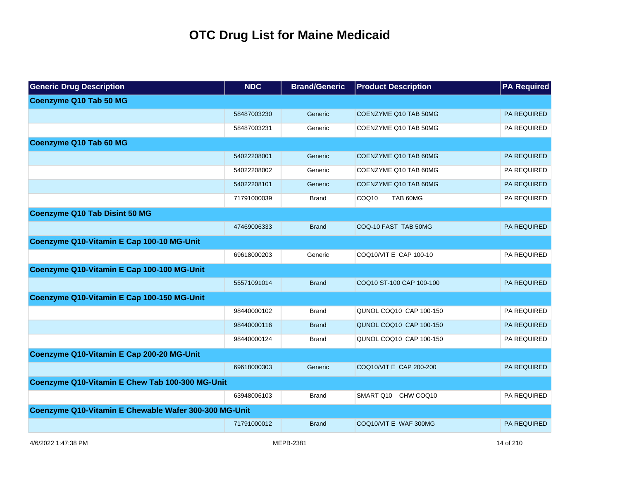| <b>Generic Drug Description</b>                       | <b>NDC</b>  | <b>Brand/Generic</b> | <b>Product Description</b>    | <b>PA Required</b> |
|-------------------------------------------------------|-------------|----------------------|-------------------------------|--------------------|
| Coenzyme Q10 Tab 50 MG                                |             |                      |                               |                    |
|                                                       | 58487003230 | Generic              | COENZYME Q10 TAB 50MG         | <b>PA REQUIRED</b> |
|                                                       | 58487003231 | Generic              | COENZYME Q10 TAB 50MG         | PA REQUIRED        |
| Coenzyme Q10 Tab 60 MG                                |             |                      |                               |                    |
|                                                       | 54022208001 | Generic              | COENZYME Q10 TAB 60MG         | <b>PA REQUIRED</b> |
|                                                       | 54022208002 | Generic              | COENZYME Q10 TAB 60MG         | PA REQUIRED        |
|                                                       | 54022208101 | Generic              | COENZYME Q10 TAB 60MG         | <b>PA REQUIRED</b> |
|                                                       | 71791000039 | <b>Brand</b>         | COQ <sub>10</sub><br>TAB 60MG | <b>PA REQUIRED</b> |
| <b>Coenzyme Q10 Tab Disint 50 MG</b>                  |             |                      |                               |                    |
|                                                       | 47469006333 | <b>Brand</b>         | COQ-10 FAST TAB 50MG          | <b>PA REQUIRED</b> |
| Coenzyme Q10-Vitamin E Cap 100-10 MG-Unit             |             |                      |                               |                    |
|                                                       | 69618000203 | Generic              | COQ10/VIT E CAP 100-10        | PA REQUIRED        |
| Coenzyme Q10-Vitamin E Cap 100-100 MG-Unit            |             |                      |                               |                    |
|                                                       | 55571091014 | <b>Brand</b>         | COQ10 ST-100 CAP 100-100      | <b>PA REQUIRED</b> |
| Coenzyme Q10-Vitamin E Cap 100-150 MG-Unit            |             |                      |                               |                    |
|                                                       | 98440000102 | <b>Brand</b>         | QUNOL COQ10 CAP 100-150       | PA REQUIRED        |
|                                                       | 98440000116 | <b>Brand</b>         | QUNOL COQ10 CAP 100-150       | <b>PA REQUIRED</b> |
|                                                       | 98440000124 | <b>Brand</b>         | QUNOL COQ10 CAP 100-150       | PA REQUIRED        |
| Coenzyme Q10-Vitamin E Cap 200-20 MG-Unit             |             |                      |                               |                    |
|                                                       | 69618000303 | Generic              | COQ10/VIT E CAP 200-200       | <b>PA REQUIRED</b> |
| Coenzyme Q10-Vitamin E Chew Tab 100-300 MG-Unit       |             |                      |                               |                    |
|                                                       | 63948006103 | <b>Brand</b>         | CHW COQ10<br>SMART Q10        | PA REQUIRED        |
| Coenzyme Q10-Vitamin E Chewable Wafer 300-300 MG-Unit |             |                      |                               |                    |
|                                                       | 71791000012 | <b>Brand</b>         | COQ10/VIT E WAF 300MG         | <b>PA REQUIRED</b> |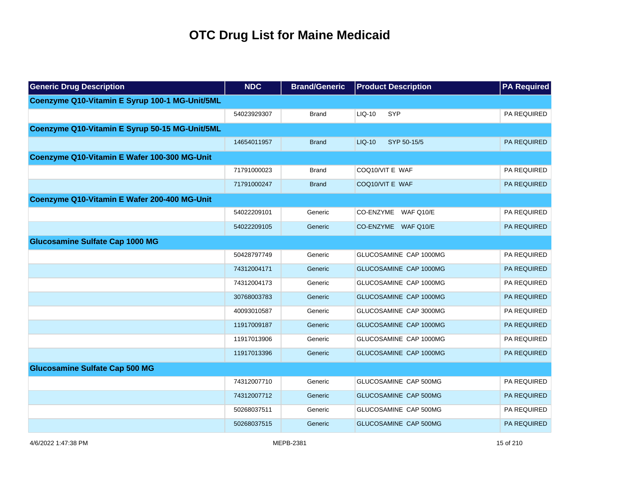| <b>Generic Drug Description</b>                | <b>NDC</b>  | <b>Brand/Generic</b> | <b>Product Description</b> | <b>PA Required</b> |
|------------------------------------------------|-------------|----------------------|----------------------------|--------------------|
| Coenzyme Q10-Vitamin E Syrup 100-1 MG-Unit/5ML |             |                      |                            |                    |
|                                                | 54023929307 | <b>Brand</b>         | LIQ-10<br>SYP              | PA REQUIRED        |
| Coenzyme Q10-Vitamin E Syrup 50-15 MG-Unit/5ML |             |                      |                            |                    |
|                                                | 14654011957 | <b>Brand</b>         | LIQ-10<br>SYP 50-15/5      | PA REQUIRED        |
| Coenzyme Q10-Vitamin E Wafer 100-300 MG-Unit   |             |                      |                            |                    |
|                                                | 71791000023 | <b>Brand</b>         | COQ10/VIT E WAF            | PA REQUIRED        |
|                                                | 71791000247 | <b>Brand</b>         | COQ10/VIT E WAF            | PA REQUIRED        |
| Coenzyme Q10-Vitamin E Wafer 200-400 MG-Unit   |             |                      |                            |                    |
|                                                | 54022209101 | Generic              | CO-ENZYME WAF Q10/E        | PA REQUIRED        |
|                                                | 54022209105 | Generic              | CO-ENZYME WAF Q10/E        | PA REQUIRED        |
| <b>Glucosamine Sulfate Cap 1000 MG</b>         |             |                      |                            |                    |
|                                                | 50428797749 | Generic              | GLUCOSAMINE CAP 1000MG     | PA REQUIRED        |
|                                                | 74312004171 | Generic              | GLUCOSAMINE CAP 1000MG     | PA REQUIRED        |
|                                                | 74312004173 | Generic              | GLUCOSAMINE CAP 1000MG     | PA REQUIRED        |
|                                                | 30768003783 | Generic              | GLUCOSAMINE CAP 1000MG     | PA REQUIRED        |
|                                                | 40093010587 | Generic              | GLUCOSAMINE CAP 3000MG     | PA REQUIRED        |
|                                                | 11917009187 | Generic              | GLUCOSAMINE CAP 1000MG     | PA REQUIRED        |
|                                                | 11917013906 | Generic              | GLUCOSAMINE CAP 1000MG     | PA REQUIRED        |
|                                                | 11917013396 | Generic              | GLUCOSAMINE CAP 1000MG     | <b>PA REQUIRED</b> |
| <b>Glucosamine Sulfate Cap 500 MG</b>          |             |                      |                            |                    |
|                                                | 74312007710 | Generic              | GLUCOSAMINE CAP 500MG      | PA REQUIRED        |
|                                                | 74312007712 | Generic              | GLUCOSAMINE CAP 500MG      | PA REQUIRED        |
|                                                | 50268037511 | Generic              | GLUCOSAMINE CAP 500MG      | PA REQUIRED        |
|                                                | 50268037515 | Generic              | GLUCOSAMINE CAP 500MG      | <b>PA REQUIRED</b> |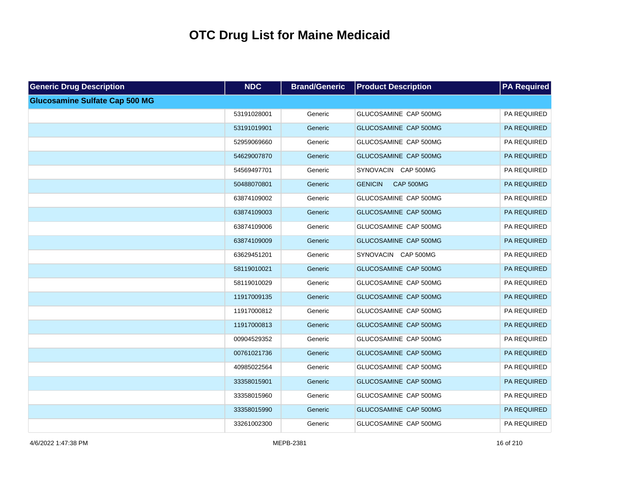| <b>Generic Drug Description</b>       | <b>NDC</b>  | <b>Brand/Generic</b> | <b>Product Description</b>         | <b>PA Required</b> |
|---------------------------------------|-------------|----------------------|------------------------------------|--------------------|
| <b>Glucosamine Sulfate Cap 500 MG</b> |             |                      |                                    |                    |
|                                       | 53191028001 | Generic              | GLUCOSAMINE CAP 500MG              | PA REQUIRED        |
|                                       | 53191019901 | Generic              | GLUCOSAMINE CAP 500MG              | PA REQUIRED        |
|                                       | 52959069660 | Generic              | GLUCOSAMINE CAP 500MG              | PA REQUIRED        |
|                                       | 54629007870 | Generic              | GLUCOSAMINE CAP 500MG              | PA REQUIRED        |
|                                       | 54569497701 | Generic              | SYNOVACIN CAP 500MG                | PA REQUIRED        |
|                                       | 50488070801 | Generic              | <b>GENICIN</b><br><b>CAP 500MG</b> | PA REQUIRED        |
|                                       | 63874109002 | Generic              | GLUCOSAMINE CAP 500MG              | PA REQUIRED        |
|                                       | 63874109003 | Generic              | GLUCOSAMINE CAP 500MG              | PA REQUIRED        |
|                                       | 63874109006 | Generic              | GLUCOSAMINE CAP 500MG              | PA REQUIRED        |
|                                       | 63874109009 | Generic              | GLUCOSAMINE CAP 500MG              | PA REQUIRED        |
|                                       | 63629451201 | Generic              | SYNOVACIN CAP 500MG                | PA REQUIRED        |
|                                       | 58119010021 | Generic              | GLUCOSAMINE CAP 500MG              | PA REQUIRED        |
|                                       | 58119010029 | Generic              | GLUCOSAMINE CAP 500MG              | PA REQUIRED        |
|                                       | 11917009135 | Generic              | GLUCOSAMINE CAP 500MG              | PA REQUIRED        |
|                                       | 11917000812 | Generic              | GLUCOSAMINE CAP 500MG              | PA REQUIRED        |
|                                       | 11917000813 | Generic              | GLUCOSAMINE CAP 500MG              | PA REQUIRED        |
|                                       | 00904529352 | Generic              | GLUCOSAMINE CAP 500MG              | PA REQUIRED        |
|                                       | 00761021736 | Generic              | GLUCOSAMINE CAP 500MG              | PA REQUIRED        |
|                                       | 40985022564 | Generic              | GLUCOSAMINE CAP 500MG              | PA REQUIRED        |
|                                       | 33358015901 | Generic              | GLUCOSAMINE CAP 500MG              | PA REQUIRED        |
|                                       | 33358015960 | Generic              | GLUCOSAMINE CAP 500MG              | PA REQUIRED        |
|                                       | 33358015990 | Generic              | GLUCOSAMINE CAP 500MG              | PA REQUIRED        |
|                                       | 33261002300 | Generic              | GLUCOSAMINE CAP 500MG              | PA REQUIRED        |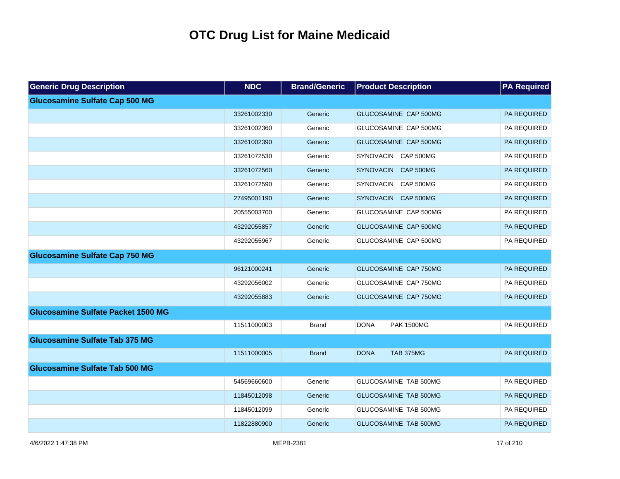| <b>Generic Drug Description</b>           | <b>NDC</b>  | <b>Brand/Generic</b> | <b>Product Description</b>           | <b>PA Required</b> |
|-------------------------------------------|-------------|----------------------|--------------------------------------|--------------------|
| <b>Glucosamine Sulfate Cap 500 MG</b>     |             |                      |                                      |                    |
|                                           | 33261002330 | Generic              | GLUCOSAMINE CAP 500MG                | PA REQUIRED        |
|                                           | 33261002360 | Generic              | GLUCOSAMINE CAP 500MG                | PA REQUIRED        |
|                                           | 33261002390 | Generic              | GLUCOSAMINE CAP 500MG                | PA REQUIRED        |
|                                           | 33261072530 | Generic              | SYNOVACIN CAP 500MG                  | PA REQUIRED        |
|                                           | 33261072560 | Generic              | SYNOVACIN CAP 500MG                  | PA REQUIRED        |
|                                           | 33261072590 | Generic              | <b>SYNOVACIN</b><br><b>CAP 500MG</b> | PA REQUIRED        |
|                                           | 27495001190 | Generic              | SYNOVACIN CAP 500MG                  | PA REQUIRED        |
|                                           | 20555003700 | Generic              | GLUCOSAMINE CAP 500MG                | PA REQUIRED        |
|                                           | 43292055857 | Generic              | GLUCOSAMINE CAP 500MG                | PA REQUIRED        |
|                                           | 43292055967 | Generic              | GLUCOSAMINE CAP 500MG                | PA REQUIRED        |
| <b>Glucosamine Sulfate Cap 750 MG</b>     |             |                      |                                      |                    |
|                                           | 96121000241 | Generic              | GLUCOSAMINE CAP 750MG                | PA REQUIRED        |
|                                           | 43292056002 | Generic              | GLUCOSAMINE CAP 750MG                | PA REQUIRED        |
|                                           | 43292055883 | Generic              | GLUCOSAMINE CAP 750MG                | PA REQUIRED        |
| <b>Glucosamine Sulfate Packet 1500 MG</b> |             |                      |                                      |                    |
|                                           | 11511000003 | <b>Brand</b>         | <b>DONA</b><br><b>PAK 1500MG</b>     | PA REQUIRED        |
| <b>Glucosamine Sulfate Tab 375 MG</b>     |             |                      |                                      |                    |
|                                           | 11511000005 | <b>Brand</b>         | <b>DONA</b><br><b>TAB 375MG</b>      | PA REQUIRED        |
| <b>Glucosamine Sulfate Tab 500 MG</b>     |             |                      |                                      |                    |
|                                           | 54569660600 | Generic              | GLUCOSAMINE TAB 500MG                | PA REQUIRED        |
|                                           | 11845012098 | Generic              | GLUCOSAMINE TAB 500MG                | PA REQUIRED        |
|                                           | 11845012099 | Generic              | GLUCOSAMINE TAB 500MG                | PA REQUIRED        |
|                                           | 11822880900 | Generic              | GLUCOSAMINE TAB 500MG                | <b>PA REQUIRED</b> |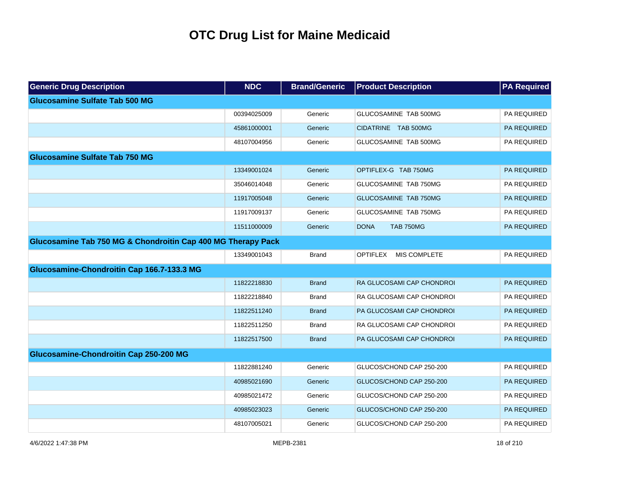| <b>Generic Drug Description</b>                              | <b>NDC</b>  | <b>Brand/Generic</b> | <b>Product Description</b>             | <b>PA Required</b> |
|--------------------------------------------------------------|-------------|----------------------|----------------------------------------|--------------------|
| <b>Glucosamine Sulfate Tab 500 MG</b>                        |             |                      |                                        |                    |
|                                                              | 00394025009 | Generic              | GLUCOSAMINE TAB 500MG                  | PA REQUIRED        |
|                                                              | 45861000001 | Generic              | CIDATRINE TAB 500MG                    | PA REQUIRED        |
|                                                              | 48107004956 | Generic              | GLUCOSAMINE TAB 500MG                  | PA REQUIRED        |
| <b>Glucosamine Sulfate Tab 750 MG</b>                        |             |                      |                                        |                    |
|                                                              | 13349001024 | Generic              | OPTIFLEX-G TAB 750MG                   | PA REQUIRED        |
|                                                              | 35046014048 | Generic              | GLUCOSAMINE TAB 750MG                  | PA REQUIRED        |
|                                                              | 11917005048 | Generic              | GLUCOSAMINE TAB 750MG                  | PA REQUIRED        |
|                                                              | 11917009137 | Generic              | GLUCOSAMINE TAB 750MG                  | PA REQUIRED        |
|                                                              | 11511000009 | Generic              | <b>DONA</b><br><b>TAB 750MG</b>        | <b>PA REQUIRED</b> |
| Glucosamine Tab 750 MG & Chondroitin Cap 400 MG Therapy Pack |             |                      |                                        |                    |
|                                                              | 13349001043 | <b>Brand</b>         | <b>OPTIFLEX</b><br><b>MIS COMPLETE</b> | PA REQUIRED        |
| Glucosamine-Chondroitin Cap 166.7-133.3 MG                   |             |                      |                                        |                    |
|                                                              | 11822218830 | <b>Brand</b>         | RA GLUCOSAMI CAP CHONDROI              | PA REQUIRED        |
|                                                              | 11822218840 | <b>Brand</b>         | RA GLUCOSAMI CAP CHONDROI              | PA REQUIRED        |
|                                                              | 11822511240 | <b>Brand</b>         | PA GLUCOSAMI CAP CHONDROI              | PA REQUIRED        |
|                                                              | 11822511250 | <b>Brand</b>         | RA GLUCOSAMI CAP CHONDROI              | PA REQUIRED        |
|                                                              | 11822517500 | <b>Brand</b>         | PA GLUCOSAMI CAP CHONDROI              | <b>PA REQUIRED</b> |
| Glucosamine-Chondroitin Cap 250-200 MG                       |             |                      |                                        |                    |
|                                                              | 11822881240 | Generic              | GLUCOS/CHOND CAP 250-200               | PA REQUIRED        |
|                                                              | 40985021690 | Generic              | GLUCOS/CHOND CAP 250-200               | PA REQUIRED        |
|                                                              | 40985021472 | Generic              | GLUCOS/CHOND CAP 250-200               | PA REQUIRED        |
|                                                              | 40985023023 | Generic              | GLUCOS/CHOND CAP 250-200               | PA REQUIRED        |
|                                                              | 48107005021 | Generic              | GLUCOS/CHOND CAP 250-200               | PA REQUIRED        |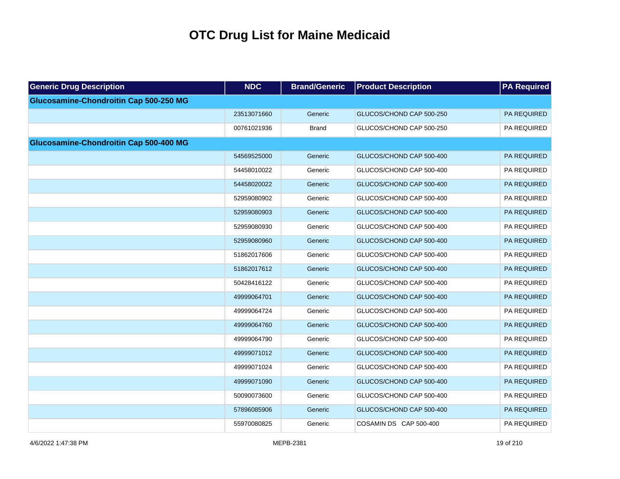| <b>Generic Drug Description</b>               | <b>NDC</b>  | <b>Brand/Generic</b> | <b>Product Description</b> | <b>PA Required</b> |
|-----------------------------------------------|-------------|----------------------|----------------------------|--------------------|
| <b>Glucosamine-Chondroitin Cap 500-250 MG</b> |             |                      |                            |                    |
|                                               | 23513071660 | Generic              | GLUCOS/CHOND CAP 500-250   | PA REQUIRED        |
|                                               | 00761021936 | <b>Brand</b>         | GLUCOS/CHOND CAP 500-250   | PA REQUIRED        |
| Glucosamine-Chondroitin Cap 500-400 MG        |             |                      |                            |                    |
|                                               | 54569525000 | Generic              | GLUCOS/CHOND CAP 500-400   | PA REQUIRED        |
|                                               | 54458010022 | Generic              | GLUCOS/CHOND CAP 500-400   | PA REQUIRED        |
|                                               | 54458020022 | Generic              | GLUCOS/CHOND CAP 500-400   | PA REQUIRED        |
|                                               | 52959080902 | Generic              | GLUCOS/CHOND CAP 500-400   | PA REQUIRED        |
|                                               | 52959080903 | Generic              | GLUCOS/CHOND CAP 500-400   | PA REQUIRED        |
|                                               | 52959080930 | Generic              | GLUCOS/CHOND CAP 500-400   | PA REQUIRED        |
|                                               | 52959080960 | Generic              | GLUCOS/CHOND CAP 500-400   | PA REQUIRED        |
|                                               | 51862017606 | Generic              | GLUCOS/CHOND CAP 500-400   | PA REQUIRED        |
|                                               | 51862017612 | Generic              | GLUCOS/CHOND CAP 500-400   | PA REQUIRED        |
|                                               | 50428416122 | Generic              | GLUCOS/CHOND CAP 500-400   | PA REQUIRED        |
|                                               | 49999064701 | Generic              | GLUCOS/CHOND CAP 500-400   | PA REQUIRED        |
|                                               | 49999064724 | Generic              | GLUCOS/CHOND CAP 500-400   | PA REQUIRED        |
|                                               | 49999064760 | Generic              | GLUCOS/CHOND CAP 500-400   | PA REQUIRED        |
|                                               | 49999064790 | Generic              | GLUCOS/CHOND CAP 500-400   | PA REQUIRED        |
|                                               | 49999071012 | Generic              | GLUCOS/CHOND CAP 500-400   | PA REQUIRED        |
|                                               | 49999071024 | Generic              | GLUCOS/CHOND CAP 500-400   | PA REQUIRED        |
|                                               | 49999071090 | Generic              | GLUCOS/CHOND CAP 500-400   | PA REQUIRED        |
|                                               | 50090073600 | Generic              | GLUCOS/CHOND CAP 500-400   | PA REQUIRED        |
|                                               | 57896085906 | Generic              | GLUCOS/CHOND CAP 500-400   | PA REQUIRED        |
|                                               | 55970080825 | Generic              | COSAMIN DS CAP 500-400     | PA REQUIRED        |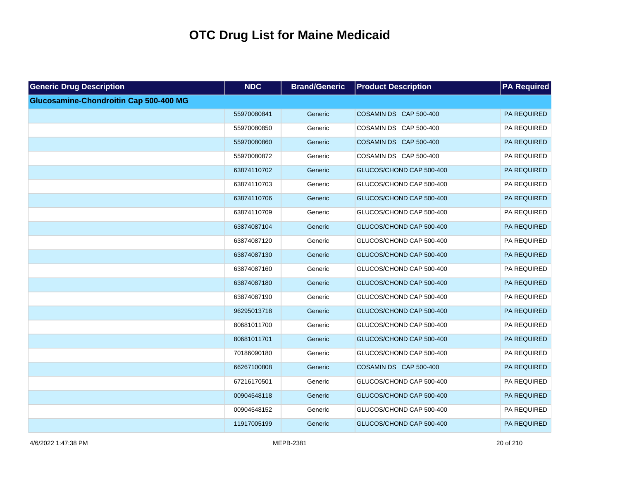| <b>Generic Drug Description</b>        | <b>NDC</b>  | <b>Brand/Generic</b> | <b>Product Description</b> | <b>PA Required</b> |
|----------------------------------------|-------------|----------------------|----------------------------|--------------------|
| Glucosamine-Chondroitin Cap 500-400 MG |             |                      |                            |                    |
|                                        | 55970080841 | Generic              | COSAMIN DS CAP 500-400     | PA REQUIRED        |
|                                        | 55970080850 | Generic              | COSAMIN DS CAP 500-400     | PA REQUIRED        |
|                                        | 55970080860 | Generic              | COSAMIN DS CAP 500-400     | PA REQUIRED        |
|                                        | 55970080872 | Generic              | COSAMIN DS CAP 500-400     | PA REQUIRED        |
|                                        | 63874110702 | Generic              | GLUCOS/CHOND CAP 500-400   | PA REQUIRED        |
|                                        | 63874110703 | Generic              | GLUCOS/CHOND CAP 500-400   | PA REQUIRED        |
|                                        | 63874110706 | Generic              | GLUCOS/CHOND CAP 500-400   | PA REQUIRED        |
|                                        | 63874110709 | Generic              | GLUCOS/CHOND CAP 500-400   | PA REQUIRED        |
|                                        | 63874087104 | Generic              | GLUCOS/CHOND CAP 500-400   | PA REQUIRED        |
|                                        | 63874087120 | Generic              | GLUCOS/CHOND CAP 500-400   | PA REQUIRED        |
|                                        | 63874087130 | Generic              | GLUCOS/CHOND CAP 500-400   | PA REQUIRED        |
|                                        | 63874087160 | Generic              | GLUCOS/CHOND CAP 500-400   | PA REQUIRED        |
|                                        | 63874087180 | Generic              | GLUCOS/CHOND CAP 500-400   | PA REQUIRED        |
|                                        | 63874087190 | Generic              | GLUCOS/CHOND CAP 500-400   | PA REQUIRED        |
|                                        | 96295013718 | Generic              | GLUCOS/CHOND CAP 500-400   | PA REQUIRED        |
|                                        | 80681011700 | Generic              | GLUCOS/CHOND CAP 500-400   | PA REQUIRED        |
|                                        | 80681011701 | Generic              | GLUCOS/CHOND CAP 500-400   | PA REQUIRED        |
|                                        | 70186090180 | Generic              | GLUCOS/CHOND CAP 500-400   | PA REQUIRED        |
|                                        | 66267100808 | Generic              | COSAMIN DS CAP 500-400     | PA REQUIRED        |
|                                        | 67216170501 | Generic              | GLUCOS/CHOND CAP 500-400   | PA REQUIRED        |
|                                        | 00904548118 | Generic              | GLUCOS/CHOND CAP 500-400   | PA REQUIRED        |
|                                        | 00904548152 | Generic              | GLUCOS/CHOND CAP 500-400   | PA REQUIRED        |
|                                        | 11917005199 | Generic              | GLUCOS/CHOND CAP 500-400   | PA REQUIRED        |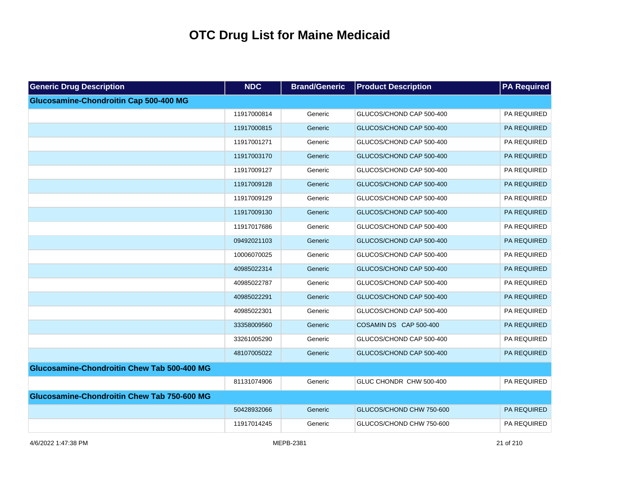| <b>Generic Drug Description</b>                    | <b>NDC</b>  | <b>Brand/Generic</b> | <b>Product Description</b> | <b>PA Required</b> |
|----------------------------------------------------|-------------|----------------------|----------------------------|--------------------|
| Glucosamine-Chondroitin Cap 500-400 MG             |             |                      |                            |                    |
|                                                    | 11917000814 | Generic              | GLUCOS/CHOND CAP 500-400   | PA REQUIRED        |
|                                                    | 11917000815 | Generic              | GLUCOS/CHOND CAP 500-400   | PA REQUIRED        |
|                                                    | 11917001271 | Generic              | GLUCOS/CHOND CAP 500-400   | PA REQUIRED        |
|                                                    | 11917003170 | Generic              | GLUCOS/CHOND CAP 500-400   | PA REQUIRED        |
|                                                    | 11917009127 | Generic              | GLUCOS/CHOND CAP 500-400   | PA REQUIRED        |
|                                                    | 11917009128 | Generic              | GLUCOS/CHOND CAP 500-400   | PA REQUIRED        |
|                                                    | 11917009129 | Generic              | GLUCOS/CHOND CAP 500-400   | PA REQUIRED        |
|                                                    | 11917009130 | Generic              | GLUCOS/CHOND CAP 500-400   | PA REQUIRED        |
|                                                    | 11917017686 | Generic              | GLUCOS/CHOND CAP 500-400   | PA REQUIRED        |
|                                                    | 09492021103 | Generic              | GLUCOS/CHOND CAP 500-400   | PA REQUIRED        |
|                                                    | 10006070025 | Generic              | GLUCOS/CHOND CAP 500-400   | PA REQUIRED        |
|                                                    | 40985022314 | Generic              | GLUCOS/CHOND CAP 500-400   | PA REQUIRED        |
|                                                    | 40985022787 | Generic              | GLUCOS/CHOND CAP 500-400   | PA REQUIRED        |
|                                                    | 40985022291 | Generic              | GLUCOS/CHOND CAP 500-400   | PA REQUIRED        |
|                                                    | 40985022301 | Generic              | GLUCOS/CHOND CAP 500-400   | PA REQUIRED        |
|                                                    | 33358009560 | Generic              | COSAMIN DS CAP 500-400     | PA REQUIRED        |
|                                                    | 33261005290 | Generic              | GLUCOS/CHOND CAP 500-400   | PA REQUIRED        |
|                                                    | 48107005022 | Generic              | GLUCOS/CHOND CAP 500-400   | PA REQUIRED        |
| <b>Glucosamine-Chondroitin Chew Tab 500-400 MG</b> |             |                      |                            |                    |
|                                                    | 81131074906 | Generic              | GLUC CHONDR CHW 500-400    | PA REQUIRED        |
| <b>Glucosamine-Chondroitin Chew Tab 750-600 MG</b> |             |                      |                            |                    |
|                                                    | 50428932066 | Generic              | GLUCOS/CHOND CHW 750-600   | PA REQUIRED        |
|                                                    | 11917014245 | Generic              | GLUCOS/CHOND CHW 750-600   | PA REQUIRED        |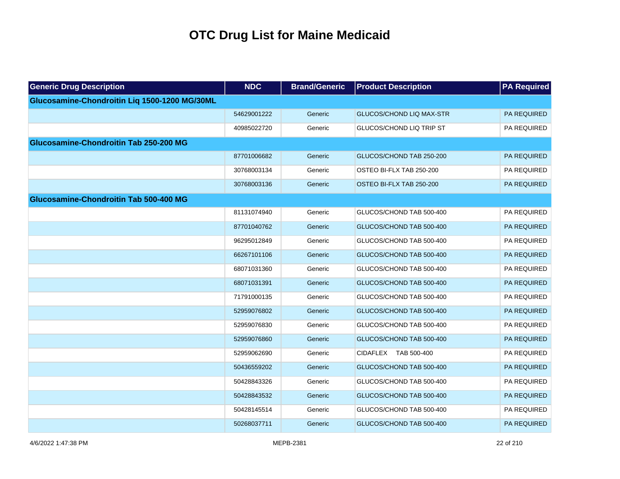| <b>Generic Drug Description</b>               | <b>NDC</b>  | <b>Brand/Generic</b> | <b>Product Description</b>      | <b>PA Required</b> |
|-----------------------------------------------|-------------|----------------------|---------------------------------|--------------------|
| Glucosamine-Chondroitin Liq 1500-1200 MG/30ML |             |                      |                                 |                    |
|                                               | 54629001222 | Generic              | <b>GLUCOS/CHOND LIQ MAX-STR</b> | PA REQUIRED        |
|                                               | 40985022720 | Generic              | <b>GLUCOS/CHOND LIQ TRIP ST</b> | PA REQUIRED        |
| Glucosamine-Chondroitin Tab 250-200 MG        |             |                      |                                 |                    |
|                                               | 87701006682 | Generic              | GLUCOS/CHOND TAB 250-200        | <b>PA REQUIRED</b> |
|                                               | 30768003134 | Generic              | OSTEO BI-FLX TAB 250-200        | PA REQUIRED        |
|                                               | 30768003136 | Generic              | OSTEO BI-FLX TAB 250-200        | PA REQUIRED        |
| Glucosamine-Chondroitin Tab 500-400 MG        |             |                      |                                 |                    |
|                                               | 81131074940 | Generic              | GLUCOS/CHOND TAB 500-400        | PA REQUIRED        |
|                                               | 87701040762 | Generic              | GLUCOS/CHOND TAB 500-400        | PA REQUIRED        |
|                                               | 96295012849 | Generic              | GLUCOS/CHOND TAB 500-400        | PA REQUIRED        |
|                                               | 66267101106 | Generic              | GLUCOS/CHOND TAB 500-400        | PA REQUIRED        |
|                                               | 68071031360 | Generic              | GLUCOS/CHOND TAB 500-400        | PA REQUIRED        |
|                                               | 68071031391 | Generic              | GLUCOS/CHOND TAB 500-400        | PA REQUIRED        |
|                                               | 71791000135 | Generic              | GLUCOS/CHOND TAB 500-400        | PA REQUIRED        |
|                                               | 52959076802 | Generic              | GLUCOS/CHOND TAB 500-400        | PA REQUIRED        |
|                                               | 52959076830 | Generic              | GLUCOS/CHOND TAB 500-400        | PA REQUIRED        |
|                                               | 52959076860 | Generic              | GLUCOS/CHOND TAB 500-400        | PA REQUIRED        |
|                                               | 52959062690 | Generic              | CIDAFLEX TAB 500-400            | PA REQUIRED        |
|                                               | 50436559202 | Generic              | GLUCOS/CHOND TAB 500-400        | PA REQUIRED        |
|                                               | 50428843326 | Generic              | GLUCOS/CHOND TAB 500-400        | PA REQUIRED        |
|                                               | 50428843532 | Generic              | GLUCOS/CHOND TAB 500-400        | PA REQUIRED        |
|                                               | 50428145514 | Generic              | GLUCOS/CHOND TAB 500-400        | PA REQUIRED        |
|                                               | 50268037711 | Generic              | GLUCOS/CHOND TAB 500-400        | PA REQUIRED        |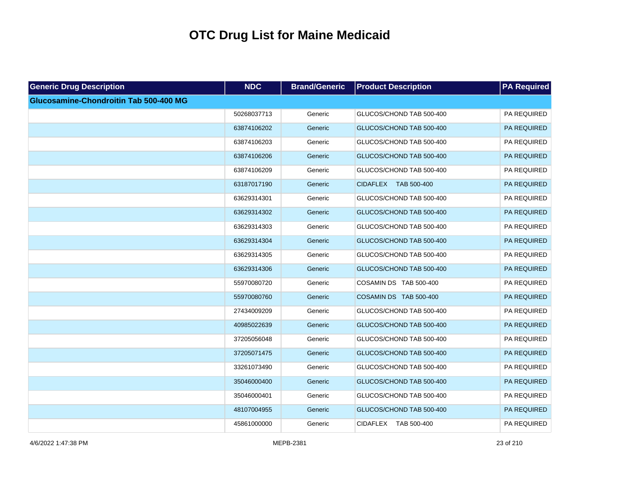| <b>Generic Drug Description</b>        | <b>NDC</b>  | <b>Brand/Generic</b> | <b>Product Description</b> | <b>PA Required</b> |
|----------------------------------------|-------------|----------------------|----------------------------|--------------------|
| Glucosamine-Chondroitin Tab 500-400 MG |             |                      |                            |                    |
|                                        | 50268037713 | Generic              | GLUCOS/CHOND TAB 500-400   | PA REQUIRED        |
|                                        | 63874106202 | Generic              | GLUCOS/CHOND TAB 500-400   | PA REQUIRED        |
|                                        | 63874106203 | Generic              | GLUCOS/CHOND TAB 500-400   | PA REQUIRED        |
|                                        | 63874106206 | Generic              | GLUCOS/CHOND TAB 500-400   | PA REQUIRED        |
|                                        | 63874106209 | Generic              | GLUCOS/CHOND TAB 500-400   | PA REQUIRED        |
|                                        | 63187017190 | Generic              | CIDAFLEX TAB 500-400       | PA REQUIRED        |
|                                        | 63629314301 | Generic              | GLUCOS/CHOND TAB 500-400   | PA REQUIRED        |
|                                        | 63629314302 | Generic              | GLUCOS/CHOND TAB 500-400   | PA REQUIRED        |
|                                        | 63629314303 | Generic              | GLUCOS/CHOND TAB 500-400   | PA REQUIRED        |
|                                        | 63629314304 | Generic              | GLUCOS/CHOND TAB 500-400   | PA REQUIRED        |
|                                        | 63629314305 | Generic              | GLUCOS/CHOND TAB 500-400   | PA REQUIRED        |
|                                        | 63629314306 | Generic              | GLUCOS/CHOND TAB 500-400   | PA REQUIRED        |
|                                        | 55970080720 | Generic              | COSAMIN DS TAB 500-400     | PA REQUIRED        |
|                                        | 55970080760 | Generic              | COSAMIN DS TAB 500-400     | PA REQUIRED        |
|                                        | 27434009209 | Generic              | GLUCOS/CHOND TAB 500-400   | PA REQUIRED        |
|                                        | 40985022639 | Generic              | GLUCOS/CHOND TAB 500-400   | PA REQUIRED        |
|                                        | 37205056048 | Generic              | GLUCOS/CHOND TAB 500-400   | PA REQUIRED        |
|                                        | 37205071475 | Generic              | GLUCOS/CHOND TAB 500-400   | PA REQUIRED        |
|                                        | 33261073490 | Generic              | GLUCOS/CHOND TAB 500-400   | PA REQUIRED        |
|                                        | 35046000400 | Generic              | GLUCOS/CHOND TAB 500-400   | PA REQUIRED        |
|                                        | 35046000401 | Generic              | GLUCOS/CHOND TAB 500-400   | PA REQUIRED        |
|                                        | 48107004955 | Generic              | GLUCOS/CHOND TAB 500-400   | PA REQUIRED        |
|                                        | 45861000000 | Generic              | CIDAFLEX TAB 500-400       | PA REQUIRED        |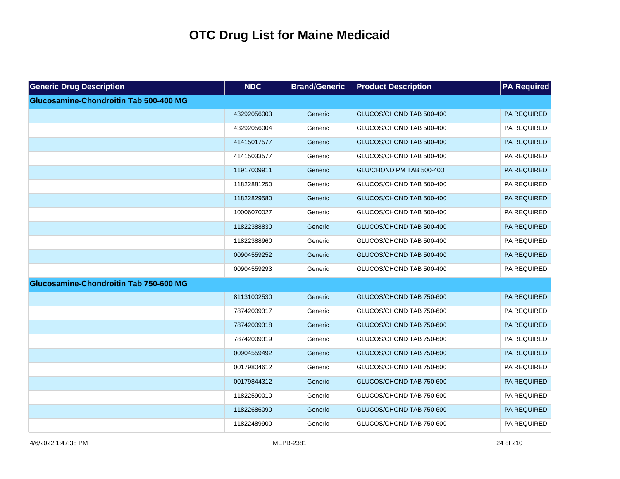| <b>Generic Drug Description</b>        | <b>NDC</b>  | <b>Brand/Generic</b> | <b>Product Description</b> | <b>PA Required</b> |
|----------------------------------------|-------------|----------------------|----------------------------|--------------------|
| Glucosamine-Chondroitin Tab 500-400 MG |             |                      |                            |                    |
|                                        | 43292056003 | Generic              | GLUCOS/CHOND TAB 500-400   | PA REQUIRED        |
|                                        | 43292056004 | Generic              | GLUCOS/CHOND TAB 500-400   | PA REQUIRED        |
|                                        | 41415017577 | Generic              | GLUCOS/CHOND TAB 500-400   | PA REQUIRED        |
|                                        | 41415033577 | Generic              | GLUCOS/CHOND TAB 500-400   | PA REQUIRED        |
|                                        | 11917009911 | Generic              | GLU/CHOND PM TAB 500-400   | PA REQUIRED        |
|                                        | 11822881250 | Generic              | GLUCOS/CHOND TAB 500-400   | PA REQUIRED        |
|                                        | 11822829580 | Generic              | GLUCOS/CHOND TAB 500-400   | PA REQUIRED        |
|                                        | 10006070027 | Generic              | GLUCOS/CHOND TAB 500-400   | PA REQUIRED        |
|                                        | 11822388830 | Generic              | GLUCOS/CHOND TAB 500-400   | PA REQUIRED        |
|                                        | 11822388960 | Generic              | GLUCOS/CHOND TAB 500-400   | PA REQUIRED        |
|                                        | 00904559252 | Generic              | GLUCOS/CHOND TAB 500-400   | PA REQUIRED        |
|                                        | 00904559293 | Generic              | GLUCOS/CHOND TAB 500-400   | PA REQUIRED        |
| Glucosamine-Chondroitin Tab 750-600 MG |             |                      |                            |                    |
|                                        | 81131002530 | Generic              | GLUCOS/CHOND TAB 750-600   | PA REQUIRED        |
|                                        | 78742009317 | Generic              | GLUCOS/CHOND TAB 750-600   | PA REQUIRED        |
|                                        | 78742009318 | Generic              | GLUCOS/CHOND TAB 750-600   | PA REQUIRED        |
|                                        | 78742009319 | Generic              | GLUCOS/CHOND TAB 750-600   | PA REQUIRED        |
|                                        | 00904559492 | Generic              | GLUCOS/CHOND TAB 750-600   | PA REQUIRED        |
|                                        | 00179804612 | Generic              | GLUCOS/CHOND TAB 750-600   | PA REQUIRED        |
|                                        | 00179844312 | Generic              | GLUCOS/CHOND TAB 750-600   | PA REQUIRED        |
|                                        | 11822590010 | Generic              | GLUCOS/CHOND TAB 750-600   | PA REQUIRED        |
|                                        | 11822686090 | Generic              | GLUCOS/CHOND TAB 750-600   | PA REQUIRED        |
|                                        | 11822489900 | Generic              | GLUCOS/CHOND TAB 750-600   | PA REQUIRED        |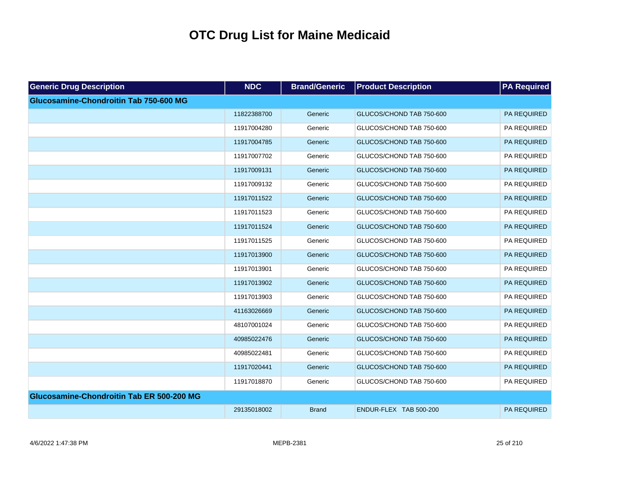| <b>Generic Drug Description</b>           | <b>NDC</b>  | <b>Brand/Generic</b> | <b>Product Description</b> | <b>PA Required</b> |
|-------------------------------------------|-------------|----------------------|----------------------------|--------------------|
| Glucosamine-Chondroitin Tab 750-600 MG    |             |                      |                            |                    |
|                                           | 11822388700 | Generic              | GLUCOS/CHOND TAB 750-600   | <b>PA REQUIRED</b> |
|                                           | 11917004280 | Generic              | GLUCOS/CHOND TAB 750-600   | PA REQUIRED        |
|                                           | 11917004785 | Generic              | GLUCOS/CHOND TAB 750-600   | PA REQUIRED        |
|                                           | 11917007702 | Generic              | GLUCOS/CHOND TAB 750-600   | PA REQUIRED        |
|                                           | 11917009131 | Generic              | GLUCOS/CHOND TAB 750-600   | PA REQUIRED        |
|                                           | 11917009132 | Generic              | GLUCOS/CHOND TAB 750-600   | PA REQUIRED        |
|                                           | 11917011522 | Generic              | GLUCOS/CHOND TAB 750-600   | PA REQUIRED        |
|                                           | 11917011523 | Generic              | GLUCOS/CHOND TAB 750-600   | PA REQUIRED        |
|                                           | 11917011524 | Generic              | GLUCOS/CHOND TAB 750-600   | PA REQUIRED        |
|                                           | 11917011525 | Generic              | GLUCOS/CHOND TAB 750-600   | PA REQUIRED        |
|                                           | 11917013900 | Generic              | GLUCOS/CHOND TAB 750-600   | PA REQUIRED        |
|                                           | 11917013901 | Generic              | GLUCOS/CHOND TAB 750-600   | PA REQUIRED        |
|                                           | 11917013902 | Generic              | GLUCOS/CHOND TAB 750-600   | PA REQUIRED        |
|                                           | 11917013903 | Generic              | GLUCOS/CHOND TAB 750-600   | PA REQUIRED        |
|                                           | 41163026669 | Generic              | GLUCOS/CHOND TAB 750-600   | PA REQUIRED        |
|                                           | 48107001024 | Generic              | GLUCOS/CHOND TAB 750-600   | PA REQUIRED        |
|                                           | 40985022476 | Generic              | GLUCOS/CHOND TAB 750-600   | PA REQUIRED        |
|                                           | 40985022481 | Generic              | GLUCOS/CHOND TAB 750-600   | PA REQUIRED        |
|                                           | 11917020441 | Generic              | GLUCOS/CHOND TAB 750-600   | PA REQUIRED        |
|                                           | 11917018870 | Generic              | GLUCOS/CHOND TAB 750-600   | PA REQUIRED        |
| Glucosamine-Chondroitin Tab ER 500-200 MG |             |                      |                            |                    |
|                                           | 29135018002 | <b>Brand</b>         | ENDUR-FLEX TAB 500-200     | PA REQUIRED        |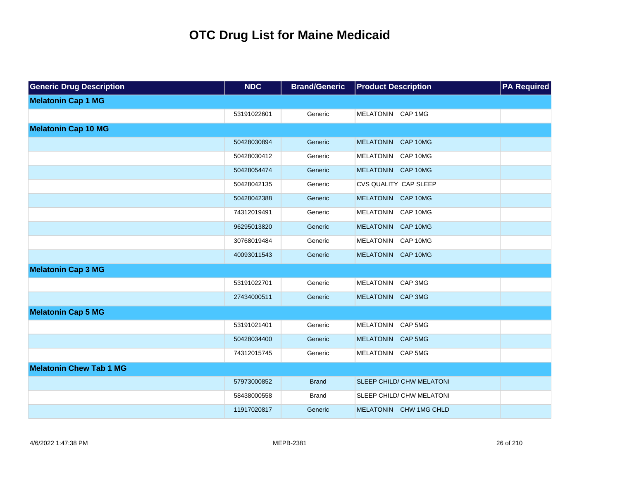| <b>Generic Drug Description</b> | <b>NDC</b>  | <b>Brand/Generic</b> | <b>Product Description</b>   | <b>PA Required</b> |
|---------------------------------|-------------|----------------------|------------------------------|--------------------|
| <b>Melatonin Cap 1 MG</b>       |             |                      |                              |                    |
|                                 | 53191022601 | Generic              | MELATONIN CAP 1MG            |                    |
| <b>Melatonin Cap 10 MG</b>      |             |                      |                              |                    |
|                                 | 50428030894 | Generic              | MELATONIN CAP 10MG           |                    |
|                                 | 50428030412 | Generic              | MELATONIN CAP 10MG           |                    |
|                                 | 50428054474 | Generic              | MELATONIN CAP 10MG           |                    |
|                                 | 50428042135 | Generic              | <b>CVS QUALITY CAP SLEEP</b> |                    |
|                                 | 50428042388 | Generic              | MELATONIN CAP 10MG           |                    |
|                                 | 74312019491 | Generic              | MELATONIN CAP 10MG           |                    |
|                                 | 96295013820 | Generic              | MELATONIN CAP 10MG           |                    |
|                                 | 30768019484 | Generic              | MELATONIN CAP 10MG           |                    |
|                                 | 40093011543 | Generic              | MELATONIN CAP 10MG           |                    |
| <b>Melatonin Cap 3 MG</b>       |             |                      |                              |                    |
|                                 | 53191022701 | Generic              | MELATONIN CAP 3MG            |                    |
|                                 | 27434000511 | Generic              | MELATONIN CAP 3MG            |                    |
| <b>Melatonin Cap 5 MG</b>       |             |                      |                              |                    |
|                                 | 53191021401 | Generic              | MELATONIN CAP 5MG            |                    |
|                                 | 50428034400 | Generic              | MELATONIN CAP 5MG            |                    |
|                                 | 74312015745 | Generic              | MELATONIN CAP 5MG            |                    |
| <b>Melatonin Chew Tab 1 MG</b>  |             |                      |                              |                    |
|                                 | 57973000852 | <b>Brand</b>         | SLEEP CHILD/ CHW MELATONI    |                    |
|                                 | 58438000558 | <b>Brand</b>         | SLEEP CHILD/ CHW MELATONI    |                    |
|                                 | 11917020817 | Generic              | MELATONIN CHW 1MG CHLD       |                    |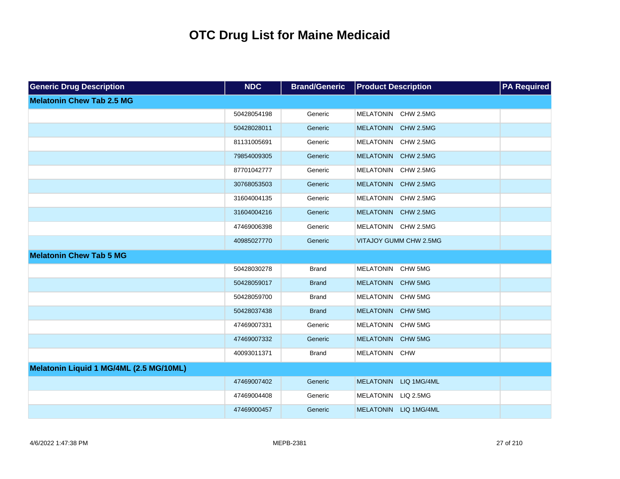| <b>Generic Drug Description</b>         | <b>NDC</b>  | <b>Brand/Generic</b> | <b>Product Description</b> | <b>PA Required</b> |
|-----------------------------------------|-------------|----------------------|----------------------------|--------------------|
| <b>Melatonin Chew Tab 2.5 MG</b>        |             |                      |                            |                    |
|                                         | 50428054198 | Generic              | MELATONIN CHW 2.5MG        |                    |
|                                         | 50428028011 | Generic              | MELATONIN CHW 2.5MG        |                    |
|                                         | 81131005691 | Generic              | MELATONIN CHW 2.5MG        |                    |
|                                         | 79854009305 | Generic              | MELATONIN CHW 2.5MG        |                    |
|                                         | 87701042777 | Generic              | MELATONIN CHW 2.5MG        |                    |
|                                         | 30768053503 | Generic              | MELATONIN CHW 2.5MG        |                    |
|                                         | 31604004135 | Generic              | MELATONIN CHW 2.5MG        |                    |
|                                         | 31604004216 | Generic              | MELATONIN CHW 2.5MG        |                    |
|                                         | 47469006398 | Generic              | MELATONIN CHW 2.5MG        |                    |
|                                         | 40985027770 | Generic              | VITAJOY GUMM CHW 2.5MG     |                    |
| <b>Melatonin Chew Tab 5 MG</b>          |             |                      |                            |                    |
|                                         | 50428030278 | <b>Brand</b>         | MELATONIN CHW 5MG          |                    |
|                                         | 50428059017 | <b>Brand</b>         | MELATONIN CHW 5MG          |                    |
|                                         | 50428059700 | <b>Brand</b>         | MELATONIN CHW 5MG          |                    |
|                                         | 50428037438 | <b>Brand</b>         | MELATONIN CHW 5MG          |                    |
|                                         | 47469007331 | Generic              | MELATONIN CHW 5MG          |                    |
|                                         | 47469007332 | Generic              | MELATONIN CHW 5MG          |                    |
|                                         | 40093011371 | <b>Brand</b>         | MELATONIN CHW              |                    |
| Melatonin Liquid 1 MG/4ML (2.5 MG/10ML) |             |                      |                            |                    |
|                                         | 47469007402 | Generic              | MELATONIN LIQ 1MG/4ML      |                    |
|                                         | 47469004408 | Generic              | MELATONIN LIQ 2.5MG        |                    |
|                                         | 47469000457 | Generic              | MELATONIN LIQ 1MG/4ML      |                    |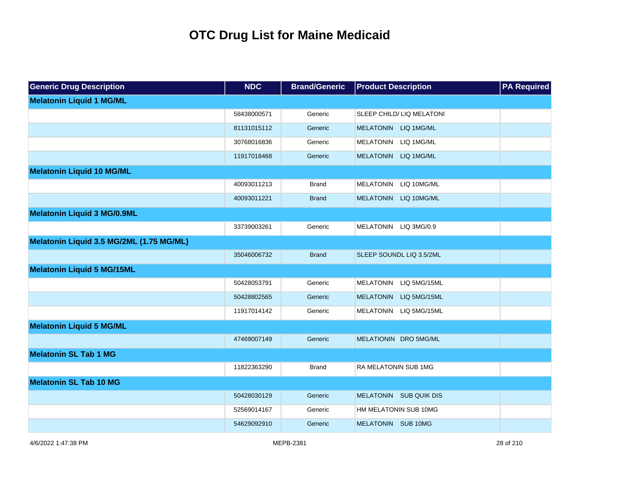| <b>Generic Drug Description</b>          | <b>NDC</b>  | <b>Brand/Generic</b> | <b>Product Description</b> | <b>PA Required</b> |
|------------------------------------------|-------------|----------------------|----------------------------|--------------------|
| <b>Melatonin Liquid 1 MG/ML</b>          |             |                      |                            |                    |
|                                          | 58438000571 | Generic              | SLEEP CHILD/ LIQ MELATONI  |                    |
|                                          | 81131015112 | Generic              | MELATONIN LIQ 1MG/ML       |                    |
|                                          | 30768016836 | Generic              | MELATONIN LIQ 1MG/ML       |                    |
|                                          | 11917018468 | Generic              | MELATONIN LIQ 1MG/ML       |                    |
| <b>Melatonin Liquid 10 MG/ML</b>         |             |                      |                            |                    |
|                                          | 40093011213 | <b>Brand</b>         | MELATONIN LIQ 10MG/ML      |                    |
|                                          | 40093011221 | <b>Brand</b>         | MELATONIN LIQ 10MG/ML      |                    |
| <b>Melatonin Liquid 3 MG/0.9ML</b>       |             |                      |                            |                    |
|                                          | 33739003261 | Generic              | MELATONIN LIQ 3MG/0.9      |                    |
| Melatonin Liquid 3.5 MG/2ML (1.75 MG/ML) |             |                      |                            |                    |
|                                          | 35046006732 | <b>Brand</b>         | SLEEP SOUNDL LIQ 3.5/2ML   |                    |
| <b>Melatonin Liquid 5 MG/15ML</b>        |             |                      |                            |                    |
|                                          | 50428053791 | Generic              | MELATONIN LIQ 5MG/15ML     |                    |
|                                          | 50428802565 | Generic              | MELATONIN LIQ 5MG/15ML     |                    |
|                                          | 11917014142 | Generic              | MELATONIN LIQ 5MG/15ML     |                    |
| <b>Melatonin Liquid 5 MG/ML</b>          |             |                      |                            |                    |
|                                          | 47469007149 | Generic              | MELATIONIN DRO 5MG/ML      |                    |
| <b>Melatonin SL Tab 1 MG</b>             |             |                      |                            |                    |
|                                          | 11822363290 | <b>Brand</b>         | RA MELATONIN SUB 1MG       |                    |
| <b>Melatonin SL Tab 10 MG</b>            |             |                      |                            |                    |
|                                          | 50428030129 | Generic              | MELATONIN SUB QUIK DIS     |                    |
|                                          | 52569014167 | Generic              | HM MELATONIN SUB 10MG      |                    |
|                                          | 54629092910 | Generic              | MELATONIN SUB 10MG         |                    |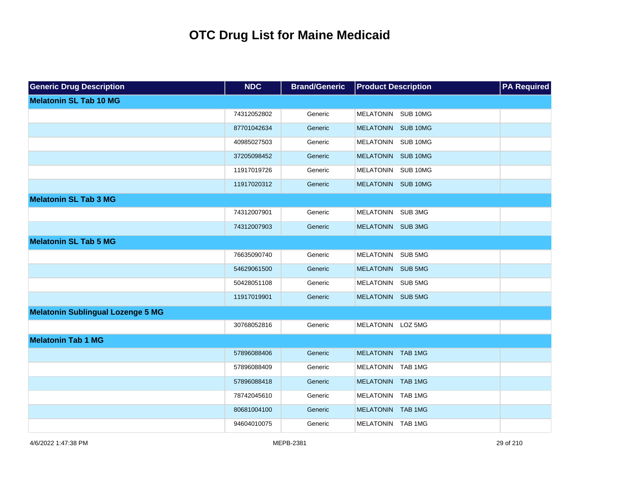| <b>Generic Drug Description</b>          | <b>NDC</b>  | <b>Brand/Generic</b> | <b>Product Description</b> | <b>PA Required</b> |
|------------------------------------------|-------------|----------------------|----------------------------|--------------------|
| <b>Melatonin SL Tab 10 MG</b>            |             |                      |                            |                    |
|                                          | 74312052802 | Generic              | MELATONIN SUB 10MG         |                    |
|                                          | 87701042634 | Generic              | MELATONIN SUB 10MG         |                    |
|                                          | 40985027503 | Generic              | MELATONIN SUB 10MG         |                    |
|                                          | 37205098452 | Generic              | MELATONIN SUB 10MG         |                    |
|                                          | 11917019726 | Generic              | MELATONIN SUB 10MG         |                    |
|                                          | 11917020312 | Generic              | MELATONIN SUB 10MG         |                    |
| <b>Melatonin SL Tab 3 MG</b>             |             |                      |                            |                    |
|                                          | 74312007901 | Generic              | MELATONIN SUB 3MG          |                    |
|                                          | 74312007903 | Generic              | MELATONIN SUB 3MG          |                    |
| <b>Melatonin SL Tab 5 MG</b>             |             |                      |                            |                    |
|                                          | 76635090740 | Generic              | MELATONIN SUB 5MG          |                    |
|                                          | 54629061500 | Generic              | MELATONIN SUB 5MG          |                    |
|                                          | 50428051108 | Generic              | MELATONIN SUB 5MG          |                    |
|                                          | 11917019901 | Generic              | MELATONIN SUB 5MG          |                    |
| <b>Melatonin Sublingual Lozenge 5 MG</b> |             |                      |                            |                    |
|                                          | 30768052816 | Generic              | MELATONIN LOZ 5MG          |                    |
| <b>Melatonin Tab 1 MG</b>                |             |                      |                            |                    |
|                                          | 57896088406 | Generic              | MELATONIN TAB 1MG          |                    |
|                                          | 57896088409 | Generic              | MELATONIN TAB 1MG          |                    |
|                                          | 57896088418 | Generic              | MELATONIN TAB 1MG          |                    |
|                                          | 78742045610 | Generic              | MELATONIN TAB 1MG          |                    |
|                                          | 80681004100 | Generic              | MELATONIN TAB 1MG          |                    |
|                                          | 94604010075 | Generic              | MELATONIN TAB 1MG          |                    |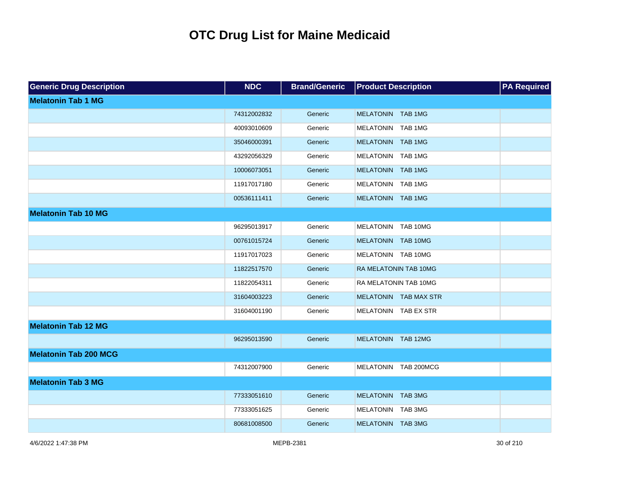| <b>Generic Drug Description</b> | <b>NDC</b>  | <b>Brand/Generic</b> | <b>Product Description</b> | <b>PA Required</b> |
|---------------------------------|-------------|----------------------|----------------------------|--------------------|
| <b>Melatonin Tab 1 MG</b>       |             |                      |                            |                    |
|                                 | 74312002832 | Generic              | MELATONIN TAB 1MG          |                    |
|                                 | 40093010609 | Generic              | MELATONIN TAB 1MG          |                    |
|                                 | 35046000391 | Generic              | MELATONIN TAB 1MG          |                    |
|                                 | 43292056329 | Generic              | MELATONIN TAB 1MG          |                    |
|                                 | 10006073051 | Generic              | MELATONIN TAB 1MG          |                    |
|                                 | 11917017180 | Generic              | MELATONIN TAB 1MG          |                    |
|                                 | 00536111411 | Generic              | MELATONIN TAB 1MG          |                    |
| <b>Melatonin Tab 10 MG</b>      |             |                      |                            |                    |
|                                 | 96295013917 | Generic              | MELATONIN TAB 10MG         |                    |
|                                 | 00761015724 | Generic              | MELATONIN TAB 10MG         |                    |
|                                 | 11917017023 | Generic              | MELATONIN TAB 10MG         |                    |
|                                 | 11822517570 | Generic              | RA MELATONIN TAB 10MG      |                    |
|                                 | 11822054311 | Generic              | RA MELATONIN TAB 10MG      |                    |
|                                 | 31604003223 | Generic              | MELATONIN TAB MAX STR      |                    |
|                                 | 31604001190 | Generic              | MELATONIN TAB EX STR       |                    |
| <b>Melatonin Tab 12 MG</b>      |             |                      |                            |                    |
|                                 | 96295013590 | Generic              | MELATONIN TAB 12MG         |                    |
| <b>Melatonin Tab 200 MCG</b>    |             |                      |                            |                    |
|                                 | 74312007900 | Generic              | MELATONIN TAB 200MCG       |                    |
| <b>Melatonin Tab 3 MG</b>       |             |                      |                            |                    |
|                                 | 77333051610 | Generic              | MELATONIN TAB 3MG          |                    |
|                                 | 77333051625 | Generic              | MELATONIN TAB 3MG          |                    |
|                                 | 80681008500 | Generic              | MELATONIN TAB 3MG          |                    |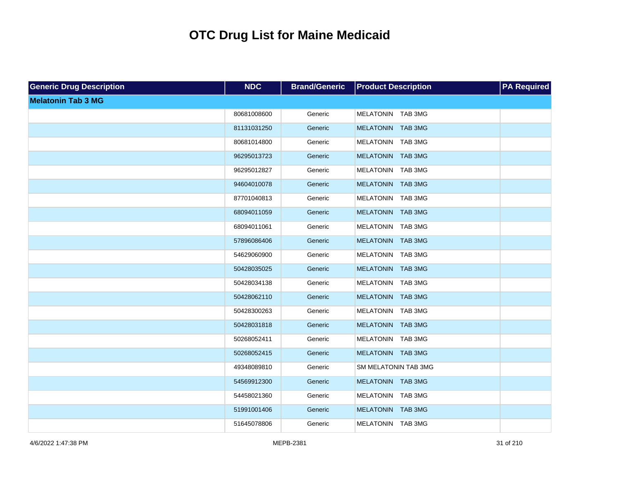| <b>Generic Drug Description</b> | <b>NDC</b>  | <b>Brand/Generic</b> | <b>Product Description</b> | <b>PA Required</b> |
|---------------------------------|-------------|----------------------|----------------------------|--------------------|
| <b>Melatonin Tab 3 MG</b>       |             |                      |                            |                    |
|                                 | 80681008600 | Generic              | MELATONIN TAB 3MG          |                    |
|                                 | 81131031250 | Generic              | MELATONIN TAB 3MG          |                    |
|                                 | 80681014800 | Generic              | MELATONIN TAB 3MG          |                    |
|                                 | 96295013723 | Generic              | MELATONIN TAB 3MG          |                    |
|                                 | 96295012827 | Generic              | MELATONIN TAB 3MG          |                    |
|                                 | 94604010078 | Generic              | MELATONIN TAB 3MG          |                    |
|                                 | 87701040813 | Generic              | MELATONIN TAB 3MG          |                    |
|                                 | 68094011059 | Generic              | MELATONIN TAB 3MG          |                    |
|                                 | 68094011061 | Generic              | MELATONIN TAB 3MG          |                    |
|                                 | 57896086406 | Generic              | MELATONIN TAB 3MG          |                    |
|                                 | 54629060900 | Generic              | MELATONIN TAB 3MG          |                    |
|                                 | 50428035025 | Generic              | MELATONIN TAB 3MG          |                    |
|                                 | 50428034138 | Generic              | MELATONIN TAB 3MG          |                    |
|                                 | 50428062110 | Generic              | MELATONIN TAB 3MG          |                    |
|                                 | 50428300263 | Generic              | MELATONIN TAB 3MG          |                    |
|                                 | 50428031818 | Generic              | MELATONIN TAB 3MG          |                    |
|                                 | 50268052411 | Generic              | MELATONIN TAB 3MG          |                    |
|                                 | 50268052415 | Generic              | MELATONIN TAB 3MG          |                    |
|                                 | 49348089810 | Generic              | SM MELATONIN TAB 3MG       |                    |
|                                 | 54569912300 | Generic              | MELATONIN TAB 3MG          |                    |
|                                 | 54458021360 | Generic              | MELATONIN TAB 3MG          |                    |
|                                 | 51991001406 | Generic              | MELATONIN TAB 3MG          |                    |
|                                 | 51645078806 | Generic              | MELATONIN TAB 3MG          |                    |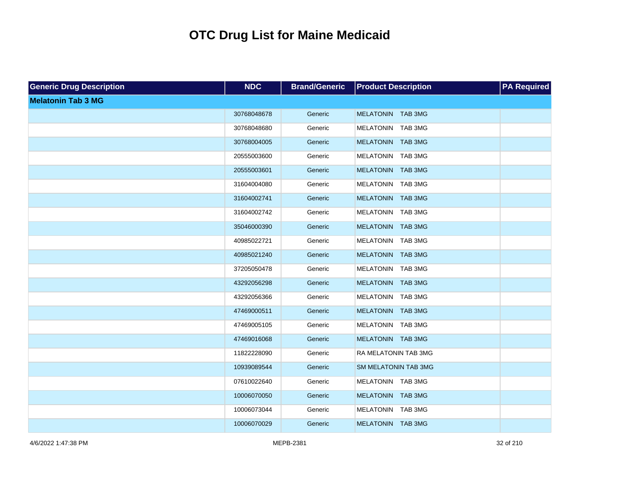| <b>Generic Drug Description</b> | <b>NDC</b>  | <b>Brand/Generic</b> | <b>Product Description</b>  | <b>PA Required</b> |
|---------------------------------|-------------|----------------------|-----------------------------|--------------------|
| <b>Melatonin Tab 3 MG</b>       |             |                      |                             |                    |
|                                 | 30768048678 | Generic              | MELATONIN TAB 3MG           |                    |
|                                 | 30768048680 | Generic              | MELATONIN TAB 3MG           |                    |
|                                 | 30768004005 | Generic              | MELATONIN TAB 3MG           |                    |
|                                 | 20555003600 | Generic              | MELATONIN TAB 3MG           |                    |
|                                 | 20555003601 | Generic              | MELATONIN TAB 3MG           |                    |
|                                 | 31604004080 | Generic              | MELATONIN TAB 3MG           |                    |
|                                 | 31604002741 | Generic              | MELATONIN TAB 3MG           |                    |
|                                 | 31604002742 | Generic              | MELATONIN TAB 3MG           |                    |
|                                 | 35046000390 | Generic              | MELATONIN TAB 3MG           |                    |
|                                 | 40985022721 | Generic              | MELATONIN TAB 3MG           |                    |
|                                 | 40985021240 | Generic              | MELATONIN TAB 3MG           |                    |
|                                 | 37205050478 | Generic              | MELATONIN TAB 3MG           |                    |
|                                 | 43292056298 | Generic              | MELATONIN TAB 3MG           |                    |
|                                 | 43292056366 | Generic              | MELATONIN TAB 3MG           |                    |
|                                 | 47469000511 | Generic              | MELATONIN TAB 3MG           |                    |
|                                 | 47469005105 | Generic              | MELATONIN TAB 3MG           |                    |
|                                 | 47469016068 | Generic              | MELATONIN TAB 3MG           |                    |
|                                 | 11822228090 | Generic              | RA MELATONIN TAB 3MG        |                    |
|                                 | 10939089544 | Generic              | <b>SM MELATONIN TAB 3MG</b> |                    |
|                                 | 07610022640 | Generic              | MELATONIN TAB 3MG           |                    |
|                                 | 10006070050 | Generic              | MELATONIN TAB 3MG           |                    |
|                                 | 10006073044 | Generic              | MELATONIN TAB 3MG           |                    |
|                                 | 10006070029 | Generic              | MELATONIN TAB 3MG           |                    |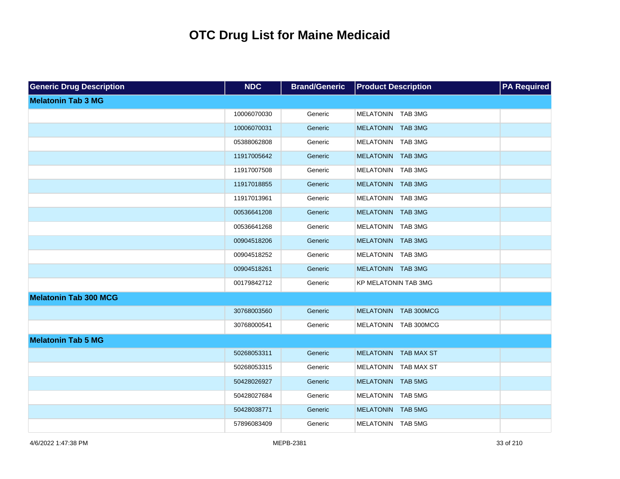| <b>Generic Drug Description</b> | <b>NDC</b>  | <b>Brand/Generic</b> | <b>Product Description</b>  | <b>PA Required</b> |
|---------------------------------|-------------|----------------------|-----------------------------|--------------------|
| <b>Melatonin Tab 3 MG</b>       |             |                      |                             |                    |
|                                 | 10006070030 | Generic              | MELATONIN TAB 3MG           |                    |
|                                 | 10006070031 | Generic              | MELATONIN TAB 3MG           |                    |
|                                 | 05388062808 | Generic              | MELATONIN TAB 3MG           |                    |
|                                 | 11917005642 | Generic              | MELATONIN TAB 3MG           |                    |
|                                 | 11917007508 | Generic              | MELATONIN TAB 3MG           |                    |
|                                 | 11917018855 | Generic              | MELATONIN TAB 3MG           |                    |
|                                 | 11917013961 | Generic              | MELATONIN TAB 3MG           |                    |
|                                 | 00536641208 | Generic              | MELATONIN TAB 3MG           |                    |
|                                 | 00536641268 | Generic              | MELATONIN TAB 3MG           |                    |
|                                 | 00904518206 | Generic              | MELATONIN TAB 3MG           |                    |
|                                 | 00904518252 | Generic              | MELATONIN TAB 3MG           |                    |
|                                 | 00904518261 | Generic              | MELATONIN TAB 3MG           |                    |
|                                 | 00179842712 | Generic              | <b>KP MELATONIN TAB 3MG</b> |                    |
| <b>Melatonin Tab 300 MCG</b>    |             |                      |                             |                    |
|                                 | 30768003560 | Generic              | MELATONIN TAB 300MCG        |                    |
|                                 | 30768000541 | Generic              | MELATONIN TAB 300MCG        |                    |
| <b>Melatonin Tab 5 MG</b>       |             |                      |                             |                    |
|                                 | 50268053311 | Generic              | MELATONIN TAB MAX ST        |                    |
|                                 | 50268053315 | Generic              | MELATONIN TAB MAX ST        |                    |
|                                 | 50428026927 | Generic              | MELATONIN TAB 5MG           |                    |
|                                 | 50428027684 | Generic              | MELATONIN TAB 5MG           |                    |
|                                 | 50428038771 | Generic              | MELATONIN TAB 5MG           |                    |
|                                 | 57896083409 | Generic              | MELATONIN TAB 5MG           |                    |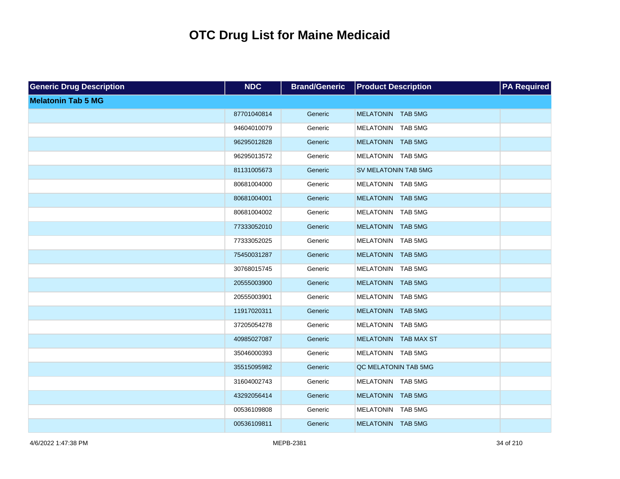| <b>Generic Drug Description</b> | <b>NDC</b>  | <b>Brand/Generic</b> | <b>Product Description</b> | <b>PA Required</b> |
|---------------------------------|-------------|----------------------|----------------------------|--------------------|
| <b>Melatonin Tab 5 MG</b>       |             |                      |                            |                    |
|                                 | 87701040814 | Generic              | MELATONIN TAB 5MG          |                    |
|                                 | 94604010079 | Generic              | MELATONIN TAB 5MG          |                    |
|                                 | 96295012828 | Generic              | MELATONIN TAB 5MG          |                    |
|                                 | 96295013572 | Generic              | MELATONIN TAB 5MG          |                    |
|                                 | 81131005673 | Generic              | SV MELATONIN TAB 5MG       |                    |
|                                 | 80681004000 | Generic              | MELATONIN TAB 5MG          |                    |
|                                 | 80681004001 | Generic              | MELATONIN TAB 5MG          |                    |
|                                 | 80681004002 | Generic              | MELATONIN TAB 5MG          |                    |
|                                 | 77333052010 | Generic              | MELATONIN TAB 5MG          |                    |
|                                 | 77333052025 | Generic              | MELATONIN TAB 5MG          |                    |
|                                 | 75450031287 | Generic              | MELATONIN TAB 5MG          |                    |
|                                 | 30768015745 | Generic              | MELATONIN TAB 5MG          |                    |
|                                 | 20555003900 | Generic              | MELATONIN TAB 5MG          |                    |
|                                 | 20555003901 | Generic              | MELATONIN TAB 5MG          |                    |
|                                 | 11917020311 | Generic              | MELATONIN TAB 5MG          |                    |
|                                 | 37205054278 | Generic              | MELATONIN TAB 5MG          |                    |
|                                 | 40985027087 | Generic              | MELATONIN TAB MAX ST       |                    |
|                                 | 35046000393 | Generic              | MELATONIN TAB 5MG          |                    |
|                                 | 35515095982 | Generic              | QC MELATONIN TAB 5MG       |                    |
|                                 | 31604002743 | Generic              | MELATONIN TAB 5MG          |                    |
|                                 | 43292056414 | Generic              | MELATONIN TAB 5MG          |                    |
|                                 | 00536109808 | Generic              | MELATONIN TAB 5MG          |                    |
|                                 | 00536109811 | Generic              | MELATONIN TAB 5MG          |                    |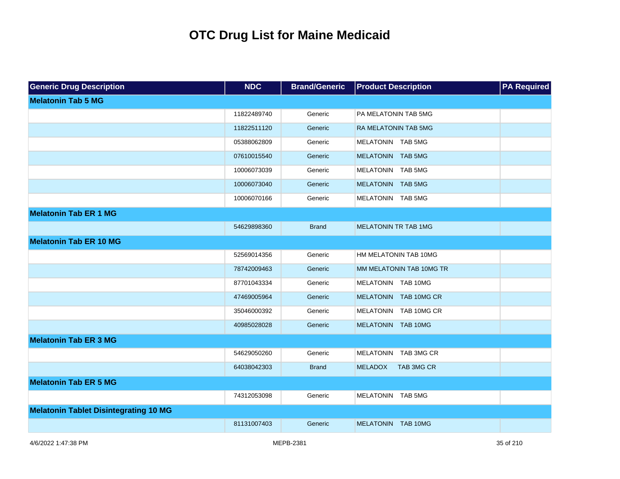| <b>Generic Drug Description</b>              | <b>NDC</b>  | <b>Brand/Generic</b> | <b>Product Description</b>   | <b>PA Required</b> |
|----------------------------------------------|-------------|----------------------|------------------------------|--------------------|
| <b>Melatonin Tab 5 MG</b>                    |             |                      |                              |                    |
|                                              | 11822489740 | Generic              | PA MELATONIN TAB 5MG         |                    |
|                                              | 11822511120 | Generic              | <b>RA MELATONIN TAB 5MG</b>  |                    |
|                                              | 05388062809 | Generic              | MELATONIN TAB 5MG            |                    |
|                                              | 07610015540 | Generic              | MELATONIN TAB 5MG            |                    |
|                                              | 10006073039 | Generic              | MELATONIN TAB 5MG            |                    |
|                                              | 10006073040 | Generic              | MELATONIN TAB 5MG            |                    |
|                                              | 10006070166 | Generic              | MELATONIN TAB 5MG            |                    |
| <b>Melatonin Tab ER 1 MG</b>                 |             |                      |                              |                    |
|                                              | 54629898360 | <b>Brand</b>         | <b>MELATONIN TR TAB 1MG</b>  |                    |
| <b>Melatonin Tab ER 10 MG</b>                |             |                      |                              |                    |
|                                              | 52569014356 | Generic              | HM MELATONIN TAB 10MG        |                    |
|                                              | 78742009463 | Generic              | MM MELATONIN TAB 10MG TR     |                    |
|                                              | 87701043334 | Generic              | MELATONIN TAB 10MG           |                    |
|                                              | 47469005964 | Generic              | MELATONIN TAB 10MG CR        |                    |
|                                              | 35046000392 | Generic              | MELATONIN TAB 10MG CR        |                    |
|                                              | 40985028028 | Generic              | MELATONIN TAB 10MG           |                    |
| <b>Melatonin Tab ER 3 MG</b>                 |             |                      |                              |                    |
|                                              | 54629050260 | Generic              | MELATONIN TAB 3MG CR         |                    |
|                                              | 64038042303 | <b>Brand</b>         | <b>MELADOX</b><br>TAB 3MG CR |                    |
| <b>Melatonin Tab ER 5 MG</b>                 |             |                      |                              |                    |
|                                              | 74312053098 | Generic              | MELATONIN TAB 5MG            |                    |
| <b>Melatonin Tablet Disintegrating 10 MG</b> |             |                      |                              |                    |
|                                              | 81131007403 | Generic              | MELATONIN TAB 10MG           |                    |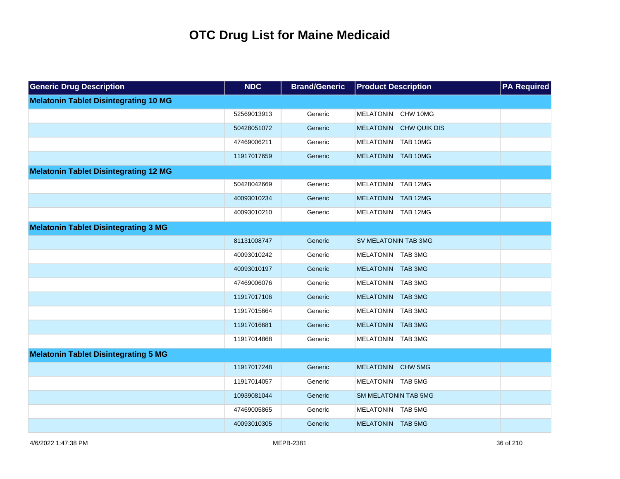| <b>Generic Drug Description</b>              | <b>NDC</b>  | <b>Brand/Generic</b> | <b>Product Description</b>  | <b>PA Required</b> |
|----------------------------------------------|-------------|----------------------|-----------------------------|--------------------|
| <b>Melatonin Tablet Disintegrating 10 MG</b> |             |                      |                             |                    |
|                                              | 52569013913 | Generic              | MELATONIN CHW 10MG          |                    |
|                                              | 50428051072 | Generic              | MELATONIN CHW QUIK DIS      |                    |
|                                              | 47469006211 | Generic              | MELATONIN TAB 10MG          |                    |
|                                              | 11917017659 | Generic              | MELATONIN TAB 10MG          |                    |
| <b>Melatonin Tablet Disintegrating 12 MG</b> |             |                      |                             |                    |
|                                              | 50428042669 | Generic              | MELATONIN TAB 12MG          |                    |
|                                              | 40093010234 | Generic              | MELATONIN TAB 12MG          |                    |
|                                              | 40093010210 | Generic              | MELATONIN TAB 12MG          |                    |
| <b>Melatonin Tablet Disintegrating 3 MG</b>  |             |                      |                             |                    |
|                                              | 81131008747 | Generic              | <b>SV MELATONIN TAB 3MG</b> |                    |
|                                              | 40093010242 | Generic              | MELATONIN TAB 3MG           |                    |
|                                              | 40093010197 | Generic              | MELATONIN TAB 3MG           |                    |
|                                              | 47469006076 | Generic              | MELATONIN TAB 3MG           |                    |
|                                              | 11917017106 | Generic              | MELATONIN TAB 3MG           |                    |
|                                              | 11917015664 | Generic              | MELATONIN TAB 3MG           |                    |
|                                              | 11917016681 | Generic              | MELATONIN TAB 3MG           |                    |
|                                              | 11917014868 | Generic              | MELATONIN TAB 3MG           |                    |
| <b>Melatonin Tablet Disintegrating 5 MG</b>  |             |                      |                             |                    |
|                                              | 11917017248 | Generic              | MELATONIN CHW 5MG           |                    |
|                                              | 11917014057 | Generic              | MELATONIN TAB 5MG           |                    |
|                                              | 10939081044 | Generic              | SM MELATONIN TAB 5MG        |                    |
|                                              | 47469005865 | Generic              | MELATONIN TAB 5MG           |                    |
|                                              | 40093010305 | Generic              | MELATONIN TAB 5MG           |                    |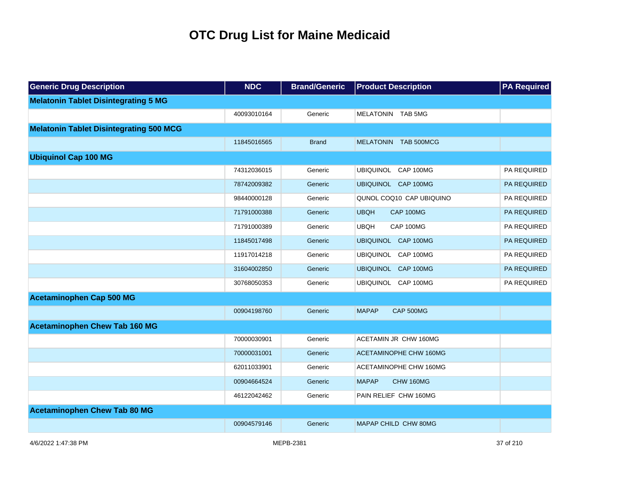| <b>Generic Drug Description</b>                | <b>NDC</b>  | <b>Brand/Generic</b> | <b>Product Description</b> | <b>PA Required</b> |
|------------------------------------------------|-------------|----------------------|----------------------------|--------------------|
| <b>Melatonin Tablet Disintegrating 5 MG</b>    |             |                      |                            |                    |
|                                                | 40093010164 | Generic              | MELATONIN TAB 5MG          |                    |
| <b>Melatonin Tablet Disintegrating 500 MCG</b> |             |                      |                            |                    |
|                                                | 11845016565 | <b>Brand</b>         | MELATONIN TAB 500MCG       |                    |
| <b>Ubiquinol Cap 100 MG</b>                    |             |                      |                            |                    |
|                                                | 74312036015 | Generic              | UBIQUINOL CAP 100MG        | PA REQUIRED        |
|                                                | 78742009382 | Generic              | UBIQUINOL CAP 100MG        | PA REQUIRED        |
|                                                | 98440000128 | Generic              | QUNOL COQ10 CAP UBIQUINO   | PA REQUIRED        |
|                                                | 71791000388 | Generic              | <b>UBQH</b><br>CAP 100MG   | PA REQUIRED        |
|                                                | 71791000389 | Generic              | <b>UBQH</b><br>CAP 100MG   | PA REQUIRED        |
|                                                | 11845017498 | Generic              | UBIQUINOL CAP 100MG        | <b>PA REQUIRED</b> |
|                                                | 11917014218 | Generic              | UBIQUINOL CAP 100MG        | PA REQUIRED        |
|                                                | 31604002850 | Generic              | UBIQUINOL CAP 100MG        | PA REQUIRED        |
|                                                | 30768050353 | Generic              | UBIQUINOL CAP 100MG        | PA REQUIRED        |
| <b>Acetaminophen Cap 500 MG</b>                |             |                      |                            |                    |
|                                                | 00904198760 | Generic              | <b>MAPAP</b><br>CAP 500MG  |                    |
| <b>Acetaminophen Chew Tab 160 MG</b>           |             |                      |                            |                    |
|                                                | 70000030901 | Generic              | ACETAMIN JR CHW 160MG      |                    |
|                                                | 70000031001 | Generic              | ACETAMINOPHE CHW 160MG     |                    |
|                                                | 62011033901 | Generic              | ACETAMINOPHE CHW 160MG     |                    |
|                                                | 00904664524 | Generic              | <b>MAPAP</b><br>CHW 160MG  |                    |
|                                                | 46122042462 | Generic              | PAIN RELIEF CHW 160MG      |                    |
| <b>Acetaminophen Chew Tab 80 MG</b>            |             |                      |                            |                    |
|                                                | 00904579146 | Generic              | MAPAP CHILD CHW 80MG       |                    |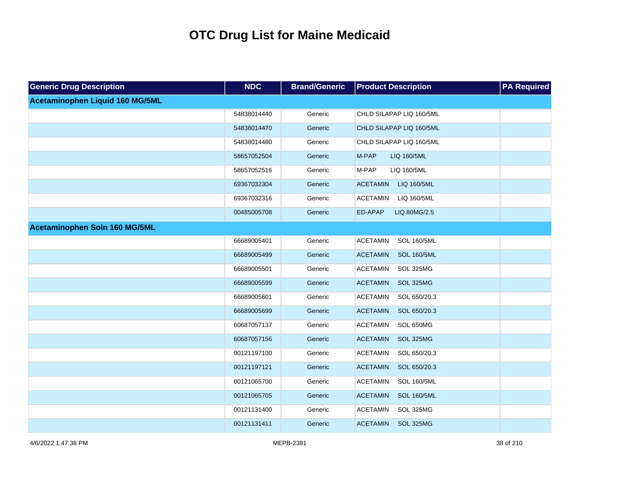| <b>Generic Drug Description</b> | <b>NDC</b>  | <b>Brand/Generic</b> | <b>Product Description</b>            | <b>PA Required</b> |
|---------------------------------|-------------|----------------------|---------------------------------------|--------------------|
| Acetaminophen Liquid 160 MG/5ML |             |                      |                                       |                    |
|                                 | 54838014440 | Generic              | CHLD SILAPAP LIQ 160/5ML              |                    |
|                                 | 54838014470 | Generic              | CHLD SILAPAP LIQ 160/5ML              |                    |
|                                 | 54838014480 | Generic              | CHLD SILAPAP LIQ 160/5ML              |                    |
|                                 | 58657052504 | Generic              | M-PAP<br>LIQ 160/5ML                  |                    |
|                                 | 58657052516 | Generic              | M-PAP<br>LIQ 160/5ML                  |                    |
|                                 | 69367032304 | Generic              | <b>ACETAMIN</b><br>LIQ 160/5ML        |                    |
|                                 | 69367032316 | Generic              | <b>ACETAMIN</b><br>LIQ 160/5ML        |                    |
|                                 | 00485005708 | Generic              | ED-APAP<br>LIQ 80MG/2.5               |                    |
| Acetaminophen Soln 160 MG/5ML   |             |                      |                                       |                    |
|                                 | 66689005401 | Generic              | <b>ACETAMIN</b><br><b>SOL 160/5ML</b> |                    |
|                                 | 66689005499 | Generic              | <b>ACETAMIN</b><br><b>SOL 160/5ML</b> |                    |
|                                 | 66689005501 | Generic              | <b>ACETAMIN</b><br>SOL 325MG          |                    |
|                                 | 66689005599 | Generic              | <b>ACETAMIN</b><br>SOL 325MG          |                    |
|                                 | 66689005601 | Generic              | <b>ACETAMIN</b><br>SOL 650/20.3       |                    |
|                                 | 66689005699 | Generic              | <b>ACETAMIN</b><br>SOL 650/20.3       |                    |
|                                 | 60687057137 | Generic              | <b>ACETAMIN</b><br>SOL 650MG          |                    |
|                                 | 60687057156 | Generic              | <b>ACETAMIN</b><br>SOL 325MG          |                    |
|                                 | 00121197100 | Generic              | <b>ACETAMIN</b><br>SOL 650/20.3       |                    |
|                                 | 00121197121 | Generic              | <b>ACETAMIN</b><br>SOL 650/20.3       |                    |
|                                 | 00121065700 | Generic              | <b>ACETAMIN</b><br><b>SOL 160/5ML</b> |                    |
|                                 | 00121065705 | Generic              | <b>ACETAMIN</b><br><b>SOL 160/5ML</b> |                    |
|                                 | 00121131400 | Generic              | <b>ACETAMIN</b><br>SOL 325MG          |                    |
|                                 | 00121131411 | Generic              | SOL 325MG<br><b>ACETAMIN</b>          |                    |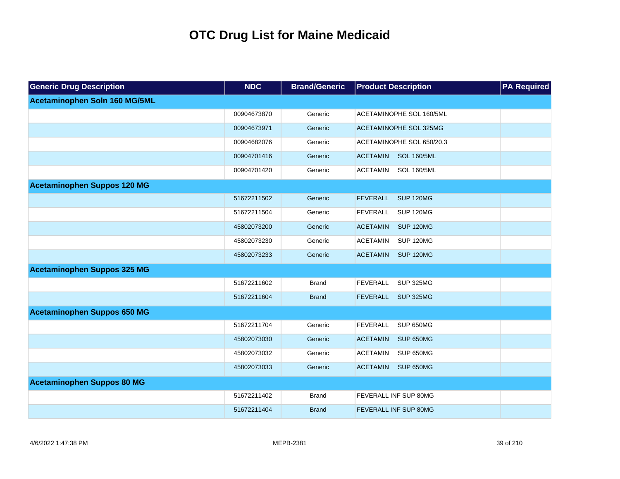| <b>Generic Drug Description</b>    | <b>NDC</b>  | <b>Brand/Generic</b> | <b>Product Description</b>            | <b>PA Required</b> |
|------------------------------------|-------------|----------------------|---------------------------------------|--------------------|
| Acetaminophen Soln 160 MG/5ML      |             |                      |                                       |                    |
|                                    | 00904673870 | Generic              | ACETAMINOPHE SOL 160/5ML              |                    |
|                                    | 00904673971 | Generic              | <b>ACETAMINOPHE SOL 325MG</b>         |                    |
|                                    | 00904682076 | Generic              | ACETAMINOPHE SOL 650/20.3             |                    |
|                                    | 00904701416 | Generic              | <b>ACETAMIN</b><br><b>SOL 160/5ML</b> |                    |
|                                    | 00904701420 | Generic              | <b>ACETAMIN</b><br><b>SOL 160/5ML</b> |                    |
| <b>Acetaminophen Suppos 120 MG</b> |             |                      |                                       |                    |
|                                    | 51672211502 | Generic              | <b>FEVERALL</b><br><b>SUP 120MG</b>   |                    |
|                                    | 51672211504 | Generic              | <b>SUP 120MG</b><br><b>FEVERALL</b>   |                    |
|                                    | 45802073200 | Generic              | <b>SUP 120MG</b><br><b>ACETAMIN</b>   |                    |
|                                    | 45802073230 | Generic              | <b>ACETAMIN</b><br><b>SUP 120MG</b>   |                    |
|                                    | 45802073233 | Generic              | <b>SUP 120MG</b><br><b>ACETAMIN</b>   |                    |
| <b>Acetaminophen Suppos 325 MG</b> |             |                      |                                       |                    |
|                                    | 51672211602 | <b>Brand</b>         | <b>FEVERALL</b><br><b>SUP 325MG</b>   |                    |
|                                    | 51672211604 | <b>Brand</b>         | <b>FEVERALL</b><br><b>SUP 325MG</b>   |                    |
| <b>Acetaminophen Suppos 650 MG</b> |             |                      |                                       |                    |
|                                    | 51672211704 | Generic              | <b>FEVERALL</b><br>SUP 650MG          |                    |
|                                    | 45802073030 | Generic              | <b>ACETAMIN</b><br>SUP 650MG          |                    |
|                                    | 45802073032 | Generic              | <b>ACETAMIN</b><br>SUP 650MG          |                    |
|                                    | 45802073033 | Generic              | <b>ACETAMIN</b><br>SUP 650MG          |                    |
| <b>Acetaminophen Suppos 80 MG</b>  |             |                      |                                       |                    |
|                                    | 51672211402 | <b>Brand</b>         | FEVERALL INF SUP 80MG                 |                    |
|                                    | 51672211404 | <b>Brand</b>         | <b>FEVERALL INF SUP 80MG</b>          |                    |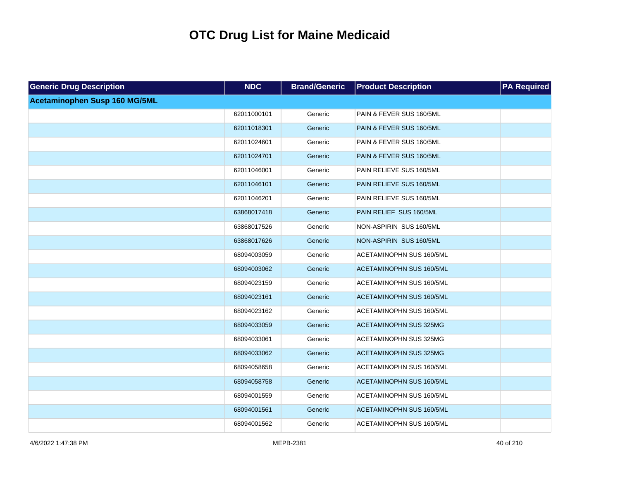| <b>Generic Drug Description</b> | <b>NDC</b>  | <b>Brand/Generic</b> | <b>Product Description</b>    | <b>PA Required</b> |
|---------------------------------|-------------|----------------------|-------------------------------|--------------------|
| Acetaminophen Susp 160 MG/5ML   |             |                      |                               |                    |
|                                 | 62011000101 | Generic              | PAIN & FEVER SUS 160/5ML      |                    |
|                                 | 62011018301 | Generic              | PAIN & FEVER SUS 160/5ML      |                    |
|                                 | 62011024601 | Generic              | PAIN & FEVER SUS 160/5ML      |                    |
|                                 | 62011024701 | Generic              | PAIN & FEVER SUS 160/5ML      |                    |
|                                 | 62011046001 | Generic              | PAIN RELIEVE SUS 160/5ML      |                    |
|                                 | 62011046101 | Generic              | PAIN RELIEVE SUS 160/5ML      |                    |
|                                 | 62011046201 | Generic              | PAIN RELIEVE SUS 160/5ML      |                    |
|                                 | 63868017418 | Generic              | PAIN RELIEF SUS 160/5ML       |                    |
|                                 | 63868017526 | Generic              | NON-ASPIRIN SUS 160/5ML       |                    |
|                                 | 63868017626 | Generic              | NON-ASPIRIN SUS 160/5ML       |                    |
|                                 | 68094003059 | Generic              | ACETAMINOPHN SUS 160/5ML      |                    |
|                                 | 68094003062 | Generic              | ACETAMINOPHN SUS 160/5ML      |                    |
|                                 | 68094023159 | Generic              | ACETAMINOPHN SUS 160/5ML      |                    |
|                                 | 68094023161 | Generic              | ACETAMINOPHN SUS 160/5ML      |                    |
|                                 | 68094023162 | Generic              | ACETAMINOPHN SUS 160/5ML      |                    |
|                                 | 68094033059 | Generic              | <b>ACETAMINOPHN SUS 325MG</b> |                    |
|                                 | 68094033061 | Generic              | ACETAMINOPHN SUS 325MG        |                    |
|                                 | 68094033062 | Generic              | <b>ACETAMINOPHN SUS 325MG</b> |                    |
|                                 | 68094058658 | Generic              | ACETAMINOPHN SUS 160/5ML      |                    |
|                                 | 68094058758 | Generic              | ACETAMINOPHN SUS 160/5ML      |                    |
|                                 | 68094001559 | Generic              | ACETAMINOPHN SUS 160/5ML      |                    |
|                                 | 68094001561 | Generic              | ACETAMINOPHN SUS 160/5ML      |                    |
|                                 | 68094001562 | Generic              | ACETAMINOPHN SUS 160/5ML      |                    |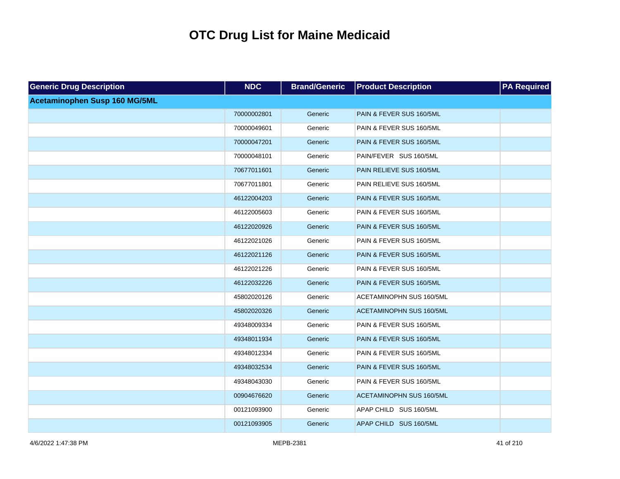| <b>Generic Drug Description</b> | <b>NDC</b>  | <b>Brand/Generic</b> | <b>Product Description</b> | <b>PA Required</b> |
|---------------------------------|-------------|----------------------|----------------------------|--------------------|
| Acetaminophen Susp 160 MG/5ML   |             |                      |                            |                    |
|                                 | 70000002801 | Generic              | PAIN & FEVER SUS 160/5ML   |                    |
|                                 | 70000049601 | Generic              | PAIN & FEVER SUS 160/5ML   |                    |
|                                 | 70000047201 | Generic              | PAIN & FEVER SUS 160/5ML   |                    |
|                                 | 70000048101 | Generic              | PAIN/FEVER SUS 160/5ML     |                    |
|                                 | 70677011601 | Generic              | PAIN RELIEVE SUS 160/5ML   |                    |
|                                 | 70677011801 | Generic              | PAIN RELIEVE SUS 160/5ML   |                    |
|                                 | 46122004203 | Generic              | PAIN & FEVER SUS 160/5ML   |                    |
|                                 | 46122005603 | Generic              | PAIN & FEVER SUS 160/5ML   |                    |
|                                 | 46122020926 | Generic              | PAIN & FEVER SUS 160/5ML   |                    |
|                                 | 46122021026 | Generic              | PAIN & FEVER SUS 160/5ML   |                    |
|                                 | 46122021126 | Generic              | PAIN & FEVER SUS 160/5ML   |                    |
|                                 | 46122021226 | Generic              | PAIN & FEVER SUS 160/5ML   |                    |
|                                 | 46122032226 | Generic              | PAIN & FEVER SUS 160/5ML   |                    |
|                                 | 45802020126 | Generic              | ACETAMINOPHN SUS 160/5ML   |                    |
|                                 | 45802020326 | Generic              | ACETAMINOPHN SUS 160/5ML   |                    |
|                                 | 49348009334 | Generic              | PAIN & FEVER SUS 160/5ML   |                    |
|                                 | 49348011934 | Generic              | PAIN & FEVER SUS 160/5ML   |                    |
|                                 | 49348012334 | Generic              | PAIN & FEVER SUS 160/5ML   |                    |
|                                 | 49348032534 | Generic              | PAIN & FEVER SUS 160/5ML   |                    |
|                                 | 49348043030 | Generic              | PAIN & FEVER SUS 160/5ML   |                    |
|                                 | 00904676620 | Generic              | ACETAMINOPHN SUS 160/5ML   |                    |
|                                 | 00121093900 | Generic              | APAP CHILD SUS 160/5ML     |                    |
|                                 | 00121093905 | Generic              | APAP CHILD SUS 160/5ML     |                    |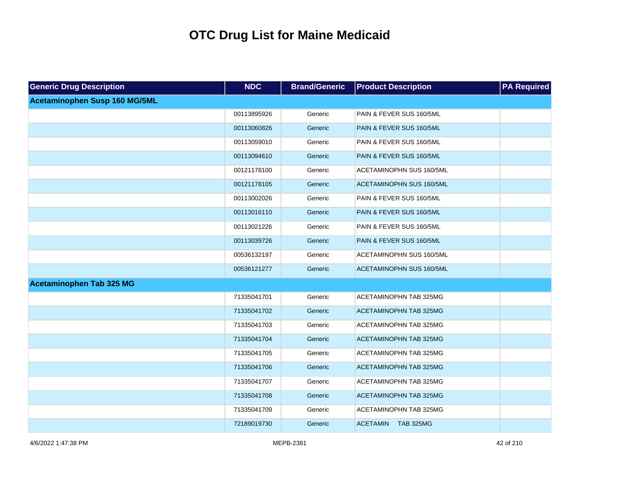| <b>Generic Drug Description</b> | <b>NDC</b>  | <b>Brand/Generic</b> | <b>Product Description</b>    | <b>PA Required</b> |
|---------------------------------|-------------|----------------------|-------------------------------|--------------------|
| Acetaminophen Susp 160 MG/5ML   |             |                      |                               |                    |
|                                 | 00113895926 | Generic              | PAIN & FEVER SUS 160/5ML      |                    |
|                                 | 00113060826 | Generic              | PAIN & FEVER SUS 160/5ML      |                    |
|                                 | 00113059010 | Generic              | PAIN & FEVER SUS 160/5ML      |                    |
|                                 | 00113094610 | Generic              | PAIN & FEVER SUS 160/5ML      |                    |
|                                 | 00121178100 | Generic              | ACETAMINOPHN SUS 160/5ML      |                    |
|                                 | 00121178105 | Generic              | ACETAMINOPHN SUS 160/5ML      |                    |
|                                 | 00113002026 | Generic              | PAIN & FEVER SUS 160/5ML      |                    |
|                                 | 00113016110 | Generic              | PAIN & FEVER SUS 160/5ML      |                    |
|                                 | 00113021226 | Generic              | PAIN & FEVER SUS 160/5ML      |                    |
|                                 | 00113039726 | Generic              | PAIN & FEVER SUS 160/5ML      |                    |
|                                 | 00536132197 | Generic              | ACETAMINOPHN SUS 160/5ML      |                    |
|                                 | 00536121277 | Generic              | ACETAMINOPHN SUS 160/5ML      |                    |
| <b>Acetaminophen Tab 325 MG</b> |             |                      |                               |                    |
|                                 | 71335041701 | Generic              | ACETAMINOPHN TAB 325MG        |                    |
|                                 | 71335041702 | Generic              | <b>ACETAMINOPHN TAB 325MG</b> |                    |
|                                 | 71335041703 | Generic              | ACETAMINOPHN TAB 325MG        |                    |
|                                 | 71335041704 | Generic              | <b>ACETAMINOPHN TAB 325MG</b> |                    |
|                                 | 71335041705 | Generic              | ACETAMINOPHN TAB 325MG        |                    |
|                                 | 71335041706 | Generic              | <b>ACETAMINOPHN TAB 325MG</b> |                    |
|                                 | 71335041707 | Generic              | ACETAMINOPHN TAB 325MG        |                    |
|                                 | 71335041708 | Generic              | <b>ACETAMINOPHN TAB 325MG</b> |                    |
|                                 | 71335041709 | Generic              | ACETAMINOPHN TAB 325MG        |                    |
|                                 | 72189019730 | Generic              | ACETAMIN TAB 325MG            |                    |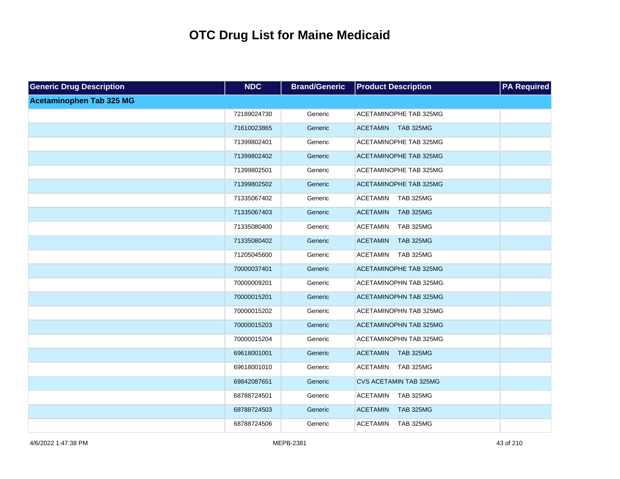| <b>Generic Drug Description</b> | <b>NDC</b>  | <b>Brand/Generic</b> | <b>Product Description</b>          | <b>PA Required</b> |
|---------------------------------|-------------|----------------------|-------------------------------------|--------------------|
| <b>Acetaminophen Tab 325 MG</b> |             |                      |                                     |                    |
|                                 | 72189024730 | Generic              | ACETAMINOPHE TAB 325MG              |                    |
|                                 | 71610023865 | Generic              | <b>ACETAMIN</b><br><b>TAB 325MG</b> |                    |
|                                 | 71399802401 | Generic              | ACETAMINOPHE TAB 325MG              |                    |
|                                 | 71399802402 | Generic              | <b>ACETAMINOPHE TAB 325MG</b>       |                    |
|                                 | 71399802501 | Generic              | ACETAMINOPHE TAB 325MG              |                    |
|                                 | 71399802502 | Generic              | <b>ACETAMINOPHE TAB 325MG</b>       |                    |
|                                 | 71335067402 | Generic              | <b>ACETAMIN</b><br><b>TAB 325MG</b> |                    |
|                                 | 71335067403 | Generic              | <b>TAB 325MG</b><br><b>ACETAMIN</b> |                    |
|                                 | 71335080400 | Generic              | <b>ACETAMIN</b><br><b>TAB 325MG</b> |                    |
|                                 | 71335080402 | Generic              | <b>TAB 325MG</b><br><b>ACETAMIN</b> |                    |
|                                 | 71205045600 | Generic              | <b>ACETAMIN</b><br><b>TAB 325MG</b> |                    |
|                                 | 70000037401 | Generic              | ACETAMINOPHE TAB 325MG              |                    |
|                                 | 70000009201 | Generic              | ACETAMINOPHN TAB 325MG              |                    |
|                                 | 70000015201 | Generic              | <b>ACETAMINOPHN TAB 325MG</b>       |                    |
|                                 | 70000015202 | Generic              | ACETAMINOPHN TAB 325MG              |                    |
|                                 | 70000015203 | Generic              | <b>ACETAMINOPHN TAB 325MG</b>       |                    |
|                                 | 70000015204 | Generic              | ACETAMINOPHN TAB 325MG              |                    |
|                                 | 69618001001 | Generic              | <b>ACETAMIN</b><br><b>TAB 325MG</b> |                    |
|                                 | 69618001010 | Generic              | <b>ACETAMIN</b><br><b>TAB 325MG</b> |                    |
|                                 | 69842087651 | Generic              | <b>CVS ACETAMIN TAB 325MG</b>       |                    |
|                                 | 68788724501 | Generic              | <b>ACETAMIN</b><br><b>TAB 325MG</b> |                    |
|                                 | 68788724503 | Generic              | <b>ACETAMIN</b><br><b>TAB 325MG</b> |                    |
|                                 | 68788724506 | Generic              | <b>ACETAMIN</b><br><b>TAB 325MG</b> |                    |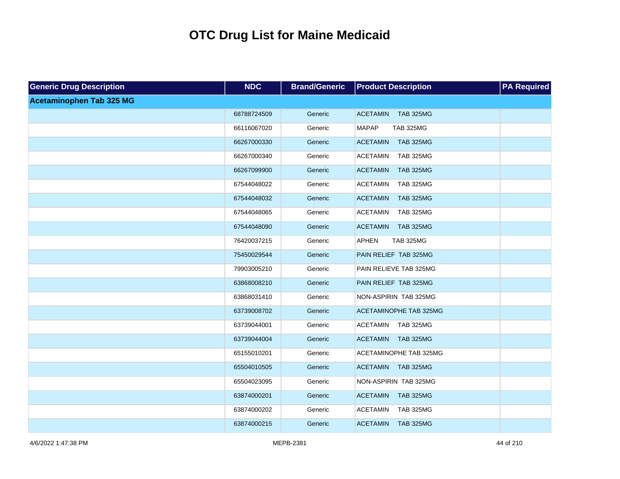| <b>Generic Drug Description</b> | <b>NDC</b>  | <b>Brand/Generic</b> | <b>Product Description</b>          | <b>PA Required</b> |
|---------------------------------|-------------|----------------------|-------------------------------------|--------------------|
| <b>Acetaminophen Tab 325 MG</b> |             |                      |                                     |                    |
|                                 | 68788724509 | Generic              | <b>TAB 325MG</b><br><b>ACETAMIN</b> |                    |
|                                 | 66116067020 | Generic              | <b>MAPAP</b><br><b>TAB 325MG</b>    |                    |
|                                 | 66267000330 | Generic              | <b>TAB 325MG</b><br><b>ACETAMIN</b> |                    |
|                                 | 66267000340 | Generic              | <b>TAB 325MG</b><br><b>ACETAMIN</b> |                    |
|                                 | 66267099900 | Generic              | <b>ACETAMIN</b><br><b>TAB 325MG</b> |                    |
|                                 | 67544048022 | Generic              | <b>ACETAMIN</b><br><b>TAB 325MG</b> |                    |
|                                 | 67544048032 | Generic              | <b>ACETAMIN</b><br><b>TAB 325MG</b> |                    |
|                                 | 67544048065 | Generic              | <b>ACETAMIN</b><br><b>TAB 325MG</b> |                    |
|                                 | 67544048090 | Generic              | <b>ACETAMIN</b><br><b>TAB 325MG</b> |                    |
|                                 | 76420037215 | Generic              | <b>APHEN</b><br><b>TAB 325MG</b>    |                    |
|                                 | 75450029544 | Generic              | PAIN RELIEF TAB 325MG               |                    |
|                                 | 79903005210 | Generic              | PAIN RELIEVE TAB 325MG              |                    |
|                                 | 63868008210 | Generic              | PAIN RELIEF TAB 325MG               |                    |
|                                 | 63868031410 | Generic              | NON-ASPIRIN TAB 325MG               |                    |
|                                 | 63739008702 | Generic              | <b>ACETAMINOPHE TAB 325MG</b>       |                    |
|                                 | 63739044001 | Generic              | <b>ACETAMIN</b><br><b>TAB 325MG</b> |                    |
|                                 | 63739044004 | Generic              | <b>ACETAMIN</b><br><b>TAB 325MG</b> |                    |
|                                 | 65155010201 | Generic              | ACETAMINOPHE TAB 325MG              |                    |
|                                 | 65504010505 | Generic              | ACETAMIN TAB 325MG                  |                    |
|                                 | 65504023095 | Generic              | NON-ASPIRIN TAB 325MG               |                    |
|                                 | 63874000201 | Generic              | <b>ACETAMIN</b><br><b>TAB 325MG</b> |                    |
|                                 | 63874000202 | Generic              | <b>TAB 325MG</b><br><b>ACETAMIN</b> |                    |
|                                 | 63874000215 | Generic              | <b>TAB 325MG</b><br><b>ACETAMIN</b> |                    |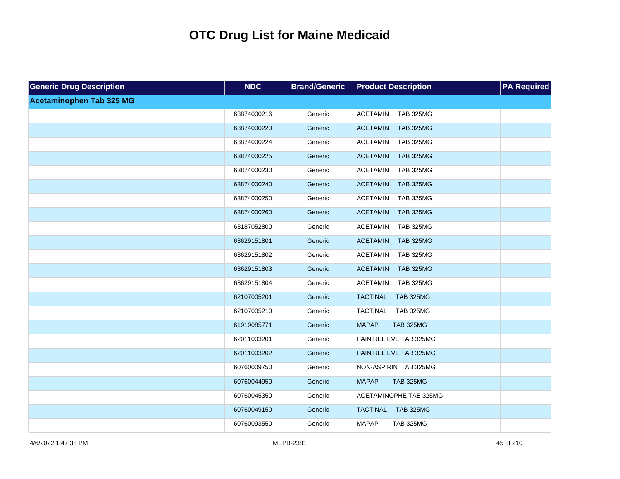| <b>Generic Drug Description</b> | <b>NDC</b>  | <b>Brand/Generic</b> | <b>Product Description</b>          | <b>PA Required</b> |
|---------------------------------|-------------|----------------------|-------------------------------------|--------------------|
| <b>Acetaminophen Tab 325 MG</b> |             |                      |                                     |                    |
|                                 | 63874000216 | Generic              | ACETAMIN<br><b>TAB 325MG</b>        |                    |
|                                 | 63874000220 | Generic              | <b>TAB 325MG</b><br><b>ACETAMIN</b> |                    |
|                                 | 63874000224 | Generic              | <b>ACETAMIN</b><br><b>TAB 325MG</b> |                    |
|                                 | 63874000225 | Generic              | <b>TAB 325MG</b><br><b>ACETAMIN</b> |                    |
|                                 | 63874000230 | Generic              | <b>ACETAMIN</b><br><b>TAB 325MG</b> |                    |
|                                 | 63874000240 | Generic              | <b>ACETAMIN</b><br><b>TAB 325MG</b> |                    |
|                                 | 63874000250 | Generic              | <b>ACETAMIN</b><br><b>TAB 325MG</b> |                    |
|                                 | 63874000260 | Generic              | <b>ACETAMIN</b><br><b>TAB 325MG</b> |                    |
|                                 | 63187052800 | Generic              | <b>ACETAMIN</b><br><b>TAB 325MG</b> |                    |
|                                 | 63629151801 | Generic              | <b>ACETAMIN</b><br><b>TAB 325MG</b> |                    |
|                                 | 63629151802 | Generic              | <b>ACETAMIN</b><br><b>TAB 325MG</b> |                    |
|                                 | 63629151803 | Generic              | <b>ACETAMIN</b><br><b>TAB 325MG</b> |                    |
|                                 | 63629151804 | Generic              | <b>ACETAMIN</b><br><b>TAB 325MG</b> |                    |
|                                 | 62107005201 | Generic              | <b>TACTINAL</b><br><b>TAB 325MG</b> |                    |
|                                 | 62107005210 | Generic              | TACTINAL TAB 325MG                  |                    |
|                                 | 61919085771 | Generic              | <b>MAPAP</b><br><b>TAB 325MG</b>    |                    |
|                                 | 62011003201 | Generic              | PAIN RELIEVE TAB 325MG              |                    |
|                                 | 62011003202 | Generic              | PAIN RELIEVE TAB 325MG              |                    |
|                                 | 60760009750 | Generic              | NON-ASPIRIN TAB 325MG               |                    |
|                                 | 60760044950 | Generic              | <b>MAPAP</b><br><b>TAB 325MG</b>    |                    |
|                                 | 60760045350 | Generic              | ACETAMINOPHE TAB 325MG              |                    |
|                                 | 60760049150 | Generic              | <b>TAB 325MG</b><br><b>TACTINAL</b> |                    |
|                                 | 60760093550 | Generic              | <b>MAPAP</b><br><b>TAB 325MG</b>    |                    |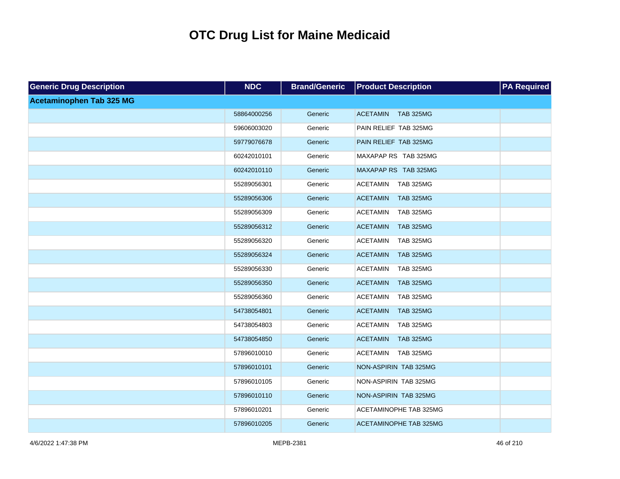| <b>Generic Drug Description</b> | <b>NDC</b>  | <b>Brand/Generic</b> | <b>Product Description</b>          | <b>PA Required</b> |
|---------------------------------|-------------|----------------------|-------------------------------------|--------------------|
| Acetaminophen Tab 325 MG        |             |                      |                                     |                    |
|                                 | 58864000256 | Generic              | ACETAMIN TAB 325MG                  |                    |
|                                 | 59606003020 | Generic              | PAIN RELIEF TAB 325MG               |                    |
|                                 | 59779076678 | Generic              | PAIN RELIEF TAB 325MG               |                    |
|                                 | 60242010101 | Generic              | MAXAPAP RS TAB 325MG                |                    |
|                                 | 60242010110 | Generic              | MAXAPAP RS TAB 325MG                |                    |
|                                 | 55289056301 | Generic              | <b>ACETAMIN</b><br><b>TAB 325MG</b> |                    |
|                                 | 55289056306 | Generic              | <b>TAB 325MG</b><br><b>ACETAMIN</b> |                    |
|                                 | 55289056309 | Generic              | <b>ACETAMIN</b><br><b>TAB 325MG</b> |                    |
|                                 | 55289056312 | Generic              | <b>ACETAMIN</b><br><b>TAB 325MG</b> |                    |
|                                 | 55289056320 | Generic              | <b>ACETAMIN</b><br><b>TAB 325MG</b> |                    |
|                                 | 55289056324 | Generic              | <b>ACETAMIN</b><br><b>TAB 325MG</b> |                    |
|                                 | 55289056330 | Generic              | <b>ACETAMIN</b><br><b>TAB 325MG</b> |                    |
|                                 | 55289056350 | Generic              | <b>ACETAMIN</b><br><b>TAB 325MG</b> |                    |
|                                 | 55289056360 | Generic              | <b>ACETAMIN</b><br><b>TAB 325MG</b> |                    |
|                                 | 54738054801 | Generic              | <b>ACETAMIN</b><br><b>TAB 325MG</b> |                    |
|                                 | 54738054803 | Generic              | <b>ACETAMIN</b><br><b>TAB 325MG</b> |                    |
|                                 | 54738054850 | Generic              | <b>ACETAMIN</b><br><b>TAB 325MG</b> |                    |
|                                 | 57896010010 | Generic              | <b>ACETAMIN</b><br><b>TAB 325MG</b> |                    |
|                                 | 57896010101 | Generic              | NON-ASPIRIN TAB 325MG               |                    |
|                                 | 57896010105 | Generic              | NON-ASPIRIN TAB 325MG               |                    |
|                                 | 57896010110 | Generic              | NON-ASPIRIN TAB 325MG               |                    |
|                                 | 57896010201 | Generic              | ACETAMINOPHE TAB 325MG              |                    |
|                                 | 57896010205 | Generic              | ACETAMINOPHE TAB 325MG              |                    |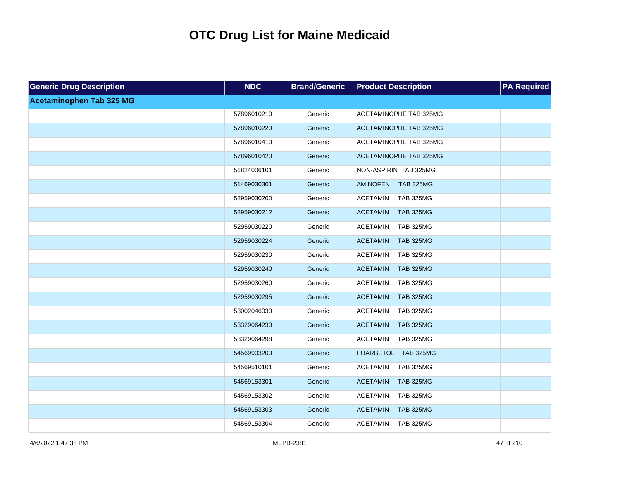| <b>Generic Drug Description</b> | <b>NDC</b>  | <b>Brand/Generic</b> | <b>Product Description</b>          | <b>PA Required</b> |
|---------------------------------|-------------|----------------------|-------------------------------------|--------------------|
| <b>Acetaminophen Tab 325 MG</b> |             |                      |                                     |                    |
|                                 | 57896010210 | Generic              | ACETAMINOPHE TAB 325MG              |                    |
|                                 | 57896010220 | Generic              | <b>ACETAMINOPHE TAB 325MG</b>       |                    |
|                                 | 57896010410 | Generic              | ACETAMINOPHE TAB 325MG              |                    |
|                                 | 57896010420 | Generic              | <b>ACETAMINOPHE TAB 325MG</b>       |                    |
|                                 | 51824006101 | Generic              | NON-ASPIRIN TAB 325MG               |                    |
|                                 | 51469030301 | Generic              | <b>AMINOFEN</b><br><b>TAB 325MG</b> |                    |
|                                 | 52959030200 | Generic              | <b>ACETAMIN</b><br><b>TAB 325MG</b> |                    |
|                                 | 52959030212 | Generic              | <b>ACETAMIN</b><br><b>TAB 325MG</b> |                    |
|                                 | 52959030220 | Generic              | <b>ACETAMIN</b><br><b>TAB 325MG</b> |                    |
|                                 | 52959030224 | Generic              | <b>ACETAMIN</b><br><b>TAB 325MG</b> |                    |
|                                 | 52959030230 | Generic              | <b>ACETAMIN</b><br><b>TAB 325MG</b> |                    |
|                                 | 52959030240 | Generic              | <b>ACETAMIN</b><br><b>TAB 325MG</b> |                    |
|                                 | 52959030260 | Generic              | <b>ACETAMIN</b><br><b>TAB 325MG</b> |                    |
|                                 | 52959030295 | Generic              | <b>ACETAMIN</b><br><b>TAB 325MG</b> |                    |
|                                 | 53002046030 | Generic              | <b>ACETAMIN</b><br><b>TAB 325MG</b> |                    |
|                                 | 53329064230 | Generic              | <b>ACETAMIN</b><br><b>TAB 325MG</b> |                    |
|                                 | 53329064298 | Generic              | <b>ACETAMIN</b><br><b>TAB 325MG</b> |                    |
|                                 | 54569903200 | Generic              | PHARBETOL TAB 325MG                 |                    |
|                                 | 54569510101 | Generic              | <b>ACETAMIN</b><br><b>TAB 325MG</b> |                    |
|                                 | 54569153301 | Generic              | <b>ACETAMIN</b><br><b>TAB 325MG</b> |                    |
|                                 | 54569153302 | Generic              | <b>ACETAMIN</b><br><b>TAB 325MG</b> |                    |
|                                 | 54569153303 | Generic              | <b>ACETAMIN</b><br><b>TAB 325MG</b> |                    |
|                                 | 54569153304 | Generic              | <b>ACETAMIN</b><br><b>TAB 325MG</b> |                    |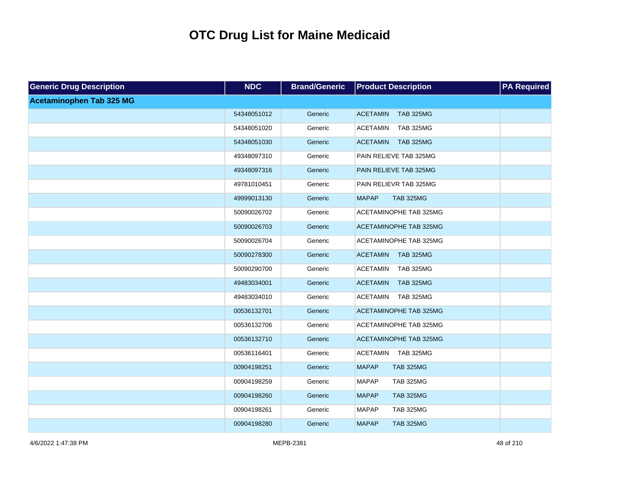| <b>Generic Drug Description</b> | <b>NDC</b>  | <b>Brand/Generic</b> | <b>Product Description</b>          | <b>PA Required</b> |
|---------------------------------|-------------|----------------------|-------------------------------------|--------------------|
| <b>Acetaminophen Tab 325 MG</b> |             |                      |                                     |                    |
|                                 | 54348051012 | Generic              | <b>TAB 325MG</b><br><b>ACETAMIN</b> |                    |
|                                 | 54348051020 | Generic              | <b>TAB 325MG</b><br><b>ACETAMIN</b> |                    |
|                                 | 54348051030 | Generic              | <b>TAB 325MG</b><br><b>ACETAMIN</b> |                    |
|                                 | 49348097310 | Generic              | PAIN RELIEVE TAB 325MG              |                    |
|                                 | 49348097316 | Generic              | PAIN RELIEVE TAB 325MG              |                    |
|                                 | 49781010451 | Generic              | PAIN RELIEVR TAB 325MG              |                    |
|                                 | 49999013130 | Generic              | <b>MAPAP</b><br><b>TAB 325MG</b>    |                    |
|                                 | 50090026702 | Generic              | ACETAMINOPHE TAB 325MG              |                    |
|                                 | 50090026703 | Generic              | <b>ACETAMINOPHE TAB 325MG</b>       |                    |
|                                 | 50090026704 | Generic              | ACETAMINOPHE TAB 325MG              |                    |
|                                 | 50090278300 | Generic              | <b>ACETAMIN</b><br><b>TAB 325MG</b> |                    |
|                                 | 50090290700 | Generic              | <b>ACETAMIN</b><br><b>TAB 325MG</b> |                    |
|                                 | 49483034001 | Generic              | <b>ACETAMIN</b><br><b>TAB 325MG</b> |                    |
|                                 | 49483034010 | Generic              | <b>ACETAMIN</b><br><b>TAB 325MG</b> |                    |
|                                 | 00536132701 | Generic              | <b>ACETAMINOPHE TAB 325MG</b>       |                    |
|                                 | 00536132706 | Generic              | ACETAMINOPHE TAB 325MG              |                    |
|                                 | 00536132710 | Generic              | <b>ACETAMINOPHE TAB 325MG</b>       |                    |
|                                 | 00536116401 | Generic              | <b>TAB 325MG</b><br>ACETAMIN        |                    |
|                                 | 00904198251 | Generic              | <b>MAPAP</b><br><b>TAB 325MG</b>    |                    |
|                                 | 00904198259 | Generic              | <b>MAPAP</b><br><b>TAB 325MG</b>    |                    |
|                                 | 00904198260 | Generic              | <b>MAPAP</b><br><b>TAB 325MG</b>    |                    |
|                                 | 00904198261 | Generic              | <b>MAPAP</b><br><b>TAB 325MG</b>    |                    |
|                                 | 00904198280 | Generic              | <b>MAPAP</b><br><b>TAB 325MG</b>    |                    |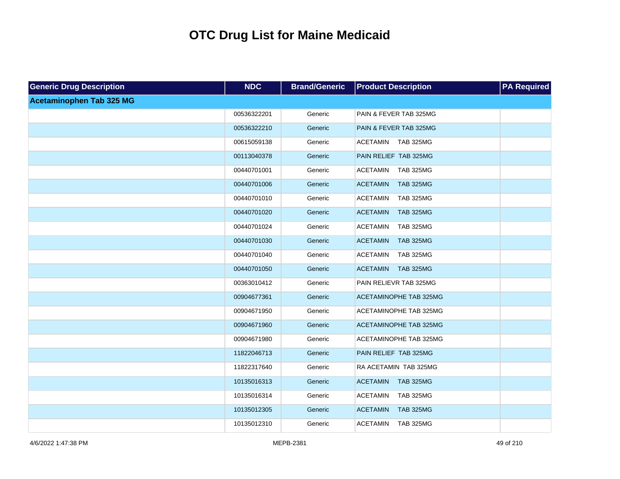| <b>Generic Drug Description</b> | <b>NDC</b>  | <b>Brand/Generic</b> | <b>Product Description</b>          | <b>PA Required</b> |
|---------------------------------|-------------|----------------------|-------------------------------------|--------------------|
| <b>Acetaminophen Tab 325 MG</b> |             |                      |                                     |                    |
|                                 | 00536322201 | Generic              | PAIN & FEVER TAB 325MG              |                    |
|                                 | 00536322210 | Generic              | PAIN & FEVER TAB 325MG              |                    |
|                                 | 00615059138 | Generic              | ACETAMIN TAB 325MG                  |                    |
|                                 | 00113040378 | Generic              | PAIN RELIEF TAB 325MG               |                    |
|                                 | 00440701001 | Generic              | <b>ACETAMIN</b><br><b>TAB 325MG</b> |                    |
|                                 | 00440701006 | Generic              | <b>TAB 325MG</b><br><b>ACETAMIN</b> |                    |
|                                 | 00440701010 | Generic              | <b>ACETAMIN</b><br><b>TAB 325MG</b> |                    |
|                                 | 00440701020 | Generic              | <b>ACETAMIN</b><br><b>TAB 325MG</b> |                    |
|                                 | 00440701024 | Generic              | <b>ACETAMIN</b><br><b>TAB 325MG</b> |                    |
|                                 | 00440701030 | Generic              | <b>ACETAMIN</b><br><b>TAB 325MG</b> |                    |
|                                 | 00440701040 | Generic              | <b>ACETAMIN</b><br><b>TAB 325MG</b> |                    |
|                                 | 00440701050 | Generic              | <b>ACETAMIN</b><br><b>TAB 325MG</b> |                    |
|                                 | 00363010412 | Generic              | PAIN RELIEVR TAB 325MG              |                    |
|                                 | 00904677361 | Generic              | ACETAMINOPHE TAB 325MG              |                    |
|                                 | 00904671950 | Generic              | <b>ACETAMINOPHE TAB 325MG</b>       |                    |
|                                 | 00904671960 | Generic              | ACETAMINOPHE TAB 325MG              |                    |
|                                 | 00904671980 | Generic              | <b>ACETAMINOPHE TAB 325MG</b>       |                    |
|                                 | 11822046713 | Generic              | PAIN RELIEF TAB 325MG               |                    |
|                                 | 11822317640 | Generic              | RA ACETAMIN TAB 325MG               |                    |
|                                 | 10135016313 | Generic              | <b>ACETAMIN</b><br><b>TAB 325MG</b> |                    |
|                                 | 10135016314 | Generic              | <b>ACETAMIN</b><br><b>TAB 325MG</b> |                    |
|                                 | 10135012305 | Generic              | <b>ACETAMIN</b><br><b>TAB 325MG</b> |                    |
|                                 | 10135012310 | Generic              | <b>ACETAMIN</b><br><b>TAB 325MG</b> |                    |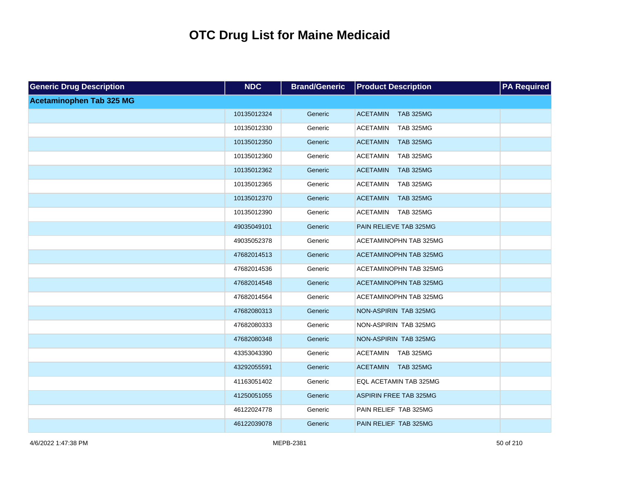| <b>Generic Drug Description</b> | <b>NDC</b>  | <b>Brand/Generic</b> | <b>Product Description</b>          | <b>PA Required</b> |
|---------------------------------|-------------|----------------------|-------------------------------------|--------------------|
| <b>Acetaminophen Tab 325 MG</b> |             |                      |                                     |                    |
|                                 | 10135012324 | Generic              | <b>ACETAMIN</b><br><b>TAB 325MG</b> |                    |
|                                 | 10135012330 | Generic              | <b>TAB 325MG</b><br><b>ACETAMIN</b> |                    |
|                                 | 10135012350 | Generic              | <b>TAB 325MG</b><br><b>ACETAMIN</b> |                    |
|                                 | 10135012360 | Generic              | <b>ACETAMIN</b><br><b>TAB 325MG</b> |                    |
|                                 | 10135012362 | Generic              | <b>ACETAMIN</b><br><b>TAB 325MG</b> |                    |
|                                 | 10135012365 | Generic              | <b>ACETAMIN</b><br><b>TAB 325MG</b> |                    |
|                                 | 10135012370 | Generic              | <b>ACETAMIN</b><br><b>TAB 325MG</b> |                    |
|                                 | 10135012390 | Generic              | <b>ACETAMIN</b><br><b>TAB 325MG</b> |                    |
|                                 | 49035049101 | Generic              | PAIN RELIEVE TAB 325MG              |                    |
|                                 | 49035052378 | Generic              | ACETAMINOPHN TAB 325MG              |                    |
|                                 | 47682014513 | Generic              | <b>ACETAMINOPHN TAB 325MG</b>       |                    |
|                                 | 47682014536 | Generic              | <b>ACETAMINOPHN TAB 325MG</b>       |                    |
|                                 | 47682014548 | Generic              | <b>ACETAMINOPHN TAB 325MG</b>       |                    |
|                                 | 47682014564 | Generic              | <b>ACETAMINOPHN TAB 325MG</b>       |                    |
|                                 | 47682080313 | Generic              | NON-ASPIRIN TAB 325MG               |                    |
|                                 | 47682080333 | Generic              | NON-ASPIRIN TAB 325MG               |                    |
|                                 | 47682080348 | Generic              | NON-ASPIRIN TAB 325MG               |                    |
|                                 | 43353043390 | Generic              | <b>ACETAMIN</b><br><b>TAB 325MG</b> |                    |
|                                 | 43292055591 | Generic              | <b>ACETAMIN</b><br><b>TAB 325MG</b> |                    |
|                                 | 41163051402 | Generic              | EQL ACETAMIN TAB 325MG              |                    |
|                                 | 41250051055 | Generic              | <b>ASPIRIN FREE TAB 325MG</b>       |                    |
|                                 | 46122024778 | Generic              | PAIN RELIEF TAB 325MG               |                    |
|                                 | 46122039078 | Generic              | PAIN RELIEF TAB 325MG               |                    |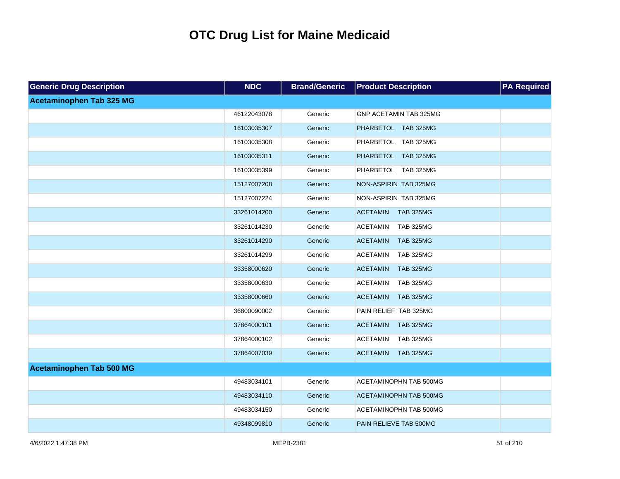| <b>Generic Drug Description</b> | <b>NDC</b>  | <b>Brand/Generic</b> | <b>Product Description</b>          | <b>PA Required</b> |
|---------------------------------|-------------|----------------------|-------------------------------------|--------------------|
| <b>Acetaminophen Tab 325 MG</b> |             |                      |                                     |                    |
|                                 | 46122043078 | Generic              | GNP ACETAMIN TAB 325MG              |                    |
|                                 | 16103035307 | Generic              | PHARBETOL TAB 325MG                 |                    |
|                                 | 16103035308 | Generic              | PHARBETOL TAB 325MG                 |                    |
|                                 | 16103035311 | Generic              | PHARBETOL TAB 325MG                 |                    |
|                                 | 16103035399 | Generic              | PHARBETOL TAB 325MG                 |                    |
|                                 | 15127007208 | Generic              | NON-ASPIRIN TAB 325MG               |                    |
|                                 | 15127007224 | Generic              | NON-ASPIRIN TAB 325MG               |                    |
|                                 | 33261014200 | Generic              | <b>ACETAMIN</b><br><b>TAB 325MG</b> |                    |
|                                 | 33261014230 | Generic              | <b>TAB 325MG</b><br><b>ACETAMIN</b> |                    |
|                                 | 33261014290 | Generic              | <b>TAB 325MG</b><br><b>ACETAMIN</b> |                    |
|                                 | 33261014299 | Generic              | <b>ACETAMIN</b><br><b>TAB 325MG</b> |                    |
|                                 | 33358000620 | Generic              | <b>TAB 325MG</b><br><b>ACETAMIN</b> |                    |
|                                 | 33358000630 | Generic              | <b>ACETAMIN</b><br><b>TAB 325MG</b> |                    |
|                                 | 33358000660 | Generic              | <b>ACETAMIN</b><br><b>TAB 325MG</b> |                    |
|                                 | 36800090002 | Generic              | PAIN RELIEF TAB 325MG               |                    |
|                                 | 37864000101 | Generic              | <b>ACETAMIN</b><br><b>TAB 325MG</b> |                    |
|                                 | 37864000102 | Generic              | <b>ACETAMIN</b><br><b>TAB 325MG</b> |                    |
|                                 | 37864007039 | Generic              | <b>TAB 325MG</b><br><b>ACETAMIN</b> |                    |
| <b>Acetaminophen Tab 500 MG</b> |             |                      |                                     |                    |
|                                 | 49483034101 | Generic              | ACETAMINOPHN TAB 500MG              |                    |
|                                 | 49483034110 | Generic              | <b>ACETAMINOPHN TAB 500MG</b>       |                    |
|                                 | 49483034150 | Generic              | ACETAMINOPHN TAB 500MG              |                    |
|                                 | 49348099810 | Generic              | PAIN RELIEVE TAB 500MG              |                    |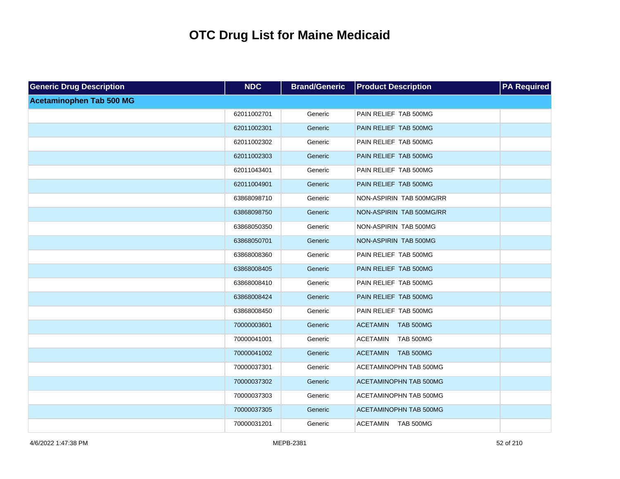| <b>Generic Drug Description</b> | <b>NDC</b>  | <b>Brand/Generic</b> | <b>Product Description</b>          | <b>PA Required</b> |
|---------------------------------|-------------|----------------------|-------------------------------------|--------------------|
| <b>Acetaminophen Tab 500 MG</b> |             |                      |                                     |                    |
|                                 | 62011002701 | Generic              | PAIN RELIEF TAB 500MG               |                    |
|                                 | 62011002301 | Generic              | PAIN RELIEF TAB 500MG               |                    |
|                                 | 62011002302 | Generic              | PAIN RELIEF TAB 500MG               |                    |
|                                 | 62011002303 | Generic              | PAIN RELIEF TAB 500MG               |                    |
|                                 | 62011043401 | Generic              | PAIN RELIEF TAB 500MG               |                    |
|                                 | 62011004901 | Generic              | PAIN RELIEF TAB 500MG               |                    |
|                                 | 63868098710 | Generic              | NON-ASPIRIN TAB 500MG/RR            |                    |
|                                 | 63868098750 | Generic              | NON-ASPIRIN TAB 500MG/RR            |                    |
|                                 | 63868050350 | Generic              | NON-ASPIRIN TAB 500MG               |                    |
|                                 | 63868050701 | Generic              | NON-ASPIRIN TAB 500MG               |                    |
|                                 | 63868008360 | Generic              | PAIN RELIEF TAB 500MG               |                    |
|                                 | 63868008405 | Generic              | PAIN RELIEF TAB 500MG               |                    |
|                                 | 63868008410 | Generic              | PAIN RELIEF TAB 500MG               |                    |
|                                 | 63868008424 | Generic              | PAIN RELIEF TAB 500MG               |                    |
|                                 | 63868008450 | Generic              | PAIN RELIEF TAB 500MG               |                    |
|                                 | 70000003601 | Generic              | <b>ACETAMIN</b><br><b>TAB 500MG</b> |                    |
|                                 | 70000041001 | Generic              | <b>ACETAMIN</b><br><b>TAB 500MG</b> |                    |
|                                 | 70000041002 | Generic              | <b>ACETAMIN</b><br><b>TAB 500MG</b> |                    |
|                                 | 70000037301 | Generic              | <b>ACETAMINOPHN TAB 500MG</b>       |                    |
|                                 | 70000037302 | Generic              | <b>ACETAMINOPHN TAB 500MG</b>       |                    |
|                                 | 70000037303 | Generic              | <b>ACETAMINOPHN TAB 500MG</b>       |                    |
|                                 | 70000037305 | Generic              | <b>ACETAMINOPHN TAB 500MG</b>       |                    |
|                                 | 70000031201 | Generic              | ACETAMIN TAB 500MG                  |                    |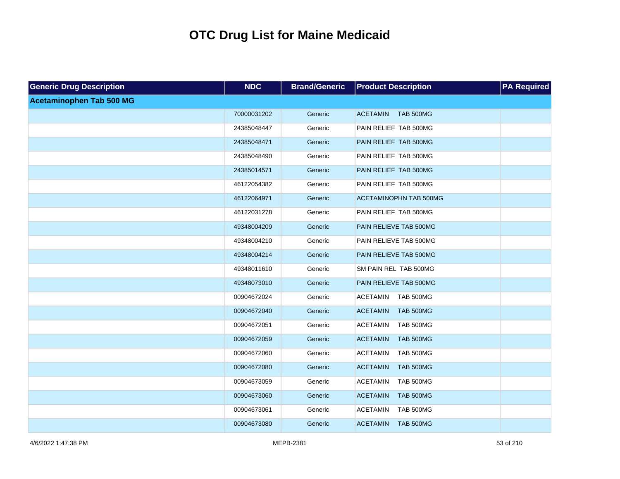| <b>Generic Drug Description</b> | <b>NDC</b>  | <b>Brand/Generic</b> | <b>Product Description</b>          | <b>PA Required</b> |
|---------------------------------|-------------|----------------------|-------------------------------------|--------------------|
| Acetaminophen Tab 500 MG        |             |                      |                                     |                    |
|                                 | 70000031202 | Generic              | ACETAMIN TAB 500MG                  |                    |
|                                 | 24385048447 | Generic              | PAIN RELIEF TAB 500MG               |                    |
|                                 | 24385048471 | Generic              | PAIN RELIEF TAB 500MG               |                    |
|                                 | 24385048490 | Generic              | PAIN RELIEF TAB 500MG               |                    |
|                                 | 24385014571 | Generic              | PAIN RELIEF TAB 500MG               |                    |
|                                 | 46122054382 | Generic              | PAIN RELIEF TAB 500MG               |                    |
|                                 | 46122064971 | Generic              | ACETAMINOPHN TAB 500MG              |                    |
|                                 | 46122031278 | Generic              | PAIN RELIEF TAB 500MG               |                    |
|                                 | 49348004209 | Generic              | PAIN RELIEVE TAB 500MG              |                    |
|                                 | 49348004210 | Generic              | PAIN RELIEVE TAB 500MG              |                    |
|                                 | 49348004214 | Generic              | PAIN RELIEVE TAB 500MG              |                    |
|                                 | 49348011610 | Generic              | SM PAIN REL TAB 500MG               |                    |
|                                 | 49348073010 | Generic              | PAIN RELIEVE TAB 500MG              |                    |
|                                 | 00904672024 | Generic              | <b>ACETAMIN</b><br>TAB 500MG        |                    |
|                                 | 00904672040 | Generic              | <b>ACETAMIN</b><br><b>TAB 500MG</b> |                    |
|                                 | 00904672051 | Generic              | <b>ACETAMIN</b><br>TAB 500MG        |                    |
|                                 | 00904672059 | Generic              | <b>ACETAMIN</b><br><b>TAB 500MG</b> |                    |
|                                 | 00904672060 | Generic              | TAB 500MG<br><b>ACETAMIN</b>        |                    |
|                                 | 00904672080 | Generic              | <b>ACETAMIN</b><br><b>TAB 500MG</b> |                    |
|                                 | 00904673059 | Generic              | TAB 500MG<br><b>ACETAMIN</b>        |                    |
|                                 | 00904673060 | Generic              | <b>ACETAMIN</b><br><b>TAB 500MG</b> |                    |
|                                 | 00904673061 | Generic              | TAB 500MG<br><b>ACETAMIN</b>        |                    |
|                                 | 00904673080 | Generic              | <b>TAB 500MG</b><br><b>ACETAMIN</b> |                    |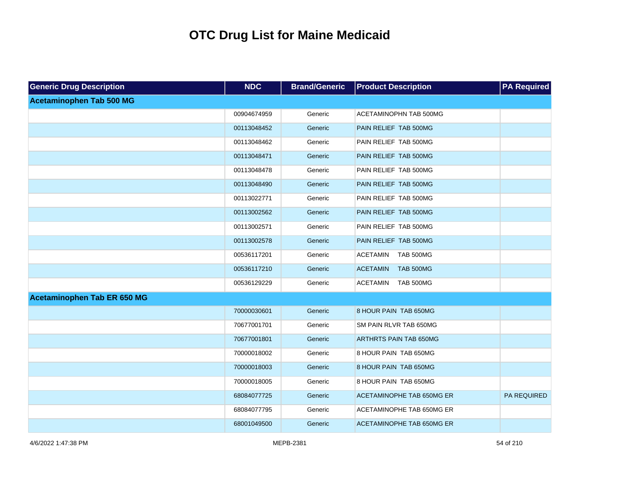| <b>Generic Drug Description</b> | <b>NDC</b>  | <b>Brand/Generic</b> | <b>Product Description</b>          | <b>PA Required</b> |
|---------------------------------|-------------|----------------------|-------------------------------------|--------------------|
| <b>Acetaminophen Tab 500 MG</b> |             |                      |                                     |                    |
|                                 | 00904674959 | Generic              | ACETAMINOPHN TAB 500MG              |                    |
|                                 | 00113048452 | Generic              | PAIN RELIEF TAB 500MG               |                    |
|                                 | 00113048462 | Generic              | PAIN RELIEF TAB 500MG               |                    |
|                                 | 00113048471 | Generic              | PAIN RELIEF TAB 500MG               |                    |
|                                 | 00113048478 | Generic              | PAIN RELIEF TAB 500MG               |                    |
|                                 | 00113048490 | Generic              | PAIN RELIEF TAB 500MG               |                    |
|                                 | 00113022771 | Generic              | PAIN RELIEF TAB 500MG               |                    |
|                                 | 00113002562 | Generic              | PAIN RELIEF TAB 500MG               |                    |
|                                 | 00113002571 | Generic              | PAIN RELIEF TAB 500MG               |                    |
|                                 | 00113002578 | Generic              | PAIN RELIEF TAB 500MG               |                    |
|                                 | 00536117201 | Generic              | <b>ACETAMIN</b><br>TAB 500MG        |                    |
|                                 | 00536117210 | Generic              | <b>TAB 500MG</b><br><b>ACETAMIN</b> |                    |
|                                 | 00536129229 | Generic              | <b>TAB 500MG</b><br><b>ACETAMIN</b> |                    |
| Acetaminophen Tab ER 650 MG     |             |                      |                                     |                    |
|                                 | 70000030601 | Generic              | 8 HOUR PAIN TAB 650MG               |                    |
|                                 | 70677001701 | Generic              | SM PAIN RLVR TAB 650MG              |                    |
|                                 | 70677001801 | Generic              | <b>ARTHRTS PAIN TAB 650MG</b>       |                    |
|                                 | 70000018002 | Generic              | 8 HOUR PAIN TAB 650MG               |                    |
|                                 | 70000018003 | Generic              | 8 HOUR PAIN TAB 650MG               |                    |
|                                 | 70000018005 | Generic              | 8 HOUR PAIN TAB 650MG               |                    |
|                                 | 68084077725 | Generic              | ACETAMINOPHE TAB 650MG ER           | PA REQUIRED        |
|                                 | 68084077795 | Generic              | ACETAMINOPHE TAB 650MG ER           |                    |
|                                 | 68001049500 | Generic              | <b>ACETAMINOPHE TAB 650MG ER</b>    |                    |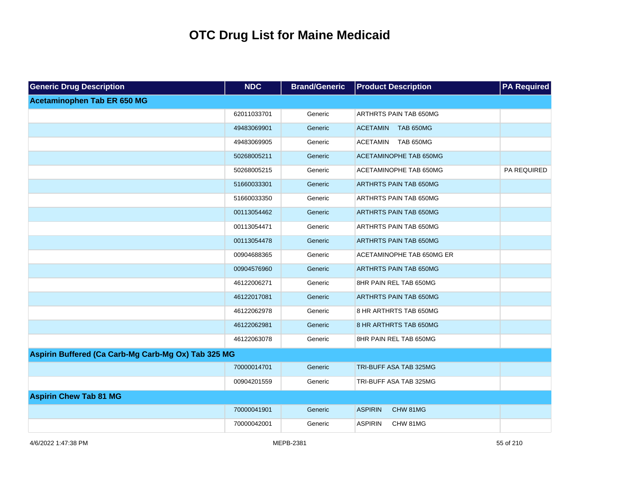| <b>Generic Drug Description</b>                     | <b>NDC</b>  | <b>Brand/Generic</b> | <b>Product Description</b>          | <b>PA Required</b> |
|-----------------------------------------------------|-------------|----------------------|-------------------------------------|--------------------|
| Acetaminophen Tab ER 650 MG                         |             |                      |                                     |                    |
|                                                     | 62011033701 | Generic              | ARTHRTS PAIN TAB 650MG              |                    |
|                                                     | 49483069901 | Generic              | <b>ACETAMIN</b><br><b>TAB 650MG</b> |                    |
|                                                     | 49483069905 | Generic              | <b>ACETAMIN</b><br><b>TAB 650MG</b> |                    |
|                                                     | 50268005211 | Generic              | ACETAMINOPHE TAB 650MG              |                    |
|                                                     | 50268005215 | Generic              | ACETAMINOPHE TAB 650MG              | PA REQUIRED        |
|                                                     | 51660033301 | Generic              | <b>ARTHRTS PAIN TAB 650MG</b>       |                    |
|                                                     | 51660033350 | Generic              | ARTHRTS PAIN TAB 650MG              |                    |
|                                                     | 00113054462 | Generic              | <b>ARTHRTS PAIN TAB 650MG</b>       |                    |
|                                                     | 00113054471 | Generic              | ARTHRTS PAIN TAB 650MG              |                    |
|                                                     | 00113054478 | Generic              | <b>ARTHRTS PAIN TAB 650MG</b>       |                    |
|                                                     | 00904688365 | Generic              | ACETAMINOPHE TAB 650MG ER           |                    |
|                                                     | 00904576960 | Generic              | ARTHRTS PAIN TAB 650MG              |                    |
|                                                     | 46122006271 | Generic              | 8HR PAIN REL TAB 650MG              |                    |
|                                                     | 46122017081 | Generic              | <b>ARTHRTS PAIN TAB 650MG</b>       |                    |
|                                                     | 46122062978 | Generic              | 8 HR ARTHRTS TAB 650MG              |                    |
|                                                     | 46122062981 | Generic              | 8 HR ARTHRTS TAB 650MG              |                    |
|                                                     | 46122063078 | Generic              | 8HR PAIN REL TAB 650MG              |                    |
| Aspirin Buffered (Ca Carb-Mg Carb-Mg Ox) Tab 325 MG |             |                      |                                     |                    |
|                                                     | 70000014701 | Generic              | TRI-BUFF ASA TAB 325MG              |                    |
|                                                     | 00904201559 | Generic              | TRI-BUFF ASA TAB 325MG              |                    |
| <b>Aspirin Chew Tab 81 MG</b>                       |             |                      |                                     |                    |
|                                                     | 70000041901 | Generic              | <b>ASPIRIN</b><br>CHW 81MG          |                    |
|                                                     | 70000042001 | Generic              | <b>ASPIRIN</b><br>CHW 81MG          |                    |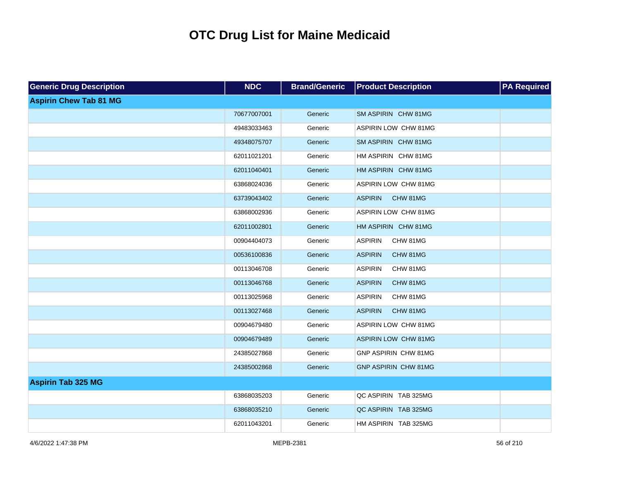| <b>Generic Drug Description</b> | <b>NDC</b>  | <b>Brand/Generic</b> | <b>Product Description</b>  | <b>PA Required</b> |
|---------------------------------|-------------|----------------------|-----------------------------|--------------------|
| <b>Aspirin Chew Tab 81 MG</b>   |             |                      |                             |                    |
|                                 | 70677007001 | Generic              | SM ASPIRIN CHW 81MG         |                    |
|                                 | 49483033463 | Generic              | ASPIRIN LOW CHW 81MG        |                    |
|                                 | 49348075707 | Generic              | SM ASPIRIN CHW 81MG         |                    |
|                                 | 62011021201 | Generic              | HM ASPIRIN CHW 81MG         |                    |
|                                 | 62011040401 | Generic              | HM ASPIRIN CHW 81MG         |                    |
|                                 | 63868024036 | Generic              | ASPIRIN LOW CHW 81MG        |                    |
|                                 | 63739043402 | Generic              | <b>ASPIRIN</b><br>CHW 81MG  |                    |
|                                 | 63868002936 | Generic              | ASPIRIN LOW CHW 81MG        |                    |
|                                 | 62011002801 | Generic              | HM ASPIRIN CHW 81MG         |                    |
|                                 | 00904404073 | Generic              | <b>ASPIRIN</b><br>CHW 81MG  |                    |
|                                 | 00536100836 | Generic              | <b>ASPIRIN</b><br>CHW 81MG  |                    |
|                                 | 00113046708 | Generic              | <b>ASPIRIN</b><br>CHW 81MG  |                    |
|                                 | 00113046768 | Generic              | <b>ASPIRIN</b><br>CHW 81MG  |                    |
|                                 | 00113025968 | Generic              | <b>ASPIRIN</b><br>CHW 81MG  |                    |
|                                 | 00113027468 | Generic              | <b>ASPIRIN</b><br>CHW 81MG  |                    |
|                                 | 00904679480 | Generic              | ASPIRIN LOW CHW 81MG        |                    |
|                                 | 00904679489 | Generic              | <b>ASPIRIN LOW CHW 81MG</b> |                    |
|                                 | 24385027868 | Generic              | GNP ASPIRIN CHW 81MG        |                    |
|                                 | 24385002868 | Generic              | <b>GNP ASPIRIN CHW 81MG</b> |                    |
| <b>Aspirin Tab 325 MG</b>       |             |                      |                             |                    |
|                                 | 63868035203 | Generic              | QC ASPIRIN TAB 325MG        |                    |
|                                 | 63868035210 | Generic              | QC ASPIRIN TAB 325MG        |                    |
|                                 | 62011043201 | Generic              | HM ASPIRIN TAB 325MG        |                    |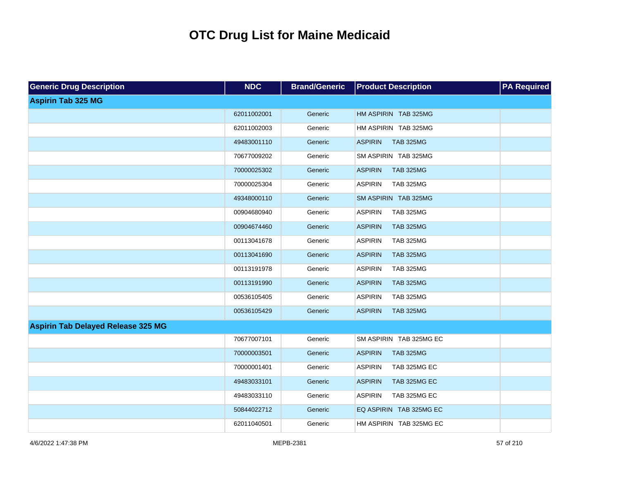| <b>Generic Drug Description</b>           | <b>NDC</b>  | <b>Brand/Generic</b> | <b>Product Description</b>         | <b>PA Required</b> |
|-------------------------------------------|-------------|----------------------|------------------------------------|--------------------|
| <b>Aspirin Tab 325 MG</b>                 |             |                      |                                    |                    |
|                                           | 62011002001 | Generic              | HM ASPIRIN TAB 325MG               |                    |
|                                           | 62011002003 | Generic              | HM ASPIRIN TAB 325MG               |                    |
|                                           | 49483001110 | Generic              | <b>ASPIRIN</b><br><b>TAB 325MG</b> |                    |
|                                           | 70677009202 | Generic              | SM ASPIRIN TAB 325MG               |                    |
|                                           | 70000025302 | Generic              | <b>ASPIRIN</b><br><b>TAB 325MG</b> |                    |
|                                           | 70000025304 | Generic              | <b>ASPIRIN</b><br><b>TAB 325MG</b> |                    |
|                                           | 49348000110 | Generic              | SM ASPIRIN TAB 325MG               |                    |
|                                           | 00904680940 | Generic              | <b>ASPIRIN</b><br><b>TAB 325MG</b> |                    |
|                                           | 00904674460 | Generic              | <b>ASPIRIN</b><br><b>TAB 325MG</b> |                    |
|                                           | 00113041678 | Generic              | <b>ASPIRIN</b><br><b>TAB 325MG</b> |                    |
|                                           | 00113041690 | Generic              | <b>ASPIRIN</b><br><b>TAB 325MG</b> |                    |
|                                           | 00113191978 | Generic              | <b>ASPIRIN</b><br><b>TAB 325MG</b> |                    |
|                                           | 00113191990 | Generic              | <b>ASPIRIN</b><br><b>TAB 325MG</b> |                    |
|                                           | 00536105405 | Generic              | <b>ASPIRIN</b><br><b>TAB 325MG</b> |                    |
|                                           | 00536105429 | Generic              | <b>ASPIRIN</b><br><b>TAB 325MG</b> |                    |
| <b>Aspirin Tab Delayed Release 325 MG</b> |             |                      |                                    |                    |
|                                           | 70677007101 | Generic              | SM ASPIRIN TAB 325MG EC            |                    |
|                                           | 70000003501 | Generic              | <b>ASPIRIN</b><br><b>TAB 325MG</b> |                    |
|                                           | 70000001401 | Generic              | <b>ASPIRIN</b><br>TAB 325MG EC     |                    |
|                                           | 49483033101 | Generic              | <b>ASPIRIN</b><br>TAB 325MG EC     |                    |
|                                           | 49483033110 | Generic              | <b>ASPIRIN</b><br>TAB 325MG EC     |                    |
|                                           | 50844022712 | Generic              | EQ ASPIRIN TAB 325MG EC            |                    |
|                                           | 62011040501 | Generic              | HM ASPIRIN TAB 325MG EC            |                    |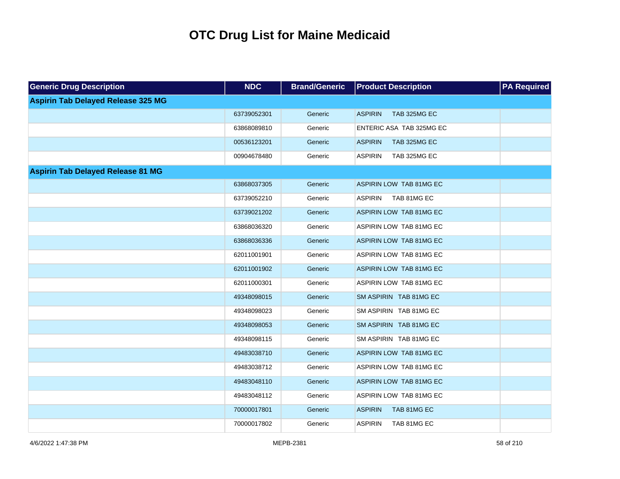| <b>Generic Drug Description</b>           | <b>NDC</b>  | <b>Brand/Generic</b> | <b>Product Description</b>     | <b>PA Required</b> |
|-------------------------------------------|-------------|----------------------|--------------------------------|--------------------|
| <b>Aspirin Tab Delayed Release 325 MG</b> |             |                      |                                |                    |
|                                           | 63739052301 | Generic              | <b>ASPIRIN</b><br>TAB 325MG EC |                    |
|                                           | 63868089810 | Generic              | ENTERIC ASA TAB 325MG EC       |                    |
|                                           | 00536123201 | Generic              | <b>ASPIRIN</b><br>TAB 325MG EC |                    |
|                                           | 00904678480 | Generic              | TAB 325MG EC<br><b>ASPIRIN</b> |                    |
| <b>Aspirin Tab Delayed Release 81 MG</b>  |             |                      |                                |                    |
|                                           | 63868037305 | Generic              | ASPIRIN LOW TAB 81MG EC        |                    |
|                                           | 63739052210 | Generic              | <b>ASPIRIN</b><br>TAB 81MG EC  |                    |
|                                           | 63739021202 | Generic              | ASPIRIN LOW TAB 81MG EC        |                    |
|                                           | 63868036320 | Generic              | ASPIRIN LOW TAB 81MG EC        |                    |
|                                           | 63868036336 | Generic              | ASPIRIN LOW TAB 81MG EC        |                    |
|                                           | 62011001901 | Generic              | ASPIRIN LOW TAB 81MG EC        |                    |
|                                           | 62011001902 | Generic              | ASPIRIN LOW TAB 81MG EC        |                    |
|                                           | 62011000301 | Generic              | ASPIRIN LOW TAB 81MG EC        |                    |
|                                           | 49348098015 | Generic              | SM ASPIRIN TAB 81MG EC         |                    |
|                                           | 49348098023 | Generic              | SM ASPIRIN TAB 81MG EC         |                    |
|                                           | 49348098053 | Generic              | SM ASPIRIN TAB 81MG EC         |                    |
|                                           | 49348098115 | Generic              | SM ASPIRIN TAB 81MG EC         |                    |
|                                           | 49483038710 | Generic              | ASPIRIN LOW TAB 81MG EC        |                    |
|                                           | 49483038712 | Generic              | ASPIRIN LOW TAB 81MG EC        |                    |
|                                           | 49483048110 | Generic              | ASPIRIN LOW TAB 81MG EC        |                    |
|                                           | 49483048112 | Generic              | ASPIRIN LOW TAB 81MG EC        |                    |
|                                           | 70000017801 | Generic              | <b>ASPIRIN</b><br>TAB 81MG EC  |                    |
|                                           | 70000017802 | Generic              | <b>ASPIRIN</b><br>TAB 81MG EC  |                    |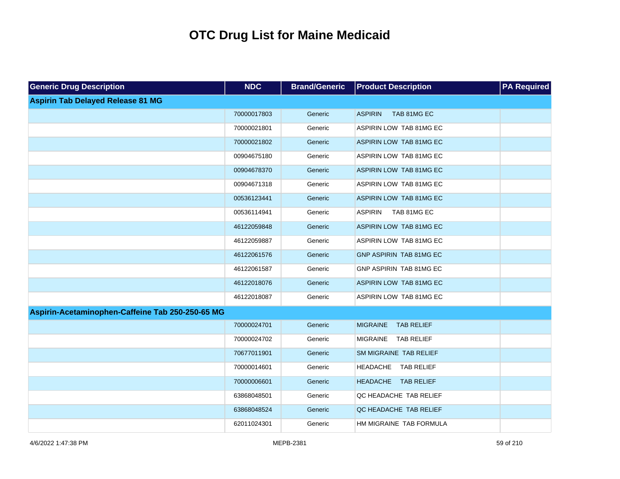| <b>Generic Drug Description</b>                  | <b>NDC</b>  | <b>Brand/Generic</b> | <b>Product Description</b>           | <b>PA</b> Required |
|--------------------------------------------------|-------------|----------------------|--------------------------------------|--------------------|
| <b>Aspirin Tab Delayed Release 81 MG</b>         |             |                      |                                      |                    |
|                                                  | 70000017803 | Generic              | <b>ASPIRIN</b><br>TAB 81MG EC        |                    |
|                                                  | 70000021801 | Generic              | ASPIRIN LOW TAB 81MG EC              |                    |
|                                                  | 70000021802 | Generic              | ASPIRIN LOW TAB 81MG EC              |                    |
|                                                  | 00904675180 | Generic              | ASPIRIN LOW TAB 81MG EC              |                    |
|                                                  | 00904678370 | Generic              | ASPIRIN LOW TAB 81MG EC              |                    |
|                                                  | 00904671318 | Generic              | ASPIRIN LOW TAB 81MG EC              |                    |
|                                                  | 00536123441 | Generic              | ASPIRIN LOW TAB 81MG EC              |                    |
|                                                  | 00536114941 | Generic              | <b>ASPIRIN</b><br>TAB 81MG EC        |                    |
|                                                  | 46122059848 | Generic              | ASPIRIN LOW TAB 81MG EC              |                    |
|                                                  | 46122059887 | Generic              | ASPIRIN LOW TAB 81MG EC              |                    |
|                                                  | 46122061576 | Generic              | GNP ASPIRIN TAB 81MG EC              |                    |
|                                                  | 46122061587 | Generic              | GNP ASPIRIN TAB 81MG EC              |                    |
|                                                  | 46122018076 | Generic              | ASPIRIN LOW TAB 81MG EC              |                    |
|                                                  | 46122018087 | Generic              | ASPIRIN LOW TAB 81MG EC              |                    |
| Aspirin-Acetaminophen-Caffeine Tab 250-250-65 MG |             |                      |                                      |                    |
|                                                  | 70000024701 | Generic              | <b>MIGRAINE</b><br><b>TAB RELIEF</b> |                    |
|                                                  | 70000024702 | Generic              | <b>MIGRAINE</b><br><b>TAB RELIEF</b> |                    |
|                                                  | 70677011901 | Generic              | SM MIGRAINE TAB RELIEF               |                    |
|                                                  | 70000014601 | Generic              | HEADACHE TAB RELIEF                  |                    |
|                                                  | 70000006601 | Generic              | HEADACHE TAB RELIEF                  |                    |
|                                                  | 63868048501 | Generic              | QC HEADACHE TAB RELIEF               |                    |
|                                                  | 63868048524 | Generic              | QC HEADACHE TAB RELIEF               |                    |
|                                                  | 62011024301 | Generic              | HM MIGRAINE TAB FORMULA              |                    |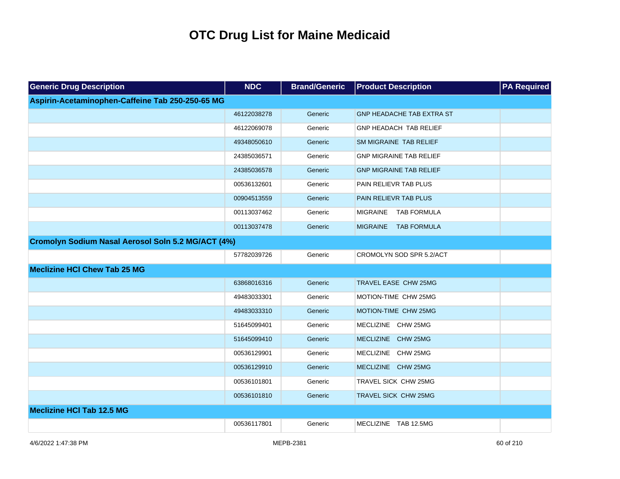| <b>Generic Drug Description</b>                    | <b>NDC</b>  | <b>Brand/Generic</b> | <b>Product Description</b>       | <b>PA Required</b> |
|----------------------------------------------------|-------------|----------------------|----------------------------------|--------------------|
| Aspirin-Acetaminophen-Caffeine Tab 250-250-65 MG   |             |                      |                                  |                    |
|                                                    | 46122038278 | Generic              | <b>GNP HEADACHE TAB EXTRA ST</b> |                    |
|                                                    | 46122069078 | Generic              | GNP HEADACH TAB RELIEF           |                    |
|                                                    | 49348050610 | Generic              | SM MIGRAINE TAB RELIEF           |                    |
|                                                    | 24385036571 | Generic              | <b>GNP MIGRAINE TAB RELIEF</b>   |                    |
|                                                    | 24385036578 | Generic              | <b>GNP MIGRAINE TAB RELIEF</b>   |                    |
|                                                    | 00536132601 | Generic              | PAIN RELIEVR TAB PLUS            |                    |
|                                                    | 00904513559 | Generic              | PAIN RELIEVR TAB PLUS            |                    |
|                                                    | 00113037462 | Generic              | <b>MIGRAINE</b><br>TAB FORMULA   |                    |
|                                                    | 00113037478 | Generic              | MIGRAINE TAB FORMULA             |                    |
| Cromolyn Sodium Nasal Aerosol Soln 5.2 MG/ACT (4%) |             |                      |                                  |                    |
|                                                    | 57782039726 | Generic              | CROMOLYN SOD SPR 5.2/ACT         |                    |
| <b>Meclizine HCI Chew Tab 25 MG</b>                |             |                      |                                  |                    |
|                                                    | 63868016316 | Generic              | TRAVEL EASE CHW 25MG             |                    |
|                                                    | 49483033301 | Generic              | MOTION-TIME CHW 25MG             |                    |
|                                                    | 49483033310 | Generic              | MOTION-TIME CHW 25MG             |                    |
|                                                    | 51645099401 | Generic              | MECLIZINE CHW 25MG               |                    |
|                                                    | 51645099410 | Generic              | MECLIZINE CHW 25MG               |                    |
|                                                    | 00536129901 | Generic              | MECLIZINE CHW 25MG               |                    |
|                                                    | 00536129910 | Generic              | MECLIZINE CHW 25MG               |                    |
|                                                    | 00536101801 | Generic              | TRAVEL SICK CHW 25MG             |                    |
|                                                    | 00536101810 | Generic              | TRAVEL SICK CHW 25MG             |                    |
| <b>Meclizine HCI Tab 12.5 MG</b>                   |             |                      |                                  |                    |
|                                                    | 00536117801 | Generic              | MECLIZINE TAB 12.5MG             |                    |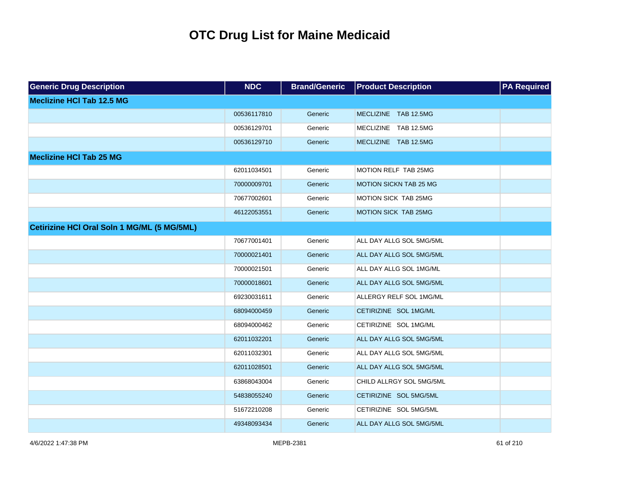| <b>Generic Drug Description</b>             | <b>NDC</b>  | <b>Brand/Generic</b> | <b>Product Description</b>    | <b>PA Required</b> |
|---------------------------------------------|-------------|----------------------|-------------------------------|--------------------|
| <b>Meclizine HCI Tab 12.5 MG</b>            |             |                      |                               |                    |
|                                             | 00536117810 | Generic              | MECLIZINE TAB 12.5MG          |                    |
|                                             | 00536129701 | Generic              | MECLIZINE TAB 12.5MG          |                    |
|                                             | 00536129710 | Generic              | MECLIZINE TAB 12.5MG          |                    |
| <b>Meclizine HCI Tab 25 MG</b>              |             |                      |                               |                    |
|                                             | 62011034501 | Generic              | MOTION RELF TAB 25MG          |                    |
|                                             | 70000009701 | Generic              | <b>MOTION SICKN TAB 25 MG</b> |                    |
|                                             | 70677002601 | Generic              | MOTION SICK TAB 25MG          |                    |
|                                             | 46122053551 | Generic              | MOTION SICK TAB 25MG          |                    |
| Cetirizine HCI Oral Soln 1 MG/ML (5 MG/5ML) |             |                      |                               |                    |
|                                             | 70677001401 | Generic              | ALL DAY ALLG SOL 5MG/5ML      |                    |
|                                             | 70000021401 | Generic              | ALL DAY ALLG SOL 5MG/5ML      |                    |
|                                             | 70000021501 | Generic              | ALL DAY ALLG SOL 1MG/ML       |                    |
|                                             | 70000018601 | Generic              | ALL DAY ALLG SOL 5MG/5ML      |                    |
|                                             | 69230031611 | Generic              | ALLERGY RELF SOL 1MG/ML       |                    |
|                                             | 68094000459 | Generic              | CETIRIZINE SOL 1MG/ML         |                    |
|                                             | 68094000462 | Generic              | CETIRIZINE SOL 1MG/ML         |                    |
|                                             | 62011032201 | Generic              | ALL DAY ALLG SOL 5MG/5ML      |                    |
|                                             | 62011032301 | Generic              | ALL DAY ALLG SOL 5MG/5ML      |                    |
|                                             | 62011028501 | Generic              | ALL DAY ALLG SOL 5MG/5ML      |                    |
|                                             | 63868043004 | Generic              | CHILD ALLRGY SOL 5MG/5ML      |                    |
|                                             | 54838055240 | Generic              | CETIRIZINE SOL 5MG/5ML        |                    |
|                                             | 51672210208 | Generic              | CETIRIZINE SOL 5MG/5ML        |                    |
|                                             | 49348093434 | Generic              | ALL DAY ALLG SOL 5MG/5ML      |                    |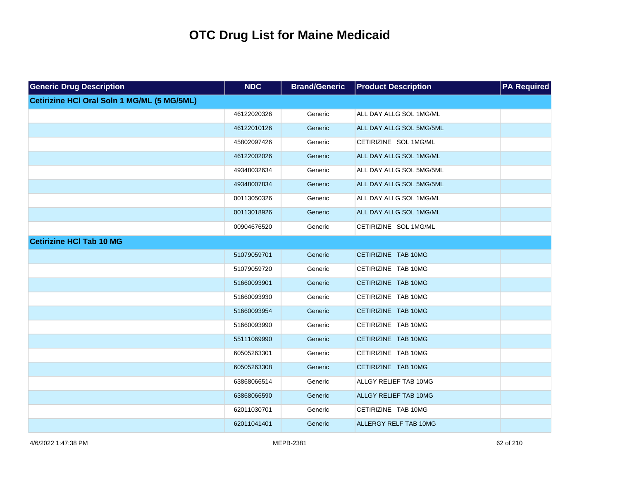| <b>Generic Drug Description</b>             | <b>NDC</b>  | <b>Brand/Generic</b> | <b>Product Description</b> | <b>PA Required</b> |
|---------------------------------------------|-------------|----------------------|----------------------------|--------------------|
| Cetirizine HCI Oral Soln 1 MG/ML (5 MG/5ML) |             |                      |                            |                    |
|                                             | 46122020326 | Generic              | ALL DAY ALLG SOL 1MG/ML    |                    |
|                                             | 46122010126 | Generic              | ALL DAY ALLG SOL 5MG/5ML   |                    |
|                                             | 45802097426 | Generic              | CETIRIZINE SOL 1MG/ML      |                    |
|                                             | 46122002026 | Generic              | ALL DAY ALLG SOL 1MG/ML    |                    |
|                                             | 49348032634 | Generic              | ALL DAY ALLG SOL 5MG/5ML   |                    |
|                                             | 49348007834 | Generic              | ALL DAY ALLG SOL 5MG/5ML   |                    |
|                                             | 00113050326 | Generic              | ALL DAY ALLG SOL 1MG/ML    |                    |
|                                             | 00113018926 | Generic              | ALL DAY ALLG SOL 1MG/ML    |                    |
|                                             | 00904676520 | Generic              | CETIRIZINE SOL 1MG/ML      |                    |
| <b>Cetirizine HCI Tab 10 MG</b>             |             |                      |                            |                    |
|                                             | 51079059701 | Generic              | CETIRIZINE TAB 10MG        |                    |
|                                             | 51079059720 | Generic              | CETIRIZINE TAB 10MG        |                    |
|                                             | 51660093901 | Generic              | CETIRIZINE TAB 10MG        |                    |
|                                             | 51660093930 | Generic              | CETIRIZINE TAB 10MG        |                    |
|                                             | 51660093954 | Generic              | CETIRIZINE TAB 10MG        |                    |
|                                             | 51660093990 | Generic              | CETIRIZINE TAB 10MG        |                    |
|                                             | 55111069990 | Generic              | CETIRIZINE TAB 10MG        |                    |
|                                             | 60505263301 | Generic              | CETIRIZINE TAB 10MG        |                    |
|                                             | 60505263308 | Generic              | CETIRIZINE TAB 10MG        |                    |
|                                             | 63868066514 | Generic              | ALLGY RELIEF TAB 10MG      |                    |
|                                             | 63868066590 | Generic              | ALLGY RELIEF TAB 10MG      |                    |
|                                             | 62011030701 | Generic              | CETIRIZINE TAB 10MG        |                    |
|                                             | 62011041401 | Generic              | ALLERGY RELF TAB 10MG      |                    |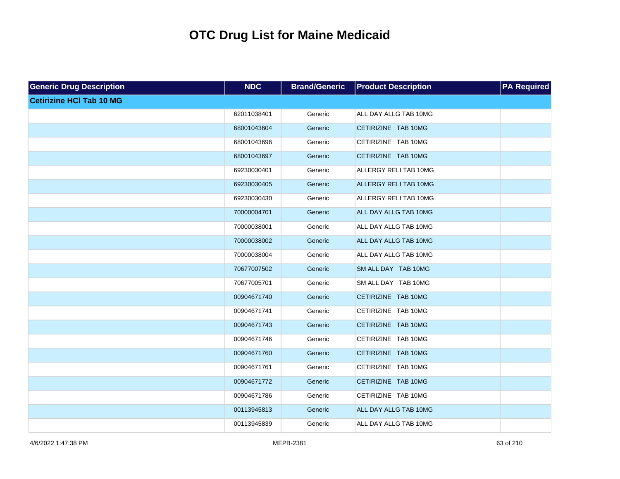| <b>Generic Drug Description</b> | <b>NDC</b>  | <b>Brand/Generic</b> | <b>Product Description</b> | <b>PA Required</b> |
|---------------------------------|-------------|----------------------|----------------------------|--------------------|
| <b>Cetirizine HCI Tab 10 MG</b> |             |                      |                            |                    |
|                                 | 62011038401 | Generic              | ALL DAY ALLG TAB 10MG      |                    |
|                                 | 68001043604 | Generic              | CETIRIZINE TAB 10MG        |                    |
|                                 | 68001043696 | Generic              | CETIRIZINE TAB 10MG        |                    |
|                                 | 68001043697 | Generic              | CETIRIZINE TAB 10MG        |                    |
|                                 | 69230030401 | Generic              | ALLERGY RELI TAB 10MG      |                    |
|                                 | 69230030405 | Generic              | ALLERGY RELI TAB 10MG      |                    |
|                                 | 69230030430 | Generic              | ALLERGY RELI TAB 10MG      |                    |
|                                 | 70000004701 | Generic              | ALL DAY ALLG TAB 10MG      |                    |
|                                 | 70000038001 | Generic              | ALL DAY ALLG TAB 10MG      |                    |
|                                 | 70000038002 | Generic              | ALL DAY ALLG TAB 10MG      |                    |
|                                 | 70000038004 | Generic              | ALL DAY ALLG TAB 10MG      |                    |
|                                 | 70677007502 | Generic              | SM ALL DAY TAB 10MG        |                    |
|                                 | 70677005701 | Generic              | SM ALL DAY TAB 10MG        |                    |
|                                 | 00904671740 | Generic              | CETIRIZINE TAB 10MG        |                    |
|                                 | 00904671741 | Generic              | CETIRIZINE TAB 10MG        |                    |
|                                 | 00904671743 | Generic              | CETIRIZINE TAB 10MG        |                    |
|                                 | 00904671746 | Generic              | CETIRIZINE TAB 10MG        |                    |
|                                 | 00904671760 | Generic              | CETIRIZINE TAB 10MG        |                    |
|                                 | 00904671761 | Generic              | CETIRIZINE TAB 10MG        |                    |
|                                 | 00904671772 | Generic              | CETIRIZINE TAB 10MG        |                    |
|                                 | 00904671786 | Generic              | CETIRIZINE TAB 10MG        |                    |
|                                 | 00113945813 | Generic              | ALL DAY ALLG TAB 10MG      |                    |
|                                 | 00113945839 | Generic              | ALL DAY ALLG TAB 10MG      |                    |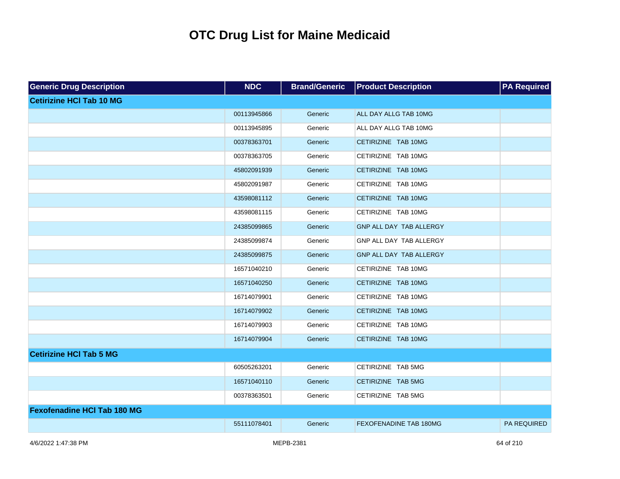| <b>Generic Drug Description</b>    | <b>NDC</b>  | <b>Brand/Generic</b> | <b>Product Description</b>    | <b>PA Required</b> |
|------------------------------------|-------------|----------------------|-------------------------------|--------------------|
| <b>Cetirizine HCI Tab 10 MG</b>    |             |                      |                               |                    |
|                                    | 00113945866 | Generic              | ALL DAY ALLG TAB 10MG         |                    |
|                                    | 00113945895 | Generic              | ALL DAY ALLG TAB 10MG         |                    |
|                                    | 00378363701 | Generic              | CETIRIZINE TAB 10MG           |                    |
|                                    | 00378363705 | Generic              | CETIRIZINE TAB 10MG           |                    |
|                                    | 45802091939 | Generic              | CETIRIZINE TAB 10MG           |                    |
|                                    | 45802091987 | Generic              | CETIRIZINE TAB 10MG           |                    |
|                                    | 43598081112 | Generic              | CETIRIZINE TAB 10MG           |                    |
|                                    | 43598081115 | Generic              | CETIRIZINE TAB 10MG           |                    |
|                                    | 24385099865 | Generic              | GNP ALL DAY TAB ALLERGY       |                    |
|                                    | 24385099874 | Generic              | GNP ALL DAY TAB ALLERGY       |                    |
|                                    | 24385099875 | Generic              | GNP ALL DAY TAB ALLERGY       |                    |
|                                    | 16571040210 | Generic              | CETIRIZINE TAB 10MG           |                    |
|                                    | 16571040250 | Generic              | CETIRIZINE TAB 10MG           |                    |
|                                    | 16714079901 | Generic              | CETIRIZINE TAB 10MG           |                    |
|                                    | 16714079902 | Generic              | CETIRIZINE TAB 10MG           |                    |
|                                    | 16714079903 | Generic              | CETIRIZINE TAB 10MG           |                    |
|                                    | 16714079904 | Generic              | CETIRIZINE TAB 10MG           |                    |
| <b>Cetirizine HCI Tab 5 MG</b>     |             |                      |                               |                    |
|                                    | 60505263201 | Generic              | CETIRIZINE TAB 5MG            |                    |
|                                    | 16571040110 | Generic              | CETIRIZINE TAB 5MG            |                    |
|                                    | 00378363501 | Generic              | CETIRIZINE TAB 5MG            |                    |
| <b>Fexofenadine HCI Tab 180 MG</b> |             |                      |                               |                    |
|                                    | 55111078401 | Generic              | <b>FEXOFENADINE TAB 180MG</b> | <b>PA REQUIRED</b> |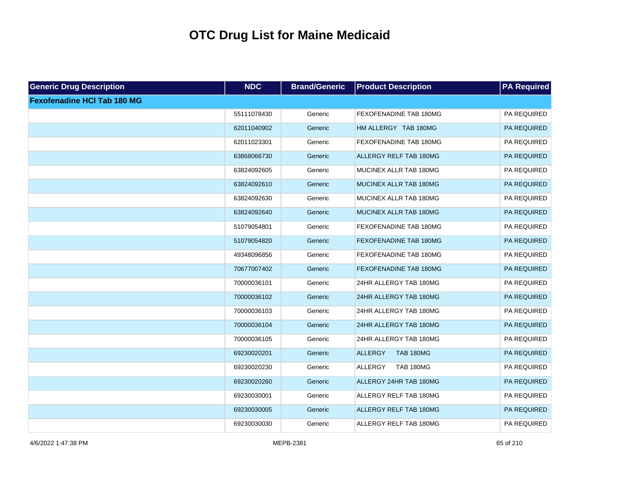| <b>Generic Drug Description</b>    | <b>NDC</b>  | <b>Brand/Generic</b> | <b>Product Description</b>         | <b>PA Required</b> |
|------------------------------------|-------------|----------------------|------------------------------------|--------------------|
| <b>Fexofenadine HCI Tab 180 MG</b> |             |                      |                                    |                    |
|                                    | 55111078430 | Generic              | FEXOFENADINE TAB 180MG             | PA REQUIRED        |
|                                    | 62011040902 | Generic              | HM ALLERGY TAB 180MG               | PA REQUIRED        |
|                                    | 62011023301 | Generic              | FEXOFENADINE TAB 180MG             | PA REQUIRED        |
|                                    | 63868066730 | Generic              | <b>ALLERGY RELF TAB 180MG</b>      | PA REQUIRED        |
|                                    | 63824092605 | Generic              | MUCINEX ALLR TAB 180MG             | PA REQUIRED        |
|                                    | 63824092610 | Generic              | MUCINEX ALLR TAB 180MG             | PA REQUIRED        |
|                                    | 63824092630 | Generic              | MUCINEX ALLR TAB 180MG             | PA REQUIRED        |
|                                    | 63824092640 | Generic              | MUCINEX ALLR TAB 180MG             | PA REQUIRED        |
|                                    | 51079054801 | Generic              | FEXOFENADINE TAB 180MG             | PA REQUIRED        |
|                                    | 51079054820 | Generic              | FEXOFENADINE TAB 180MG             | PA REQUIRED        |
|                                    | 49348096856 | Generic              | FEXOFENADINE TAB 180MG             | PA REQUIRED        |
|                                    | 70677007402 | Generic              | <b>FEXOFENADINE TAB 180MG</b>      | PA REQUIRED        |
|                                    | 70000036101 | Generic              | 24HR ALLERGY TAB 180MG             | PA REQUIRED        |
|                                    | 70000036102 | Generic              | 24HR ALLERGY TAB 180MG             | PA REQUIRED        |
|                                    | 70000036103 | Generic              | 24HR ALLERGY TAB 180MG             | PA REQUIRED        |
|                                    | 70000036104 | Generic              | 24HR ALLERGY TAB 180MG             | PA REQUIRED        |
|                                    | 70000036105 | Generic              | 24HR ALLERGY TAB 180MG             | PA REQUIRED        |
|                                    | 69230020201 | Generic              | <b>ALLERGY</b><br><b>TAB 180MG</b> | PA REQUIRED        |
|                                    | 69230020230 | Generic              | <b>ALLERGY</b><br><b>TAB 180MG</b> | PA REQUIRED        |
|                                    | 69230020260 | Generic              | ALLERGY 24HR TAB 180MG             | PA REQUIRED        |
|                                    | 69230030001 | Generic              | ALLERGY RELF TAB 180MG             | PA REQUIRED        |
|                                    | 69230030005 | Generic              | ALLERGY RELF TAB 180MG             | PA REQUIRED        |
|                                    | 69230030030 | Generic              | ALLERGY RELF TAB 180MG             | PA REQUIRED        |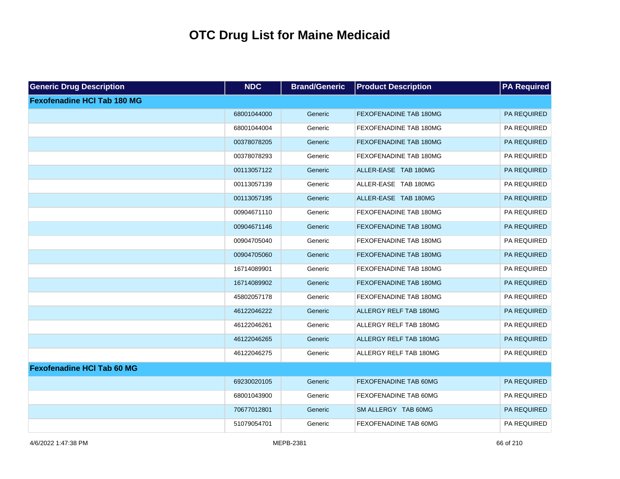| <b>Generic Drug Description</b>    | <b>NDC</b>  | <b>Brand/Generic</b> | <b>Product Description</b>    | <b>PA Required</b> |
|------------------------------------|-------------|----------------------|-------------------------------|--------------------|
| <b>Fexofenadine HCI Tab 180 MG</b> |             |                      |                               |                    |
|                                    | 68001044000 | Generic              | FEXOFENADINE TAB 180MG        | PA REQUIRED        |
|                                    | 68001044004 | Generic              | FEXOFENADINE TAB 180MG        | PA REQUIRED        |
|                                    | 00378078205 | Generic              | FEXOFENADINE TAB 180MG        | PA REQUIRED        |
|                                    | 00378078293 | Generic              | FEXOFENADINE TAB 180MG        | PA REQUIRED        |
|                                    | 00113057122 | Generic              | ALLER-EASE TAB 180MG          | PA REQUIRED        |
|                                    | 00113057139 | Generic              | ALLER-EASE TAB 180MG          | PA REQUIRED        |
|                                    | 00113057195 | Generic              | ALLER-EASE TAB 180MG          | PA REQUIRED        |
|                                    | 00904671110 | Generic              | FEXOFENADINE TAB 180MG        | PA REQUIRED        |
|                                    | 00904671146 | Generic              | <b>FEXOFENADINE TAB 180MG</b> | PA REQUIRED        |
|                                    | 00904705040 | Generic              | FEXOFENADINE TAB 180MG        | PA REQUIRED        |
|                                    | 00904705060 | Generic              | FEXOFENADINE TAB 180MG        | PA REQUIRED        |
|                                    | 16714089901 | Generic              | FEXOFENADINE TAB 180MG        | PA REQUIRED        |
|                                    | 16714089902 | Generic              | <b>FEXOFENADINE TAB 180MG</b> | PA REQUIRED        |
|                                    | 45802057178 | Generic              | FEXOFENADINE TAB 180MG        | PA REQUIRED        |
|                                    | 46122046222 | Generic              | <b>ALLERGY RELF TAB 180MG</b> | PA REQUIRED        |
|                                    | 46122046261 | Generic              | ALLERGY RELF TAB 180MG        | PA REQUIRED        |
|                                    | 46122046265 | Generic              | <b>ALLERGY RELF TAB 180MG</b> | PA REQUIRED        |
|                                    | 46122046275 | Generic              | ALLERGY RELF TAB 180MG        | PA REQUIRED        |
| <b>Fexofenadine HCI Tab 60 MG</b>  |             |                      |                               |                    |
|                                    | 69230020105 | Generic              | <b>FEXOFENADINE TAB 60MG</b>  | PA REQUIRED        |
|                                    | 68001043900 | Generic              | FEXOFENADINE TAB 60MG         | PA REQUIRED        |
|                                    | 70677012801 | Generic              | SM ALLERGY TAB 60MG           | PA REQUIRED        |
|                                    | 51079054701 | Generic              | FEXOFENADINE TAB 60MG         | PA REQUIRED        |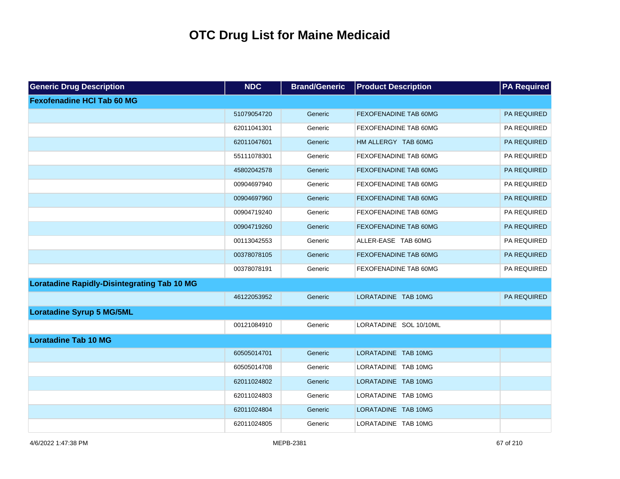| <b>Generic Drug Description</b>                    | <b>NDC</b>  | <b>Brand/Generic</b> | <b>Product Description</b>   | <b>PA Required</b> |
|----------------------------------------------------|-------------|----------------------|------------------------------|--------------------|
| <b>Fexofenadine HCI Tab 60 MG</b>                  |             |                      |                              |                    |
|                                                    | 51079054720 | Generic              | FEXOFENADINE TAB 60MG        | PA REQUIRED        |
|                                                    | 62011041301 | Generic              | FEXOFENADINE TAB 60MG        | PA REQUIRED        |
|                                                    | 62011047601 | Generic              | HM ALLERGY TAB 60MG          | PA REQUIRED        |
|                                                    | 55111078301 | Generic              | FEXOFENADINE TAB 60MG        | PA REQUIRED        |
|                                                    | 45802042578 | Generic              | <b>FEXOFENADINE TAB 60MG</b> | PA REQUIRED        |
|                                                    | 00904697940 | Generic              | FEXOFENADINE TAB 60MG        | PA REQUIRED        |
|                                                    | 00904697960 | Generic              | <b>FEXOFENADINE TAB 60MG</b> | PA REQUIRED        |
|                                                    | 00904719240 | Generic              | FEXOFENADINE TAB 60MG        | PA REQUIRED        |
|                                                    | 00904719260 | Generic              | <b>FEXOFENADINE TAB 60MG</b> | PA REQUIRED        |
|                                                    | 00113042553 | Generic              | ALLER-EASE TAB 60MG          | PA REQUIRED        |
|                                                    | 00378078105 | Generic              | FEXOFENADINE TAB 60MG        | PA REQUIRED        |
|                                                    | 00378078191 | Generic              | FEXOFENADINE TAB 60MG        | PA REQUIRED        |
| <b>Loratadine Rapidly-Disintegrating Tab 10 MG</b> |             |                      |                              |                    |
|                                                    | 46122053952 | Generic              | LORATADINE TAB 10MG          | <b>PA REQUIRED</b> |
| <b>Loratadine Syrup 5 MG/5ML</b>                   |             |                      |                              |                    |
|                                                    | 00121084910 | Generic              | LORATADINE SOL 10/10ML       |                    |
| <b>Loratadine Tab 10 MG</b>                        |             |                      |                              |                    |
|                                                    | 60505014701 | Generic              | LORATADINE TAB 10MG          |                    |
|                                                    | 60505014708 | Generic              | LORATADINE TAB 10MG          |                    |
|                                                    | 62011024802 | Generic              | LORATADINE TAB 10MG          |                    |
|                                                    | 62011024803 | Generic              | LORATADINE TAB 10MG          |                    |
|                                                    | 62011024804 | Generic              | LORATADINE TAB 10MG          |                    |
|                                                    | 62011024805 | Generic              | LORATADINE TAB 10MG          |                    |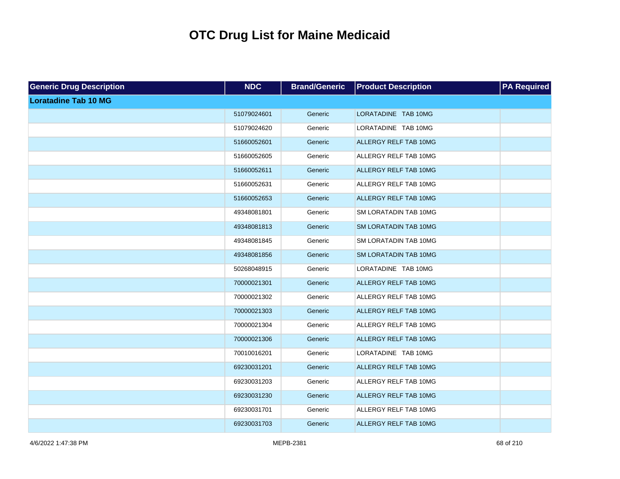| <b>Generic Drug Description</b> | <b>NDC</b>  | <b>Brand/Generic</b> | <b>Product Description</b>   | <b>PA Required</b> |
|---------------------------------|-------------|----------------------|------------------------------|--------------------|
| <b>Loratadine Tab 10 MG</b>     |             |                      |                              |                    |
|                                 | 51079024601 | Generic              | LORATADINE TAB 10MG          |                    |
|                                 | 51079024620 | Generic              | LORATADINE TAB 10MG          |                    |
|                                 | 51660052601 | Generic              | ALLERGY RELF TAB 10MG        |                    |
|                                 | 51660052605 | Generic              | ALLERGY RELF TAB 10MG        |                    |
|                                 | 51660052611 | Generic              | ALLERGY RELF TAB 10MG        |                    |
|                                 | 51660052631 | Generic              | ALLERGY RELF TAB 10MG        |                    |
|                                 | 51660052653 | Generic              | ALLERGY RELF TAB 10MG        |                    |
|                                 | 49348081801 | Generic              | SM LORATADIN TAB 10MG        |                    |
|                                 | 49348081813 | Generic              | SM LORATADIN TAB 10MG        |                    |
|                                 | 49348081845 | Generic              | SM LORATADIN TAB 10MG        |                    |
|                                 | 49348081856 | Generic              | <b>SM LORATADIN TAB 10MG</b> |                    |
|                                 | 50268048915 | Generic              | LORATADINE TAB 10MG          |                    |
|                                 | 70000021301 | Generic              | ALLERGY RELF TAB 10MG        |                    |
|                                 | 70000021302 | Generic              | ALLERGY RELF TAB 10MG        |                    |
|                                 | 70000021303 | Generic              | ALLERGY RELF TAB 10MG        |                    |
|                                 | 70000021304 | Generic              | ALLERGY RELF TAB 10MG        |                    |
|                                 | 70000021306 | Generic              | ALLERGY RELF TAB 10MG        |                    |
|                                 | 70010016201 | Generic              | LORATADINE TAB 10MG          |                    |
|                                 | 69230031201 | Generic              | ALLERGY RELF TAB 10MG        |                    |
|                                 | 69230031203 | Generic              | ALLERGY RELF TAB 10MG        |                    |
|                                 | 69230031230 | Generic              | ALLERGY RELF TAB 10MG        |                    |
|                                 | 69230031701 | Generic              | ALLERGY RELF TAB 10MG        |                    |
|                                 | 69230031703 | Generic              | ALLERGY RELF TAB 10MG        |                    |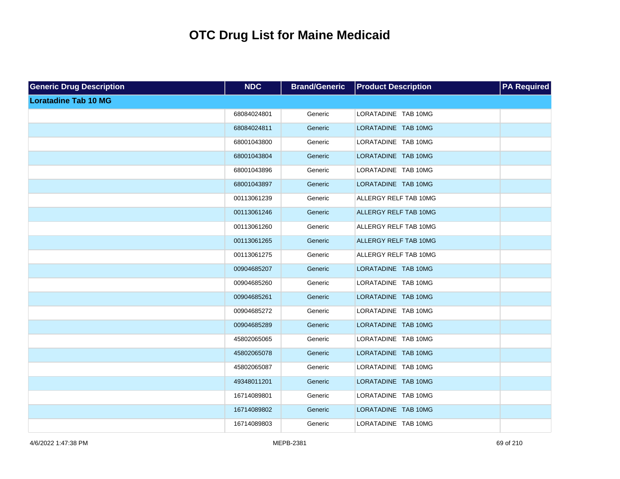| <b>Generic Drug Description</b> | <b>NDC</b>  | <b>Brand/Generic</b> | <b>Product Description</b> | <b>PA Required</b> |
|---------------------------------|-------------|----------------------|----------------------------|--------------------|
| <b>Loratadine Tab 10 MG</b>     |             |                      |                            |                    |
|                                 | 68084024801 | Generic              | LORATADINE TAB 10MG        |                    |
|                                 | 68084024811 | Generic              | LORATADINE TAB 10MG        |                    |
|                                 | 68001043800 | Generic              | LORATADINE TAB 10MG        |                    |
|                                 | 68001043804 | Generic              | LORATADINE TAB 10MG        |                    |
|                                 | 68001043896 | Generic              | LORATADINE TAB 10MG        |                    |
|                                 | 68001043897 | Generic              | LORATADINE TAB 10MG        |                    |
|                                 | 00113061239 | Generic              | ALLERGY RELF TAB 10MG      |                    |
|                                 | 00113061246 | Generic              | ALLERGY RELF TAB 10MG      |                    |
|                                 | 00113061260 | Generic              | ALLERGY RELF TAB 10MG      |                    |
|                                 | 00113061265 | Generic              | ALLERGY RELF TAB 10MG      |                    |
|                                 | 00113061275 | Generic              | ALLERGY RELF TAB 10MG      |                    |
|                                 | 00904685207 | Generic              | LORATADINE TAB 10MG        |                    |
|                                 | 00904685260 | Generic              | LORATADINE TAB 10MG        |                    |
|                                 | 00904685261 | Generic              | LORATADINE TAB 10MG        |                    |
|                                 | 00904685272 | Generic              | LORATADINE TAB 10MG        |                    |
|                                 | 00904685289 | Generic              | LORATADINE TAB 10MG        |                    |
|                                 | 45802065065 | Generic              | LORATADINE TAB 10MG        |                    |
|                                 | 45802065078 | Generic              | LORATADINE TAB 10MG        |                    |
|                                 | 45802065087 | Generic              | LORATADINE TAB 10MG        |                    |
|                                 | 49348011201 | Generic              | LORATADINE TAB 10MG        |                    |
|                                 | 16714089801 | Generic              | LORATADINE TAB 10MG        |                    |
|                                 | 16714089802 | Generic              | LORATADINE TAB 10MG        |                    |
|                                 | 16714089803 | Generic              | LORATADINE TAB 10MG        |                    |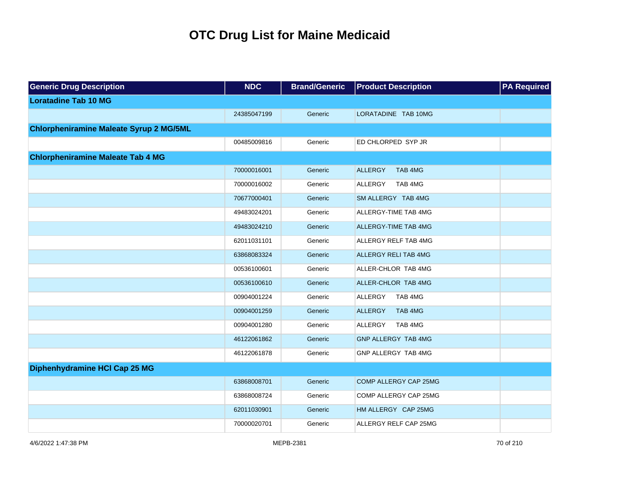| <b>Generic Drug Description</b>                | <b>NDC</b>  | <b>Brand/Generic</b> | <b>Product Description</b> | <b>PA Required</b> |
|------------------------------------------------|-------------|----------------------|----------------------------|--------------------|
| <b>Loratadine Tab 10 MG</b>                    |             |                      |                            |                    |
|                                                | 24385047199 | Generic              | LORATADINE TAB 10MG        |                    |
| <b>Chlorpheniramine Maleate Syrup 2 MG/5ML</b> |             |                      |                            |                    |
|                                                | 00485009816 | Generic              | ED CHLORPED SYP JR         |                    |
| <b>Chlorpheniramine Maleate Tab 4 MG</b>       |             |                      |                            |                    |
|                                                | 70000016001 | Generic              | <b>ALLERGY</b><br>TAB 4MG  |                    |
|                                                | 70000016002 | Generic              | ALLERGY<br>TAB 4MG         |                    |
|                                                | 70677000401 | Generic              | SM ALLERGY TAB 4MG         |                    |
|                                                | 49483024201 | Generic              | ALLERGY-TIME TAB 4MG       |                    |
|                                                | 49483024210 | Generic              | ALLERGY-TIME TAB 4MG       |                    |
|                                                | 62011031101 | Generic              | ALLERGY RELF TAB 4MG       |                    |
|                                                | 63868083324 | Generic              | ALLERGY RELI TAB 4MG       |                    |
|                                                | 00536100601 | Generic              | ALLER-CHLOR TAB 4MG        |                    |
|                                                | 00536100610 | Generic              | ALLER-CHLOR TAB 4MG        |                    |
|                                                | 00904001224 | Generic              | <b>ALLERGY</b><br>TAB 4MG  |                    |
|                                                | 00904001259 | Generic              | <b>ALLERGY</b><br>TAB 4MG  |                    |
|                                                | 00904001280 | Generic              | <b>ALLERGY</b><br>TAB 4MG  |                    |
|                                                | 46122061862 | Generic              | <b>GNP ALLERGY TAB 4MG</b> |                    |
|                                                | 46122061878 | Generic              | GNP ALLERGY TAB 4MG        |                    |
| Diphenhydramine HCI Cap 25 MG                  |             |                      |                            |                    |
|                                                | 63868008701 | Generic              | COMP ALLERGY CAP 25MG      |                    |
|                                                | 63868008724 | Generic              | COMP ALLERGY CAP 25MG      |                    |
|                                                | 62011030901 | Generic              | HM ALLERGY CAP 25MG        |                    |
|                                                | 70000020701 | Generic              | ALLERGY RELF CAP 25MG      |                    |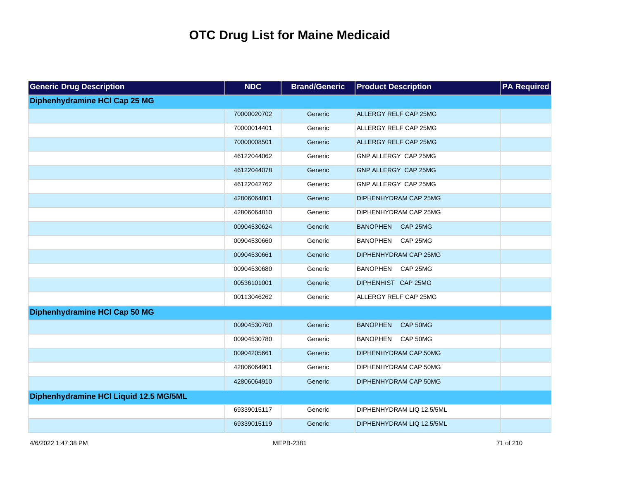| <b>Generic Drug Description</b>        | <b>NDC</b>  | <b>Brand/Generic</b> | <b>Product Description</b>  | <b>PA Required</b> |
|----------------------------------------|-------------|----------------------|-----------------------------|--------------------|
| Diphenhydramine HCI Cap 25 MG          |             |                      |                             |                    |
|                                        | 70000020702 | Generic              | ALLERGY RELF CAP 25MG       |                    |
|                                        | 70000014401 | Generic              | ALLERGY RELF CAP 25MG       |                    |
|                                        | 70000008501 | Generic              | ALLERGY RELF CAP 25MG       |                    |
|                                        | 46122044062 | Generic              | GNP ALLERGY CAP 25MG        |                    |
|                                        | 46122044078 | Generic              | GNP ALLERGY CAP 25MG        |                    |
|                                        | 46122042762 | Generic              | GNP ALLERGY CAP 25MG        |                    |
|                                        | 42806064801 | Generic              | DIPHENHYDRAM CAP 25MG       |                    |
|                                        | 42806064810 | Generic              | DIPHENHYDRAM CAP 25MG       |                    |
|                                        | 00904530624 | Generic              | BANOPHEN CAP 25MG           |                    |
|                                        | 00904530660 | Generic              | <b>BANOPHEN</b><br>CAP 25MG |                    |
|                                        | 00904530661 | Generic              | DIPHENHYDRAM CAP 25MG       |                    |
|                                        | 00904530680 | Generic              | BANOPHEN CAP 25MG           |                    |
|                                        | 00536101001 | Generic              | DIPHENHIST CAP 25MG         |                    |
|                                        | 00113046262 | Generic              | ALLERGY RELF CAP 25MG       |                    |
| Diphenhydramine HCI Cap 50 MG          |             |                      |                             |                    |
|                                        | 00904530760 | Generic              | <b>BANOPHEN</b><br>CAP 50MG |                    |
|                                        | 00904530780 | Generic              | <b>BANOPHEN</b><br>CAP 50MG |                    |
|                                        | 00904205661 | Generic              | DIPHENHYDRAM CAP 50MG       |                    |
|                                        | 42806064901 | Generic              | DIPHENHYDRAM CAP 50MG       |                    |
|                                        | 42806064910 | Generic              | DIPHENHYDRAM CAP 50MG       |                    |
| Diphenhydramine HCI Liquid 12.5 MG/5ML |             |                      |                             |                    |
|                                        | 69339015117 | Generic              | DIPHENHYDRAM LIQ 12.5/5ML   |                    |
|                                        | 69339015119 | Generic              | DIPHENHYDRAM LIQ 12.5/5ML   |                    |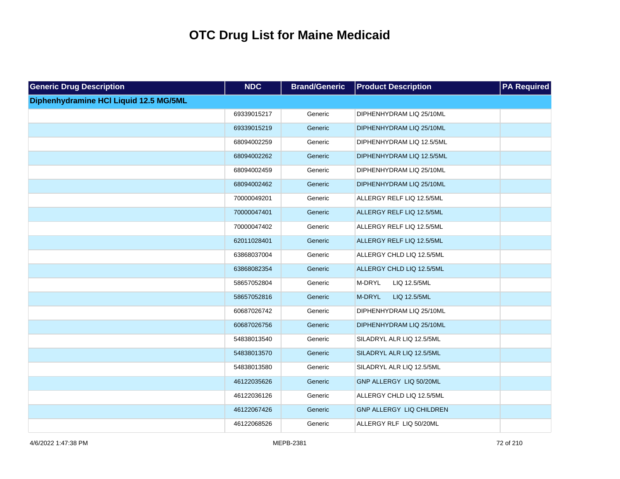| <b>Generic Drug Description</b>        | <b>NDC</b>  | <b>Brand/Generic</b> | <b>Product Description</b>      | <b>PA Required</b> |
|----------------------------------------|-------------|----------------------|---------------------------------|--------------------|
| Diphenhydramine HCI Liquid 12.5 MG/5ML |             |                      |                                 |                    |
|                                        | 69339015217 | Generic              | DIPHENHYDRAM LIQ 25/10ML        |                    |
|                                        | 69339015219 | Generic              | DIPHENHYDRAM LIQ 25/10ML        |                    |
|                                        | 68094002259 | Generic              | DIPHENHYDRAM LIQ 12.5/5ML       |                    |
|                                        | 68094002262 | Generic              | DIPHENHYDRAM LIQ 12.5/5ML       |                    |
|                                        | 68094002459 | Generic              | DIPHENHYDRAM LIQ 25/10ML        |                    |
|                                        | 68094002462 | Generic              | DIPHENHYDRAM LIQ 25/10ML        |                    |
|                                        | 70000049201 | Generic              | ALLERGY RELF LIQ 12.5/5ML       |                    |
|                                        | 70000047401 | Generic              | ALLERGY RELF LIQ 12.5/5ML       |                    |
|                                        | 70000047402 | Generic              | ALLERGY RELF LIQ 12.5/5ML       |                    |
|                                        | 62011028401 | Generic              | ALLERGY RELF LIQ 12.5/5ML       |                    |
|                                        | 63868037004 | Generic              | ALLERGY CHLD LIQ 12.5/5ML       |                    |
|                                        | 63868082354 | Generic              | ALLERGY CHLD LIQ 12.5/5ML       |                    |
|                                        | 58657052804 | Generic              | M-DRYL<br>LIQ 12.5/5ML          |                    |
|                                        | 58657052816 | Generic              | LIQ 12.5/5ML<br>M-DRYL          |                    |
|                                        | 60687026742 | Generic              | DIPHENHYDRAM LIQ 25/10ML        |                    |
|                                        | 60687026756 | Generic              | DIPHENHYDRAM LIQ 25/10ML        |                    |
|                                        | 54838013540 | Generic              | SILADRYL ALR LIQ 12.5/5ML       |                    |
|                                        | 54838013570 | Generic              | SILADRYL ALR LIQ 12.5/5ML       |                    |
|                                        | 54838013580 | Generic              | SILADRYL ALR LIQ 12.5/5ML       |                    |
|                                        | 46122035626 | Generic              | GNP ALLERGY LIQ 50/20ML         |                    |
|                                        | 46122036126 | Generic              | ALLERGY CHLD LIQ 12.5/5ML       |                    |
|                                        | 46122067426 | Generic              | <b>GNP ALLERGY LIQ CHILDREN</b> |                    |
|                                        | 46122068526 | Generic              | ALLERGY RLF LIQ 50/20ML         |                    |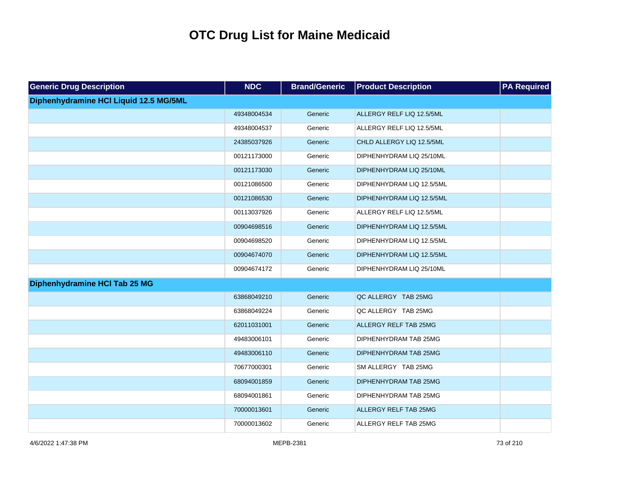| <b>Generic Drug Description</b>        | <b>NDC</b>  | <b>Brand/Generic</b> | <b>Product Description</b>   | <b>PA Required</b> |
|----------------------------------------|-------------|----------------------|------------------------------|--------------------|
| Diphenhydramine HCI Liquid 12.5 MG/5ML |             |                      |                              |                    |
|                                        | 49348004534 | Generic              | ALLERGY RELF LIQ 12.5/5ML    |                    |
|                                        | 49348004537 | Generic              | ALLERGY RELF LIQ 12.5/5ML    |                    |
|                                        | 24385037926 | Generic              | CHLD ALLERGY LIQ 12.5/5ML    |                    |
|                                        | 00121173000 | Generic              | DIPHENHYDRAM LIQ 25/10ML     |                    |
|                                        | 00121173030 | Generic              | DIPHENHYDRAM LIQ 25/10ML     |                    |
|                                        | 00121086500 | Generic              | DIPHENHYDRAM LIQ 12.5/5ML    |                    |
|                                        | 00121086530 | Generic              | DIPHENHYDRAM LIQ 12.5/5ML    |                    |
|                                        | 00113037926 | Generic              | ALLERGY RELF LIQ 12.5/5ML    |                    |
|                                        | 00904698516 | Generic              | DIPHENHYDRAM LIQ 12.5/5ML    |                    |
|                                        | 00904698520 | Generic              | DIPHENHYDRAM LIQ 12.5/5ML    |                    |
|                                        | 00904674070 | Generic              | DIPHENHYDRAM LIQ 12.5/5ML    |                    |
|                                        | 00904674172 | Generic              | DIPHENHYDRAM LIQ 25/10ML     |                    |
| Diphenhydramine HCI Tab 25 MG          |             |                      |                              |                    |
|                                        | 63868049210 | Generic              | QC ALLERGY TAB 25MG          |                    |
|                                        | 63868049224 | Generic              | QC ALLERGY TAB 25MG          |                    |
|                                        | 62011031001 | Generic              | <b>ALLERGY RELF TAB 25MG</b> |                    |
|                                        | 49483006101 | Generic              | DIPHENHYDRAM TAB 25MG        |                    |
|                                        | 49483006110 | Generic              | DIPHENHYDRAM TAB 25MG        |                    |
|                                        | 70677000301 | Generic              | SM ALLERGY TAB 25MG          |                    |
|                                        | 68094001859 | Generic              | DIPHENHYDRAM TAB 25MG        |                    |
|                                        | 68094001861 | Generic              | DIPHENHYDRAM TAB 25MG        |                    |
|                                        | 70000013601 | Generic              | <b>ALLERGY RELF TAB 25MG</b> |                    |
|                                        | 70000013602 | Generic              | ALLERGY RELF TAB 25MG        |                    |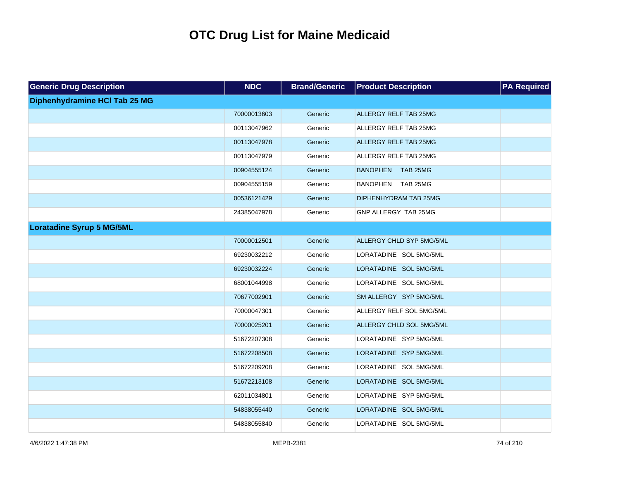| <b>Generic Drug Description</b>      | <b>NDC</b>  | <b>Brand/Generic</b> | <b>Product Description</b>   | <b>PA Required</b> |
|--------------------------------------|-------------|----------------------|------------------------------|--------------------|
| <b>Diphenhydramine HCI Tab 25 MG</b> |             |                      |                              |                    |
|                                      | 70000013603 | Generic              | ALLERGY RELF TAB 25MG        |                    |
|                                      | 00113047962 | Generic              | ALLERGY RELF TAB 25MG        |                    |
|                                      | 00113047978 | Generic              | <b>ALLERGY RELF TAB 25MG</b> |                    |
|                                      | 00113047979 | Generic              | ALLERGY RELF TAB 25MG        |                    |
|                                      | 00904555124 | Generic              | BANOPHEN TAB 25MG            |                    |
|                                      | 00904555159 | Generic              | BANOPHEN TAB 25MG            |                    |
|                                      | 00536121429 | Generic              | DIPHENHYDRAM TAB 25MG        |                    |
|                                      | 24385047978 | Generic              | GNP ALLERGY TAB 25MG         |                    |
| <b>Loratadine Syrup 5 MG/5ML</b>     |             |                      |                              |                    |
|                                      | 70000012501 | Generic              | ALLERGY CHLD SYP 5MG/5ML     |                    |
|                                      | 69230032212 | Generic              | LORATADINE SOL 5MG/5ML       |                    |
|                                      | 69230032224 | Generic              | LORATADINE SOL 5MG/5ML       |                    |
|                                      | 68001044998 | Generic              | LORATADINE SOL 5MG/5ML       |                    |
|                                      | 70677002901 | Generic              | SM ALLERGY SYP 5MG/5ML       |                    |
|                                      | 70000047301 | Generic              | ALLERGY RELF SOL 5MG/5ML     |                    |
|                                      | 70000025201 | Generic              | ALLERGY CHLD SOL 5MG/5ML     |                    |
|                                      | 51672207308 | Generic              | LORATADINE SYP 5MG/5ML       |                    |
|                                      | 51672208508 | Generic              | LORATADINE SYP 5MG/5ML       |                    |
|                                      | 51672209208 | Generic              | LORATADINE SOL 5MG/5ML       |                    |
|                                      | 51672213108 | Generic              | LORATADINE SOL 5MG/5ML       |                    |
|                                      | 62011034801 | Generic              | LORATADINE SYP 5MG/5ML       |                    |
|                                      | 54838055440 | Generic              | LORATADINE SOL 5MG/5ML       |                    |
|                                      | 54838055840 | Generic              | LORATADINE SOL 5MG/5ML       |                    |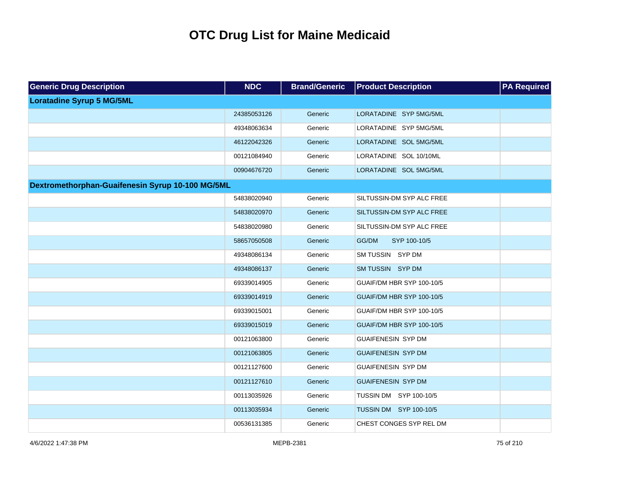| <b>Generic Drug Description</b>                  | <b>NDC</b>  | <b>Brand/Generic</b> | <b>Product Description</b> | <b>PA Required</b> |
|--------------------------------------------------|-------------|----------------------|----------------------------|--------------------|
| <b>Loratadine Syrup 5 MG/5ML</b>                 |             |                      |                            |                    |
|                                                  | 24385053126 | Generic              | LORATADINE SYP 5MG/5ML     |                    |
|                                                  | 49348063634 | Generic              | LORATADINE SYP 5MG/5ML     |                    |
|                                                  | 46122042326 | Generic              | LORATADINE SOL 5MG/5ML     |                    |
|                                                  | 00121084940 | Generic              | LORATADINE SOL 10/10ML     |                    |
|                                                  | 00904676720 | Generic              | LORATADINE SOL 5MG/5ML     |                    |
| Dextromethorphan-Guaifenesin Syrup 10-100 MG/5ML |             |                      |                            |                    |
|                                                  | 54838020940 | Generic              | SILTUSSIN-DM SYP ALC FREE  |                    |
|                                                  | 54838020970 | Generic              | SILTUSSIN-DM SYP ALC FREE  |                    |
|                                                  | 54838020980 | Generic              | SILTUSSIN-DM SYP ALC FREE  |                    |
|                                                  | 58657050508 | Generic              | GG/DM<br>SYP 100-10/5      |                    |
|                                                  | 49348086134 | Generic              | SM TUSSIN SYP DM           |                    |
|                                                  | 49348086137 | Generic              | SM TUSSIN SYP DM           |                    |
|                                                  | 69339014905 | Generic              | GUAIF/DM HBR SYP 100-10/5  |                    |
|                                                  | 69339014919 | Generic              | GUAIF/DM HBR SYP 100-10/5  |                    |
|                                                  | 69339015001 | Generic              | GUAIF/DM HBR SYP 100-10/5  |                    |
|                                                  | 69339015019 | Generic              | GUAIF/DM HBR SYP 100-10/5  |                    |
|                                                  | 00121063800 | Generic              | <b>GUAIFENESIN SYP DM</b>  |                    |
|                                                  | 00121063805 | Generic              | <b>GUAIFENESIN SYP DM</b>  |                    |
|                                                  | 00121127600 | Generic              | <b>GUAIFENESIN SYP DM</b>  |                    |
|                                                  | 00121127610 | Generic              | <b>GUAIFENESIN SYP DM</b>  |                    |
|                                                  | 00113035926 | Generic              | TUSSIN DM SYP 100-10/5     |                    |
|                                                  | 00113035934 | Generic              | TUSSIN DM SYP 100-10/5     |                    |
|                                                  | 00536131385 | Generic              | CHEST CONGES SYP REL DM    |                    |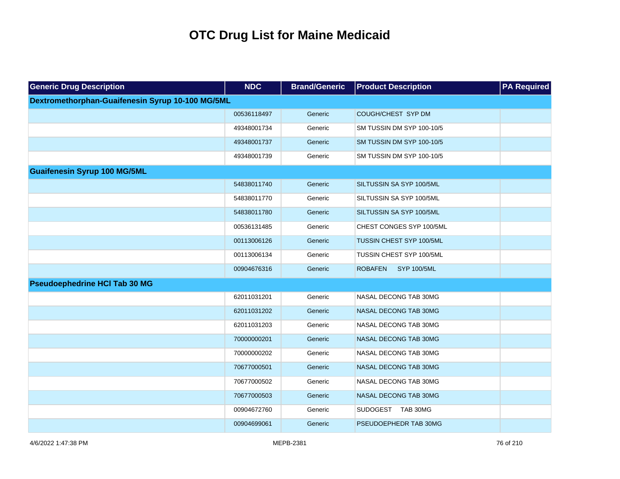| <b>Generic Drug Description</b>                  | <b>NDC</b>  | <b>Brand/Generic</b> | <b>Product Description</b>           | <b>PA Required</b> |
|--------------------------------------------------|-------------|----------------------|--------------------------------------|--------------------|
| Dextromethorphan-Guaifenesin Syrup 10-100 MG/5ML |             |                      |                                      |                    |
|                                                  | 00536118497 | Generic              | COUGH/CHEST SYP DM                   |                    |
|                                                  | 49348001734 | Generic              | SM TUSSIN DM SYP 100-10/5            |                    |
|                                                  | 49348001737 | Generic              | SM TUSSIN DM SYP 100-10/5            |                    |
|                                                  | 49348001739 | Generic              | SM TUSSIN DM SYP 100-10/5            |                    |
| <b>Guaifenesin Syrup 100 MG/5ML</b>              |             |                      |                                      |                    |
|                                                  | 54838011740 | Generic              | SILTUSSIN SA SYP 100/5ML             |                    |
|                                                  | 54838011770 | Generic              | SILTUSSIN SA SYP 100/5ML             |                    |
|                                                  | 54838011780 | Generic              | SILTUSSIN SA SYP 100/5ML             |                    |
|                                                  | 00536131485 | Generic              | CHEST CONGES SYP 100/5ML             |                    |
|                                                  | 00113006126 | Generic              | TUSSIN CHEST SYP 100/5ML             |                    |
|                                                  | 00113006134 | Generic              | TUSSIN CHEST SYP 100/5ML             |                    |
|                                                  | 00904676316 | Generic              | <b>SYP 100/5ML</b><br><b>ROBAFEN</b> |                    |
| <b>Pseudoephedrine HCI Tab 30 MG</b>             |             |                      |                                      |                    |
|                                                  | 62011031201 | Generic              | NASAL DECONG TAB 30MG                |                    |
|                                                  | 62011031202 | Generic              | NASAL DECONG TAB 30MG                |                    |
|                                                  | 62011031203 | Generic              | NASAL DECONG TAB 30MG                |                    |
|                                                  | 70000000201 | Generic              | NASAL DECONG TAB 30MG                |                    |
|                                                  | 70000000202 | Generic              | NASAL DECONG TAB 30MG                |                    |
|                                                  | 70677000501 | Generic              | NASAL DECONG TAB 30MG                |                    |
|                                                  | 70677000502 | Generic              | NASAL DECONG TAB 30MG                |                    |
|                                                  | 70677000503 | Generic              | NASAL DECONG TAB 30MG                |                    |
|                                                  | 00904672760 | Generic              | SUDOGEST TAB 30MG                    |                    |
|                                                  | 00904699061 | Generic              | PSEUDOEPHEDR TAB 30MG                |                    |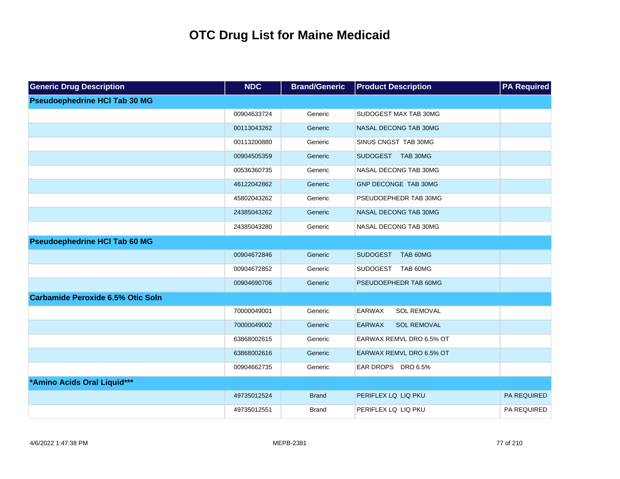| <b>Generic Drug Description</b>          | <b>NDC</b>  | <b>Brand/Generic</b> | <b>Product Description</b>          | <b>PA Required</b> |
|------------------------------------------|-------------|----------------------|-------------------------------------|--------------------|
| <b>Pseudoephedrine HCI Tab 30 MG</b>     |             |                      |                                     |                    |
|                                          | 00904633724 | Generic              | SUDOGEST MAX TAB 30MG               |                    |
|                                          | 00113043262 | Generic              | NASAL DECONG TAB 30MG               |                    |
|                                          | 00113200880 | Generic              | SINUS CNGST TAB 30MG                |                    |
|                                          | 00904505359 | Generic              | SUDOGEST TAB 30MG                   |                    |
|                                          | 00536360735 | Generic              | NASAL DECONG TAB 30MG               |                    |
|                                          | 46122042862 | Generic              | GNP DECONGE TAB 30MG                |                    |
|                                          | 45802043262 | Generic              | PSEUDOEPHEDR TAB 30MG               |                    |
|                                          | 24385043262 | Generic              | NASAL DECONG TAB 30MG               |                    |
|                                          | 24385043280 | Generic              | NASAL DECONG TAB 30MG               |                    |
| <b>Pseudoephedrine HCI Tab 60 MG</b>     |             |                      |                                     |                    |
|                                          | 00904672846 | Generic              | <b>SUDOGEST</b><br>TAB 60MG         |                    |
|                                          | 00904672852 | Generic              | <b>SUDOGEST</b><br>TAB 60MG         |                    |
|                                          | 00904690706 | Generic              | PSEUDOEPHEDR TAB 60MG               |                    |
| <b>Carbamide Peroxide 6.5% Otic Soln</b> |             |                      |                                     |                    |
|                                          | 70000049001 | Generic              | <b>EARWAX</b><br>SOL REMOVAL        |                    |
|                                          | 70000049002 | Generic              | <b>EARWAX</b><br><b>SOL REMOVAL</b> |                    |
|                                          | 63868002615 | Generic              | EARWAX REMVL DRO 6.5% OT            |                    |
|                                          | 63868002616 | Generic              | EARWAX REMVL DRO 6.5% OT            |                    |
|                                          | 00904662735 | Generic              | EAR DROPS DRO 6.5%                  |                    |
| *Amino Acids Oral Liquid***              |             |                      |                                     |                    |
|                                          | 49735012524 | <b>Brand</b>         | PERIFLEX LQ LIQ PKU                 | PA REQUIRED        |
|                                          | 49735012551 | <b>Brand</b>         | PERIFLEX LQ LIQ PKU                 | PA REQUIRED        |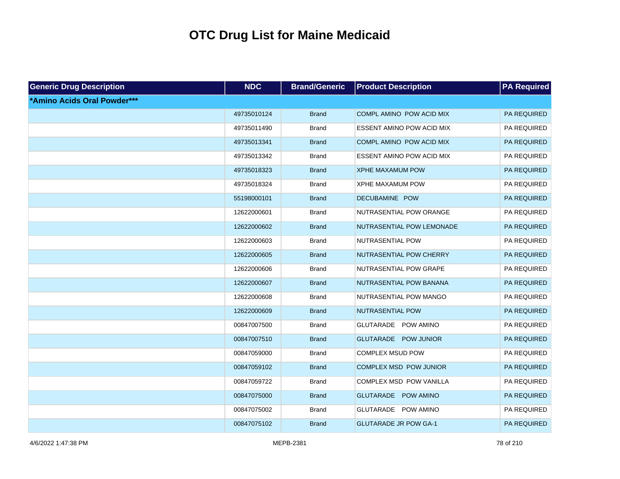| <b>Generic Drug Description</b> | <b>NDC</b>  | <b>Brand/Generic</b> | <b>Product Description</b>       | <b>PA Required</b> |
|---------------------------------|-------------|----------------------|----------------------------------|--------------------|
| *Amino Acids Oral Powder***     |             |                      |                                  |                    |
|                                 | 49735010124 | <b>Brand</b>         | COMPL AMINO POW ACID MIX         | PA REQUIRED        |
|                                 | 49735011490 | <b>Brand</b>         | <b>ESSENT AMINO POW ACID MIX</b> | PA REQUIRED        |
|                                 | 49735013341 | <b>Brand</b>         | COMPL AMINO POW ACID MIX         | PA REQUIRED        |
|                                 | 49735013342 | <b>Brand</b>         | <b>ESSENT AMINO POW ACID MIX</b> | PA REQUIRED        |
|                                 | 49735018323 | <b>Brand</b>         | <b>XPHE MAXAMUM POW</b>          | PA REQUIRED        |
|                                 | 49735018324 | <b>Brand</b>         | <b>XPHE MAXAMUM POW</b>          | PA REQUIRED        |
|                                 | 55198000101 | <b>Brand</b>         | DECUBAMINE POW                   | PA REQUIRED        |
|                                 | 12622000601 | <b>Brand</b>         | NUTRASENTIAL POW ORANGE          | PA REQUIRED        |
|                                 | 12622000602 | <b>Brand</b>         | NUTRASENTIAL POW LEMONADE        | PA REQUIRED        |
|                                 | 12622000603 | <b>Brand</b>         | NUTRASENTIAL POW                 | PA REQUIRED        |
|                                 | 12622000605 | <b>Brand</b>         | NUTRASENTIAL POW CHERRY          | PA REQUIRED        |
|                                 | 12622000606 | <b>Brand</b>         | NUTRASENTIAL POW GRAPE           | PA REQUIRED        |
|                                 | 12622000607 | <b>Brand</b>         | NUTRASENTIAL POW BANANA          | PA REQUIRED        |
|                                 | 12622000608 | <b>Brand</b>         | NUTRASENTIAL POW MANGO           | PA REQUIRED        |
|                                 | 12622000609 | <b>Brand</b>         | NUTRASENTIAL POW                 | PA REQUIRED        |
|                                 | 00847007500 | <b>Brand</b>         | GLUTARADE POW AMINO              | PA REQUIRED        |
|                                 | 00847007510 | <b>Brand</b>         | GLUTARADE POW JUNIOR             | PA REQUIRED        |
|                                 | 00847059000 | <b>Brand</b>         | <b>COMPLEX MSUD POW</b>          | PA REQUIRED        |
|                                 | 00847059102 | <b>Brand</b>         | COMPLEX MSD POW JUNIOR           | PA REQUIRED        |
|                                 | 00847059722 | <b>Brand</b>         | COMPLEX MSD POW VANILLA          | PA REQUIRED        |
|                                 | 00847075000 | <b>Brand</b>         | GLUTARADE POW AMINO              | PA REQUIRED        |
|                                 | 00847075002 | <b>Brand</b>         | GLUTARADE POW AMINO              | PA REQUIRED        |
|                                 | 00847075102 | <b>Brand</b>         | <b>GLUTARADE JR POW GA-1</b>     | PA REQUIRED        |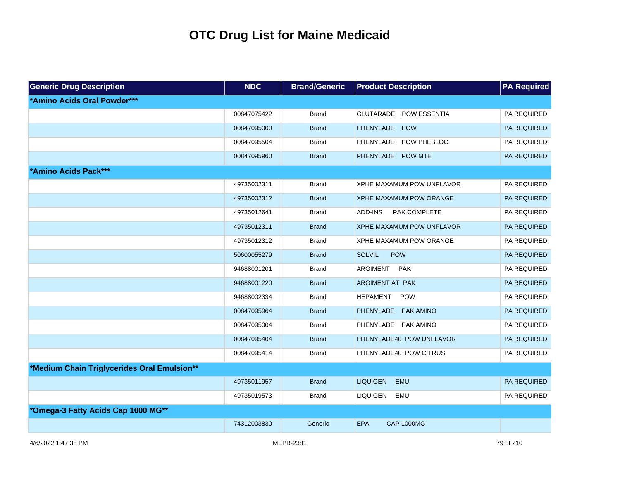| <b>Generic Drug Description</b>             | <b>NDC</b>  | <b>Brand/Generic</b> | <b>Product Description</b>      | <b>PA Required</b> |
|---------------------------------------------|-------------|----------------------|---------------------------------|--------------------|
| *Amino Acids Oral Powder***                 |             |                      |                                 |                    |
|                                             | 00847075422 | <b>Brand</b>         | GLUTARADE POW ESSENTIA          | PA REQUIRED        |
|                                             | 00847095000 | <b>Brand</b>         | PHENYLADE POW                   | PA REQUIRED        |
|                                             | 00847095504 | <b>Brand</b>         | PHENYLADE POW PHEBLOC           | PA REQUIRED        |
|                                             | 00847095960 | <b>Brand</b>         | PHENYLADE POW MTE               | PA REQUIRED        |
| *Amino Acids Pack***                        |             |                      |                                 |                    |
|                                             | 49735002311 | <b>Brand</b>         | XPHE MAXAMUM POW UNFLAVOR       | PA REQUIRED        |
|                                             | 49735002312 | <b>Brand</b>         | <b>XPHE MAXAMUM POW ORANGE</b>  | PA REQUIRED        |
|                                             | 49735012641 | <b>Brand</b>         | ADD-INS<br>PAK COMPLETE         | PA REQUIRED        |
|                                             | 49735012311 | <b>Brand</b>         | XPHE MAXAMUM POW UNFLAVOR       | <b>PA REQUIRED</b> |
|                                             | 49735012312 | <b>Brand</b>         | XPHE MAXAMUM POW ORANGE         | PA REQUIRED        |
|                                             | 50600055279 | <b>Brand</b>         | <b>SOLVIL</b><br><b>POW</b>     | PA REQUIRED        |
|                                             | 94688001201 | <b>Brand</b>         | <b>ARGIMENT</b><br><b>PAK</b>   | PA REQUIRED        |
|                                             | 94688001220 | <b>Brand</b>         | <b>ARGIMENT AT PAK</b>          | PA REQUIRED        |
|                                             | 94688002334 | Brand                | <b>HEPAMENT</b><br><b>POW</b>   | PA REQUIRED        |
|                                             | 00847095964 | <b>Brand</b>         | PHENYLADE PAK AMINO             | PA REQUIRED        |
|                                             | 00847095004 | <b>Brand</b>         | PHENYLADE PAK AMINO             | PA REQUIRED        |
|                                             | 00847095404 | <b>Brand</b>         | PHENYLADE40 POW UNFLAVOR        | PA REQUIRED        |
|                                             | 00847095414 | <b>Brand</b>         | PHENYLADE40 POW CITRUS          | PA REQUIRED        |
| *Medium Chain Triglycerides Oral Emulsion** |             |                      |                                 |                    |
|                                             | 49735011957 | <b>Brand</b>         | <b>LIQUIGEN</b><br><b>EMU</b>   | <b>PA REQUIRED</b> |
|                                             | 49735019573 | <b>Brand</b>         | <b>LIQUIGEN</b><br><b>EMU</b>   | PA REQUIRED        |
| *Omega-3 Fatty Acids Cap 1000 MG**          |             |                      |                                 |                    |
|                                             | 74312003830 | Generic              | <b>EPA</b><br><b>CAP 1000MG</b> |                    |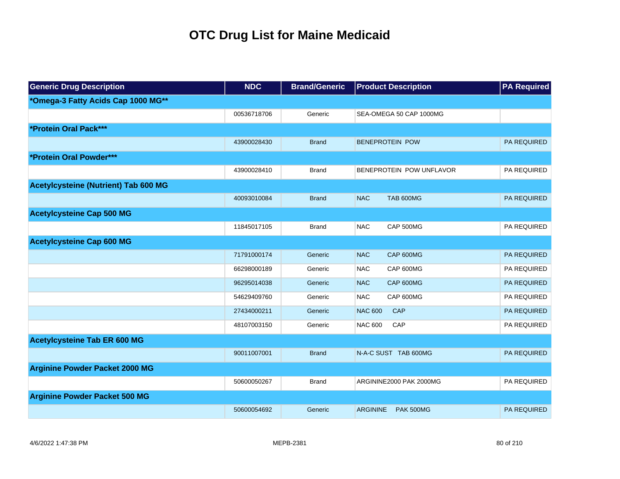| <b>Generic Drug Description</b>       | <b>NDC</b>  | <b>Brand/Generic</b> | <b>Product Description</b>          | <b>PA Required</b> |
|---------------------------------------|-------------|----------------------|-------------------------------------|--------------------|
| *Omega-3 Fatty Acids Cap 1000 MG**    |             |                      |                                     |                    |
|                                       | 00536718706 | Generic              | SEA-OMEGA 50 CAP 1000MG             |                    |
| *Protein Oral Pack***                 |             |                      |                                     |                    |
|                                       | 43900028430 | <b>Brand</b>         | <b>BENEPROTEIN POW</b>              | <b>PA REQUIRED</b> |
| *Protein Oral Powder***               |             |                      |                                     |                    |
|                                       | 43900028410 | <b>Brand</b>         | BENEPROTEIN POW UNFLAVOR            | PA REQUIRED        |
| Acetylcysteine (Nutrient) Tab 600 MG  |             |                      |                                     |                    |
|                                       | 40093010084 | <b>Brand</b>         | <b>NAC</b><br><b>TAB 600MG</b>      | <b>PA REQUIRED</b> |
| <b>Acetylcysteine Cap 500 MG</b>      |             |                      |                                     |                    |
|                                       | 11845017105 | <b>Brand</b>         | <b>NAC</b><br>CAP 500MG             | PA REQUIRED        |
| <b>Acetylcysteine Cap 600 MG</b>      |             |                      |                                     |                    |
|                                       | 71791000174 | Generic              | <b>NAC</b><br>CAP 600MG             | <b>PA REQUIRED</b> |
|                                       | 66298000189 | Generic              | CAP 600MG<br><b>NAC</b>             | PA REQUIRED        |
|                                       | 96295014038 | Generic              | <b>NAC</b><br>CAP 600MG             | <b>PA REQUIRED</b> |
|                                       | 54629409760 | Generic              | <b>NAC</b><br>CAP 600MG             | PA REQUIRED        |
|                                       | 27434000211 | Generic              | <b>NAC 600</b><br>CAP               | PA REQUIRED        |
|                                       | 48107003150 | Generic              | <b>NAC 600</b><br>CAP               | PA REQUIRED        |
| <b>Acetylcysteine Tab ER 600 MG</b>   |             |                      |                                     |                    |
|                                       | 90011007001 | <b>Brand</b>         | N-A-C SUST TAB 600MG                | PA REQUIRED        |
| <b>Arginine Powder Packet 2000 MG</b> |             |                      |                                     |                    |
|                                       | 50600050267 | <b>Brand</b>         | ARGININE2000 PAK 2000MG             | PA REQUIRED        |
| <b>Arginine Powder Packet 500 MG</b>  |             |                      |                                     |                    |
|                                       | 50600054692 | Generic              | <b>ARGININE</b><br><b>PAK 500MG</b> | <b>PA REQUIRED</b> |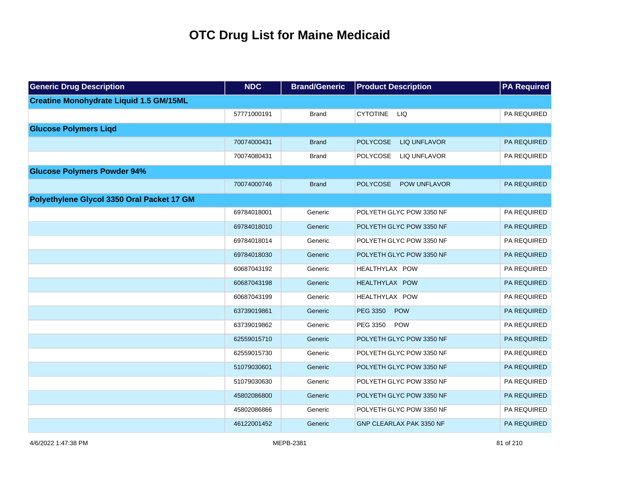| <b>Generic Drug Description</b>                | <b>NDC</b>  | <b>Brand/Generic</b> | <b>Product Description</b>             | <b>PA Required</b> |
|------------------------------------------------|-------------|----------------------|----------------------------------------|--------------------|
| <b>Creatine Monohydrate Liquid 1.5 GM/15ML</b> |             |                      |                                        |                    |
|                                                | 57771000191 | <b>Brand</b>         | <b>CYTOTINE</b><br><b>LIQ</b>          | PA REQUIRED        |
| <b>Glucose Polymers Liqd</b>                   |             |                      |                                        |                    |
|                                                | 70074000431 | <b>Brand</b>         | <b>POLYCOSE</b><br><b>LIQ UNFLAVOR</b> | PA REQUIRED        |
|                                                | 70074080431 | <b>Brand</b>         | <b>POLYCOSE</b><br>LIQ UNFLAVOR        | PA REQUIRED        |
| <b>Glucose Polymers Powder 94%</b>             |             |                      |                                        |                    |
|                                                | 70074000746 | <b>Brand</b>         | <b>POLYCOSE</b><br><b>POW UNFLAVOR</b> | <b>PA REQUIRED</b> |
| Polyethylene Glycol 3350 Oral Packet 17 GM     |             |                      |                                        |                    |
|                                                | 69784018001 | Generic              | POLYETH GLYC POW 3350 NF               | PA REQUIRED        |
|                                                | 69784018010 | Generic              | POLYETH GLYC POW 3350 NF               | PA REQUIRED        |
|                                                | 69784018014 | Generic              | POLYETH GLYC POW 3350 NF               | PA REQUIRED        |
|                                                | 69784018030 | Generic              | POLYETH GLYC POW 3350 NF               | PA REQUIRED        |
|                                                | 60687043192 | Generic              | HEALTHYLAX POW                         | PA REQUIRED        |
|                                                | 60687043198 | Generic              | HEALTHYLAX POW                         | PA REQUIRED        |
|                                                | 60687043199 | Generic              | HEALTHYLAX POW                         | PA REQUIRED        |
|                                                | 63739019861 | Generic              | PEG 3350<br>POW                        | PA REQUIRED        |
|                                                | 63739019862 | Generic              | PEG 3350<br>POW                        | PA REQUIRED        |
|                                                | 62559015710 | Generic              | POLYETH GLYC POW 3350 NF               | PA REQUIRED        |
|                                                | 62559015730 | Generic              | POLYETH GLYC POW 3350 NF               | PA REQUIRED        |
|                                                | 51079030601 | Generic              | POLYETH GLYC POW 3350 NF               | PA REQUIRED        |
|                                                | 51079030630 | Generic              | POLYETH GLYC POW 3350 NF               | PA REQUIRED        |
|                                                | 45802086800 | Generic              | POLYETH GLYC POW 3350 NF               | PA REQUIRED        |
|                                                | 45802086866 | Generic              | POLYETH GLYC POW 3350 NF               | PA REQUIRED        |
|                                                | 46122001452 | Generic              | <b>GNP CLEARLAX PAK 3350 NF</b>        | PA REQUIRED        |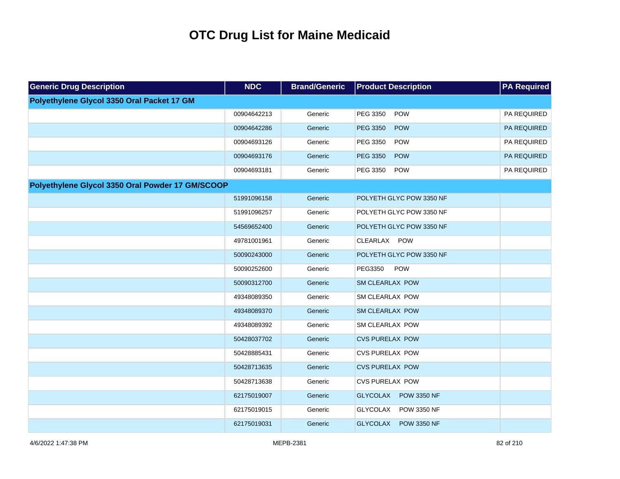| <b>Generic Drug Description</b>                  | <b>NDC</b>  | <b>Brand/Generic</b> | <b>Product Description</b>            | <b>PA Required</b> |
|--------------------------------------------------|-------------|----------------------|---------------------------------------|--------------------|
| Polyethylene Glycol 3350 Oral Packet 17 GM       |             |                      |                                       |                    |
|                                                  | 00904642213 | Generic              | POW<br>PEG 3350                       | PA REQUIRED        |
|                                                  | 00904642286 | Generic              | POW<br><b>PEG 3350</b>                | PA REQUIRED        |
|                                                  | 00904693126 | Generic              | PEG 3350<br><b>POW</b>                | PA REQUIRED        |
|                                                  | 00904693176 | Generic              | POW<br><b>PEG 3350</b>                | PA REQUIRED        |
|                                                  | 00904693181 | Generic              | PEG 3350<br><b>POW</b>                | PA REQUIRED        |
| Polyethylene Glycol 3350 Oral Powder 17 GM/SCOOP |             |                      |                                       |                    |
|                                                  | 51991096158 | Generic              | POLYETH GLYC POW 3350 NF              |                    |
|                                                  | 51991096257 | Generic              | POLYETH GLYC POW 3350 NF              |                    |
|                                                  | 54569652400 | Generic              | POLYETH GLYC POW 3350 NF              |                    |
|                                                  | 49781001961 | Generic              | CLEARLAX POW                          |                    |
|                                                  | 50090243000 | Generic              | POLYETH GLYC POW 3350 NF              |                    |
|                                                  | 50090252600 | Generic              | <b>POW</b><br>PEG3350                 |                    |
|                                                  | 50090312700 | Generic              | SM CLEARLAX POW                       |                    |
|                                                  | 49348089350 | Generic              | SM CLEARLAX POW                       |                    |
|                                                  | 49348089370 | Generic              | <b>SM CLEARLAX POW</b>                |                    |
|                                                  | 49348089392 | Generic              | SM CLEARLAX POW                       |                    |
|                                                  | 50428037702 | Generic              | <b>CVS PURELAX POW</b>                |                    |
|                                                  | 50428885431 | Generic              | <b>CVS PURELAX POW</b>                |                    |
|                                                  | 50428713635 | Generic              | <b>CVS PURELAX POW</b>                |                    |
|                                                  | 50428713638 | Generic              | <b>CVS PURELAX POW</b>                |                    |
|                                                  | 62175019007 | Generic              | <b>POW 3350 NF</b><br><b>GLYCOLAX</b> |                    |
|                                                  | 62175019015 | Generic              | <b>GLYCOLAX</b><br>POW 3350 NF        |                    |
|                                                  | 62175019031 | Generic              | <b>GLYCOLAX</b><br><b>POW 3350 NF</b> |                    |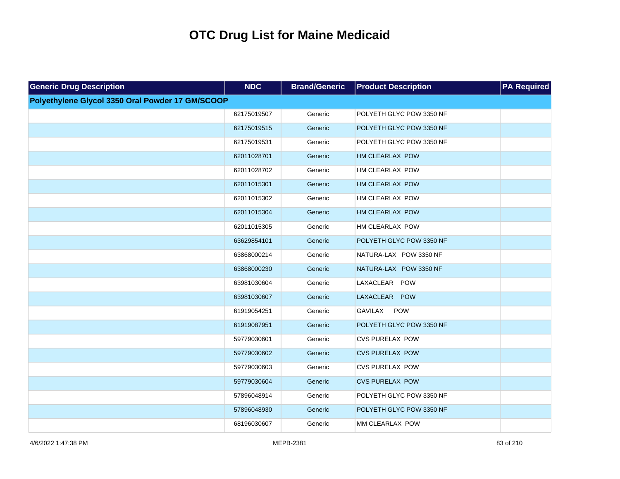| <b>Generic Drug Description</b>                  | <b>NDC</b>  | <b>Brand/Generic</b> | <b>Product Description</b> | <b>PA Required</b> |
|--------------------------------------------------|-------------|----------------------|----------------------------|--------------------|
| Polyethylene Glycol 3350 Oral Powder 17 GM/SCOOP |             |                      |                            |                    |
|                                                  | 62175019507 | Generic              | POLYETH GLYC POW 3350 NF   |                    |
|                                                  | 62175019515 | Generic              | POLYETH GLYC POW 3350 NF   |                    |
|                                                  | 62175019531 | Generic              | POLYETH GLYC POW 3350 NF   |                    |
|                                                  | 62011028701 | Generic              | HM CLEARLAX POW            |                    |
|                                                  | 62011028702 | Generic              | HM CLEARLAX POW            |                    |
|                                                  | 62011015301 | Generic              | HM CLEARLAX POW            |                    |
|                                                  | 62011015302 | Generic              | HM CLEARLAX POW            |                    |
|                                                  | 62011015304 | Generic              | HM CLEARLAX POW            |                    |
|                                                  | 62011015305 | Generic              | HM CLEARLAX POW            |                    |
|                                                  | 63629854101 | Generic              | POLYETH GLYC POW 3350 NF   |                    |
|                                                  | 63868000214 | Generic              | NATURA-LAX POW 3350 NF     |                    |
|                                                  | 63868000230 | Generic              | NATURA-LAX POW 3350 NF     |                    |
|                                                  | 63981030604 | Generic              | LAXACLEAR POW              |                    |
|                                                  | 63981030607 | Generic              | LAXACLEAR POW              |                    |
|                                                  | 61919054251 | Generic              | <b>POW</b><br>GAVILAX      |                    |
|                                                  | 61919087951 | Generic              | POLYETH GLYC POW 3350 NF   |                    |
|                                                  | 59779030601 | Generic              | <b>CVS PURELAX POW</b>     |                    |
|                                                  | 59779030602 | Generic              | <b>CVS PURELAX POW</b>     |                    |
|                                                  | 59779030603 | Generic              | <b>CVS PURELAX POW</b>     |                    |
|                                                  | 59779030604 | Generic              | <b>CVS PURELAX POW</b>     |                    |
|                                                  | 57896048914 | Generic              | POLYETH GLYC POW 3350 NF   |                    |
|                                                  | 57896048930 | Generic              | POLYETH GLYC POW 3350 NF   |                    |
|                                                  | 68196030607 | Generic              | MM CLEARLAX POW            |                    |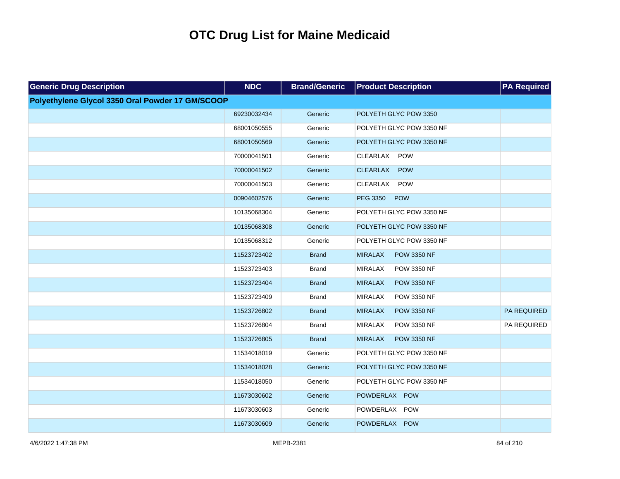| <b>Generic Drug Description</b>                  | <b>NDC</b>  | <b>Brand/Generic</b> | <b>Product Description</b>           | <b>PA Required</b> |
|--------------------------------------------------|-------------|----------------------|--------------------------------------|--------------------|
| Polyethylene Glycol 3350 Oral Powder 17 GM/SCOOP |             |                      |                                      |                    |
|                                                  | 69230032434 | Generic              | POLYETH GLYC POW 3350                |                    |
|                                                  | 68001050555 | Generic              | POLYETH GLYC POW 3350 NF             |                    |
|                                                  | 68001050569 | Generic              | POLYETH GLYC POW 3350 NF             |                    |
|                                                  | 70000041501 | Generic              | POW<br><b>CLEARLAX</b>               |                    |
|                                                  | 70000041502 | Generic              | <b>CLEARLAX</b><br>POW               |                    |
|                                                  | 70000041503 | Generic              | CLEARLAX<br><b>POW</b>               |                    |
|                                                  | 00904602576 | Generic              | PEG 3350 POW                         |                    |
|                                                  | 10135068304 | Generic              | POLYETH GLYC POW 3350 NF             |                    |
|                                                  | 10135068308 | Generic              | POLYETH GLYC POW 3350 NF             |                    |
|                                                  | 10135068312 | Generic              | POLYETH GLYC POW 3350 NF             |                    |
|                                                  | 11523723402 | <b>Brand</b>         | <b>MIRALAX</b><br><b>POW 3350 NF</b> |                    |
|                                                  | 11523723403 | <b>Brand</b>         | <b>MIRALAX</b><br><b>POW 3350 NF</b> |                    |
|                                                  | 11523723404 | <b>Brand</b>         | <b>MIRALAX</b><br><b>POW 3350 NF</b> |                    |
|                                                  | 11523723409 | <b>Brand</b>         | <b>MIRALAX</b><br><b>POW 3350 NF</b> |                    |
|                                                  | 11523726802 | <b>Brand</b>         | <b>MIRALAX</b><br><b>POW 3350 NF</b> | PA REQUIRED        |
|                                                  | 11523726804 | <b>Brand</b>         | <b>MIRALAX</b><br><b>POW 3350 NF</b> | PA REQUIRED        |
|                                                  | 11523726805 | <b>Brand</b>         | <b>MIRALAX</b><br><b>POW 3350 NF</b> |                    |
|                                                  | 11534018019 | Generic              | POLYETH GLYC POW 3350 NF             |                    |
|                                                  | 11534018028 | Generic              | POLYETH GLYC POW 3350 NF             |                    |
|                                                  | 11534018050 | Generic              | POLYETH GLYC POW 3350 NF             |                    |
|                                                  | 11673030602 | Generic              | POWDERLAX POW                        |                    |
|                                                  | 11673030603 | Generic              | POWDERLAX POW                        |                    |
|                                                  | 11673030609 | Generic              | POWDERLAX POW                        |                    |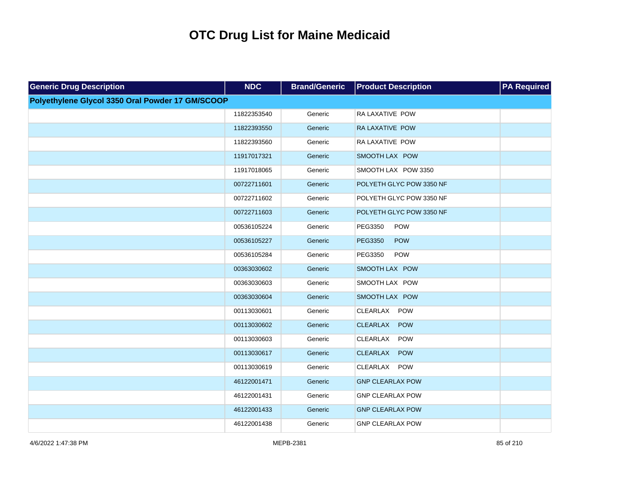| <b>Generic Drug Description</b>                  | <b>NDC</b>  | <b>Brand/Generic</b> | <b>Product Description</b>    | <b>PA Required</b> |
|--------------------------------------------------|-------------|----------------------|-------------------------------|--------------------|
| Polyethylene Glycol 3350 Oral Powder 17 GM/SCOOP |             |                      |                               |                    |
|                                                  | 11822353540 | Generic              | RA LAXATIVE POW               |                    |
|                                                  | 11822393550 | Generic              | RA LAXATIVE POW               |                    |
|                                                  | 11822393560 | Generic              | RA LAXATIVE POW               |                    |
|                                                  | 11917017321 | Generic              | SMOOTH LAX POW                |                    |
|                                                  | 11917018065 | Generic              | SMOOTH LAX POW 3350           |                    |
|                                                  | 00722711601 | Generic              | POLYETH GLYC POW 3350 NF      |                    |
|                                                  | 00722711602 | Generic              | POLYETH GLYC POW 3350 NF      |                    |
|                                                  | 00722711603 | Generic              | POLYETH GLYC POW 3350 NF      |                    |
|                                                  | 00536105224 | Generic              | PEG3350<br><b>POW</b>         |                    |
|                                                  | 00536105227 | Generic              | PEG3350<br>POW                |                    |
|                                                  | 00536105284 | Generic              | PEG3350<br>POW                |                    |
|                                                  | 00363030602 | Generic              | SMOOTH LAX POW                |                    |
|                                                  | 00363030603 | Generic              | SMOOTH LAX POW                |                    |
|                                                  | 00363030604 | Generic              | SMOOTH LAX POW                |                    |
|                                                  | 00113030601 | Generic              | CLEARLAX POW                  |                    |
|                                                  | 00113030602 | Generic              | <b>CLEARLAX</b><br>POW        |                    |
|                                                  | 00113030603 | Generic              | <b>CLEARLAX</b><br>POW        |                    |
|                                                  | 00113030617 | Generic              | <b>CLEARLAX</b><br><b>POW</b> |                    |
|                                                  | 00113030619 | Generic              | CLEARLAX POW                  |                    |
|                                                  | 46122001471 | Generic              | <b>GNP CLEARLAX POW</b>       |                    |
|                                                  | 46122001431 | Generic              | <b>GNP CLEARLAX POW</b>       |                    |
|                                                  | 46122001433 | Generic              | <b>GNP CLEARLAX POW</b>       |                    |
|                                                  | 46122001438 | Generic              | <b>GNP CLEARLAX POW</b>       |                    |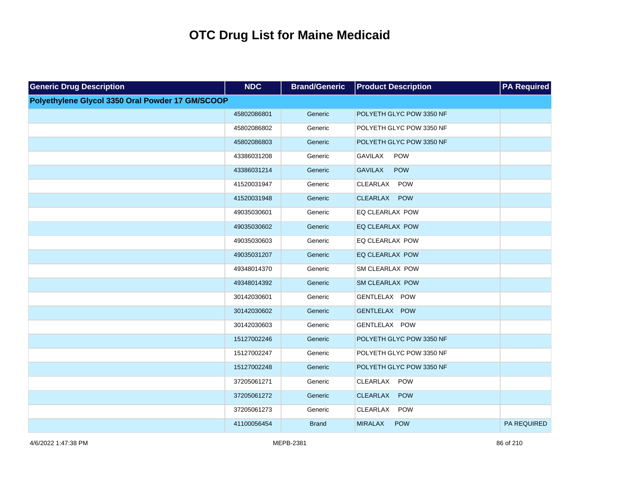| <b>Generic Drug Description</b>                  | <b>NDC</b>  | <b>Brand/Generic</b> | <b>Product Description</b>    | <b>PA Required</b> |
|--------------------------------------------------|-------------|----------------------|-------------------------------|--------------------|
| Polyethylene Glycol 3350 Oral Powder 17 GM/SCOOP |             |                      |                               |                    |
|                                                  | 45802086801 | Generic              | POLYETH GLYC POW 3350 NF      |                    |
|                                                  | 45802086802 | Generic              | POLYETH GLYC POW 3350 NF      |                    |
|                                                  | 45802086803 | Generic              | POLYETH GLYC POW 3350 NF      |                    |
|                                                  | 43386031208 | Generic              | <b>GAVILAX</b><br>POW         |                    |
|                                                  | 43386031214 | Generic              | <b>GAVILAX</b><br>POW         |                    |
|                                                  | 41520031947 | Generic              | <b>CLEARLAX</b><br><b>POW</b> |                    |
|                                                  | 41520031948 | Generic              | CLEARLAX POW                  |                    |
|                                                  | 49035030601 | Generic              | EQ CLEARLAX POW               |                    |
|                                                  | 49035030602 | Generic              | EQ CLEARLAX POW               |                    |
|                                                  | 49035030603 | Generic              | EQ CLEARLAX POW               |                    |
|                                                  | 49035031207 | Generic              | EQ CLEARLAX POW               |                    |
|                                                  | 49348014370 | Generic              | SM CLEARLAX POW               |                    |
|                                                  | 49348014392 | Generic              | <b>SM CLEARLAX POW</b>        |                    |
|                                                  | 30142030601 | Generic              | GENTLELAX POW                 |                    |
|                                                  | 30142030602 | Generic              | GENTLELAX POW                 |                    |
|                                                  | 30142030603 | Generic              | GENTLELAX POW                 |                    |
|                                                  | 15127002246 | Generic              | POLYETH GLYC POW 3350 NF      |                    |
|                                                  | 15127002247 | Generic              | POLYETH GLYC POW 3350 NF      |                    |
|                                                  | 15127002248 | Generic              | POLYETH GLYC POW 3350 NF      |                    |
|                                                  | 37205061271 | Generic              | CLEARLAX POW                  |                    |
|                                                  | 37205061272 | Generic              | CLEARLAX POW                  |                    |
|                                                  | 37205061273 | Generic              | CLEARLAX<br><b>POW</b>        |                    |
|                                                  | 41100056454 | <b>Brand</b>         | <b>MIRALAX</b><br><b>POW</b>  | <b>PA REQUIRED</b> |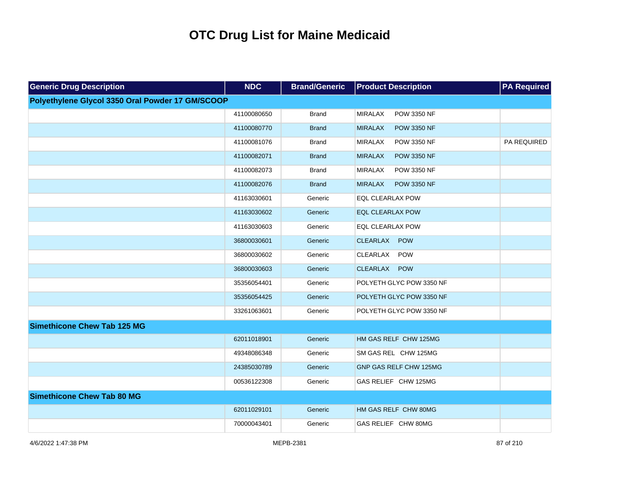| <b>Generic Drug Description</b>                  | <b>NDC</b>  | <b>Brand/Generic</b> | <b>Product Description</b>           | <b>PA</b> Required |
|--------------------------------------------------|-------------|----------------------|--------------------------------------|--------------------|
| Polyethylene Glycol 3350 Oral Powder 17 GM/SCOOP |             |                      |                                      |                    |
|                                                  | 41100080650 | <b>Brand</b>         | <b>MIRALAX</b><br>POW 3350 NF        |                    |
|                                                  | 41100080770 | <b>Brand</b>         | <b>MIRALAX</b><br><b>POW 3350 NF</b> |                    |
|                                                  | 41100081076 | Brand                | <b>MIRALAX</b><br>POW 3350 NF        | PA REQUIRED        |
|                                                  | 41100082071 | <b>Brand</b>         | <b>MIRALAX</b><br><b>POW 3350 NF</b> |                    |
|                                                  | 41100082073 | <b>Brand</b>         | <b>MIRALAX</b><br><b>POW 3350 NF</b> |                    |
|                                                  | 41100082076 | <b>Brand</b>         | <b>MIRALAX</b><br><b>POW 3350 NF</b> |                    |
|                                                  | 41163030601 | Generic              | EQL CLEARLAX POW                     |                    |
|                                                  | 41163030602 | Generic              | <b>EQL CLEARLAX POW</b>              |                    |
|                                                  | 41163030603 | Generic              | EQL CLEARLAX POW                     |                    |
|                                                  | 36800030601 | Generic              | CLEARLAX POW                         |                    |
|                                                  | 36800030602 | Generic              | CLEARLAX POW                         |                    |
|                                                  | 36800030603 | Generic              | CLEARLAX POW                         |                    |
|                                                  | 35356054401 | Generic              | POLYETH GLYC POW 3350 NF             |                    |
|                                                  | 35356054425 | Generic              | POLYETH GLYC POW 3350 NF             |                    |
|                                                  | 33261063601 | Generic              | POLYETH GLYC POW 3350 NF             |                    |
| <b>Simethicone Chew Tab 125 MG</b>               |             |                      |                                      |                    |
|                                                  | 62011018901 | Generic              | HM GAS RELF CHW 125MG                |                    |
|                                                  | 49348086348 | Generic              | SM GAS REL CHW 125MG                 |                    |
|                                                  | 24385030789 | Generic              | GNP GAS RELF CHW 125MG               |                    |
|                                                  | 00536122308 | Generic              | GAS RELIEF CHW 125MG                 |                    |
| <b>Simethicone Chew Tab 80 MG</b>                |             |                      |                                      |                    |
|                                                  | 62011029101 | Generic              | HM GAS RELF CHW 80MG                 |                    |
|                                                  | 70000043401 | Generic              | GAS RELIEF CHW 80MG                  |                    |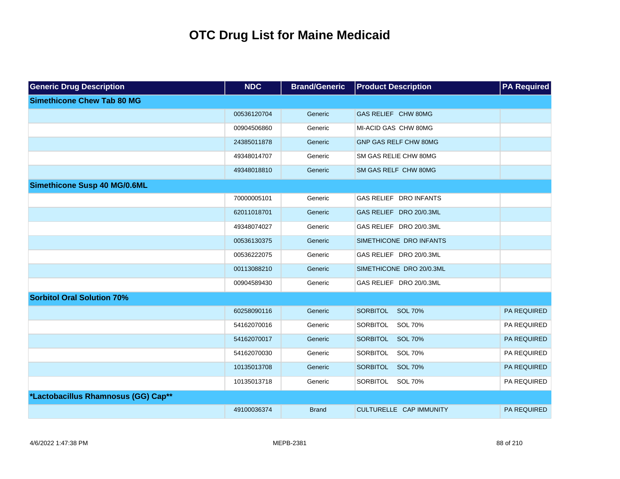| <b>Generic Drug Description</b>     | <b>NDC</b>  | <b>Brand/Generic</b> | <b>Product Description</b>        | <b>PA Required</b> |
|-------------------------------------|-------------|----------------------|-----------------------------------|--------------------|
| <b>Simethicone Chew Tab 80 MG</b>   |             |                      |                                   |                    |
|                                     | 00536120704 | Generic              | GAS RELIEF CHW 80MG               |                    |
|                                     | 00904506860 | Generic              | MI-ACID GAS CHW 80MG              |                    |
|                                     | 24385011878 | Generic              | GNP GAS RELF CHW 80MG             |                    |
|                                     | 49348014707 | Generic              | SM GAS RELIE CHW 80MG             |                    |
|                                     | 49348018810 | Generic              | SM GAS RELF CHW 80MG              |                    |
| <b>Simethicone Susp 40 MG/0.6ML</b> |             |                      |                                   |                    |
|                                     | 70000005101 | Generic              | <b>GAS RELIEF DRO INFANTS</b>     |                    |
|                                     | 62011018701 | Generic              | GAS RELIEF DRO 20/0.3ML           |                    |
|                                     | 49348074027 | Generic              | GAS RELIEF DRO 20/0.3ML           |                    |
|                                     | 00536130375 | Generic              | SIMETHICONE DRO INFANTS           |                    |
|                                     | 00536222075 | Generic              | GAS RELIEF DRO 20/0.3ML           |                    |
|                                     | 00113088210 | Generic              | SIMETHICONE DRO 20/0.3ML          |                    |
|                                     | 00904589430 | Generic              | GAS RELIEF DRO 20/0.3ML           |                    |
| <b>Sorbitol Oral Solution 70%</b>   |             |                      |                                   |                    |
|                                     | 60258090116 | Generic              | <b>SOL 70%</b><br>SORBITOL        | PA REQUIRED        |
|                                     | 54162070016 | Generic              | <b>SORBITOL</b><br>SOL 70%        | PA REQUIRED        |
|                                     | 54162070017 | Generic              | <b>SORBITOL</b><br><b>SOL 70%</b> | PA REQUIRED        |
|                                     | 54162070030 | Generic              | SORBITOL<br>SOL 70%               | PA REQUIRED        |
|                                     | 10135013708 | Generic              | SORBITOL<br><b>SOL 70%</b>        | PA REQUIRED        |
|                                     | 10135013718 | Generic              | SORBITOL<br><b>SOL 70%</b>        | PA REQUIRED        |
| *Lactobacillus Rhamnosus (GG) Cap** |             |                      |                                   |                    |
|                                     | 49100036374 | <b>Brand</b>         | CULTURELLE CAP IMMUNITY           | <b>PA REQUIRED</b> |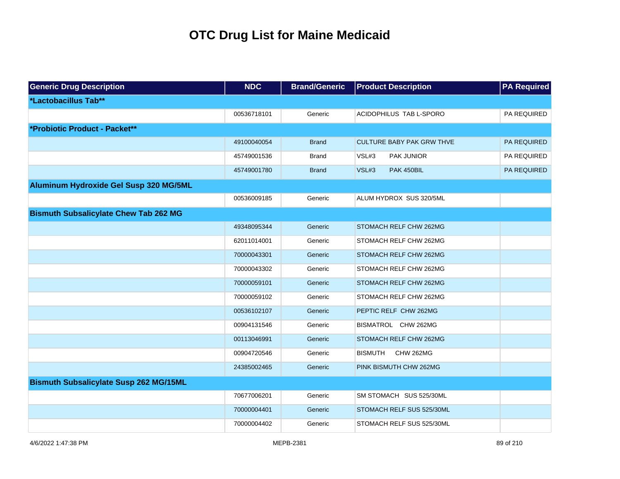| <b>Generic Drug Description</b>               | <b>NDC</b>  | <b>Brand/Generic</b> | <b>Product Description</b>         | <b>PA Required</b> |
|-----------------------------------------------|-------------|----------------------|------------------------------------|--------------------|
| *Lactobacillus Tab**                          |             |                      |                                    |                    |
|                                               | 00536718101 | Generic              | ACIDOPHILUS TAB L-SPORO            | PA REQUIRED        |
| *Probiotic Product - Packet**                 |             |                      |                                    |                    |
|                                               | 49100040054 | <b>Brand</b>         | <b>CULTURE BABY PAK GRW THVE</b>   | <b>PA REQUIRED</b> |
|                                               | 45749001536 | Brand                | VSL#3<br>PAK JUNIOR                | PA REQUIRED        |
|                                               | 45749001780 | <b>Brand</b>         | VSL#3<br>PAK 450BIL                | PA REQUIRED        |
| Aluminum Hydroxide Gel Susp 320 MG/5ML        |             |                      |                                    |                    |
|                                               | 00536009185 | Generic              | ALUM HYDROX SUS 320/5ML            |                    |
| <b>Bismuth Subsalicylate Chew Tab 262 MG</b>  |             |                      |                                    |                    |
|                                               | 49348095344 | Generic              | STOMACH RELF CHW 262MG             |                    |
|                                               | 62011014001 | Generic              | STOMACH RELF CHW 262MG             |                    |
|                                               | 70000043301 | Generic              | STOMACH RELF CHW 262MG             |                    |
|                                               | 70000043302 | Generic              | STOMACH RELF CHW 262MG             |                    |
|                                               | 70000059101 | Generic              | STOMACH RELF CHW 262MG             |                    |
|                                               | 70000059102 | Generic              | STOMACH RELF CHW 262MG             |                    |
|                                               | 00536102107 | Generic              | PEPTIC RELF CHW 262MG              |                    |
|                                               | 00904131546 | Generic              | BISMATROL CHW 262MG                |                    |
|                                               | 00113046991 | Generic              | STOMACH RELF CHW 262MG             |                    |
|                                               | 00904720546 | Generic              | <b>BISMUTH</b><br><b>CHW 262MG</b> |                    |
|                                               | 24385002465 | Generic              | PINK BISMUTH CHW 262MG             |                    |
| <b>Bismuth Subsalicylate Susp 262 MG/15ML</b> |             |                      |                                    |                    |
|                                               | 70677006201 | Generic              | SM STOMACH SUS 525/30ML            |                    |
|                                               | 70000004401 | Generic              | STOMACH RELF SUS 525/30ML          |                    |
|                                               | 70000004402 | Generic              | STOMACH RELF SUS 525/30ML          |                    |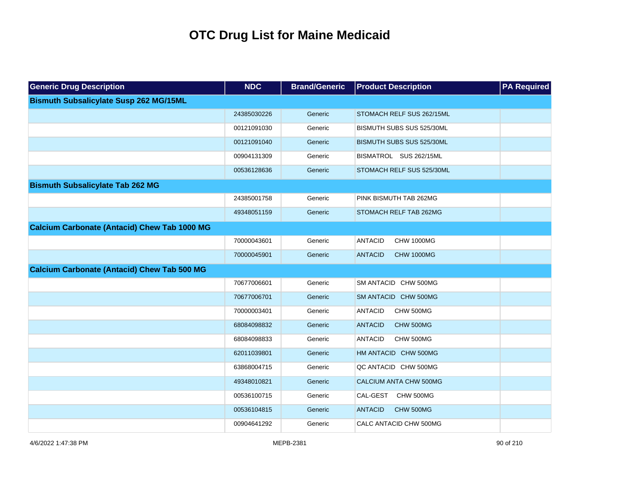| <b>Generic Drug Description</b>                     | <b>NDC</b>  | <b>Brand/Generic</b> | <b>Product Description</b>          | <b>PA Required</b> |
|-----------------------------------------------------|-------------|----------------------|-------------------------------------|--------------------|
| <b>Bismuth Subsalicylate Susp 262 MG/15ML</b>       |             |                      |                                     |                    |
|                                                     | 24385030226 | Generic              | STOMACH RELF SUS 262/15ML           |                    |
|                                                     | 00121091030 | Generic              | BISMUTH SUBS SUS 525/30ML           |                    |
|                                                     | 00121091040 | Generic              | BISMUTH SUBS SUS 525/30ML           |                    |
|                                                     | 00904131309 | Generic              | BISMATROL SUS 262/15ML              |                    |
|                                                     | 00536128636 | Generic              | STOMACH RELF SUS 525/30ML           |                    |
| <b>Bismuth Subsalicylate Tab 262 MG</b>             |             |                      |                                     |                    |
|                                                     | 24385001758 | Generic              | PINK BISMUTH TAB 262MG              |                    |
|                                                     | 49348051159 | Generic              | STOMACH RELF TAB 262MG              |                    |
| <b>Calcium Carbonate (Antacid) Chew Tab 1000 MG</b> |             |                      |                                     |                    |
|                                                     | 70000043601 | Generic              | <b>ANTACID</b><br><b>CHW 1000MG</b> |                    |
|                                                     | 70000045901 | Generic              | <b>ANTACID</b><br><b>CHW 1000MG</b> |                    |
| <b>Calcium Carbonate (Antacid) Chew Tab 500 MG</b>  |             |                      |                                     |                    |
|                                                     | 70677006601 | Generic              | SM ANTACID CHW 500MG                |                    |
|                                                     | 70677006701 | Generic              | SM ANTACID CHW 500MG                |                    |
|                                                     | 70000003401 | Generic              | <b>ANTACID</b><br>CHW 500MG         |                    |
|                                                     | 68084098832 | Generic              | <b>ANTACID</b><br>CHW 500MG         |                    |
|                                                     | 68084098833 | Generic              | <b>ANTACID</b><br>CHW 500MG         |                    |
|                                                     | 62011039801 | Generic              | HM ANTACID CHW 500MG                |                    |
|                                                     | 63868004715 | Generic              | QC ANTACID CHW 500MG                |                    |
|                                                     | 49348010821 | Generic              | CALCIUM ANTA CHW 500MG              |                    |
|                                                     | 00536100715 | Generic              | CAL-GEST CHW 500MG                  |                    |
|                                                     | 00536104815 | Generic              | <b>ANTACID</b><br>CHW 500MG         |                    |
|                                                     | 00904641292 | Generic              | CALC ANTACID CHW 500MG              |                    |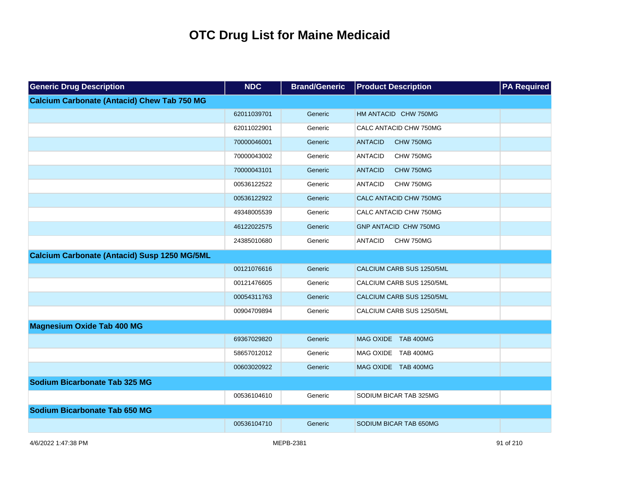| <b>Generic Drug Description</b>                     | <b>NDC</b>  | <b>Brand/Generic</b> | <b>Product Description</b>   | <b>PA Required</b> |
|-----------------------------------------------------|-------------|----------------------|------------------------------|--------------------|
| <b>Calcium Carbonate (Antacid) Chew Tab 750 MG</b>  |             |                      |                              |                    |
|                                                     | 62011039701 | Generic              | HM ANTACID CHW 750MG         |                    |
|                                                     | 62011022901 | Generic              | CALC ANTACID CHW 750MG       |                    |
|                                                     | 70000046001 | Generic              | <b>ANTACID</b><br>CHW 750MG  |                    |
|                                                     | 70000043002 | Generic              | <b>ANTACID</b><br>CHW 750MG  |                    |
|                                                     | 70000043101 | Generic              | <b>ANTACID</b><br>CHW 750MG  |                    |
|                                                     | 00536122522 | Generic              | <b>ANTACID</b><br>CHW 750MG  |                    |
|                                                     | 00536122922 | Generic              | CALC ANTACID CHW 750MG       |                    |
|                                                     | 49348005539 | Generic              | CALC ANTACID CHW 750MG       |                    |
|                                                     | 46122022575 | Generic              | <b>GNP ANTACID CHW 750MG</b> |                    |
|                                                     | 24385010680 | Generic              | CHW 750MG<br><b>ANTACID</b>  |                    |
| <b>Calcium Carbonate (Antacid) Susp 1250 MG/5ML</b> |             |                      |                              |                    |
|                                                     | 00121076616 | Generic              | CALCIUM CARB SUS 1250/5ML    |                    |
|                                                     | 00121476605 | Generic              | CALCIUM CARB SUS 1250/5ML    |                    |
|                                                     | 00054311763 | Generic              | CALCIUM CARB SUS 1250/5ML    |                    |
|                                                     | 00904709894 | Generic              | CALCIUM CARB SUS 1250/5ML    |                    |
| <b>Magnesium Oxide Tab 400 MG</b>                   |             |                      |                              |                    |
|                                                     | 69367029820 | Generic              | MAG OXIDE TAB 400MG          |                    |
|                                                     | 58657012012 | Generic              | MAG OXIDE TAB 400MG          |                    |
|                                                     | 00603020922 | Generic              | MAG OXIDE TAB 400MG          |                    |
| <b>Sodium Bicarbonate Tab 325 MG</b>                |             |                      |                              |                    |
|                                                     | 00536104610 | Generic              | SODIUM BICAR TAB 325MG       |                    |
| Sodium Bicarbonate Tab 650 MG                       |             |                      |                              |                    |
|                                                     | 00536104710 | Generic              | SODIUM BICAR TAB 650MG       |                    |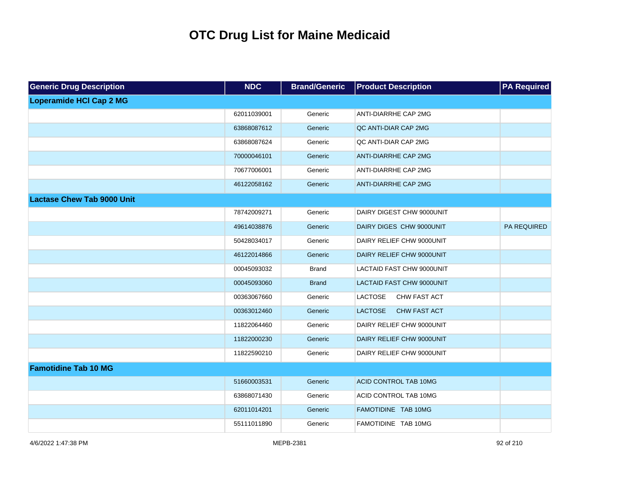| <b>Generic Drug Description</b>   | <b>NDC</b>  | <b>Brand/Generic</b> | <b>Product Description</b>            | <b>PA Required</b> |
|-----------------------------------|-------------|----------------------|---------------------------------------|--------------------|
| <b>Loperamide HCI Cap 2 MG</b>    |             |                      |                                       |                    |
|                                   | 62011039001 | Generic              | ANTI-DIARRHE CAP 2MG                  |                    |
|                                   | 63868087612 | Generic              | QC ANTI-DIAR CAP 2MG                  |                    |
|                                   | 63868087624 | Generic              | QC ANTI-DIAR CAP 2MG                  |                    |
|                                   | 70000046101 | Generic              | <b>ANTI-DIARRHE CAP 2MG</b>           |                    |
|                                   | 70677006001 | Generic              | ANTI-DIARRHE CAP 2MG                  |                    |
|                                   | 46122058162 | Generic              | <b>ANTI-DIARRHE CAP 2MG</b>           |                    |
| <b>Lactase Chew Tab 9000 Unit</b> |             |                      |                                       |                    |
|                                   | 78742009271 | Generic              | DAIRY DIGEST CHW 9000UNIT             |                    |
|                                   | 49614038876 | Generic              | DAIRY DIGES CHW 9000UNIT              | PA REQUIRED        |
|                                   | 50428034017 | Generic              | DAIRY RELIEF CHW 9000UNIT             |                    |
|                                   | 46122014866 | Generic              | DAIRY RELIEF CHW 9000UNIT             |                    |
|                                   | 00045093032 | <b>Brand</b>         | <b>LACTAID FAST CHW 9000UNIT</b>      |                    |
|                                   | 00045093060 | <b>Brand</b>         | <b>LACTAID FAST CHW 9000UNIT</b>      |                    |
|                                   | 00363067660 | Generic              | <b>LACTOSE</b><br><b>CHW FAST ACT</b> |                    |
|                                   | 00363012460 | Generic              | <b>LACTOSE</b><br>CHW FAST ACT        |                    |
|                                   | 11822064460 | Generic              | DAIRY RELIEF CHW 9000UNIT             |                    |
|                                   | 11822000230 | Generic              | DAIRY RELIEF CHW 9000UNIT             |                    |
|                                   | 11822590210 | Generic              | DAIRY RELIEF CHW 9000UNIT             |                    |
| <b>Famotidine Tab 10 MG</b>       |             |                      |                                       |                    |
|                                   | 51660003531 | Generic              | ACID CONTROL TAB 10MG                 |                    |
|                                   | 63868071430 | Generic              | ACID CONTROL TAB 10MG                 |                    |
|                                   | 62011014201 | Generic              | FAMOTIDINE TAB 10MG                   |                    |
|                                   | 55111011890 | Generic              | FAMOTIDINE TAB 10MG                   |                    |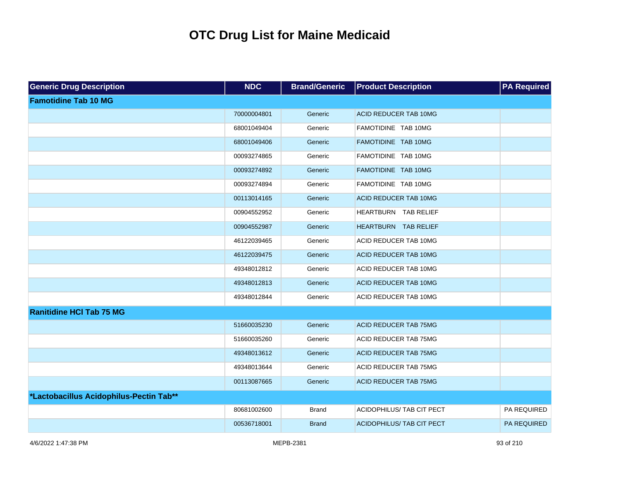| <b>Generic Drug Description</b>         | <b>NDC</b>  | <b>Brand/Generic</b> | <b>Product Description</b>       | <b>PA Required</b> |
|-----------------------------------------|-------------|----------------------|----------------------------------|--------------------|
| <b>Famotidine Tab 10 MG</b>             |             |                      |                                  |                    |
|                                         | 70000004801 | Generic              | <b>ACID REDUCER TAB 10MG</b>     |                    |
|                                         | 68001049404 | Generic              | FAMOTIDINE TAB 10MG              |                    |
|                                         | 68001049406 | Generic              | FAMOTIDINE TAB 10MG              |                    |
|                                         | 00093274865 | Generic              | FAMOTIDINE TAB 10MG              |                    |
|                                         | 00093274892 | Generic              | FAMOTIDINE TAB 10MG              |                    |
|                                         | 00093274894 | Generic              | FAMOTIDINE TAB 10MG              |                    |
|                                         | 00113014165 | Generic              | ACID REDUCER TAB 10MG            |                    |
|                                         | 00904552952 | Generic              | HEARTBURN TAB RELIEF             |                    |
|                                         | 00904552987 | Generic              | HEARTBURN TAB RELIEF             |                    |
|                                         | 46122039465 | Generic              | ACID REDUCER TAB 10MG            |                    |
|                                         | 46122039475 | Generic              | ACID REDUCER TAB 10MG            |                    |
|                                         | 49348012812 | Generic              | ACID REDUCER TAB 10MG            |                    |
|                                         | 49348012813 | Generic              | ACID REDUCER TAB 10MG            |                    |
|                                         | 49348012844 | Generic              | ACID REDUCER TAB 10MG            |                    |
| <b>Ranitidine HCI Tab 75 MG</b>         |             |                      |                                  |                    |
|                                         | 51660035230 | Generic              | <b>ACID REDUCER TAB 75MG</b>     |                    |
|                                         | 51660035260 | Generic              | ACID REDUCER TAB 75MG            |                    |
|                                         | 49348013612 | Generic              | <b>ACID REDUCER TAB 75MG</b>     |                    |
|                                         | 49348013644 | Generic              | ACID REDUCER TAB 75MG            |                    |
|                                         | 00113087665 | Generic              | <b>ACID REDUCER TAB 75MG</b>     |                    |
| *Lactobacillus Acidophilus-Pectin Tab** |             |                      |                                  |                    |
|                                         | 80681002600 | <b>Brand</b>         | ACIDOPHILUS/ TAB CIT PECT        | PA REQUIRED        |
|                                         | 00536718001 | <b>Brand</b>         | <b>ACIDOPHILUS/ TAB CIT PECT</b> | <b>PA REQUIRED</b> |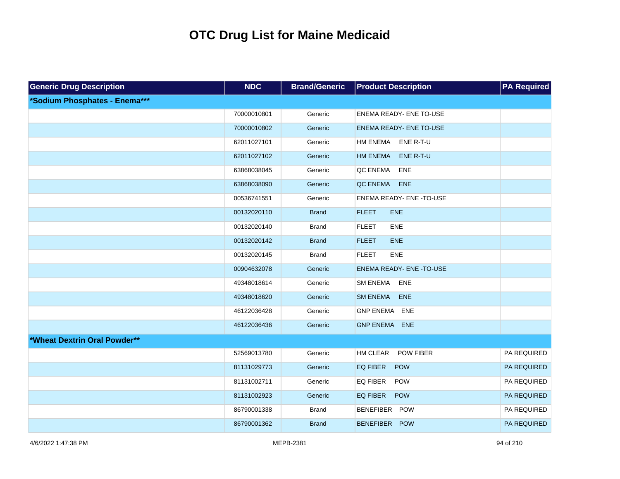| <b>Generic Drug Description</b> | <b>NDC</b>  | <b>Brand/Generic</b> | <b>Product Description</b>          | <b>PA Required</b> |
|---------------------------------|-------------|----------------------|-------------------------------------|--------------------|
| *Sodium Phosphates - Enema***   |             |                      |                                     |                    |
|                                 | 70000010801 | Generic              | <b>ENEMA READY- ENE TO-USE</b>      |                    |
|                                 | 70000010802 | Generic              | <b>ENEMA READY- ENE TO-USE</b>      |                    |
|                                 | 62011027101 | Generic              | HM ENEMA ENE R-T-U                  |                    |
|                                 | 62011027102 | Generic              | <b>HM ENEMA</b><br>ENE R-T-U        |                    |
|                                 | 63868038045 | Generic              | QC ENEMA<br>ENE                     |                    |
|                                 | 63868038090 | Generic              | QC ENEMA<br>ENE                     |                    |
|                                 | 00536741551 | Generic              | ENEMA READY- ENE -TO-USE            |                    |
|                                 | 00132020110 | <b>Brand</b>         | <b>FLEET</b><br>ENE                 |                    |
|                                 | 00132020140 | <b>Brand</b>         | <b>FLEET</b><br>ENE                 |                    |
|                                 | 00132020142 | <b>Brand</b>         | <b>FLEET</b><br><b>ENE</b>          |                    |
|                                 | 00132020145 | <b>Brand</b>         | <b>FLEET</b><br>ENE                 |                    |
|                                 | 00904632078 | Generic              | <b>ENEMA READY- ENE -TO-USE</b>     |                    |
|                                 | 49348018614 | Generic              | ENE<br><b>SM ENEMA</b>              |                    |
|                                 | 49348018620 | Generic              | <b>SM ENEMA</b><br><b>ENE</b>       |                    |
|                                 | 46122036428 | Generic              | GNP ENEMA ENE                       |                    |
|                                 | 46122036436 | Generic              | GNP ENEMA ENE                       |                    |
| *Wheat Dextrin Oral Powder**    |             |                      |                                     |                    |
|                                 | 52569013780 | Generic              | <b>HM CLEAR</b><br><b>POW FIBER</b> | PA REQUIRED        |
|                                 | 81131029773 | Generic              | EQ FIBER<br><b>POW</b>              | PA REQUIRED        |
|                                 | 81131002711 | Generic              | EQ FIBER<br><b>POW</b>              | PA REQUIRED        |
|                                 | 81131002923 | Generic              | EQ FIBER<br>POW                     | PA REQUIRED        |
|                                 | 86790001338 | <b>Brand</b>         | BENEFIBER POW                       | PA REQUIRED        |
|                                 | 86790001362 | <b>Brand</b>         | BENEFIBER POW                       | PA REQUIRED        |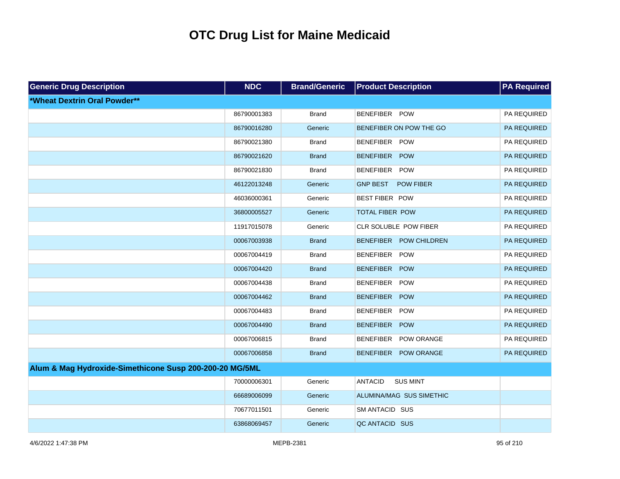| <b>Generic Drug Description</b>                         | <b>NDC</b>  | <b>Brand/Generic</b> | <b>Product Description</b>          | <b>PA Required</b> |
|---------------------------------------------------------|-------------|----------------------|-------------------------------------|--------------------|
| *Wheat Dextrin Oral Powder**                            |             |                      |                                     |                    |
|                                                         | 86790001383 | <b>Brand</b>         | BENEFIBER POW                       | PA REQUIRED        |
|                                                         | 86790016280 | Generic              | BENEFIBER ON POW THE GO             | PA REQUIRED        |
|                                                         | 86790021380 | <b>Brand</b>         | BENEFIBER POW                       | PA REQUIRED        |
|                                                         | 86790021620 | <b>Brand</b>         | BENEFIBER POW                       | PA REQUIRED        |
|                                                         | 86790021830 | <b>Brand</b>         | BENEFIBER POW                       | PA REQUIRED        |
|                                                         | 46122013248 | Generic              | <b>GNP BEST</b><br><b>POW FIBER</b> | PA REQUIRED        |
|                                                         | 46036000361 | Generic              | <b>BEST FIBER POW</b>               | PA REQUIRED        |
|                                                         | 36800005527 | Generic              | TOTAL FIBER POW                     | PA REQUIRED        |
|                                                         | 11917015078 | Generic              | CLR SOLUBLE POW FIBER               | PA REQUIRED        |
|                                                         | 00067003938 | <b>Brand</b>         | BENEFIBER POW CHILDREN              | PA REQUIRED        |
|                                                         | 00067004419 | <b>Brand</b>         | BENEFIBER POW                       | PA REQUIRED        |
|                                                         | 00067004420 | <b>Brand</b>         | BENEFIBER POW                       | PA REQUIRED        |
|                                                         | 00067004438 | <b>Brand</b>         | BENEFIBER POW                       | PA REQUIRED        |
|                                                         | 00067004462 | <b>Brand</b>         | BENEFIBER POW                       | PA REQUIRED        |
|                                                         | 00067004483 | <b>Brand</b>         | BENEFIBER POW                       | PA REQUIRED        |
|                                                         | 00067004490 | <b>Brand</b>         | BENEFIBER POW                       | PA REQUIRED        |
|                                                         | 00067006815 | <b>Brand</b>         | BENEFIBER POW ORANGE                | PA REQUIRED        |
|                                                         | 00067006858 | <b>Brand</b>         | BENEFIBER POW ORANGE                | PA REQUIRED        |
| Alum & Mag Hydroxide-Simethicone Susp 200-200-20 MG/5ML |             |                      |                                     |                    |
|                                                         | 70000006301 | Generic              | <b>ANTACID</b><br><b>SUS MINT</b>   |                    |
|                                                         | 66689006099 | Generic              | ALUMINA/MAG SUS SIMETHIC            |                    |
|                                                         | 70677011501 | Generic              | SM ANTACID SUS                      |                    |
|                                                         | 63868069457 | Generic              | QC ANTACID SUS                      |                    |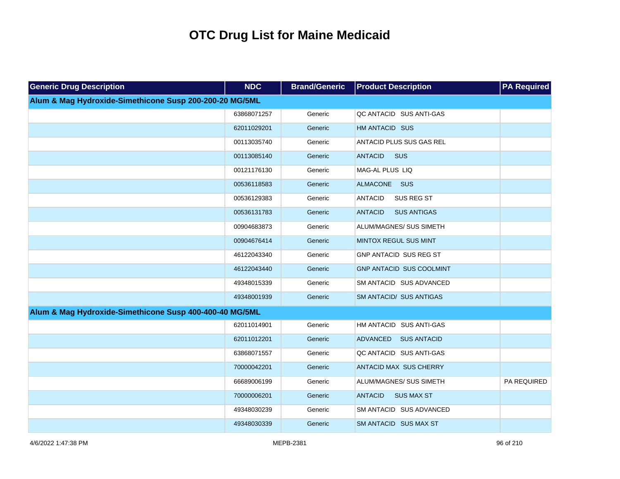| <b>Generic Drug Description</b>                         | <b>NDC</b>  | <b>Brand/Generic</b> | <b>Product Description</b>           | <b>PA Required</b> |
|---------------------------------------------------------|-------------|----------------------|--------------------------------------|--------------------|
| Alum & Mag Hydroxide-Simethicone Susp 200-200-20 MG/5ML |             |                      |                                      |                    |
|                                                         | 63868071257 | Generic              | QC ANTACID SUS ANTI-GAS              |                    |
|                                                         | 62011029201 | Generic              | HM ANTACID SUS                       |                    |
|                                                         | 00113035740 | Generic              | ANTACID PLUS SUS GAS REL             |                    |
|                                                         | 00113085140 | Generic              | <b>ANTACID</b><br><b>SUS</b>         |                    |
|                                                         | 00121176130 | Generic              | MAG-AL PLUS LIQ                      |                    |
|                                                         | 00536118583 | Generic              | ALMACONE SUS                         |                    |
|                                                         | 00536129383 | Generic              | SUS REG ST<br><b>ANTACID</b>         |                    |
|                                                         | 00536131783 | Generic              | <b>SUS ANTIGAS</b><br><b>ANTACID</b> |                    |
|                                                         | 00904683873 | Generic              | ALUM/MAGNES/ SUS SIMETH              |                    |
|                                                         | 00904676414 | Generic              | MINTOX REGUL SUS MINT                |                    |
|                                                         | 46122043340 | Generic              | GNP ANTACID SUS REG ST               |                    |
|                                                         | 46122043440 | Generic              | GNP ANTACID SUS COOLMINT             |                    |
|                                                         | 49348015339 | Generic              | SM ANTACID SUS ADVANCED              |                    |
|                                                         | 49348001939 | Generic              | <b>SM ANTACID/ SUS ANTIGAS</b>       |                    |
| Alum & Mag Hydroxide-Simethicone Susp 400-400-40 MG/5ML |             |                      |                                      |                    |
|                                                         | 62011014901 | Generic              | HM ANTACID SUS ANTI-GAS              |                    |
|                                                         | 62011012201 | Generic              | ADVANCED SUS ANTACID                 |                    |
|                                                         | 63868071557 | Generic              | QC ANTACID SUS ANTI-GAS              |                    |
|                                                         | 70000042201 | Generic              | <b>ANTACID MAX SUS CHERRY</b>        |                    |
|                                                         | 66689006199 | Generic              | ALUM/MAGNES/ SUS SIMETH              | PA REQUIRED        |
|                                                         | 70000006201 | Generic              | <b>SUS MAX ST</b><br><b>ANTACID</b>  |                    |
|                                                         | 49348030239 | Generic              | SM ANTACID SUS ADVANCED              |                    |
|                                                         | 49348030339 | Generic              | SM ANTACID SUS MAX ST                |                    |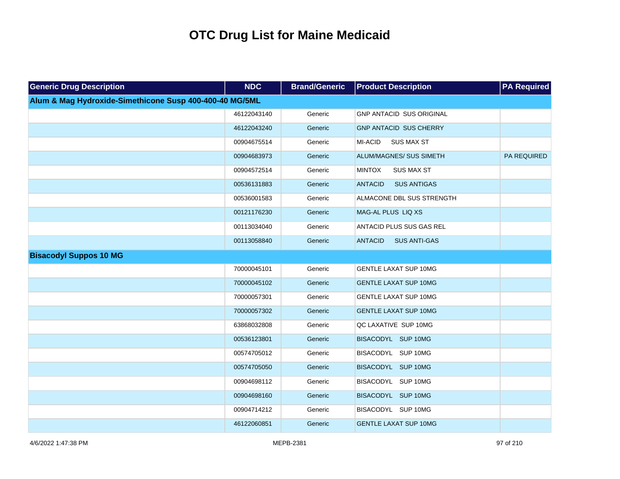| <b>Generic Drug Description</b>                         | <b>NDC</b>  | <b>Brand/Generic</b> | <b>Product Description</b>            | <b>PA Required</b> |
|---------------------------------------------------------|-------------|----------------------|---------------------------------------|--------------------|
| Alum & Mag Hydroxide-Simethicone Susp 400-400-40 MG/5ML |             |                      |                                       |                    |
|                                                         | 46122043140 | Generic              | <b>GNP ANTACID SUS ORIGINAL</b>       |                    |
|                                                         | 46122043240 | Generic              | <b>GNP ANTACID SUS CHERRY</b>         |                    |
|                                                         | 00904675514 | Generic              | MI-ACID<br><b>SUS MAX ST</b>          |                    |
|                                                         | 00904683973 | Generic              | ALUM/MAGNES/ SUS SIMETH               | PA REQUIRED        |
|                                                         | 00904572514 | Generic              | <b>MINTOX</b><br><b>SUS MAX ST</b>    |                    |
|                                                         | 00536131883 | Generic              | <b>ANTACID</b><br><b>SUS ANTIGAS</b>  |                    |
|                                                         | 00536001583 | Generic              | ALMACONE DBL SUS STRENGTH             |                    |
|                                                         | 00121176230 | Generic              | MAG-AL PLUS LIQ XS                    |                    |
|                                                         | 00113034040 | Generic              | ANTACID PLUS SUS GAS REL              |                    |
|                                                         | 00113058840 | Generic              | <b>ANTACID</b><br><b>SUS ANTI-GAS</b> |                    |
| <b>Bisacodyl Suppos 10 MG</b>                           |             |                      |                                       |                    |
|                                                         | 70000045101 | Generic              | <b>GENTLE LAXAT SUP 10MG</b>          |                    |
|                                                         | 70000045102 | Generic              | <b>GENTLE LAXAT SUP 10MG</b>          |                    |
|                                                         | 70000057301 | Generic              | <b>GENTLE LAXAT SUP 10MG</b>          |                    |
|                                                         | 70000057302 | Generic              | <b>GENTLE LAXAT SUP 10MG</b>          |                    |
|                                                         | 63868032808 | Generic              | QC LAXATIVE SUP 10MG                  |                    |
|                                                         | 00536123801 | Generic              | BISACODYL SUP 10MG                    |                    |
|                                                         | 00574705012 | Generic              | BISACODYL SUP 10MG                    |                    |
|                                                         | 00574705050 | Generic              | BISACODYL SUP 10MG                    |                    |
|                                                         | 00904698112 | Generic              | BISACODYL SUP 10MG                    |                    |
|                                                         | 00904698160 | Generic              | BISACODYL SUP 10MG                    |                    |
|                                                         | 00904714212 | Generic              | BISACODYL SUP 10MG                    |                    |
|                                                         | 46122060851 | Generic              | <b>GENTLE LAXAT SUP 10MG</b>          |                    |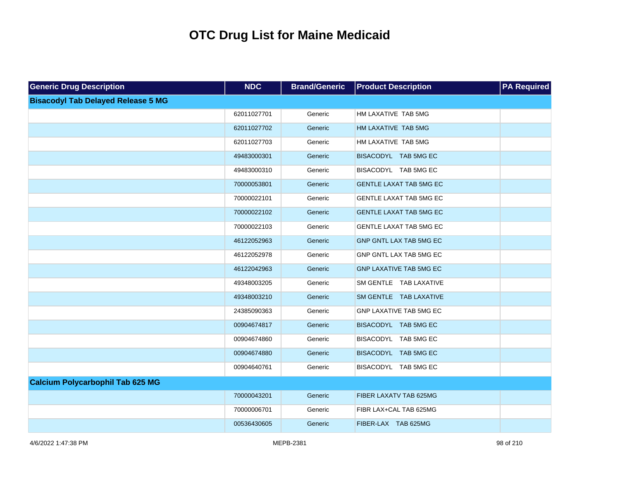| <b>Generic Drug Description</b>           | <b>NDC</b>  | <b>Brand/Generic</b> | <b>Product Description</b>     | <b>PA Required</b> |
|-------------------------------------------|-------------|----------------------|--------------------------------|--------------------|
| <b>Bisacodyl Tab Delayed Release 5 MG</b> |             |                      |                                |                    |
|                                           | 62011027701 | Generic              | HM LAXATIVE TAB 5MG            |                    |
|                                           | 62011027702 | Generic              | HM LAXATIVE TAB 5MG            |                    |
|                                           | 62011027703 | Generic              | HM LAXATIVE TAB 5MG            |                    |
|                                           | 49483000301 | Generic              | BISACODYL TAB 5MG EC           |                    |
|                                           | 49483000310 | Generic              | BISACODYL TAB 5MG EC           |                    |
|                                           | 70000053801 | Generic              | <b>GENTLE LAXAT TAB 5MG EC</b> |                    |
|                                           | 70000022101 | Generic              | GENTLE LAXAT TAB 5MG EC        |                    |
|                                           | 70000022102 | Generic              | <b>GENTLE LAXAT TAB 5MG EC</b> |                    |
|                                           | 70000022103 | Generic              | GENTLE LAXAT TAB 5MG EC        |                    |
|                                           | 46122052963 | Generic              | GNP GNTL LAX TAB 5MG EC        |                    |
|                                           | 46122052978 | Generic              | GNP GNTL LAX TAB 5MG EC        |                    |
|                                           | 46122042963 | Generic              | GNP LAXATIVE TAB 5MG EC        |                    |
|                                           | 49348003205 | Generic              | SM GENTLE TAB LAXATIVE         |                    |
|                                           | 49348003210 | Generic              | SM GENTLE TAB LAXATIVE         |                    |
|                                           | 24385090363 | Generic              | GNP LAXATIVE TAB 5MG EC        |                    |
|                                           | 00904674817 | Generic              | BISACODYL TAB 5MG EC           |                    |
|                                           | 00904674860 | Generic              | BISACODYL TAB 5MG EC           |                    |
|                                           | 00904674880 | Generic              | BISACODYL TAB 5MG EC           |                    |
|                                           | 00904640761 | Generic              | BISACODYL TAB 5MG EC           |                    |
| <b>Calcium Polycarbophil Tab 625 MG</b>   |             |                      |                                |                    |
|                                           | 70000043201 | Generic              | FIBER LAXATV TAB 625MG         |                    |
|                                           | 70000006701 | Generic              | FIBR LAX+CAL TAB 625MG         |                    |
|                                           | 00536430605 | Generic              | FIBER-LAX TAB 625MG            |                    |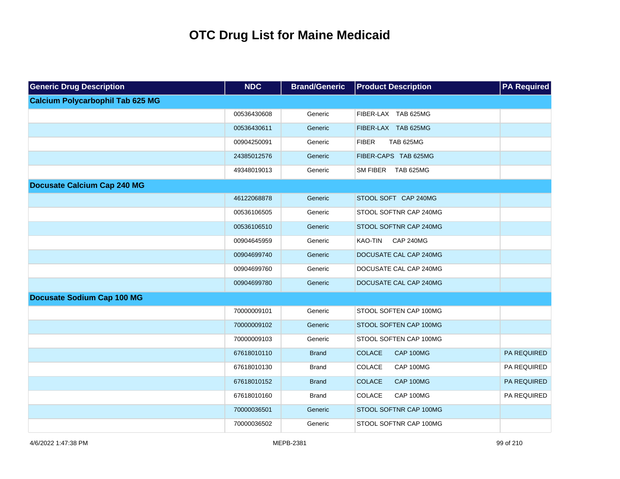| <b>Generic Drug Description</b>         | <b>NDC</b>  | <b>Brand/Generic</b> | <b>Product Description</b>       | <b>PA Required</b> |
|-----------------------------------------|-------------|----------------------|----------------------------------|--------------------|
| <b>Calcium Polycarbophil Tab 625 MG</b> |             |                      |                                  |                    |
|                                         | 00536430608 | Generic              | FIBER-LAX TAB 625MG              |                    |
|                                         | 00536430611 | Generic              | FIBER-LAX TAB 625MG              |                    |
|                                         | 00904250091 | Generic              | <b>FIBER</b><br><b>TAB 625MG</b> |                    |
|                                         | 24385012576 | Generic              | FIBER-CAPS TAB 625MG             |                    |
|                                         | 49348019013 | Generic              | SM FIBER TAB 625MG               |                    |
| <b>Docusate Calcium Cap 240 MG</b>      |             |                      |                                  |                    |
|                                         | 46122068878 | Generic              | STOOL SOFT CAP 240MG             |                    |
|                                         | 00536106505 | Generic              | STOOL SOFTNR CAP 240MG           |                    |
|                                         | 00536106510 | Generic              | STOOL SOFTNR CAP 240MG           |                    |
|                                         | 00904645959 | Generic              | KAO-TIN<br><b>CAP 240MG</b>      |                    |
|                                         | 00904699740 | Generic              | DOCUSATE CAL CAP 240MG           |                    |
|                                         | 00904699760 | Generic              | DOCUSATE CAL CAP 240MG           |                    |
|                                         | 00904699780 | Generic              | DOCUSATE CAL CAP 240MG           |                    |
| <b>Docusate Sodium Cap 100 MG</b>       |             |                      |                                  |                    |
|                                         | 70000009101 | Generic              | STOOL SOFTEN CAP 100MG           |                    |
|                                         | 70000009102 | Generic              | STOOL SOFTEN CAP 100MG           |                    |
|                                         | 70000009103 | Generic              | STOOL SOFTEN CAP 100MG           |                    |
|                                         | 67618010110 | <b>Brand</b>         | <b>COLACE</b><br>CAP 100MG       | PA REQUIRED        |
|                                         | 67618010130 | <b>Brand</b>         | COLACE<br>CAP 100MG              | PA REQUIRED        |
|                                         | 67618010152 | <b>Brand</b>         | <b>COLACE</b><br>CAP 100MG       | PA REQUIRED        |
|                                         | 67618010160 | Brand                | COLACE<br>CAP 100MG              | PA REQUIRED        |
|                                         | 70000036501 | Generic              | STOOL SOFTNR CAP 100MG           |                    |
|                                         | 70000036502 | Generic              | STOOL SOFTNR CAP 100MG           |                    |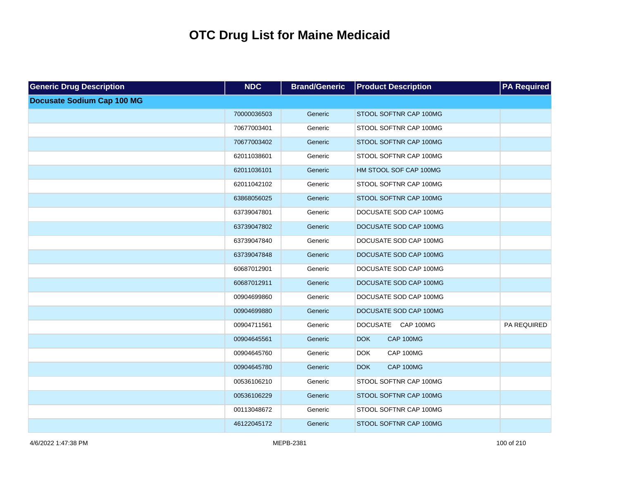| <b>Generic Drug Description</b>   | <b>NDC</b>  | <b>Brand/Generic</b> | <b>Product Description</b> | <b>PA Required</b> |
|-----------------------------------|-------------|----------------------|----------------------------|--------------------|
| <b>Docusate Sodium Cap 100 MG</b> |             |                      |                            |                    |
|                                   | 70000036503 | Generic              | STOOL SOFTNR CAP 100MG     |                    |
|                                   | 70677003401 | Generic              | STOOL SOFTNR CAP 100MG     |                    |
|                                   | 70677003402 | Generic              | STOOL SOFTNR CAP 100MG     |                    |
|                                   | 62011038601 | Generic              | STOOL SOFTNR CAP 100MG     |                    |
|                                   | 62011036101 | Generic              | HM STOOL SOF CAP 100MG     |                    |
|                                   | 62011042102 | Generic              | STOOL SOFTNR CAP 100MG     |                    |
|                                   | 63868056025 | Generic              | STOOL SOFTNR CAP 100MG     |                    |
|                                   | 63739047801 | Generic              | DOCUSATE SOD CAP 100MG     |                    |
|                                   | 63739047802 | Generic              | DOCUSATE SOD CAP 100MG     |                    |
|                                   | 63739047840 | Generic              | DOCUSATE SOD CAP 100MG     |                    |
|                                   | 63739047848 | Generic              | DOCUSATE SOD CAP 100MG     |                    |
|                                   | 60687012901 | Generic              | DOCUSATE SOD CAP 100MG     |                    |
|                                   | 60687012911 | Generic              | DOCUSATE SOD CAP 100MG     |                    |
|                                   | 00904699860 | Generic              | DOCUSATE SOD CAP 100MG     |                    |
|                                   | 00904699880 | Generic              | DOCUSATE SOD CAP 100MG     |                    |
|                                   | 00904711561 | Generic              | DOCUSATE CAP 100MG         | PA REQUIRED        |
|                                   | 00904645561 | Generic              | CAP 100MG<br><b>DOK</b>    |                    |
|                                   | 00904645760 | Generic              | CAP 100MG<br><b>DOK</b>    |                    |
|                                   | 00904645780 | Generic              | CAP 100MG<br><b>DOK</b>    |                    |
|                                   | 00536106210 | Generic              | STOOL SOFTNR CAP 100MG     |                    |
|                                   | 00536106229 | Generic              | STOOL SOFTNR CAP 100MG     |                    |
|                                   | 00113048672 | Generic              | STOOL SOFTNR CAP 100MG     |                    |
|                                   | 46122045172 | Generic              | STOOL SOFTNR CAP 100MG     |                    |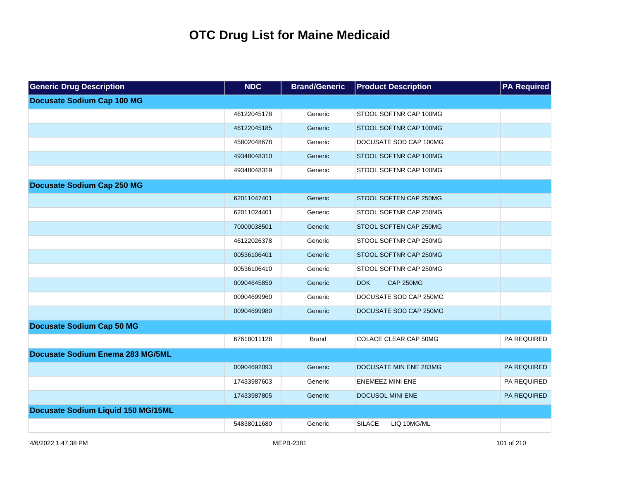| <b>Generic Drug Description</b>    | <b>NDC</b>  | <b>Brand/Generic</b> | <b>Product Description</b>     | <b>PA Required</b> |
|------------------------------------|-------------|----------------------|--------------------------------|--------------------|
| <b>Docusate Sodium Cap 100 MG</b>  |             |                      |                                |                    |
|                                    | 46122045178 | Generic              | STOOL SOFTNR CAP 100MG         |                    |
|                                    | 46122045185 | Generic              | STOOL SOFTNR CAP 100MG         |                    |
|                                    | 45802048678 | Generic              | DOCUSATE SOD CAP 100MG         |                    |
|                                    | 49348048310 | Generic              | STOOL SOFTNR CAP 100MG         |                    |
|                                    | 49348048319 | Generic              | STOOL SOFTNR CAP 100MG         |                    |
| <b>Docusate Sodium Cap 250 MG</b>  |             |                      |                                |                    |
|                                    | 62011047401 | Generic              | STOOL SOFTEN CAP 250MG         |                    |
|                                    | 62011024401 | Generic              | STOOL SOFTNR CAP 250MG         |                    |
|                                    | 70000038501 | Generic              | STOOL SOFTEN CAP 250MG         |                    |
|                                    | 46122026378 | Generic              | STOOL SOFTNR CAP 250MG         |                    |
|                                    | 00536106401 | Generic              | STOOL SOFTNR CAP 250MG         |                    |
|                                    | 00536106410 | Generic              | STOOL SOFTNR CAP 250MG         |                    |
|                                    | 00904645859 | Generic              | <b>DOK</b><br><b>CAP 250MG</b> |                    |
|                                    | 00904699960 | Generic              | DOCUSATE SOD CAP 250MG         |                    |
|                                    | 00904699980 | Generic              | DOCUSATE SOD CAP 250MG         |                    |
| <b>Docusate Sodium Cap 50 MG</b>   |             |                      |                                |                    |
|                                    | 67618011128 | <b>Brand</b>         | <b>COLACE CLEAR CAP 50MG</b>   | PA REQUIRED        |
| Docusate Sodium Enema 283 MG/5ML   |             |                      |                                |                    |
|                                    | 00904692093 | Generic              | DOCUSATE MIN ENE 283MG         | PA REQUIRED        |
|                                    | 17433987603 | Generic              | <b>ENEMEEZ MINI ENE</b>        | PA REQUIRED        |
|                                    | 17433987805 | Generic              | <b>DOCUSOL MINI ENE</b>        | PA REQUIRED        |
| Docusate Sodium Liquid 150 MG/15ML |             |                      |                                |                    |
|                                    | 54838011680 | Generic              | <b>SILACE</b><br>LIQ 10MG/ML   |                    |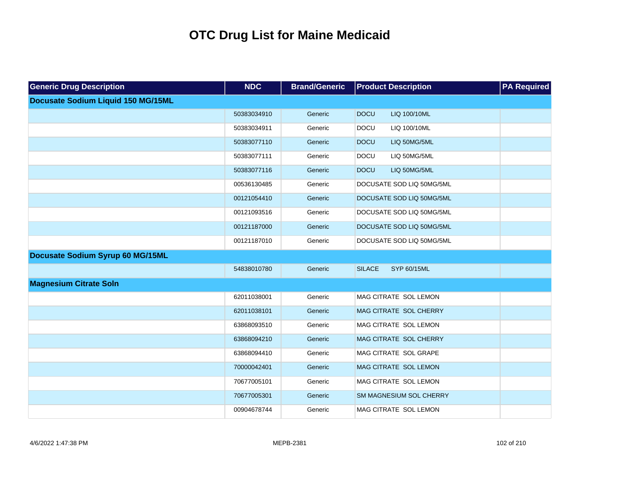| <b>Generic Drug Description</b>    | <b>NDC</b>  | <b>Brand/Generic</b> | <b>Product Description</b>     | <b>PA Required</b> |
|------------------------------------|-------------|----------------------|--------------------------------|--------------------|
| Docusate Sodium Liquid 150 MG/15ML |             |                      |                                |                    |
|                                    | 50383034910 | Generic              | <b>DOCU</b><br>LIQ 100/10ML    |                    |
|                                    | 50383034911 | Generic              | <b>DOCU</b><br>LIQ 100/10ML    |                    |
|                                    | 50383077110 | Generic              | <b>DOCU</b><br>LIQ 50MG/5ML    |                    |
|                                    | 50383077111 | Generic              | <b>DOCU</b><br>LIQ 50MG/5ML    |                    |
|                                    | 50383077116 | Generic              | <b>DOCU</b><br>LIQ 50MG/5ML    |                    |
|                                    | 00536130485 | Generic              | DOCUSATE SOD LIQ 50MG/5ML      |                    |
|                                    | 00121054410 | Generic              | DOCUSATE SOD LIQ 50MG/5ML      |                    |
|                                    | 00121093516 | Generic              | DOCUSATE SOD LIQ 50MG/5ML      |                    |
|                                    | 00121187000 | Generic              | DOCUSATE SOD LIQ 50MG/5ML      |                    |
|                                    | 00121187010 | Generic              | DOCUSATE SOD LIQ 50MG/5ML      |                    |
| Docusate Sodium Syrup 60 MG/15ML   |             |                      |                                |                    |
|                                    | 54838010780 | Generic              | <b>SILACE</b><br>SYP 60/15ML   |                    |
| <b>Magnesium Citrate Soln</b>      |             |                      |                                |                    |
|                                    | 62011038001 | Generic              | MAG CITRATE SOL LEMON          |                    |
|                                    | 62011038101 | Generic              | MAG CITRATE SOL CHERRY         |                    |
|                                    | 63868093510 | Generic              | MAG CITRATE SOL LEMON          |                    |
|                                    | 63868094210 | Generic              | MAG CITRATE SOL CHERRY         |                    |
|                                    | 63868094410 | Generic              | MAG CITRATE SOL GRAPE          |                    |
|                                    | 70000042401 | Generic              | MAG CITRATE SOL LEMON          |                    |
|                                    | 70677005101 | Generic              | MAG CITRATE SOL LEMON          |                    |
|                                    | 70677005301 | Generic              | <b>SM MAGNESIUM SOL CHERRY</b> |                    |
|                                    | 00904678744 | Generic              | MAG CITRATE SOL LEMON          |                    |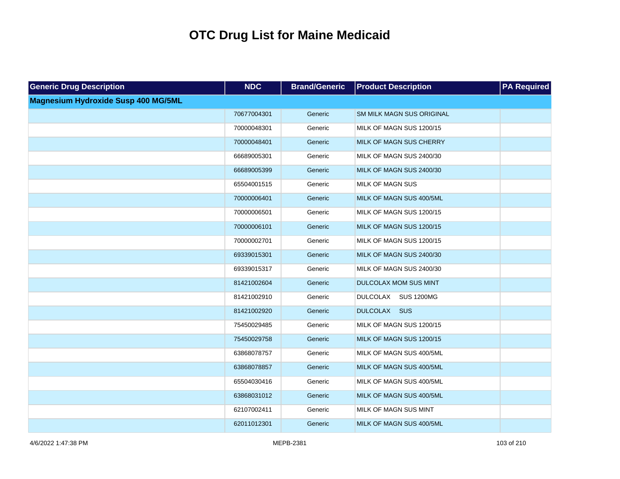| <b>Generic Drug Description</b>            | <b>NDC</b>  | <b>Brand/Generic</b> | <b>Product Description</b>       | <b>PA Required</b> |
|--------------------------------------------|-------------|----------------------|----------------------------------|--------------------|
| <b>Magnesium Hydroxide Susp 400 MG/5ML</b> |             |                      |                                  |                    |
|                                            | 70677004301 | Generic              | <b>SM MILK MAGN SUS ORIGINAL</b> |                    |
|                                            | 70000048301 | Generic              | MILK OF MAGN SUS 1200/15         |                    |
|                                            | 70000048401 | Generic              | MILK OF MAGN SUS CHERRY          |                    |
|                                            | 66689005301 | Generic              | MILK OF MAGN SUS 2400/30         |                    |
|                                            | 66689005399 | Generic              | MILK OF MAGN SUS 2400/30         |                    |
|                                            | 65504001515 | Generic              | <b>MILK OF MAGN SUS</b>          |                    |
|                                            | 70000006401 | Generic              | MILK OF MAGN SUS 400/5ML         |                    |
|                                            | 70000006501 | Generic              | MILK OF MAGN SUS 1200/15         |                    |
|                                            | 70000006101 | Generic              | MILK OF MAGN SUS 1200/15         |                    |
|                                            | 70000002701 | Generic              | MILK OF MAGN SUS 1200/15         |                    |
|                                            | 69339015301 | Generic              | MILK OF MAGN SUS 2400/30         |                    |
|                                            | 69339015317 | Generic              | MILK OF MAGN SUS 2400/30         |                    |
|                                            | 81421002604 | Generic              | DULCOLAX MOM SUS MINT            |                    |
|                                            | 81421002910 | Generic              | DULCOLAX SUS 1200MG              |                    |
|                                            | 81421002920 | Generic              | DULCOLAX SUS                     |                    |
|                                            | 75450029485 | Generic              | MILK OF MAGN SUS 1200/15         |                    |
|                                            | 75450029758 | Generic              | MILK OF MAGN SUS 1200/15         |                    |
|                                            | 63868078757 | Generic              | MILK OF MAGN SUS 400/5ML         |                    |
|                                            | 63868078857 | Generic              | MILK OF MAGN SUS 400/5ML         |                    |
|                                            | 65504030416 | Generic              | MILK OF MAGN SUS 400/5ML         |                    |
|                                            | 63868031012 | Generic              | MILK OF MAGN SUS 400/5ML         |                    |
|                                            | 62107002411 | Generic              | MILK OF MAGN SUS MINT            |                    |
|                                            | 62011012301 | Generic              | MILK OF MAGN SUS 400/5ML         |                    |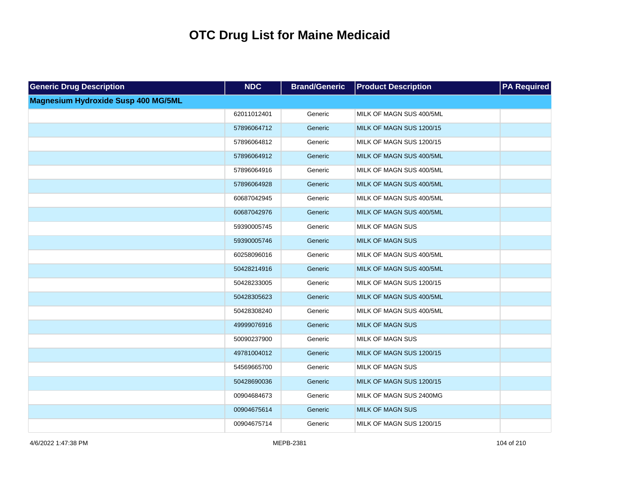| <b>Generic Drug Description</b>            | <b>NDC</b>  | <b>Brand/Generic</b> | <b>Product Description</b> | <b>PA Required</b> |
|--------------------------------------------|-------------|----------------------|----------------------------|--------------------|
| <b>Magnesium Hydroxide Susp 400 MG/5ML</b> |             |                      |                            |                    |
|                                            | 62011012401 | Generic              | MILK OF MAGN SUS 400/5ML   |                    |
|                                            | 57896064712 | Generic              | MILK OF MAGN SUS 1200/15   |                    |
|                                            | 57896064812 | Generic              | MILK OF MAGN SUS 1200/15   |                    |
|                                            | 57896064912 | Generic              | MILK OF MAGN SUS 400/5ML   |                    |
|                                            | 57896064916 | Generic              | MILK OF MAGN SUS 400/5ML   |                    |
|                                            | 57896064928 | Generic              | MILK OF MAGN SUS 400/5ML   |                    |
|                                            | 60687042945 | Generic              | MILK OF MAGN SUS 400/5ML   |                    |
|                                            | 60687042976 | Generic              | MILK OF MAGN SUS 400/5ML   |                    |
|                                            | 59390005745 | Generic              | <b>MILK OF MAGN SUS</b>    |                    |
|                                            | 59390005746 | Generic              | <b>MILK OF MAGN SUS</b>    |                    |
|                                            | 60258096016 | Generic              | MILK OF MAGN SUS 400/5ML   |                    |
|                                            | 50428214916 | Generic              | MILK OF MAGN SUS 400/5ML   |                    |
|                                            | 50428233005 | Generic              | MILK OF MAGN SUS 1200/15   |                    |
|                                            | 50428305623 | Generic              | MILK OF MAGN SUS 400/5ML   |                    |
|                                            | 50428308240 | Generic              | MILK OF MAGN SUS 400/5ML   |                    |
|                                            | 49999076916 | Generic              | <b>MILK OF MAGN SUS</b>    |                    |
|                                            | 50090237900 | Generic              | <b>MILK OF MAGN SUS</b>    |                    |
|                                            | 49781004012 | Generic              | MILK OF MAGN SUS 1200/15   |                    |
|                                            | 54569665700 | Generic              | <b>MILK OF MAGN SUS</b>    |                    |
|                                            | 50428690036 | Generic              | MILK OF MAGN SUS 1200/15   |                    |
|                                            | 00904684673 | Generic              | MILK OF MAGN SUS 2400MG    |                    |
|                                            | 00904675614 | Generic              | <b>MILK OF MAGN SUS</b>    |                    |
|                                            | 00904675714 | Generic              | MILK OF MAGN SUS 1200/15   |                    |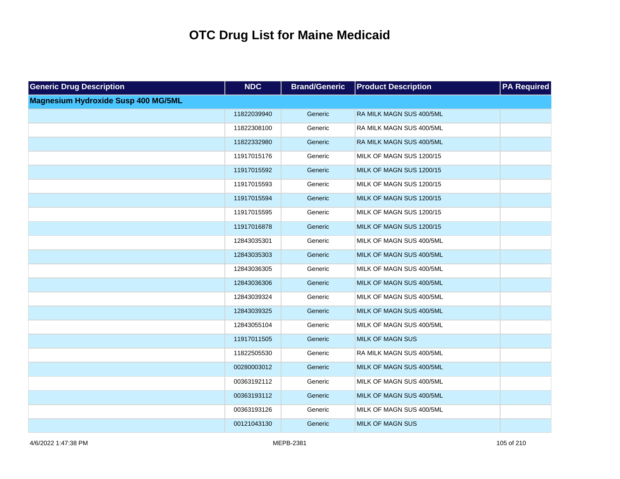| <b>Generic Drug Description</b>            | <b>NDC</b>  | <b>Brand/Generic</b> | <b>Product Description</b> | <b>PA Required</b> |
|--------------------------------------------|-------------|----------------------|----------------------------|--------------------|
| <b>Magnesium Hydroxide Susp 400 MG/5ML</b> |             |                      |                            |                    |
|                                            | 11822039940 | Generic              | RA MILK MAGN SUS 400/5ML   |                    |
|                                            | 11822308100 | Generic              | RA MILK MAGN SUS 400/5ML   |                    |
|                                            | 11822332980 | Generic              | RA MILK MAGN SUS 400/5ML   |                    |
|                                            | 11917015176 | Generic              | MILK OF MAGN SUS 1200/15   |                    |
|                                            | 11917015592 | Generic              | MILK OF MAGN SUS 1200/15   |                    |
|                                            | 11917015593 | Generic              | MILK OF MAGN SUS 1200/15   |                    |
|                                            | 11917015594 | Generic              | MILK OF MAGN SUS 1200/15   |                    |
|                                            | 11917015595 | Generic              | MILK OF MAGN SUS 1200/15   |                    |
|                                            | 11917016878 | Generic              | MILK OF MAGN SUS 1200/15   |                    |
|                                            | 12843035301 | Generic              | MILK OF MAGN SUS 400/5ML   |                    |
|                                            | 12843035303 | Generic              | MILK OF MAGN SUS 400/5ML   |                    |
|                                            | 12843036305 | Generic              | MILK OF MAGN SUS 400/5ML   |                    |
|                                            | 12843036306 | Generic              | MILK OF MAGN SUS 400/5ML   |                    |
|                                            | 12843039324 | Generic              | MILK OF MAGN SUS 400/5ML   |                    |
|                                            | 12843039325 | Generic              | MILK OF MAGN SUS 400/5ML   |                    |
|                                            | 12843055104 | Generic              | MILK OF MAGN SUS 400/5ML   |                    |
|                                            | 11917011505 | Generic              | <b>MILK OF MAGN SUS</b>    |                    |
|                                            | 11822505530 | Generic              | RA MILK MAGN SUS 400/5ML   |                    |
|                                            | 00280003012 | Generic              | MILK OF MAGN SUS 400/5ML   |                    |
|                                            | 00363192112 | Generic              | MILK OF MAGN SUS 400/5ML   |                    |
|                                            | 00363193112 | Generic              | MILK OF MAGN SUS 400/5ML   |                    |
|                                            | 00363193126 | Generic              | MILK OF MAGN SUS 400/5ML   |                    |
|                                            | 00121043130 | Generic              | <b>MILK OF MAGN SUS</b>    |                    |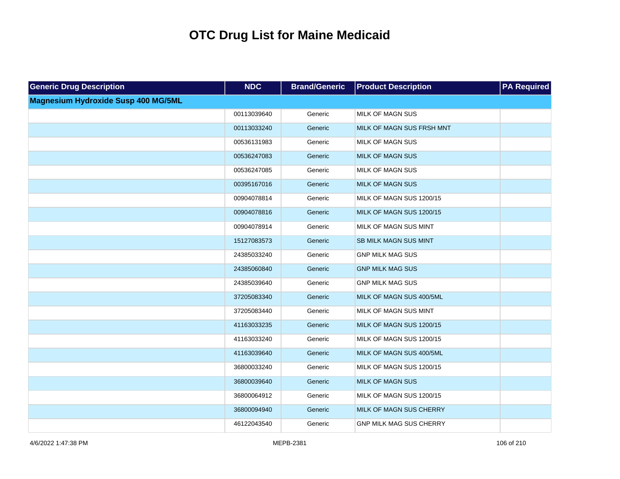| <b>Generic Drug Description</b>            | <b>NDC</b>  | <b>Brand/Generic</b> | <b>Product Description</b>     | <b>PA Required</b> |
|--------------------------------------------|-------------|----------------------|--------------------------------|--------------------|
| <b>Magnesium Hydroxide Susp 400 MG/5ML</b> |             |                      |                                |                    |
|                                            | 00113039640 | Generic              | <b>MILK OF MAGN SUS</b>        |                    |
|                                            | 00113033240 | Generic              | MILK OF MAGN SUS FRSH MNT      |                    |
|                                            | 00536131983 | Generic              | <b>MILK OF MAGN SUS</b>        |                    |
|                                            | 00536247083 | Generic              | <b>MILK OF MAGN SUS</b>        |                    |
|                                            | 00536247085 | Generic              | <b>MILK OF MAGN SUS</b>        |                    |
|                                            | 00395167016 | Generic              | <b>MILK OF MAGN SUS</b>        |                    |
|                                            | 00904078814 | Generic              | MILK OF MAGN SUS 1200/15       |                    |
|                                            | 00904078816 | Generic              | MILK OF MAGN SUS 1200/15       |                    |
|                                            | 00904078914 | Generic              | MILK OF MAGN SUS MINT          |                    |
|                                            | 15127083573 | Generic              | <b>SB MILK MAGN SUS MINT</b>   |                    |
|                                            | 24385033240 | Generic              | <b>GNP MILK MAG SUS</b>        |                    |
|                                            | 24385060840 | Generic              | <b>GNP MILK MAG SUS</b>        |                    |
|                                            | 24385039640 | Generic              | <b>GNP MILK MAG SUS</b>        |                    |
|                                            | 37205083340 | Generic              | MILK OF MAGN SUS 400/5ML       |                    |
|                                            | 37205083440 | Generic              | MILK OF MAGN SUS MINT          |                    |
|                                            | 41163033235 | Generic              | MILK OF MAGN SUS 1200/15       |                    |
|                                            | 41163033240 | Generic              | MILK OF MAGN SUS 1200/15       |                    |
|                                            | 41163039640 | Generic              | MILK OF MAGN SUS 400/5ML       |                    |
|                                            | 36800033240 | Generic              | MILK OF MAGN SUS 1200/15       |                    |
|                                            | 36800039640 | Generic              | <b>MILK OF MAGN SUS</b>        |                    |
|                                            | 36800064912 | Generic              | MILK OF MAGN SUS 1200/15       |                    |
|                                            | 36800094940 | Generic              | MILK OF MAGN SUS CHERRY        |                    |
|                                            | 46122043540 | Generic              | <b>GNP MILK MAG SUS CHERRY</b> |                    |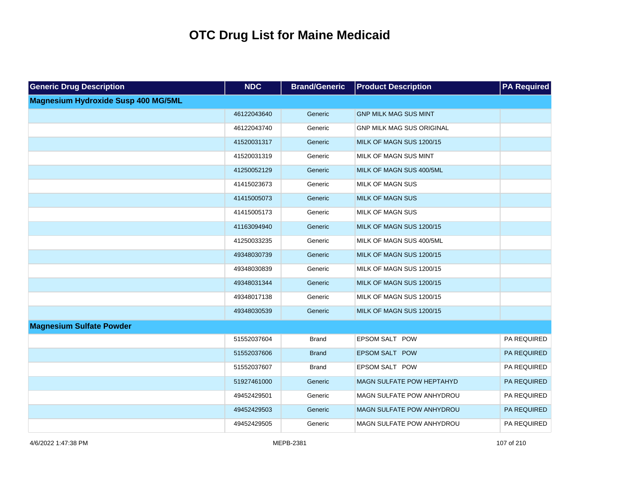| <b>Generic Drug Description</b>            | <b>NDC</b>  | <b>Brand/Generic</b> | <b>Product Description</b>       | <b>PA Required</b> |
|--------------------------------------------|-------------|----------------------|----------------------------------|--------------------|
| <b>Magnesium Hydroxide Susp 400 MG/5ML</b> |             |                      |                                  |                    |
|                                            | 46122043640 | Generic              | <b>GNP MILK MAG SUS MINT</b>     |                    |
|                                            | 46122043740 | Generic              | <b>GNP MILK MAG SUS ORIGINAL</b> |                    |
|                                            | 41520031317 | Generic              | MILK OF MAGN SUS 1200/15         |                    |
|                                            | 41520031319 | Generic              | MILK OF MAGN SUS MINT            |                    |
|                                            | 41250052129 | Generic              | MILK OF MAGN SUS 400/5ML         |                    |
|                                            | 41415023673 | Generic              | <b>MILK OF MAGN SUS</b>          |                    |
|                                            | 41415005073 | Generic              | <b>MILK OF MAGN SUS</b>          |                    |
|                                            | 41415005173 | Generic              | <b>MILK OF MAGN SUS</b>          |                    |
|                                            | 41163094940 | Generic              | MILK OF MAGN SUS 1200/15         |                    |
|                                            | 41250033235 | Generic              | MILK OF MAGN SUS 400/5ML         |                    |
|                                            | 49348030739 | Generic              | MILK OF MAGN SUS 1200/15         |                    |
|                                            | 49348030839 | Generic              | MILK OF MAGN SUS 1200/15         |                    |
|                                            | 49348031344 | Generic              | MILK OF MAGN SUS 1200/15         |                    |
|                                            | 49348017138 | Generic              | MILK OF MAGN SUS 1200/15         |                    |
|                                            | 49348030539 | Generic              | MILK OF MAGN SUS 1200/15         |                    |
| <b>Magnesium Sulfate Powder</b>            |             |                      |                                  |                    |
|                                            | 51552037604 | <b>Brand</b>         | <b>EPSOM SALT POW</b>            | PA REQUIRED        |
|                                            | 51552037606 | <b>Brand</b>         | EPSOM SALT POW                   | PA REQUIRED        |
|                                            | 51552037607 | Brand                | <b>EPSOM SALT POW</b>            | PA REQUIRED        |
|                                            | 51927461000 | Generic              | <b>MAGN SULFATE POW HEPTAHYD</b> | PA REQUIRED        |
|                                            | 49452429501 | Generic              | MAGN SULFATE POW ANHYDROU        | PA REQUIRED        |
|                                            | 49452429503 | Generic              | MAGN SULFATE POW ANHYDROU        | PA REQUIRED        |
|                                            | 49452429505 | Generic              | <b>MAGN SULFATE POW ANHYDROU</b> | PA REQUIRED        |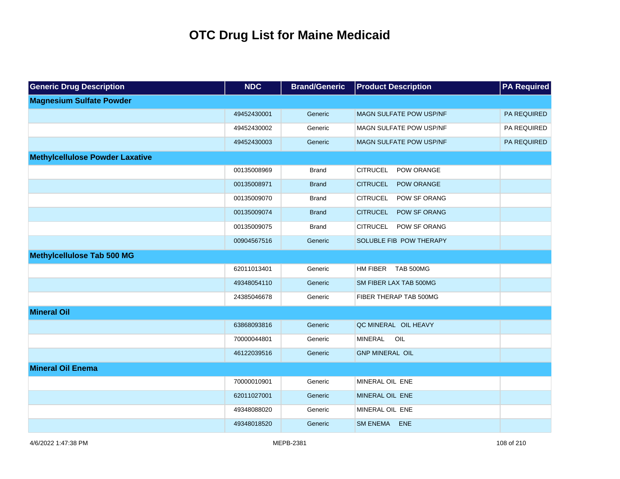| <b>Generic Drug Description</b>        | <b>NDC</b>  | <b>Brand/Generic</b> | <b>Product Description</b>             | <b>PA Required</b> |
|----------------------------------------|-------------|----------------------|----------------------------------------|--------------------|
| <b>Magnesium Sulfate Powder</b>        |             |                      |                                        |                    |
|                                        | 49452430001 | Generic              | <b>MAGN SULFATE POW USP/NF</b>         | PA REQUIRED        |
|                                        | 49452430002 | Generic              | MAGN SULFATE POW USP/NF                | PA REQUIRED        |
|                                        | 49452430003 | Generic              | <b>MAGN SULFATE POW USP/NF</b>         | PA REQUIRED        |
| <b>Methylcellulose Powder Laxative</b> |             |                      |                                        |                    |
|                                        | 00135008969 | <b>Brand</b>         | <b>CITRUCEL</b><br>POW ORANGE          |                    |
|                                        | 00135008971 | <b>Brand</b>         | <b>CITRUCEL</b><br>POW ORANGE          |                    |
|                                        | 00135009070 | <b>Brand</b>         | <b>CITRUCEL</b><br>POW SF ORANG        |                    |
|                                        | 00135009074 | <b>Brand</b>         | <b>CITRUCEL</b><br><b>POW SF ORANG</b> |                    |
|                                        | 00135009075 | <b>Brand</b>         | <b>CITRUCEL</b><br>POW SF ORANG        |                    |
|                                        | 00904567516 | Generic              | SOLUBLE FIB POW THERAPY                |                    |
| <b>Methylcellulose Tab 500 MG</b>      |             |                      |                                        |                    |
|                                        | 62011013401 | Generic              | HM FIBER TAB 500MG                     |                    |
|                                        | 49348054110 | Generic              | SM FIBER LAX TAB 500MG                 |                    |
|                                        | 24385046678 | Generic              | FIBER THERAP TAB 500MG                 |                    |
| <b>Mineral Oil</b>                     |             |                      |                                        |                    |
|                                        | 63868093816 | Generic              | QC MINERAL OIL HEAVY                   |                    |
|                                        | 70000044801 | Generic              | <b>MINERAL</b><br>OIL                  |                    |
|                                        | 46122039516 | Generic              | <b>GNP MINERAL OIL</b>                 |                    |
| <b>Mineral Oil Enema</b>               |             |                      |                                        |                    |
|                                        | 70000010901 | Generic              | MINERAL OIL ENE                        |                    |
|                                        | 62011027001 | Generic              | MINERAL OIL ENE                        |                    |
|                                        | 49348088020 | Generic              | MINERAL OIL ENE                        |                    |
|                                        | 49348018520 | Generic              | <b>SM ENEMA</b><br><b>ENE</b>          |                    |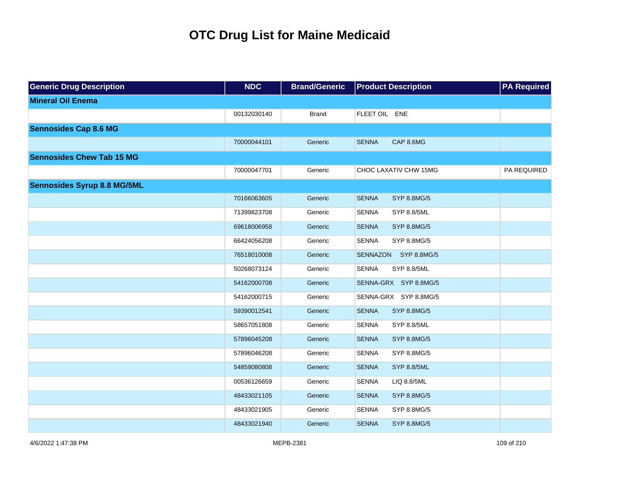| <b>Generic Drug Description</b>    | <b>NDC</b>  | <b>Brand/Generic</b> | <b>Product Description</b>         | <b>PA Required</b> |
|------------------------------------|-------------|----------------------|------------------------------------|--------------------|
| <b>Mineral Oil Enema</b>           |             |                      |                                    |                    |
|                                    | 00132030140 | <b>Brand</b>         | FLEET OIL ENE                      |                    |
| <b>Sennosides Cap 8.6 MG</b>       |             |                      |                                    |                    |
|                                    | 70000044101 | Generic              | CAP 8.6MG<br><b>SENNA</b>          |                    |
| <b>Sennosides Chew Tab 15 MG</b>   |             |                      |                                    |                    |
|                                    | 70000047701 | Generic              | CHOC LAXATIV CHW 15MG              | PA REQUIRED        |
| <b>Sennosides Syrup 8.8 MG/5ML</b> |             |                      |                                    |                    |
|                                    | 70166063605 | Generic              | <b>SENNA</b><br><b>SYP 8.8MG/5</b> |                    |
|                                    | 71399823708 | Generic              | <b>SENNA</b><br><b>SYP 8.8/5ML</b> |                    |
|                                    | 69618006958 | Generic              | <b>SENNA</b><br>SYP 8.8MG/5        |                    |
|                                    | 66424056208 | Generic              | <b>SENNA</b><br>SYP 8.8MG/5        |                    |
|                                    | 76518010008 | Generic              | SENNAZON SYP 8.8MG/5               |                    |
|                                    | 50268073124 | Generic              | <b>SENNA</b><br>SYP 8.8/5ML        |                    |
|                                    | 54162000708 | Generic              | SENNA-GRX SYP 8.8MG/5              |                    |
|                                    | 54162000715 | Generic              | SENNA-GRX SYP 8.8MG/5              |                    |
|                                    | 59390012541 | Generic              | <b>SENNA</b><br><b>SYP 8.8MG/5</b> |                    |
|                                    | 58657051808 | Generic              | <b>SENNA</b><br>SYP 8.8/5ML        |                    |
|                                    | 57896045208 | Generic              | <b>SENNA</b><br>SYP 8.8MG/5        |                    |
|                                    | 57896046208 | Generic              | <b>SENNA</b><br>SYP 8.8MG/5        |                    |
|                                    | 54859080808 | Generic              | <b>SENNA</b><br><b>SYP 8.8/5ML</b> |                    |
|                                    | 00536126659 | Generic              | <b>SENNA</b><br>LIQ 8.8/5ML        |                    |
|                                    | 48433021105 | Generic              | <b>SENNA</b><br>SYP 8.8MG/5        |                    |
|                                    | 48433021905 | Generic              | <b>SENNA</b><br>SYP 8.8MG/5        |                    |
|                                    | 48433021940 | Generic              | <b>SENNA</b><br>SYP 8.8MG/5        |                    |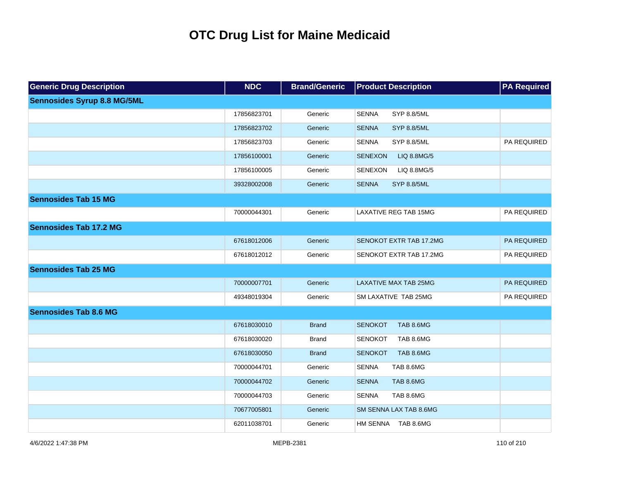| <b>Generic Drug Description</b>    | <b>NDC</b>  | <b>Brand/Generic</b> | <b>Product Description</b>         | <b>PA Required</b> |
|------------------------------------|-------------|----------------------|------------------------------------|--------------------|
| <b>Sennosides Syrup 8.8 MG/5ML</b> |             |                      |                                    |                    |
|                                    | 17856823701 | Generic              | <b>SENNA</b><br>SYP 8.8/5ML        |                    |
|                                    | 17856823702 | Generic              | <b>SENNA</b><br><b>SYP 8.8/5ML</b> |                    |
|                                    | 17856823703 | Generic              | <b>SENNA</b><br><b>SYP 8.8/5ML</b> | PA REQUIRED        |
|                                    | 17856100001 | Generic              | <b>SENEXON</b><br>LIQ 8.8MG/5      |                    |
|                                    | 17856100005 | Generic              | <b>SENEXON</b><br>LIQ 8.8MG/5      |                    |
|                                    | 39328002008 | Generic              | <b>SENNA</b><br><b>SYP 8.8/5ML</b> |                    |
| <b>Sennosides Tab 15 MG</b>        |             |                      |                                    |                    |
|                                    | 70000044301 | Generic              | <b>LAXATIVE REG TAB 15MG</b>       | PA REQUIRED        |
| <b>Sennosides Tab 17.2 MG</b>      |             |                      |                                    |                    |
|                                    | 67618012006 | Generic              | <b>SENOKOT EXTR TAB 17.2MG</b>     | PA REQUIRED        |
|                                    | 67618012012 | Generic              | SENOKOT EXTR TAB 17.2MG            | PA REQUIRED        |
| <b>Sennosides Tab 25 MG</b>        |             |                      |                                    |                    |
|                                    | 70000007701 | Generic              | <b>LAXATIVE MAX TAB 25MG</b>       | PA REQUIRED        |
|                                    | 49348019304 | Generic              | SM LAXATIVE TAB 25MG               | PA REQUIRED        |
| <b>Sennosides Tab 8.6 MG</b>       |             |                      |                                    |                    |
|                                    | 67618030010 | <b>Brand</b>         | <b>SENOKOT</b><br><b>TAB 8.6MG</b> |                    |
|                                    | 67618030020 | <b>Brand</b>         | <b>SENOKOT</b><br>TAB 8.6MG        |                    |
|                                    | 67618030050 | <b>Brand</b>         | <b>SENOKOT</b><br><b>TAB 8.6MG</b> |                    |
|                                    | 70000044701 | Generic              | <b>SENNA</b><br>TAB 8.6MG          |                    |
|                                    | 70000044702 | Generic              | <b>SENNA</b><br>TAB 8.6MG          |                    |
|                                    | 70000044703 | Generic              | <b>SENNA</b><br>TAB 8.6MG          |                    |
|                                    | 70677005801 | Generic              | SM SENNA LAX TAB 8.6MG             |                    |
|                                    | 62011038701 | Generic              | HM SENNA TAB 8.6MG                 |                    |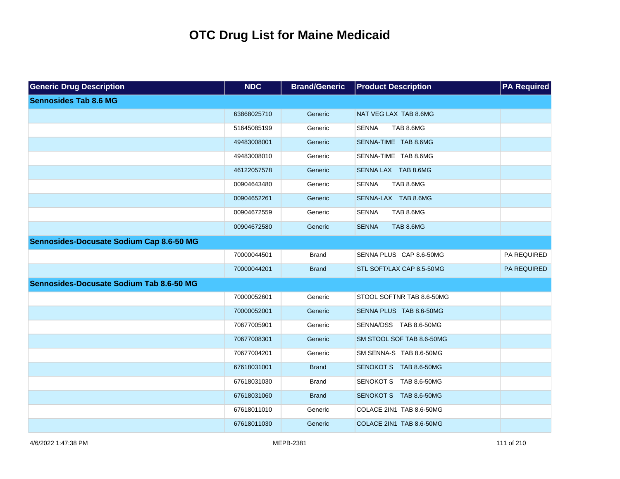| <b>Generic Drug Description</b>          | <b>NDC</b>  | <b>Brand/Generic</b> | <b>Product Description</b> | <b>PA Required</b> |
|------------------------------------------|-------------|----------------------|----------------------------|--------------------|
| <b>Sennosides Tab 8.6 MG</b>             |             |                      |                            |                    |
|                                          | 63868025710 | Generic              | NAT VEG LAX TAB 8.6MG      |                    |
|                                          | 51645085199 | Generic              | TAB 8.6MG<br><b>SENNA</b>  |                    |
|                                          | 49483008001 | Generic              | SENNA-TIME TAB 8.6MG       |                    |
|                                          | 49483008010 | Generic              | SENNA-TIME TAB 8.6MG       |                    |
|                                          | 46122057578 | Generic              | SENNA LAX TAB 8.6MG        |                    |
|                                          | 00904643480 | Generic              | TAB 8.6MG<br><b>SENNA</b>  |                    |
|                                          | 00904652261 | Generic              | SENNA-LAX TAB 8.6MG        |                    |
|                                          | 00904672559 | Generic              | <b>SENNA</b><br>TAB 8.6MG  |                    |
|                                          | 00904672580 | Generic              | <b>SENNA</b><br>TAB 8.6MG  |                    |
| Sennosides-Docusate Sodium Cap 8.6-50 MG |             |                      |                            |                    |
|                                          | 70000044501 | <b>Brand</b>         | SENNA PLUS CAP 8.6-50MG    | PA REQUIRED        |
|                                          | 70000044201 | <b>Brand</b>         | STL SOFT/LAX CAP 8.5-50MG  | PA REQUIRED        |
| Sennosides-Docusate Sodium Tab 8.6-50 MG |             |                      |                            |                    |
|                                          | 70000052601 | Generic              | STOOL SOFTNR TAB 8.6-50MG  |                    |
|                                          | 70000052001 | Generic              | SENNA PLUS TAB 8.6-50MG    |                    |
|                                          | 70677005901 | Generic              | SENNA/DSS TAB 8.6-50MG     |                    |
|                                          | 70677008301 | Generic              | SM STOOL SOF TAB 8.6-50MG  |                    |
|                                          | 70677004201 | Generic              | SM SENNA-S TAB 8.6-50MG    |                    |
|                                          | 67618031001 | <b>Brand</b>         | SENOKOT S TAB 8.6-50MG     |                    |
|                                          | 67618031030 | <b>Brand</b>         | SENOKOT S TAB 8.6-50MG     |                    |
|                                          | 67618031060 | <b>Brand</b>         | SENOKOT S TAB 8.6-50MG     |                    |
|                                          | 67618011010 | Generic              | COLACE 2IN1 TAB 8.6-50MG   |                    |
|                                          | 67618011030 | Generic              | COLACE 2IN1 TAB 8.6-50MG   |                    |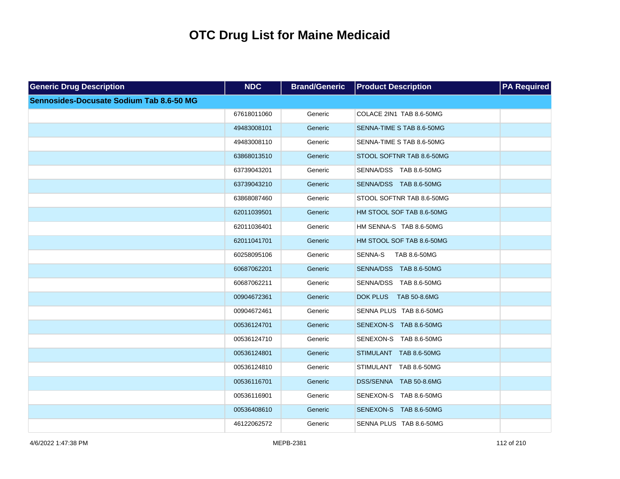| <b>Generic Drug Description</b>          | <b>NDC</b>  | <b>Brand/Generic</b> | <b>Product Description</b>      | <b>PA Required</b> |
|------------------------------------------|-------------|----------------------|---------------------------------|--------------------|
| Sennosides-Docusate Sodium Tab 8.6-50 MG |             |                      |                                 |                    |
|                                          | 67618011060 | Generic              | COLACE 2IN1 TAB 8.6-50MG        |                    |
|                                          | 49483008101 | Generic              | SENNA-TIME S TAB 8.6-50MG       |                    |
|                                          | 49483008110 | Generic              | SENNA-TIME S TAB 8.6-50MG       |                    |
|                                          | 63868013510 | Generic              | STOOL SOFTNR TAB 8.6-50MG       |                    |
|                                          | 63739043201 | Generic              | SENNA/DSS TAB 8.6-50MG          |                    |
|                                          | 63739043210 | Generic              | SENNA/DSS TAB 8.6-50MG          |                    |
|                                          | 63868087460 | Generic              | STOOL SOFTNR TAB 8.6-50MG       |                    |
|                                          | 62011039501 | Generic              | HM STOOL SOF TAB 8.6-50MG       |                    |
|                                          | 62011036401 | Generic              | HM SENNA-S TAB 8.6-50MG         |                    |
|                                          | 62011041701 | Generic              | HM STOOL SOF TAB 8.6-50MG       |                    |
|                                          | 60258095106 | Generic              | SENNA-S<br>TAB 8.6-50MG         |                    |
|                                          | 60687062201 | Generic              | SENNA/DSS TAB 8.6-50MG          |                    |
|                                          | 60687062211 | Generic              | SENNA/DSS TAB 8.6-50MG          |                    |
|                                          | 00904672361 | Generic              | <b>DOK PLUS</b><br>TAB 50-8.6MG |                    |
|                                          | 00904672461 | Generic              | SENNA PLUS TAB 8.6-50MG         |                    |
|                                          | 00536124701 | Generic              | SENEXON-S TAB 8.6-50MG          |                    |
|                                          | 00536124710 | Generic              | SENEXON-S TAB 8.6-50MG          |                    |
|                                          | 00536124801 | Generic              | STIMULANT TAB 8.6-50MG          |                    |
|                                          | 00536124810 | Generic              | STIMULANT TAB 8.6-50MG          |                    |
|                                          | 00536116701 | Generic              | DSS/SENNA TAB 50-8.6MG          |                    |
|                                          | 00536116901 | Generic              | SENEXON-S TAB 8.6-50MG          |                    |
|                                          | 00536408610 | Generic              | SENEXON-S TAB 8.6-50MG          |                    |
|                                          | 46122062572 | Generic              | SENNA PLUS TAB 8.6-50MG         |                    |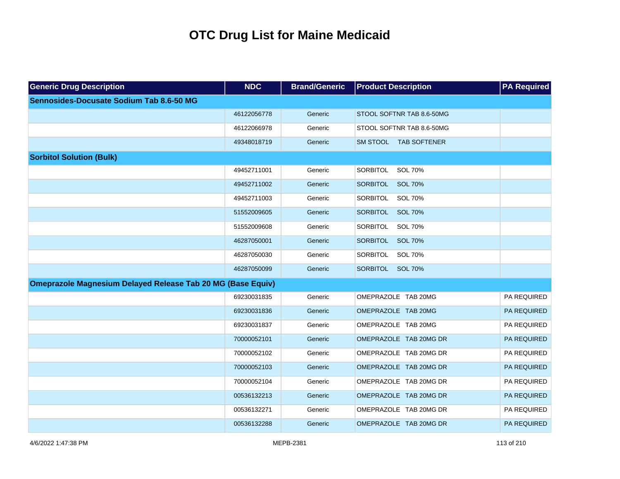| <b>Generic Drug Description</b>                                    | <b>NDC</b>  | <b>Brand/Generic</b> | <b>Product Description</b>        | <b>PA Required</b> |
|--------------------------------------------------------------------|-------------|----------------------|-----------------------------------|--------------------|
| Sennosides-Docusate Sodium Tab 8.6-50 MG                           |             |                      |                                   |                    |
|                                                                    | 46122056778 | Generic              | STOOL SOFTNR TAB 8.6-50MG         |                    |
|                                                                    | 46122066978 | Generic              | STOOL SOFTNR TAB 8.6-50MG         |                    |
|                                                                    | 49348018719 | Generic              | SM STOOL TAB SOFTENER             |                    |
| <b>Sorbitol Solution (Bulk)</b>                                    |             |                      |                                   |                    |
|                                                                    | 49452711001 | Generic              | SORBITOL<br>SOL 70%               |                    |
|                                                                    | 49452711002 | Generic              | SORBITOL<br><b>SOL 70%</b>        |                    |
|                                                                    | 49452711003 | Generic              | SORBITOL<br>SOL 70%               |                    |
|                                                                    | 51552009605 | Generic              | <b>SOL 70%</b><br><b>SORBITOL</b> |                    |
|                                                                    | 51552009608 | Generic              | SOL 70%<br>SORBITOL               |                    |
|                                                                    | 46287050001 | Generic              | SORBITOL<br><b>SOL 70%</b>        |                    |
|                                                                    | 46287050030 | Generic              | SOL 70%<br>SORBITOL               |                    |
|                                                                    | 46287050099 | Generic              | SORBITOL SOL 70%                  |                    |
| <b>Omeprazole Magnesium Delayed Release Tab 20 MG (Base Equiv)</b> |             |                      |                                   |                    |
|                                                                    | 69230031835 | Generic              | OMEPRAZOLE TAB 20MG               | PA REQUIRED        |
|                                                                    | 69230031836 | Generic              | OMEPRAZOLE TAB 20MG               | PA REQUIRED        |
|                                                                    | 69230031837 | Generic              | OMEPRAZOLE TAB 20MG               | PA REQUIRED        |
|                                                                    | 70000052101 | Generic              | OMEPRAZOLE TAB 20MG DR            | PA REQUIRED        |
|                                                                    | 70000052102 | Generic              | OMEPRAZOLE TAB 20MG DR            | PA REQUIRED        |
|                                                                    | 70000052103 | Generic              | OMEPRAZOLE TAB 20MG DR            | PA REQUIRED        |
|                                                                    | 70000052104 | Generic              | OMEPRAZOLE TAB 20MG DR            | PA REQUIRED        |
|                                                                    | 00536132213 | Generic              | OMEPRAZOLE TAB 20MG DR            | PA REQUIRED        |
|                                                                    | 00536132271 | Generic              | OMEPRAZOLE TAB 20MG DR            | PA REQUIRED        |
|                                                                    | 00536132288 | Generic              | OMEPRAZOLE TAB 20MG DR            | <b>PA REQUIRED</b> |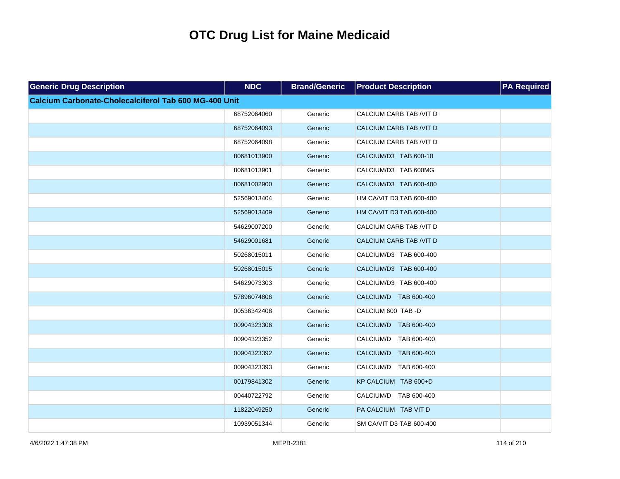| <b>Generic Drug Description</b>                       | <b>NDC</b>  | <b>Brand/Generic</b> | <b>Product Description</b>     | <b>PA Required</b> |
|-------------------------------------------------------|-------------|----------------------|--------------------------------|--------------------|
| Calcium Carbonate-Cholecalciferol Tab 600 MG-400 Unit |             |                      |                                |                    |
|                                                       | 68752064060 | Generic              | CALCIUM CARB TAB /VIT D        |                    |
|                                                       | 68752064093 | Generic              | <b>CALCIUM CARB TAB /VIT D</b> |                    |
|                                                       | 68752064098 | Generic              | CALCIUM CARB TAB /VIT D        |                    |
|                                                       | 80681013900 | Generic              | CALCIUM/D3 TAB 600-10          |                    |
|                                                       | 80681013901 | Generic              | CALCIUM/D3 TAB 600MG           |                    |
|                                                       | 80681002900 | Generic              | CALCIUM/D3 TAB 600-400         |                    |
|                                                       | 52569013404 | Generic              | HM CA/VIT D3 TAB 600-400       |                    |
|                                                       | 52569013409 | Generic              | HM CA/VIT D3 TAB 600-400       |                    |
|                                                       | 54629007200 | Generic              | CALCIUM CARB TAB /VIT D        |                    |
|                                                       | 54629001681 | Generic              | <b>CALCIUM CARB TAB /VIT D</b> |                    |
|                                                       | 50268015011 | Generic              | CALCIUM/D3 TAB 600-400         |                    |
|                                                       | 50268015015 | Generic              | CALCIUM/D3 TAB 600-400         |                    |
|                                                       | 54629073303 | Generic              | CALCIUM/D3 TAB 600-400         |                    |
|                                                       | 57896074806 | Generic              | CALCIUM/D TAB 600-400          |                    |
|                                                       | 00536342408 | Generic              | CALCIUM 600 TAB-D              |                    |
|                                                       | 00904323306 | Generic              | CALCIUM/D TAB 600-400          |                    |
|                                                       | 00904323352 | Generic              | CALCIUM/D TAB 600-400          |                    |
|                                                       | 00904323392 | Generic              | CALCIUM/D TAB 600-400          |                    |
|                                                       | 00904323393 | Generic              | CALCIUM/D TAB 600-400          |                    |
|                                                       | 00179841302 | Generic              | KP CALCIUM TAB 600+D           |                    |
|                                                       | 00440722792 | Generic              | CALCIUM/D TAB 600-400          |                    |
|                                                       | 11822049250 | Generic              | PA CALCIUM TAB VIT D           |                    |
|                                                       | 10939051344 | Generic              | SM CA/VIT D3 TAB 600-400       |                    |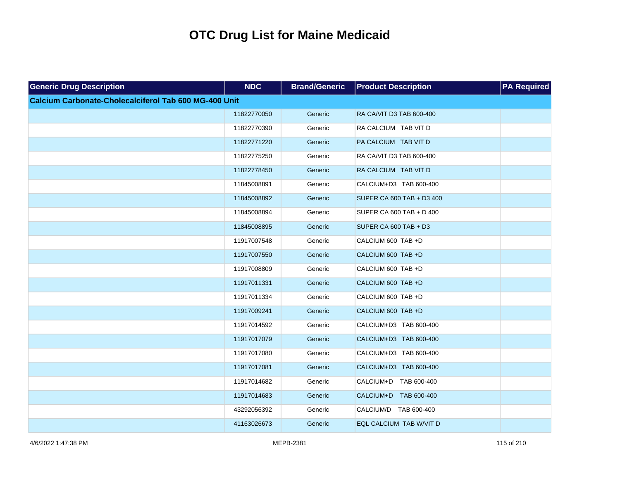| <b>Generic Drug Description</b>                              | <b>NDC</b>  | <b>Brand/Generic</b> | <b>Product Description</b> | <b>PA Required</b> |
|--------------------------------------------------------------|-------------|----------------------|----------------------------|--------------------|
| <b>Calcium Carbonate-Cholecalciferol Tab 600 MG-400 Unit</b> |             |                      |                            |                    |
|                                                              | 11822770050 | Generic              | RA CA/VIT D3 TAB 600-400   |                    |
|                                                              | 11822770390 | Generic              | RA CALCIUM TAB VIT D       |                    |
|                                                              | 11822771220 | Generic              | PA CALCIUM TAB VIT D       |                    |
|                                                              | 11822775250 | Generic              | RA CA/VIT D3 TAB 600-400   |                    |
|                                                              | 11822778450 | Generic              | RA CALCIUM TAB VIT D       |                    |
|                                                              | 11845008891 | Generic              | CALCIUM+D3 TAB 600-400     |                    |
|                                                              | 11845008892 | Generic              | SUPER CA 600 TAB + D3 400  |                    |
|                                                              | 11845008894 | Generic              | SUPER CA 600 TAB + D 400   |                    |
|                                                              | 11845008895 | Generic              | SUPER CA 600 TAB + D3      |                    |
|                                                              | 11917007548 | Generic              | CALCIUM 600 TAB +D         |                    |
|                                                              | 11917007550 | Generic              | CALCIUM 600 TAB +D         |                    |
|                                                              | 11917008809 | Generic              | CALCIUM 600 TAB +D         |                    |
|                                                              | 11917011331 | Generic              | CALCIUM 600 TAB +D         |                    |
|                                                              | 11917011334 | Generic              | CALCIUM 600 TAB +D         |                    |
|                                                              | 11917009241 | Generic              | CALCIUM 600 TAB +D         |                    |
|                                                              | 11917014592 | Generic              | CALCIUM+D3 TAB 600-400     |                    |
|                                                              | 11917017079 | Generic              | CALCIUM+D3 TAB 600-400     |                    |
|                                                              | 11917017080 | Generic              | CALCIUM+D3 TAB 600-400     |                    |
|                                                              | 11917017081 | Generic              | CALCIUM+D3 TAB 600-400     |                    |
|                                                              | 11917014682 | Generic              | CALCIUM+D TAB 600-400      |                    |
|                                                              | 11917014683 | Generic              | CALCIUM+D TAB 600-400      |                    |
|                                                              | 43292056392 | Generic              | CALCIUM/D TAB 600-400      |                    |
|                                                              | 41163026673 | Generic              | EQL CALCIUM TAB W/VIT D    |                    |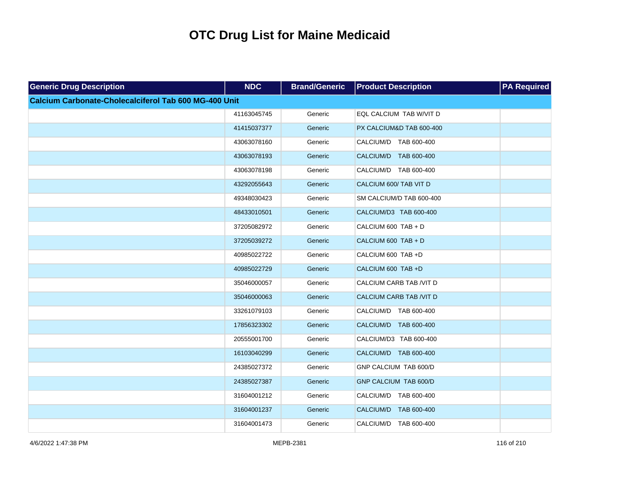| <b>Generic Drug Description</b>                       | <b>NDC</b>  | <b>Brand/Generic</b> | <b>Product Description</b> | <b>PA Required</b> |
|-------------------------------------------------------|-------------|----------------------|----------------------------|--------------------|
| Calcium Carbonate-Cholecalciferol Tab 600 MG-400 Unit |             |                      |                            |                    |
|                                                       | 41163045745 | Generic              | EQL CALCIUM TAB W/VIT D    |                    |
|                                                       | 41415037377 | Generic              | PX CALCIUM&D TAB 600-400   |                    |
|                                                       | 43063078160 | Generic              | CALCIUM/D TAB 600-400      |                    |
|                                                       | 43063078193 | Generic              | CALCIUM/D TAB 600-400      |                    |
|                                                       | 43063078198 | Generic              | CALCIUM/D TAB 600-400      |                    |
|                                                       | 43292055643 | Generic              | CALCIUM 600/ TAB VIT D     |                    |
|                                                       | 49348030423 | Generic              | SM CALCIUM/D TAB 600-400   |                    |
|                                                       | 48433010501 | Generic              | CALCIUM/D3 TAB 600-400     |                    |
|                                                       | 37205082972 | Generic              | CALCIUM 600 TAB + D        |                    |
|                                                       | 37205039272 | Generic              | CALCIUM 600 TAB + D        |                    |
|                                                       | 40985022722 | Generic              | CALCIUM 600 TAB +D         |                    |
|                                                       | 40985022729 | Generic              | CALCIUM 600 TAB +D         |                    |
|                                                       | 35046000057 | Generic              | CALCIUM CARB TAB /VIT D    |                    |
|                                                       | 35046000063 | Generic              | CALCIUM CARB TAB /VIT D    |                    |
|                                                       | 33261079103 | Generic              | CALCIUM/D TAB 600-400      |                    |
|                                                       | 17856323302 | Generic              | CALCIUM/D TAB 600-400      |                    |
|                                                       | 20555001700 | Generic              | CALCIUM/D3 TAB 600-400     |                    |
|                                                       | 16103040299 | Generic              | CALCIUM/D TAB 600-400      |                    |
|                                                       | 24385027372 | Generic              | GNP CALCIUM TAB 600/D      |                    |
|                                                       | 24385027387 | Generic              | GNP CALCIUM TAB 600/D      |                    |
|                                                       | 31604001212 | Generic              | CALCIUM/D TAB 600-400      |                    |
|                                                       | 31604001237 | Generic              | CALCIUM/D TAB 600-400      |                    |
|                                                       | 31604001473 | Generic              | CALCIUM/D TAB 600-400      |                    |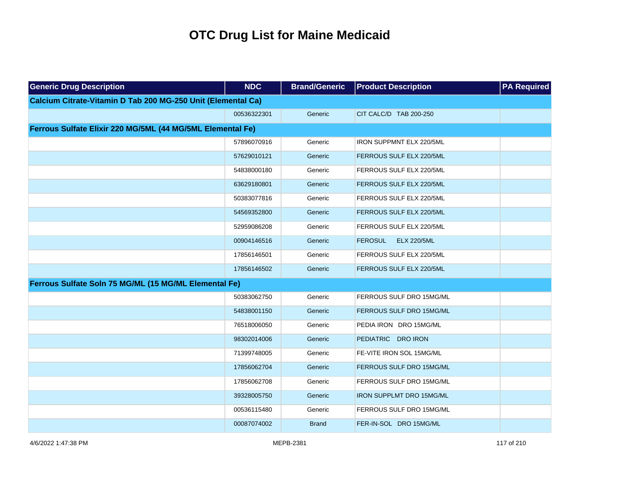| <b>Generic Drug Description</b>                              | <b>NDC</b>  | <b>Brand/Generic</b> | <b>Product Description</b>           | <b>PA Required</b> |
|--------------------------------------------------------------|-------------|----------------------|--------------------------------------|--------------------|
| Calcium Citrate-Vitamin D Tab 200 MG-250 Unit (Elemental Ca) |             |                      |                                      |                    |
|                                                              | 00536322301 | Generic              | CIT CALC/D TAB 200-250               |                    |
| Ferrous Sulfate Elixir 220 MG/5ML (44 MG/5ML Elemental Fe)   |             |                      |                                      |                    |
|                                                              | 57896070916 | Generic              | IRON SUPPMNT ELX 220/5ML             |                    |
|                                                              | 57629010121 | Generic              | FERROUS SULF ELX 220/5ML             |                    |
|                                                              | 54838000180 | Generic              | FERROUS SULF ELX 220/5ML             |                    |
|                                                              | 63629180801 | Generic              | FERROUS SULF ELX 220/5ML             |                    |
|                                                              | 50383077816 | Generic              | FERROUS SULF ELX 220/5ML             |                    |
|                                                              | 54569352800 | Generic              | FERROUS SULF ELX 220/5ML             |                    |
|                                                              | 52959086208 | Generic              | FERROUS SULF ELX 220/5ML             |                    |
|                                                              | 00904146516 | Generic              | <b>FEROSUL</b><br><b>ELX 220/5ML</b> |                    |
|                                                              | 17856146501 | Generic              | FERROUS SULF ELX 220/5ML             |                    |
|                                                              | 17856146502 | Generic              | FERROUS SULF ELX 220/5ML             |                    |
| Ferrous Sulfate Soln 75 MG/ML (15 MG/ML Elemental Fe)        |             |                      |                                      |                    |
|                                                              | 50383062750 | Generic              | FERROUS SULF DRO 15MG/ML             |                    |
|                                                              | 54838001150 | Generic              | FERROUS SULF DRO 15MG/ML             |                    |
|                                                              | 76518006050 | Generic              | PEDIA IRON DRO 15MG/ML               |                    |
|                                                              | 98302014006 | Generic              | PEDIATRIC DRO IRON                   |                    |
|                                                              | 71399748005 | Generic              | FE-VITE IRON SOL 15MG/ML             |                    |
|                                                              | 17856062704 | Generic              | FERROUS SULF DRO 15MG/ML             |                    |
|                                                              | 17856062708 | Generic              | FERROUS SULF DRO 15MG/ML             |                    |
|                                                              | 39328005750 | Generic              | <b>IRON SUPPLMT DRO 15MG/ML</b>      |                    |
|                                                              | 00536115480 | Generic              | FERROUS SULF DRO 15MG/ML             |                    |
|                                                              | 00087074002 | <b>Brand</b>         | FER-IN-SOL DRO 15MG/ML               |                    |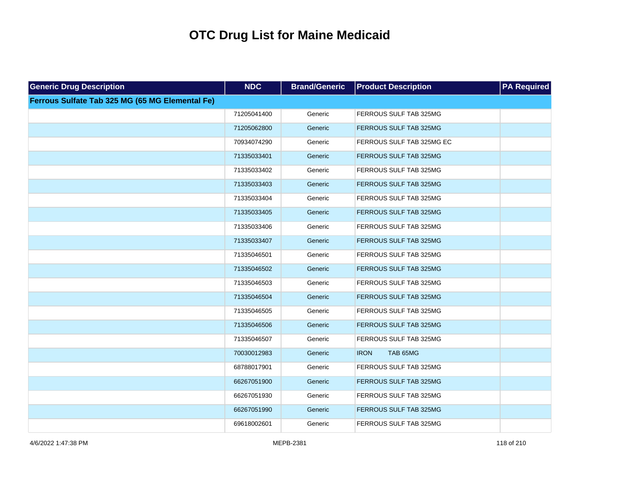| <b>Generic Drug Description</b>                 | <b>NDC</b>  | <b>Brand/Generic</b> | <b>Product Description</b> | <b>PA Required</b> |
|-------------------------------------------------|-------------|----------------------|----------------------------|--------------------|
| Ferrous Sulfate Tab 325 MG (65 MG Elemental Fe) |             |                      |                            |                    |
|                                                 | 71205041400 | Generic              | FERROUS SULF TAB 325MG     |                    |
|                                                 | 71205062800 | Generic              | FERROUS SULF TAB 325MG     |                    |
|                                                 | 70934074290 | Generic              | FERROUS SULF TAB 325MG EC  |                    |
|                                                 | 71335033401 | Generic              | FERROUS SULF TAB 325MG     |                    |
|                                                 | 71335033402 | Generic              | FERROUS SULF TAB 325MG     |                    |
|                                                 | 71335033403 | Generic              | FERROUS SULF TAB 325MG     |                    |
|                                                 | 71335033404 | Generic              | FERROUS SULF TAB 325MG     |                    |
|                                                 | 71335033405 | Generic              | FERROUS SULF TAB 325MG     |                    |
|                                                 | 71335033406 | Generic              | FERROUS SULF TAB 325MG     |                    |
|                                                 | 71335033407 | Generic              | FERROUS SULF TAB 325MG     |                    |
|                                                 | 71335046501 | Generic              | FERROUS SULF TAB 325MG     |                    |
|                                                 | 71335046502 | Generic              | FERROUS SULF TAB 325MG     |                    |
|                                                 | 71335046503 | Generic              | FERROUS SULF TAB 325MG     |                    |
|                                                 | 71335046504 | Generic              | FERROUS SULF TAB 325MG     |                    |
|                                                 | 71335046505 | Generic              | FERROUS SULF TAB 325MG     |                    |
|                                                 | 71335046506 | Generic              | FERROUS SULF TAB 325MG     |                    |
|                                                 | 71335046507 | Generic              | FERROUS SULF TAB 325MG     |                    |
|                                                 | 70030012983 | Generic              | TAB 65MG<br><b>IRON</b>    |                    |
|                                                 | 68788017901 | Generic              | FERROUS SULF TAB 325MG     |                    |
|                                                 | 66267051900 | Generic              | FERROUS SULF TAB 325MG     |                    |
|                                                 | 66267051930 | Generic              | FERROUS SULF TAB 325MG     |                    |
|                                                 | 66267051990 | Generic              | FERROUS SULF TAB 325MG     |                    |
|                                                 | 69618002601 | Generic              | FERROUS SULF TAB 325MG     |                    |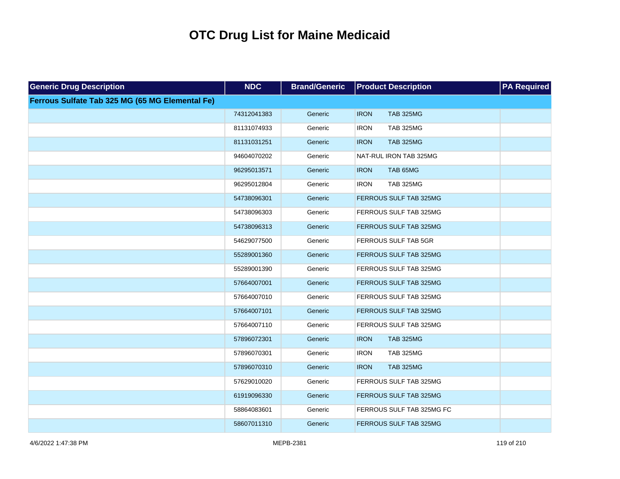| <b>Generic Drug Description</b>                 | <b>NDC</b>  | <b>Brand/Generic</b> | <b>Product Description</b>      | <b>PA Required</b> |
|-------------------------------------------------|-------------|----------------------|---------------------------------|--------------------|
| Ferrous Sulfate Tab 325 MG (65 MG Elemental Fe) |             |                      |                                 |                    |
|                                                 | 74312041383 | Generic              | <b>TAB 325MG</b><br><b>IRON</b> |                    |
|                                                 | 81131074933 | Generic              | <b>TAB 325MG</b><br><b>IRON</b> |                    |
|                                                 | 81131031251 | Generic              | <b>IRON</b><br><b>TAB 325MG</b> |                    |
|                                                 | 94604070202 | Generic              | NAT-RUL IRON TAB 325MG          |                    |
|                                                 | 96295013571 | Generic              | <b>IRON</b><br>TAB 65MG         |                    |
|                                                 | 96295012804 | Generic              | <b>TAB 325MG</b><br><b>IRON</b> |                    |
|                                                 | 54738096301 | Generic              | FERROUS SULF TAB 325MG          |                    |
|                                                 | 54738096303 | Generic              | FERROUS SULF TAB 325MG          |                    |
|                                                 | 54738096313 | Generic              | FERROUS SULF TAB 325MG          |                    |
|                                                 | 54629077500 | Generic              | FERROUS SULF TAB 5GR            |                    |
|                                                 | 55289001360 | Generic              | FERROUS SULF TAB 325MG          |                    |
|                                                 | 55289001390 | Generic              | FERROUS SULF TAB 325MG          |                    |
|                                                 | 57664007001 | Generic              | FERROUS SULF TAB 325MG          |                    |
|                                                 | 57664007010 | Generic              | FERROUS SULF TAB 325MG          |                    |
|                                                 | 57664007101 | Generic              | FERROUS SULF TAB 325MG          |                    |
|                                                 | 57664007110 | Generic              | FERROUS SULF TAB 325MG          |                    |
|                                                 | 57896072301 | Generic              | <b>IRON</b><br><b>TAB 325MG</b> |                    |
|                                                 | 57896070301 | Generic              | <b>TAB 325MG</b><br><b>IRON</b> |                    |
|                                                 | 57896070310 | Generic              | <b>IRON</b><br><b>TAB 325MG</b> |                    |
|                                                 | 57629010020 | Generic              | FERROUS SULF TAB 325MG          |                    |
|                                                 | 61919096330 | Generic              | FERROUS SULF TAB 325MG          |                    |
|                                                 | 58864083601 | Generic              | FERROUS SULF TAB 325MG FC       |                    |
|                                                 | 58607011310 | Generic              | FERROUS SULF TAB 325MG          |                    |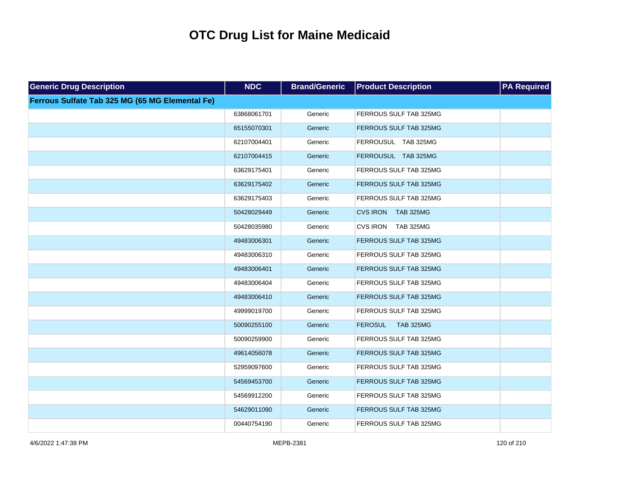| <b>Generic Drug Description</b>                 | <b>NDC</b>  | <b>Brand/Generic</b> | <b>Product Description</b>          | <b>PA Required</b> |
|-------------------------------------------------|-------------|----------------------|-------------------------------------|--------------------|
| Ferrous Sulfate Tab 325 MG (65 MG Elemental Fe) |             |                      |                                     |                    |
|                                                 | 63868061701 | Generic              | FERROUS SULF TAB 325MG              |                    |
|                                                 | 65155070301 | Generic              | FERROUS SULF TAB 325MG              |                    |
|                                                 | 62107004401 | Generic              | FERROUSUL TAB 325MG                 |                    |
|                                                 | 62107004415 | Generic              | FERROUSUL TAB 325MG                 |                    |
|                                                 | 63629175401 | Generic              | FERROUS SULF TAB 325MG              |                    |
|                                                 | 63629175402 | Generic              | FERROUS SULF TAB 325MG              |                    |
|                                                 | 63629175403 | Generic              | FERROUS SULF TAB 325MG              |                    |
|                                                 | 50428029449 | Generic              | <b>CVS IRON</b><br><b>TAB 325MG</b> |                    |
|                                                 | 50428035980 | Generic              | CVS IRON TAB 325MG                  |                    |
|                                                 | 49483006301 | Generic              | FERROUS SULF TAB 325MG              |                    |
|                                                 | 49483006310 | Generic              | FERROUS SULF TAB 325MG              |                    |
|                                                 | 49483006401 | Generic              | FERROUS SULF TAB 325MG              |                    |
|                                                 | 49483006404 | Generic              | FERROUS SULF TAB 325MG              |                    |
|                                                 | 49483006410 | Generic              | FERROUS SULF TAB 325MG              |                    |
|                                                 | 49999019700 | Generic              | FERROUS SULF TAB 325MG              |                    |
|                                                 | 50090255100 | Generic              | <b>FEROSUL</b><br><b>TAB 325MG</b>  |                    |
|                                                 | 50090259900 | Generic              | FERROUS SULF TAB 325MG              |                    |
|                                                 | 49614056078 | Generic              | FERROUS SULF TAB 325MG              |                    |
|                                                 | 52959097600 | Generic              | FERROUS SULF TAB 325MG              |                    |
|                                                 | 54569453700 | Generic              | FERROUS SULF TAB 325MG              |                    |
|                                                 | 54569912200 | Generic              | FERROUS SULF TAB 325MG              |                    |
|                                                 | 54629011090 | Generic              | FERROUS SULF TAB 325MG              |                    |
|                                                 | 00440754190 | Generic              | FERROUS SULF TAB 325MG              |                    |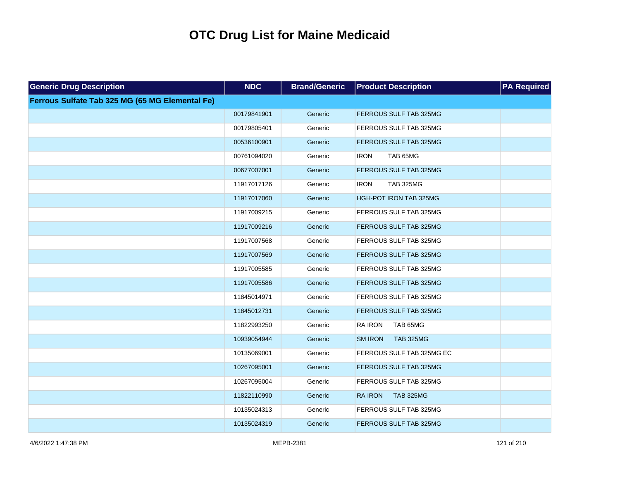| <b>Generic Drug Description</b>                 | <b>NDC</b>  | <b>Brand/Generic</b> | <b>Product Description</b>         | <b>PA Required</b> |
|-------------------------------------------------|-------------|----------------------|------------------------------------|--------------------|
| Ferrous Sulfate Tab 325 MG (65 MG Elemental Fe) |             |                      |                                    |                    |
|                                                 | 00179841901 | Generic              | FERROUS SULF TAB 325MG             |                    |
|                                                 | 00179805401 | Generic              | FERROUS SULF TAB 325MG             |                    |
|                                                 | 00536100901 | Generic              | FERROUS SULF TAB 325MG             |                    |
|                                                 | 00761094020 | Generic              | <b>IRON</b><br>TAB 65MG            |                    |
|                                                 | 00677007001 | Generic              | FERROUS SULF TAB 325MG             |                    |
|                                                 | 11917017126 | Generic              | <b>IRON</b><br><b>TAB 325MG</b>    |                    |
|                                                 | 11917017060 | Generic              | HGH-POT IRON TAB 325MG             |                    |
|                                                 | 11917009215 | Generic              | FERROUS SULF TAB 325MG             |                    |
|                                                 | 11917009216 | Generic              | FERROUS SULF TAB 325MG             |                    |
|                                                 | 11917007568 | Generic              | FERROUS SULF TAB 325MG             |                    |
|                                                 | 11917007569 | Generic              | FERROUS SULF TAB 325MG             |                    |
|                                                 | 11917005585 | Generic              | FERROUS SULF TAB 325MG             |                    |
|                                                 | 11917005586 | Generic              | FERROUS SULF TAB 325MG             |                    |
|                                                 | 11845014971 | Generic              | FERROUS SULF TAB 325MG             |                    |
|                                                 | 11845012731 | Generic              | FERROUS SULF TAB 325MG             |                    |
|                                                 | 11822993250 | Generic              | <b>RA IRON</b><br>TAB 65MG         |                    |
|                                                 | 10939054944 | Generic              | <b>SM IRON</b><br><b>TAB 325MG</b> |                    |
|                                                 | 10135069001 | Generic              | FERROUS SULF TAB 325MG EC          |                    |
|                                                 | 10267095001 | Generic              | FERROUS SULF TAB 325MG             |                    |
|                                                 | 10267095004 | Generic              | FERROUS SULF TAB 325MG             |                    |
|                                                 | 11822110990 | Generic              | <b>TAB 325MG</b><br><b>RA IRON</b> |                    |
|                                                 | 10135024313 | Generic              | FERROUS SULF TAB 325MG             |                    |
|                                                 | 10135024319 | Generic              | FERROUS SULF TAB 325MG             |                    |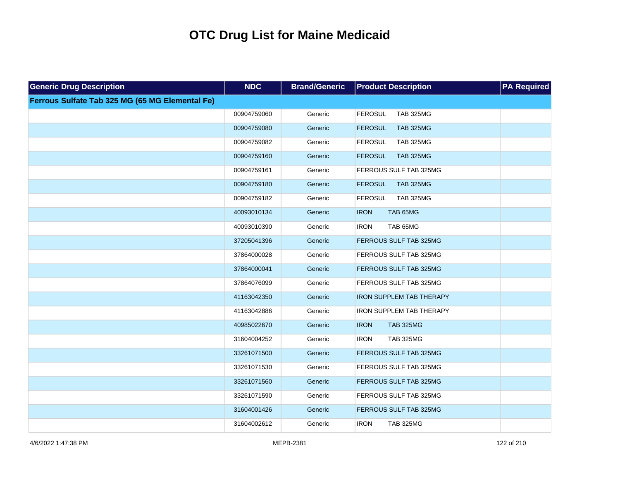| <b>Generic Drug Description</b>                 | <b>NDC</b>  | <b>Brand/Generic</b> | <b>Product Description</b>         | <b>PA Required</b> |
|-------------------------------------------------|-------------|----------------------|------------------------------------|--------------------|
| Ferrous Sulfate Tab 325 MG (65 MG Elemental Fe) |             |                      |                                    |                    |
|                                                 | 00904759060 | Generic              | <b>FEROSUL</b><br><b>TAB 325MG</b> |                    |
|                                                 | 00904759080 | Generic              | <b>TAB 325MG</b><br><b>FEROSUL</b> |                    |
|                                                 | 00904759082 | Generic              | <b>FEROSUL</b><br><b>TAB 325MG</b> |                    |
|                                                 | 00904759160 | Generic              | <b>TAB 325MG</b><br><b>FEROSUL</b> |                    |
|                                                 | 00904759161 | Generic              | FERROUS SULF TAB 325MG             |                    |
|                                                 | 00904759180 | Generic              | <b>FEROSUL</b><br><b>TAB 325MG</b> |                    |
|                                                 | 00904759182 | Generic              | <b>TAB 325MG</b><br><b>FEROSUL</b> |                    |
|                                                 | 40093010134 | Generic              | <b>IRON</b><br>TAB 65MG            |                    |
|                                                 | 40093010390 | Generic              | TAB 65MG<br><b>IRON</b>            |                    |
|                                                 | 37205041396 | Generic              | FERROUS SULF TAB 325MG             |                    |
|                                                 | 37864000028 | Generic              | FERROUS SULF TAB 325MG             |                    |
|                                                 | 37864000041 | Generic              | FERROUS SULF TAB 325MG             |                    |
|                                                 | 37864076099 | Generic              | FERROUS SULF TAB 325MG             |                    |
|                                                 | 41163042350 | Generic              | IRON SUPPLEM TAB THERAPY           |                    |
|                                                 | 41163042886 | Generic              | <b>IRON SUPPLEM TAB THERAPY</b>    |                    |
|                                                 | 40985022670 | Generic              | <b>TAB 325MG</b><br><b>IRON</b>    |                    |
|                                                 | 31604004252 | Generic              | <b>IRON</b><br><b>TAB 325MG</b>    |                    |
|                                                 | 33261071500 | Generic              | FERROUS SULF TAB 325MG             |                    |
|                                                 | 33261071530 | Generic              | FERROUS SULF TAB 325MG             |                    |
|                                                 | 33261071560 | Generic              | FERROUS SULF TAB 325MG             |                    |
|                                                 | 33261071590 | Generic              | FERROUS SULF TAB 325MG             |                    |
|                                                 | 31604001426 | Generic              | FERROUS SULF TAB 325MG             |                    |
|                                                 | 31604002612 | Generic              | <b>IRON</b><br><b>TAB 325MG</b>    |                    |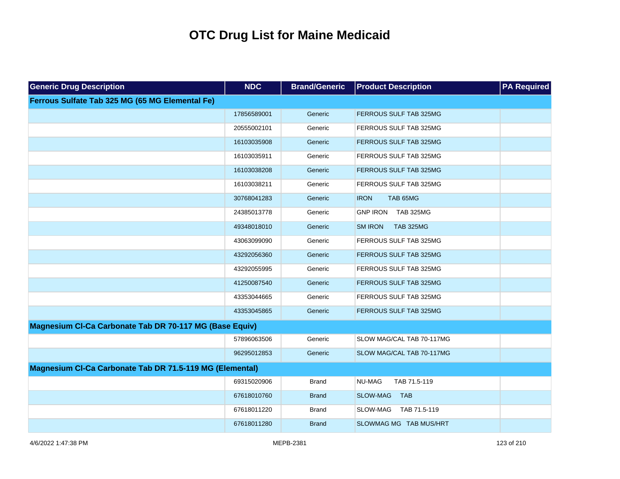| <b>Generic Drug Description</b>                          | <b>NDC</b>  | <b>Brand/Generic</b> | <b>Product Description</b>          | <b>PA Required</b> |
|----------------------------------------------------------|-------------|----------------------|-------------------------------------|--------------------|
| Ferrous Sulfate Tab 325 MG (65 MG Elemental Fe)          |             |                      |                                     |                    |
|                                                          | 17856589001 | Generic              | FERROUS SULF TAB 325MG              |                    |
|                                                          | 20555002101 | Generic              | FERROUS SULF TAB 325MG              |                    |
|                                                          | 16103035908 | Generic              | FERROUS SULF TAB 325MG              |                    |
|                                                          | 16103035911 | Generic              | FERROUS SULF TAB 325MG              |                    |
|                                                          | 16103038208 | Generic              | FERROUS SULF TAB 325MG              |                    |
|                                                          | 16103038211 | Generic              | FERROUS SULF TAB 325MG              |                    |
|                                                          | 30768041283 | Generic              | <b>IRON</b><br>TAB 65MG             |                    |
|                                                          | 24385013778 | Generic              | <b>GNP IRON</b><br><b>TAB 325MG</b> |                    |
|                                                          | 49348018010 | Generic              | <b>SM IRON</b><br><b>TAB 325MG</b>  |                    |
|                                                          | 43063099090 | Generic              | FERROUS SULF TAB 325MG              |                    |
|                                                          | 43292056360 | Generic              | FERROUS SULF TAB 325MG              |                    |
|                                                          | 43292055995 | Generic              | FERROUS SULF TAB 325MG              |                    |
|                                                          | 41250087540 | Generic              | FERROUS SULF TAB 325MG              |                    |
|                                                          | 43353044665 | Generic              | FERROUS SULF TAB 325MG              |                    |
|                                                          | 43353045865 | Generic              | FERROUS SULF TAB 325MG              |                    |
| Magnesium CI-Ca Carbonate Tab DR 70-117 MG (Base Equiv)  |             |                      |                                     |                    |
|                                                          | 57896063506 | Generic              | SLOW MAG/CAL TAB 70-117MG           |                    |
|                                                          | 96295012853 | Generic              | SLOW MAG/CAL TAB 70-117MG           |                    |
| Magnesium CI-Ca Carbonate Tab DR 71.5-119 MG (Elemental) |             |                      |                                     |                    |
|                                                          | 69315020906 | <b>Brand</b>         | NU-MAG<br>TAB 71.5-119              |                    |
|                                                          | 67618010760 | <b>Brand</b>         | <b>SLOW-MAG</b><br><b>TAB</b>       |                    |
|                                                          | 67618011220 | <b>Brand</b>         | <b>SLOW-MAG</b><br>TAB 71.5-119     |                    |
|                                                          | 67618011280 | <b>Brand</b>         | SLOWMAG MG TAB MUS/HRT              |                    |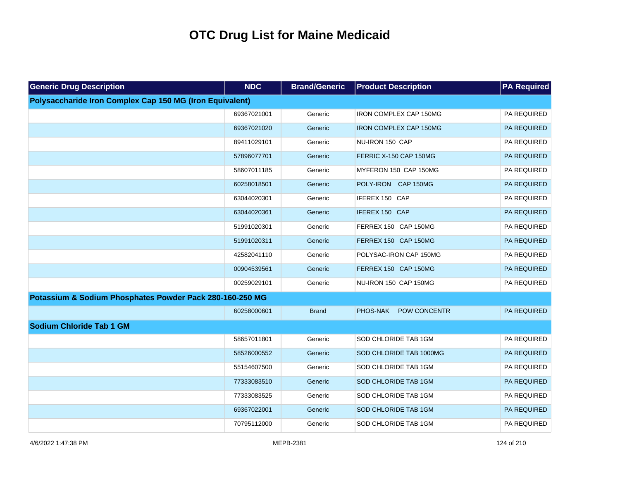| <b>Generic Drug Description</b>                          | <b>NDC</b>  | <b>Brand/Generic</b> | <b>Product Description</b>    | <b>PA Required</b> |
|----------------------------------------------------------|-------------|----------------------|-------------------------------|--------------------|
| Polysaccharide Iron Complex Cap 150 MG (Iron Equivalent) |             |                      |                               |                    |
|                                                          | 69367021001 | Generic              | <b>IRON COMPLEX CAP 150MG</b> | PA REQUIRED        |
|                                                          | 69367021020 | Generic              | <b>IRON COMPLEX CAP 150MG</b> | PA REQUIRED        |
|                                                          | 89411029101 | Generic              | NU-IRON 150 CAP               | PA REQUIRED        |
|                                                          | 57896077701 | Generic              | FERRIC X-150 CAP 150MG        | PA REQUIRED        |
|                                                          | 58607011185 | Generic              | MYFERON 150 CAP 150MG         | PA REQUIRED        |
|                                                          | 60258018501 | Generic              | POLY-IRON CAP 150MG           | PA REQUIRED        |
|                                                          | 63044020301 | Generic              | IFEREX 150 CAP                | PA REQUIRED        |
|                                                          | 63044020361 | Generic              | IFEREX 150 CAP                | PA REQUIRED        |
|                                                          | 51991020301 | Generic              | FERREX 150 CAP 150MG          | PA REQUIRED        |
|                                                          | 51991020311 | Generic              | FERREX 150 CAP 150MG          | PA REQUIRED        |
|                                                          | 42582041110 | Generic              | POLYSAC-IRON CAP 150MG        | PA REQUIRED        |
|                                                          | 00904539561 | Generic              | FERREX 150 CAP 150MG          | PA REQUIRED        |
|                                                          | 00259029101 | Generic              | NU-IRON 150 CAP 150MG         | PA REQUIRED        |
| Potassium & Sodium Phosphates Powder Pack 280-160-250 MG |             |                      |                               |                    |
|                                                          | 60258000601 | <b>Brand</b>         | PHOS-NAK<br>POW CONCENTR      | PA REQUIRED        |
| <b>Sodium Chloride Tab 1 GM</b>                          |             |                      |                               |                    |
|                                                          | 58657011801 | Generic              | SOD CHLORIDE TAB 1GM          | PA REQUIRED        |
|                                                          | 58526000552 | Generic              | SOD CHLORIDE TAB 1000MG       | PA REQUIRED        |
|                                                          | 55154607500 | Generic              | SOD CHLORIDE TAB 1GM          | PA REQUIRED        |
|                                                          | 77333083510 | Generic              | SOD CHLORIDE TAB 1GM          | PA REQUIRED        |
|                                                          | 77333083525 | Generic              | SOD CHLORIDE TAB 1GM          | PA REQUIRED        |
|                                                          | 69367022001 | Generic              | SOD CHLORIDE TAB 1GM          | PA REQUIRED        |
|                                                          | 70795112000 | Generic              | SOD CHLORIDE TAB 1GM          | PA REQUIRED        |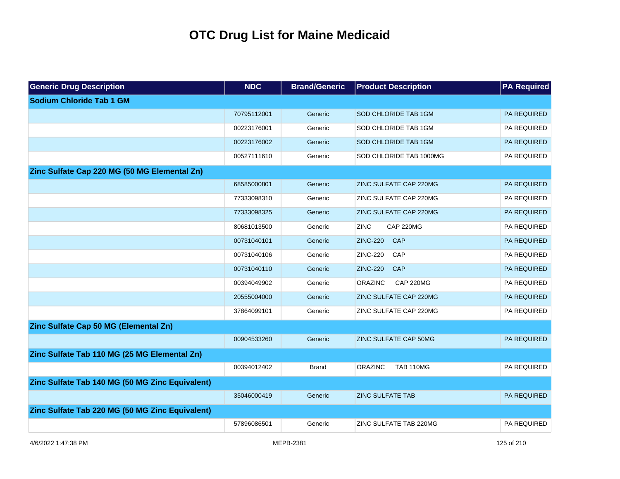| <b>Generic Drug Description</b>                 | <b>NDC</b>  | <b>Brand/Generic</b> | <b>Product Description</b>         | <b>PA Required</b> |
|-------------------------------------------------|-------------|----------------------|------------------------------------|--------------------|
| Sodium Chloride Tab 1 GM                        |             |                      |                                    |                    |
|                                                 | 70795112001 | Generic              | SOD CHLORIDE TAB 1GM               | <b>PA REQUIRED</b> |
|                                                 | 00223176001 | Generic              | SOD CHLORIDE TAB 1GM               | PA REQUIRED        |
|                                                 | 00223176002 | Generic              | SOD CHLORIDE TAB 1GM               | PA REQUIRED        |
|                                                 | 00527111610 | Generic              | SOD CHLORIDE TAB 1000MG            | PA REQUIRED        |
| Zinc Sulfate Cap 220 MG (50 MG Elemental Zn)    |             |                      |                                    |                    |
|                                                 | 68585000801 | Generic              | ZINC SULFATE CAP 220MG             | <b>PA REQUIRED</b> |
|                                                 | 77333098310 | Generic              | ZINC SULFATE CAP 220MG             | PA REQUIRED        |
|                                                 | 77333098325 | Generic              | ZINC SULFATE CAP 220MG             | PA REQUIRED        |
|                                                 | 80681013500 | Generic              | <b>ZINC</b><br><b>CAP 220MG</b>    | PA REQUIRED        |
|                                                 | 00731040101 | Generic              | <b>ZINC-220</b><br>CAP             | PA REQUIRED        |
|                                                 | 00731040106 | Generic              | <b>ZINC-220</b><br>CAP             | PA REQUIRED        |
|                                                 | 00731040110 | Generic              | <b>ZINC-220</b><br><b>CAP</b>      | PA REQUIRED        |
|                                                 | 00394049902 | Generic              | <b>CAP 220MG</b><br><b>ORAZINC</b> | PA REQUIRED        |
|                                                 | 20555004000 | Generic              | ZINC SULFATE CAP 220MG             | PA REQUIRED        |
|                                                 | 37864099101 | Generic              | ZINC SULFATE CAP 220MG             | PA REQUIRED        |
| Zinc Sulfate Cap 50 MG (Elemental Zn)           |             |                      |                                    |                    |
|                                                 | 00904533260 | Generic              | ZINC SULFATE CAP 50MG              | <b>PA REQUIRED</b> |
| Zinc Sulfate Tab 110 MG (25 MG Elemental Zn)    |             |                      |                                    |                    |
|                                                 | 00394012402 | <b>Brand</b>         | <b>ORAZINC</b><br><b>TAB 110MG</b> | PA REQUIRED        |
| Zinc Sulfate Tab 140 MG (50 MG Zinc Equivalent) |             |                      |                                    |                    |
|                                                 | 35046000419 | Generic              | <b>ZINC SULFATE TAB</b>            | <b>PA REQUIRED</b> |
| Zinc Sulfate Tab 220 MG (50 MG Zinc Equivalent) |             |                      |                                    |                    |
|                                                 | 57896086501 | Generic              | ZINC SULFATE TAB 220MG             | PA REQUIRED        |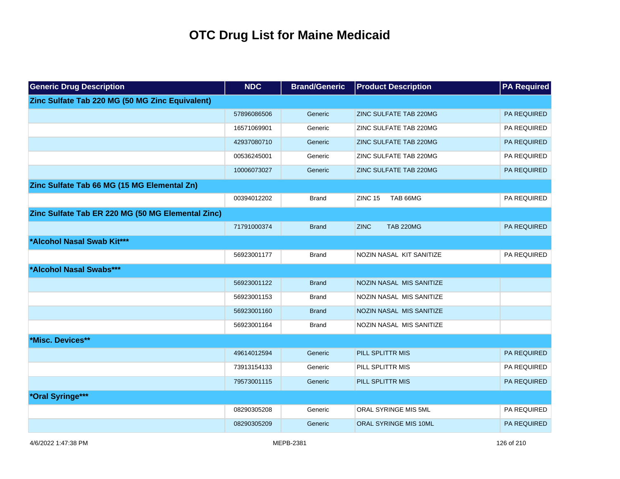| <b>Generic Drug Description</b>                   | <b>NDC</b>  | <b>Brand/Generic</b> | <b>Product Description</b>      | <b>PA Required</b> |
|---------------------------------------------------|-------------|----------------------|---------------------------------|--------------------|
| Zinc Sulfate Tab 220 MG (50 MG Zinc Equivalent)   |             |                      |                                 |                    |
|                                                   | 57896086506 | Generic              | ZINC SULFATE TAB 220MG          | PA REQUIRED        |
|                                                   | 16571069901 | Generic              | ZINC SULFATE TAB 220MG          | PA REQUIRED        |
|                                                   | 42937080710 | Generic              | ZINC SULFATE TAB 220MG          | PA REQUIRED        |
|                                                   | 00536245001 | Generic              | ZINC SULFATE TAB 220MG          | PA REQUIRED        |
|                                                   | 10006073027 | Generic              | ZINC SULFATE TAB 220MG          | PA REQUIRED        |
| Zinc Sulfate Tab 66 MG (15 MG Elemental Zn)       |             |                      |                                 |                    |
|                                                   | 00394012202 | <b>Brand</b>         | ZINC <sub>15</sub><br>TAB 66MG  | PA REQUIRED        |
| Zinc Sulfate Tab ER 220 MG (50 MG Elemental Zinc) |             |                      |                                 |                    |
|                                                   | 71791000374 | <b>Brand</b>         | <b>ZINC</b><br><b>TAB 220MG</b> | <b>PA REQUIRED</b> |
| *Alcohol Nasal Swab Kit***                        |             |                      |                                 |                    |
|                                                   | 56923001177 | <b>Brand</b>         | NOZIN NASAL KIT SANITIZE        | PA REQUIRED        |
| *Alcohol Nasal Swabs***                           |             |                      |                                 |                    |
|                                                   | 56923001122 | <b>Brand</b>         | NOZIN NASAL MIS SANITIZE        |                    |
|                                                   | 56923001153 | <b>Brand</b>         | NOZIN NASAL MIS SANITIZE        |                    |
|                                                   | 56923001160 | <b>Brand</b>         | NOZIN NASAL MIS SANITIZE        |                    |
|                                                   | 56923001164 | <b>Brand</b>         | NOZIN NASAL MIS SANITIZE        |                    |
| *Misc. Devices**                                  |             |                      |                                 |                    |
|                                                   | 49614012594 | Generic              | PILL SPLITTR MIS                | PA REQUIRED        |
|                                                   | 73913154133 | Generic              | PILL SPLITTR MIS                | PA REQUIRED        |
|                                                   | 79573001115 | Generic              | PILL SPLITTR MIS                | <b>PA REQUIRED</b> |
| *Oral Syringe***                                  |             |                      |                                 |                    |
|                                                   | 08290305208 | Generic              | ORAL SYRINGE MIS 5ML            | PA REQUIRED        |
|                                                   | 08290305209 | Generic              | <b>ORAL SYRINGE MIS 10ML</b>    | <b>PA REQUIRED</b> |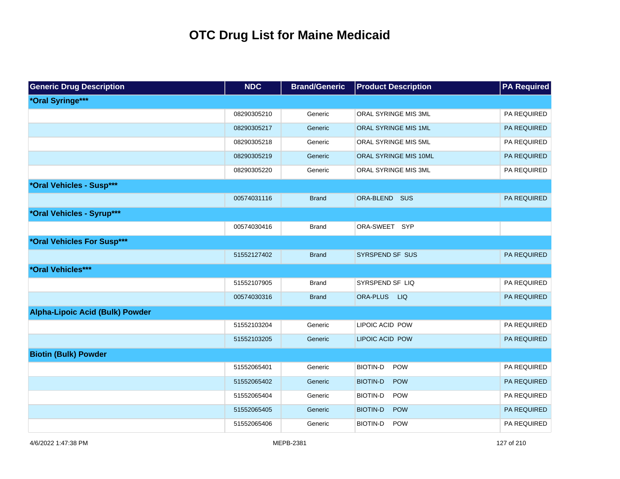| <b>Generic Drug Description</b>        | <b>NDC</b>  | <b>Brand/Generic</b> | <b>Product Description</b>    | <b>PA Required</b> |
|----------------------------------------|-------------|----------------------|-------------------------------|--------------------|
| *Oral Syringe***                       |             |                      |                               |                    |
|                                        | 08290305210 | Generic              | ORAL SYRINGE MIS 3ML          | PA REQUIRED        |
|                                        | 08290305217 | Generic              | ORAL SYRINGE MIS 1ML          | PA REQUIRED        |
|                                        | 08290305218 | Generic              | ORAL SYRINGE MIS 5ML          | PA REQUIRED        |
|                                        | 08290305219 | Generic              | ORAL SYRINGE MIS 10ML         | PA REQUIRED        |
|                                        | 08290305220 | Generic              | ORAL SYRINGE MIS 3ML          | PA REQUIRED        |
| *Oral Vehicles - Susp***               |             |                      |                               |                    |
|                                        | 00574031116 | <b>Brand</b>         | ORA-BLEND SUS                 | <b>PA REQUIRED</b> |
| *Oral Vehicles - Syrup***              |             |                      |                               |                    |
|                                        | 00574030416 | <b>Brand</b>         | ORA-SWEET SYP                 |                    |
| *Oral Vehicles For Susp***             |             |                      |                               |                    |
|                                        | 51552127402 | <b>Brand</b>         | SYRSPEND SF SUS               | PA REQUIRED        |
| *Oral Vehicles***                      |             |                      |                               |                    |
|                                        | 51552107905 | <b>Brand</b>         | SYRSPEND SF LIQ               | PA REQUIRED        |
|                                        | 00574030316 | <b>Brand</b>         | ORA-PLUS<br><b>LIQ</b>        | <b>PA REQUIRED</b> |
| <b>Alpha-Lipoic Acid (Bulk) Powder</b> |             |                      |                               |                    |
|                                        | 51552103204 | Generic              | LIPOIC ACID POW               | PA REQUIRED        |
|                                        | 51552103205 | Generic              | LIPOIC ACID POW               | <b>PA REQUIRED</b> |
| <b>Biotin (Bulk) Powder</b>            |             |                      |                               |                    |
|                                        | 51552065401 | Generic              | <b>BIOTIN-D</b><br>POW        | PA REQUIRED        |
|                                        | 51552065402 | Generic              | <b>BIOTIN-D</b><br><b>POW</b> | PA REQUIRED        |
|                                        | 51552065404 | Generic              | <b>BIOTIN-D</b><br><b>POW</b> | PA REQUIRED        |
|                                        | 51552065405 | Generic              | <b>BIOTIN-D</b><br><b>POW</b> | PA REQUIRED        |
|                                        | 51552065406 | Generic              | <b>BIOTIN-D</b><br>POW        | PA REQUIRED        |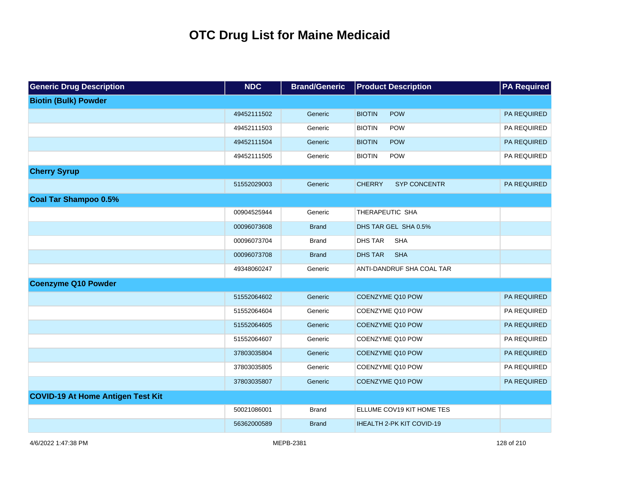| <b>Generic Drug Description</b>          | <b>NDC</b>  | <b>Brand/Generic</b> | <b>Product Description</b>           | <b>PA Required</b> |
|------------------------------------------|-------------|----------------------|--------------------------------------|--------------------|
| <b>Biotin (Bulk) Powder</b>              |             |                      |                                      |                    |
|                                          | 49452111502 | Generic              | POW<br><b>BIOTIN</b>                 | PA REQUIRED        |
|                                          | 49452111503 | Generic              | <b>BIOTIN</b><br>POW                 | PA REQUIRED        |
|                                          | 49452111504 | Generic              | <b>BIOTIN</b><br>POW                 | PA REQUIRED        |
|                                          | 49452111505 | Generic              | POW<br><b>BIOTIN</b>                 | PA REQUIRED        |
| <b>Cherry Syrup</b>                      |             |                      |                                      |                    |
|                                          | 51552029003 | Generic              | <b>CHERRY</b><br><b>SYP CONCENTR</b> | PA REQUIRED        |
| <b>Coal Tar Shampoo 0.5%</b>             |             |                      |                                      |                    |
|                                          | 00904525944 | Generic              | THERAPEUTIC SHA                      |                    |
|                                          | 00096073608 | <b>Brand</b>         | DHS TAR GEL SHA 0.5%                 |                    |
|                                          | 00096073704 | <b>Brand</b>         | <b>DHS TAR</b><br><b>SHA</b>         |                    |
|                                          | 00096073708 | <b>Brand</b>         | <b>DHS TAR</b><br><b>SHA</b>         |                    |
|                                          | 49348060247 | Generic              | ANTI-DANDRUF SHA COAL TAR            |                    |
| <b>Coenzyme Q10 Powder</b>               |             |                      |                                      |                    |
|                                          | 51552064602 | Generic              | COENZYME Q10 POW                     | PA REQUIRED        |
|                                          | 51552064604 | Generic              | COENZYME Q10 POW                     | PA REQUIRED        |
|                                          | 51552064605 | Generic              | COENZYME Q10 POW                     | PA REQUIRED        |
|                                          | 51552064607 | Generic              | COENZYME Q10 POW                     | PA REQUIRED        |
|                                          | 37803035804 | Generic              | COENZYME Q10 POW                     | PA REQUIRED        |
|                                          | 37803035805 | Generic              | COENZYME Q10 POW                     | PA REQUIRED        |
|                                          | 37803035807 | Generic              | COENZYME Q10 POW                     | PA REQUIRED        |
| <b>COVID-19 At Home Antigen Test Kit</b> |             |                      |                                      |                    |
|                                          | 50021086001 | <b>Brand</b>         | ELLUME COV19 KIT HOME TES            |                    |
|                                          | 56362000589 | <b>Brand</b>         | IHEALTH 2-PK KIT COVID-19            |                    |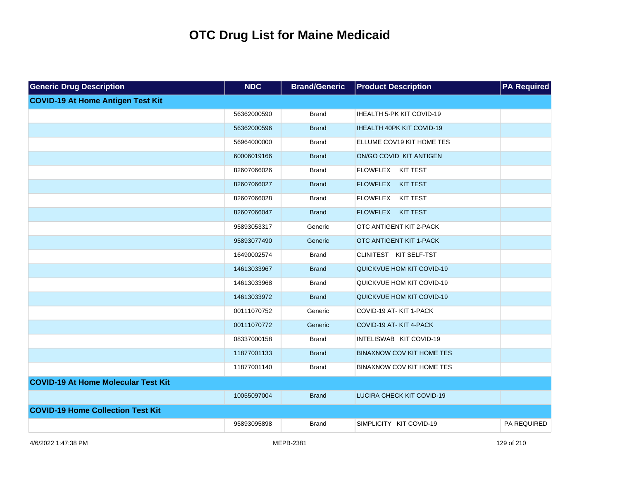| <b>Generic Drug Description</b>            | <b>NDC</b>  | <b>Brand/Generic</b> | <b>Product Description</b>       | <b>PA Required</b> |
|--------------------------------------------|-------------|----------------------|----------------------------------|--------------------|
| <b>COVID-19 At Home Antigen Test Kit</b>   |             |                      |                                  |                    |
|                                            | 56362000590 | <b>Brand</b>         | IHEALTH 5-PK KIT COVID-19        |                    |
|                                            | 56362000596 | <b>Brand</b>         | IHEALTH 40PK KIT COVID-19        |                    |
|                                            | 56964000000 | <b>Brand</b>         | ELLUME COV19 KIT HOME TES        |                    |
|                                            | 60006019166 | <b>Brand</b>         | ON/GO COVID KIT ANTIGEN          |                    |
|                                            | 82607066026 | <b>Brand</b>         | FLOWFLEX KIT TEST                |                    |
|                                            | 82607066027 | <b>Brand</b>         | FLOWFLEX KIT TEST                |                    |
|                                            | 82607066028 | <b>Brand</b>         | FLOWFLEX KIT TEST                |                    |
|                                            | 82607066047 | <b>Brand</b>         | FLOWFLEX KIT TEST                |                    |
|                                            | 95893053317 | Generic              | OTC ANTIGENT KIT 2-PACK          |                    |
|                                            | 95893077490 | Generic              | OTC ANTIGENT KIT 1-PACK          |                    |
|                                            | 16490002574 | <b>Brand</b>         | CLINITEST KIT SELF-TST           |                    |
|                                            | 14613033967 | <b>Brand</b>         | QUICKVUE HOM KIT COVID-19        |                    |
|                                            | 14613033968 | <b>Brand</b>         | QUICKVUE HOM KIT COVID-19        |                    |
|                                            | 14613033972 | <b>Brand</b>         | QUICKVUE HOM KIT COVID-19        |                    |
|                                            | 00111070752 | Generic              | COVID-19 AT-KIT 1-PACK           |                    |
|                                            | 00111070772 | Generic              | COVID-19 AT-KIT 4-PACK           |                    |
|                                            | 08337000158 | <b>Brand</b>         | INTELISWAB KIT COVID-19          |                    |
|                                            | 11877001133 | <b>Brand</b>         | <b>BINAXNOW COV KIT HOME TES</b> |                    |
|                                            | 11877001140 | <b>Brand</b>         | <b>BINAXNOW COV KIT HOME TES</b> |                    |
| <b>COVID-19 At Home Molecular Test Kit</b> |             |                      |                                  |                    |
|                                            | 10055097004 | <b>Brand</b>         | LUCIRA CHECK KIT COVID-19        |                    |
| <b>COVID-19 Home Collection Test Kit</b>   |             |                      |                                  |                    |
|                                            | 95893095898 | <b>Brand</b>         | SIMPLICITY KIT COVID-19          | PA REQUIRED        |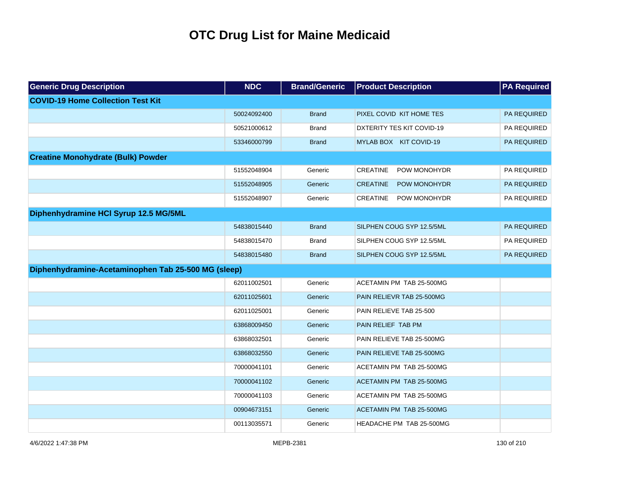| <b>Generic Drug Description</b>                     | <b>NDC</b>  | <b>Brand/Generic</b> | <b>Product Description</b>      | <b>PA Required</b> |
|-----------------------------------------------------|-------------|----------------------|---------------------------------|--------------------|
| <b>COVID-19 Home Collection Test Kit</b>            |             |                      |                                 |                    |
|                                                     | 50024092400 | <b>Brand</b>         | PIXEL COVID KIT HOME TES        | <b>PA REQUIRED</b> |
|                                                     | 50521000612 | <b>Brand</b>         | DXTERITY TES KIT COVID-19       | PA REQUIRED        |
|                                                     | 53346000799 | <b>Brand</b>         | MYLAB BOX KIT COVID-19          | PA REQUIRED        |
| <b>Creatine Monohydrate (Bulk) Powder</b>           |             |                      |                                 |                    |
|                                                     | 51552048904 | Generic              | <b>CREATINE</b><br>POW MONOHYDR | PA REQUIRED        |
|                                                     | 51552048905 | Generic              | <b>CREATINE</b><br>POW MONOHYDR | PA REQUIRED        |
|                                                     | 51552048907 | Generic              | <b>CREATINE</b><br>POW MONOHYDR | PA REQUIRED        |
| Diphenhydramine HCI Syrup 12.5 MG/5ML               |             |                      |                                 |                    |
|                                                     | 54838015440 | <b>Brand</b>         | SILPHEN COUG SYP 12.5/5ML       | <b>PA REQUIRED</b> |
|                                                     | 54838015470 | <b>Brand</b>         | SILPHEN COUG SYP 12.5/5ML       | PA REQUIRED        |
|                                                     | 54838015480 | <b>Brand</b>         | SILPHEN COUG SYP 12.5/5ML       | PA REQUIRED        |
| Diphenhydramine-Acetaminophen Tab 25-500 MG (sleep) |             |                      |                                 |                    |
|                                                     | 62011002501 | Generic              | ACETAMIN PM TAB 25-500MG        |                    |
|                                                     | 62011025601 | Generic              | PAIN RELIEVR TAB 25-500MG       |                    |
|                                                     | 62011025001 | Generic              | PAIN RELIEVE TAB 25-500         |                    |
|                                                     | 63868009450 | Generic              | PAIN RELIEF TAB PM              |                    |
|                                                     | 63868032501 | Generic              | PAIN RELIEVE TAB 25-500MG       |                    |
|                                                     | 63868032550 | Generic              | PAIN RELIEVE TAB 25-500MG       |                    |
|                                                     | 70000041101 | Generic              | ACETAMIN PM TAB 25-500MG        |                    |
|                                                     | 70000041102 | Generic              | ACETAMIN PM TAB 25-500MG        |                    |
|                                                     | 70000041103 | Generic              | ACETAMIN PM TAB 25-500MG        |                    |
|                                                     | 00904673151 | Generic              | ACETAMIN PM TAB 25-500MG        |                    |
|                                                     | 00113035571 | Generic              | <b>HEADACHE PM TAB 25-500MG</b> |                    |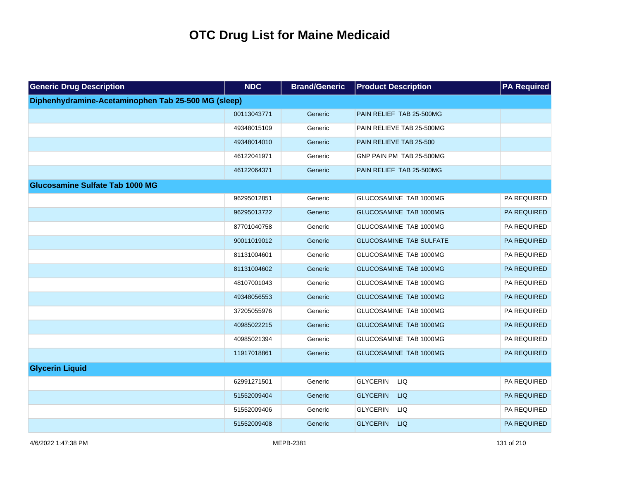| <b>Generic Drug Description</b>                     | <b>NDC</b>  | <b>Brand/Generic</b> | <b>Product Description</b>     | <b>PA Required</b> |
|-----------------------------------------------------|-------------|----------------------|--------------------------------|--------------------|
| Diphenhydramine-Acetaminophen Tab 25-500 MG (sleep) |             |                      |                                |                    |
|                                                     | 00113043771 | Generic              | PAIN RELIEF TAB 25-500MG       |                    |
|                                                     | 49348015109 | Generic              | PAIN RELIEVE TAB 25-500MG      |                    |
|                                                     | 49348014010 | Generic              | PAIN RELIEVE TAB 25-500        |                    |
|                                                     | 46122041971 | Generic              | GNP PAIN PM TAB 25-500MG       |                    |
|                                                     | 46122064371 | Generic              | PAIN RELIEF TAB 25-500MG       |                    |
| <b>Glucosamine Sulfate Tab 1000 MG</b>              |             |                      |                                |                    |
|                                                     | 96295012851 | Generic              | GLUCOSAMINE TAB 1000MG         | PA REQUIRED        |
|                                                     | 96295013722 | Generic              | GLUCOSAMINE TAB 1000MG         | PA REQUIRED        |
|                                                     | 87701040758 | Generic              | GLUCOSAMINE TAB 1000MG         | PA REQUIRED        |
|                                                     | 90011019012 | Generic              | <b>GLUCOSAMINE TAB SULFATE</b> | PA REQUIRED        |
|                                                     | 81131004601 | Generic              | GLUCOSAMINE TAB 1000MG         | PA REQUIRED        |
|                                                     | 81131004602 | Generic              | GLUCOSAMINE TAB 1000MG         | PA REQUIRED        |
|                                                     | 48107001043 | Generic              | GLUCOSAMINE TAB 1000MG         | PA REQUIRED        |
|                                                     | 49348056553 | Generic              | GLUCOSAMINE TAB 1000MG         | PA REQUIRED        |
|                                                     | 37205055976 | Generic              | GLUCOSAMINE TAB 1000MG         | PA REQUIRED        |
|                                                     | 40985022215 | Generic              | GLUCOSAMINE TAB 1000MG         | PA REQUIRED        |
|                                                     | 40985021394 | Generic              | GLUCOSAMINE TAB 1000MG         | PA REQUIRED        |
|                                                     | 11917018861 | Generic              | GLUCOSAMINE TAB 1000MG         | PA REQUIRED        |
| <b>Glycerin Liquid</b>                              |             |                      |                                |                    |
|                                                     | 62991271501 | Generic              | <b>GLYCERIN</b><br><b>LIQ</b>  | PA REQUIRED        |
|                                                     | 51552009404 | Generic              | <b>GLYCERIN</b><br><b>LIQ</b>  | PA REQUIRED        |
|                                                     | 51552009406 | Generic              | <b>GLYCERIN</b><br>LIQ         | PA REQUIRED        |
|                                                     | 51552009408 | Generic              | <b>GLYCERIN</b><br><b>LIQ</b>  | PA REQUIRED        |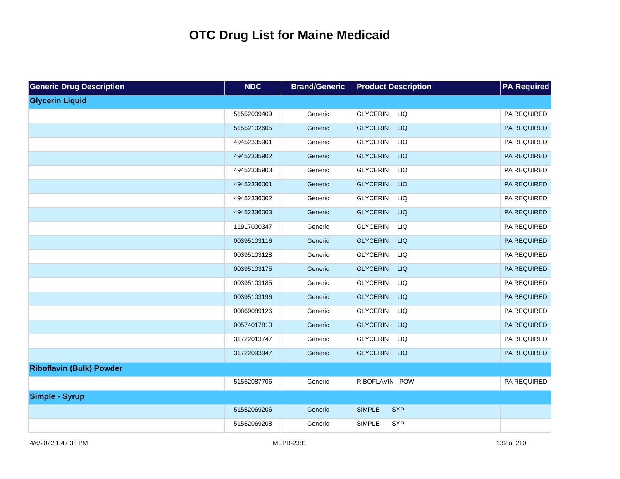| <b>Generic Drug Description</b> | <b>NDC</b>  | <b>Brand/Generic</b> | <b>Product Description</b>    | <b>PA Required</b> |
|---------------------------------|-------------|----------------------|-------------------------------|--------------------|
| <b>Glycerin Liquid</b>          |             |                      |                               |                    |
|                                 | 51552009409 | Generic              | <b>GLYCERIN</b><br>LIQ        | PA REQUIRED        |
|                                 | 51552102605 | Generic              | <b>GLYCERIN</b><br><b>LIQ</b> | PA REQUIRED        |
|                                 | 49452335901 | Generic              | <b>GLYCERIN</b><br>LIQ        | PA REQUIRED        |
|                                 | 49452335902 | Generic              | <b>GLYCERIN</b><br><b>LIQ</b> | PA REQUIRED        |
|                                 | 49452335903 | Generic              | <b>GLYCERIN</b><br>LIQ        | PA REQUIRED        |
|                                 | 49452336001 | Generic              | <b>GLYCERIN</b><br><b>LIQ</b> | PA REQUIRED        |
|                                 | 49452336002 | Generic              | <b>GLYCERIN</b><br>LIQ        | PA REQUIRED        |
|                                 | 49452336003 | Generic              | <b>GLYCERIN</b><br><b>LIQ</b> | PA REQUIRED        |
|                                 | 11917000347 | Generic              | <b>GLYCERIN</b><br>LIQ        | PA REQUIRED        |
|                                 | 00395103116 | Generic              | <b>GLYCERIN</b><br><b>LIQ</b> | PA REQUIRED        |
|                                 | 00395103128 | Generic              | <b>GLYCERIN</b><br>LIQ        | PA REQUIRED        |
|                                 | 00395103175 | Generic              | <b>GLYCERIN</b><br><b>LIQ</b> | PA REQUIRED        |
|                                 | 00395103185 | Generic              | <b>GLYCERIN</b><br>LIQ        | PA REQUIRED        |
|                                 | 00395103196 | Generic              | <b>GLYCERIN</b><br><b>LIQ</b> | PA REQUIRED        |
|                                 | 00869089126 | Generic              | <b>GLYCERIN</b><br>LIQ        | PA REQUIRED        |
|                                 | 00574017810 | Generic              | <b>GLYCERIN</b><br><b>LIQ</b> | PA REQUIRED        |
|                                 | 31722013747 | Generic              | <b>GLYCERIN</b><br>LIQ        | PA REQUIRED        |
|                                 | 31722093947 | Generic              | <b>LIQ</b><br><b>GLYCERIN</b> | PA REQUIRED        |
| <b>Riboflavin (Bulk) Powder</b> |             |                      |                               |                    |
|                                 | 51552087706 | Generic              | RIBOFLAVIN POW                | PA REQUIRED        |
| <b>Simple - Syrup</b>           |             |                      |                               |                    |
|                                 | 51552069206 | Generic              | <b>SIMPLE</b><br><b>SYP</b>   |                    |
|                                 | 51552069208 | Generic              | <b>SIMPLE</b><br>SYP          |                    |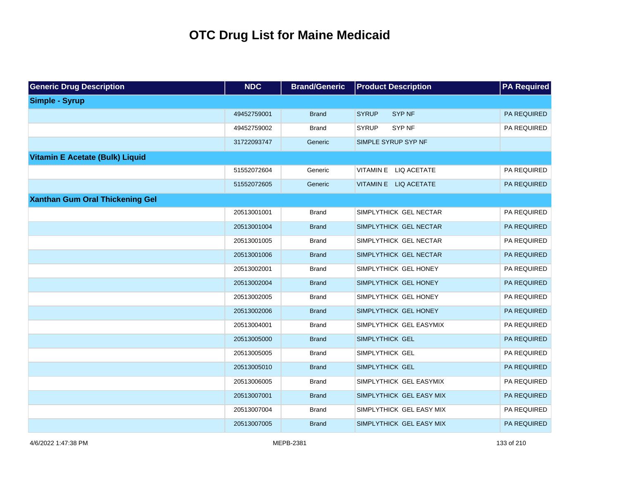| <b>Generic Drug Description</b>        | <b>NDC</b>  | <b>Brand/Generic</b> | <b>Product Description</b>    | <b>PA Required</b> |
|----------------------------------------|-------------|----------------------|-------------------------------|--------------------|
| <b>Simple - Syrup</b>                  |             |                      |                               |                    |
|                                        | 49452759001 | <b>Brand</b>         | <b>SYRUP</b><br><b>SYP NF</b> | PA REQUIRED        |
|                                        | 49452759002 | <b>Brand</b>         | <b>SYRUP</b><br>SYP NF        | PA REQUIRED        |
|                                        | 31722093747 | Generic              | SIMPLE SYRUP SYP NF           |                    |
| <b>Vitamin E Acetate (Bulk) Liquid</b> |             |                      |                               |                    |
|                                        | 51552072604 | Generic              | VITAMIN E LIQ ACETATE         | PA REQUIRED        |
|                                        | 51552072605 | Generic              | VITAMIN E LIQ ACETATE         | PA REQUIRED        |
| <b>Xanthan Gum Oral Thickening Gel</b> |             |                      |                               |                    |
|                                        | 20513001001 | <b>Brand</b>         | SIMPLYTHICK GEL NECTAR        | PA REQUIRED        |
|                                        | 20513001004 | <b>Brand</b>         | SIMPLYTHICK GEL NECTAR        | PA REQUIRED        |
|                                        | 20513001005 | <b>Brand</b>         | SIMPLYTHICK GEL NECTAR        | PA REQUIRED        |
|                                        | 20513001006 | <b>Brand</b>         | SIMPLYTHICK GEL NECTAR        | PA REQUIRED        |
|                                        | 20513002001 | <b>Brand</b>         | SIMPLYTHICK GEL HONEY         | PA REQUIRED        |
|                                        | 20513002004 | <b>Brand</b>         | SIMPLYTHICK GEL HONEY         | PA REQUIRED        |
|                                        | 20513002005 | <b>Brand</b>         | SIMPLYTHICK GEL HONEY         | PA REQUIRED        |
|                                        | 20513002006 | <b>Brand</b>         | SIMPLYTHICK GEL HONEY         | PA REQUIRED        |
|                                        | 20513004001 | <b>Brand</b>         | SIMPLYTHICK GEL EASYMIX       | PA REQUIRED        |
|                                        | 20513005000 | <b>Brand</b>         | SIMPLYTHICK GEL               | PA REQUIRED        |
|                                        | 20513005005 | <b>Brand</b>         | SIMPLYTHICK GEL               | PA REQUIRED        |
|                                        | 20513005010 | <b>Brand</b>         | SIMPLYTHICK GEL               | PA REQUIRED        |
|                                        | 20513006005 | <b>Brand</b>         | SIMPLYTHICK GEL EASYMIX       | PA REQUIRED        |
|                                        | 20513007001 | <b>Brand</b>         | SIMPLYTHICK GEL EASY MIX      | PA REQUIRED        |
|                                        | 20513007004 | <b>Brand</b>         | SIMPLYTHICK GEL EASY MIX      | PA REQUIRED        |
|                                        | 20513007005 | <b>Brand</b>         | SIMPLYTHICK GEL EASY MIX      | PA REQUIRED        |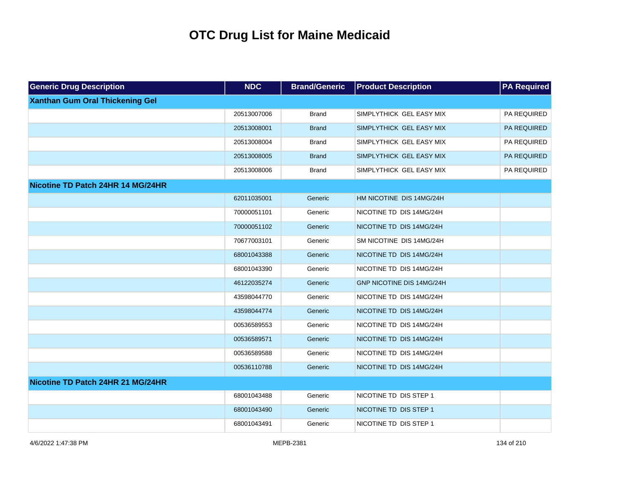| <b>Generic Drug Description</b>        | <b>NDC</b>  | <b>Brand/Generic</b> | <b>Product Description</b> | <b>PA Required</b> |
|----------------------------------------|-------------|----------------------|----------------------------|--------------------|
| <b>Xanthan Gum Oral Thickening Gel</b> |             |                      |                            |                    |
|                                        | 20513007006 | <b>Brand</b>         | SIMPLYTHICK GEL EASY MIX   | PA REQUIRED        |
|                                        | 20513008001 | <b>Brand</b>         | SIMPLYTHICK GEL EASY MIX   | PA REQUIRED        |
|                                        | 20513008004 | Brand                | SIMPLYTHICK GEL EASY MIX   | PA REQUIRED        |
|                                        | 20513008005 | <b>Brand</b>         | SIMPLYTHICK GEL EASY MIX   | PA REQUIRED        |
|                                        | 20513008006 | <b>Brand</b>         | SIMPLYTHICK GEL EASY MIX   | PA REQUIRED        |
| Nicotine TD Patch 24HR 14 MG/24HR      |             |                      |                            |                    |
|                                        | 62011035001 | Generic              | HM NICOTINE DIS 14MG/24H   |                    |
|                                        | 70000051101 | Generic              | NICOTINE TD DIS 14MG/24H   |                    |
|                                        | 70000051102 | Generic              | NICOTINE TD DIS 14MG/24H   |                    |
|                                        | 70677003101 | Generic              | SM NICOTINE DIS 14MG/24H   |                    |
|                                        | 68001043388 | Generic              | NICOTINE TD DIS 14MG/24H   |                    |
|                                        | 68001043390 | Generic              | NICOTINE TD DIS 14MG/24H   |                    |
|                                        | 46122035274 | Generic              | GNP NICOTINE DIS 14MG/24H  |                    |
|                                        | 43598044770 | Generic              | NICOTINE TD DIS 14MG/24H   |                    |
|                                        | 43598044774 | Generic              | NICOTINE TD DIS 14MG/24H   |                    |
|                                        | 00536589553 | Generic              | NICOTINE TD DIS 14MG/24H   |                    |
|                                        | 00536589571 | Generic              | NICOTINE TD DIS 14MG/24H   |                    |
|                                        | 00536589588 | Generic              | NICOTINE TD DIS 14MG/24H   |                    |
|                                        | 00536110788 | Generic              | NICOTINE TD DIS 14MG/24H   |                    |
| Nicotine TD Patch 24HR 21 MG/24HR      |             |                      |                            |                    |
|                                        | 68001043488 | Generic              | NICOTINE TD DIS STEP 1     |                    |
|                                        | 68001043490 | Generic              | NICOTINE TD DIS STEP 1     |                    |
|                                        | 68001043491 | Generic              | NICOTINE TD DIS STEP 1     |                    |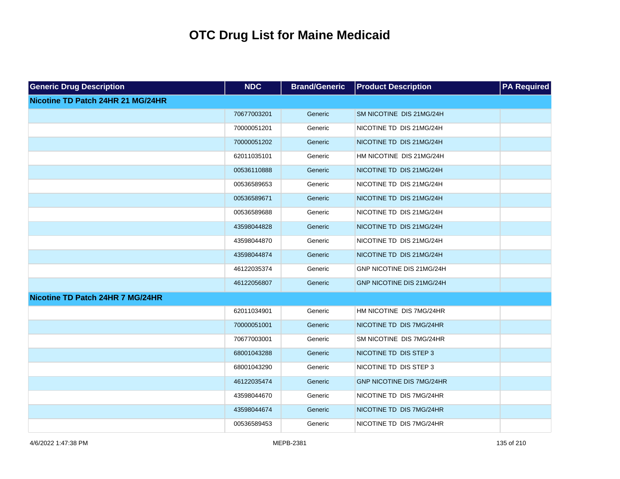| <b>Generic Drug Description</b>   | <b>NDC</b>  | <b>Brand/Generic</b> | <b>Product Description</b>       | <b>PA Required</b> |
|-----------------------------------|-------------|----------------------|----------------------------------|--------------------|
| Nicotine TD Patch 24HR 21 MG/24HR |             |                      |                                  |                    |
|                                   | 70677003201 | Generic              | SM NICOTINE DIS 21MG/24H         |                    |
|                                   | 70000051201 | Generic              | NICOTINE TD DIS 21MG/24H         |                    |
|                                   | 70000051202 | Generic              | NICOTINE TD DIS 21MG/24H         |                    |
|                                   | 62011035101 | Generic              | HM NICOTINE DIS 21MG/24H         |                    |
|                                   | 00536110888 | Generic              | NICOTINE TD DIS 21MG/24H         |                    |
|                                   | 00536589653 | Generic              | NICOTINE TD DIS 21MG/24H         |                    |
|                                   | 00536589671 | Generic              | NICOTINE TD DIS 21MG/24H         |                    |
|                                   | 00536589688 | Generic              | NICOTINE TD DIS 21MG/24H         |                    |
|                                   | 43598044828 | Generic              | NICOTINE TD DIS 21MG/24H         |                    |
|                                   | 43598044870 | Generic              | NICOTINE TD DIS 21MG/24H         |                    |
|                                   | 43598044874 | Generic              | NICOTINE TD DIS 21MG/24H         |                    |
|                                   | 46122035374 | Generic              | GNP NICOTINE DIS 21MG/24H        |                    |
|                                   | 46122056807 | Generic              | GNP NICOTINE DIS 21MG/24H        |                    |
| Nicotine TD Patch 24HR 7 MG/24HR  |             |                      |                                  |                    |
|                                   | 62011034901 | Generic              | HM NICOTINE DIS 7MG/24HR         |                    |
|                                   | 70000051001 | Generic              | NICOTINE TD DIS 7MG/24HR         |                    |
|                                   | 70677003001 | Generic              | SM NICOTINE DIS 7MG/24HR         |                    |
|                                   | 68001043288 | Generic              | NICOTINE TD DIS STEP 3           |                    |
|                                   | 68001043290 | Generic              | NICOTINE TD DIS STEP 3           |                    |
|                                   | 46122035474 | Generic              | <b>GNP NICOTINE DIS 7MG/24HR</b> |                    |
|                                   | 43598044670 | Generic              | NICOTINE TD DIS 7MG/24HR         |                    |
|                                   | 43598044674 | Generic              | NICOTINE TD DIS 7MG/24HR         |                    |
|                                   | 00536589453 | Generic              | NICOTINE TD DIS 7MG/24HR         |                    |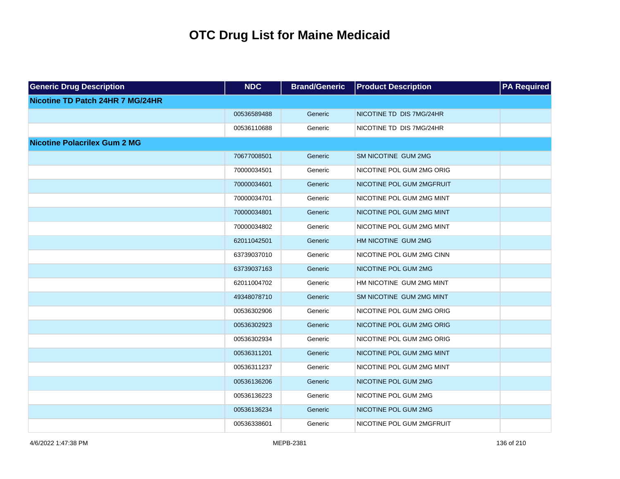| <b>Generic Drug Description</b>     | <b>NDC</b>  | <b>Brand/Generic</b> | <b>Product Description</b> | <b>PA Required</b> |
|-------------------------------------|-------------|----------------------|----------------------------|--------------------|
| Nicotine TD Patch 24HR 7 MG/24HR    |             |                      |                            |                    |
|                                     | 00536589488 | Generic              | NICOTINE TD DIS 7MG/24HR   |                    |
|                                     | 00536110688 | Generic              | NICOTINE TD DIS 7MG/24HR   |                    |
| <b>Nicotine Polacrilex Gum 2 MG</b> |             |                      |                            |                    |
|                                     | 70677008501 | Generic              | SM NICOTINE GUM 2MG        |                    |
|                                     | 70000034501 | Generic              | NICOTINE POL GUM 2MG ORIG  |                    |
|                                     | 70000034601 | Generic              | NICOTINE POL GUM 2MGFRUIT  |                    |
|                                     | 70000034701 | Generic              | NICOTINE POL GUM 2MG MINT  |                    |
|                                     | 70000034801 | Generic              | NICOTINE POL GUM 2MG MINT  |                    |
|                                     | 70000034802 | Generic              | NICOTINE POL GUM 2MG MINT  |                    |
|                                     | 62011042501 | Generic              | HM NICOTINE GUM 2MG        |                    |
|                                     | 63739037010 | Generic              | NICOTINE POL GUM 2MG CINN  |                    |
|                                     | 63739037163 | Generic              | NICOTINE POL GUM 2MG       |                    |
|                                     | 62011004702 | Generic              | HM NICOTINE GUM 2MG MINT   |                    |
|                                     | 49348078710 | Generic              | SM NICOTINE GUM 2MG MINT   |                    |
|                                     | 00536302906 | Generic              | NICOTINE POL GUM 2MG ORIG  |                    |
|                                     | 00536302923 | Generic              | NICOTINE POL GUM 2MG ORIG  |                    |
|                                     | 00536302934 | Generic              | NICOTINE POL GUM 2MG ORIG  |                    |
|                                     | 00536311201 | Generic              | NICOTINE POL GUM 2MG MINT  |                    |
|                                     | 00536311237 | Generic              | NICOTINE POL GUM 2MG MINT  |                    |
|                                     | 00536136206 | Generic              | NICOTINE POL GUM 2MG       |                    |
|                                     | 00536136223 | Generic              | NICOTINE POL GUM 2MG       |                    |
|                                     | 00536136234 | Generic              | NICOTINE POL GUM 2MG       |                    |
|                                     | 00536338601 | Generic              | NICOTINE POL GUM 2MGFRUIT  |                    |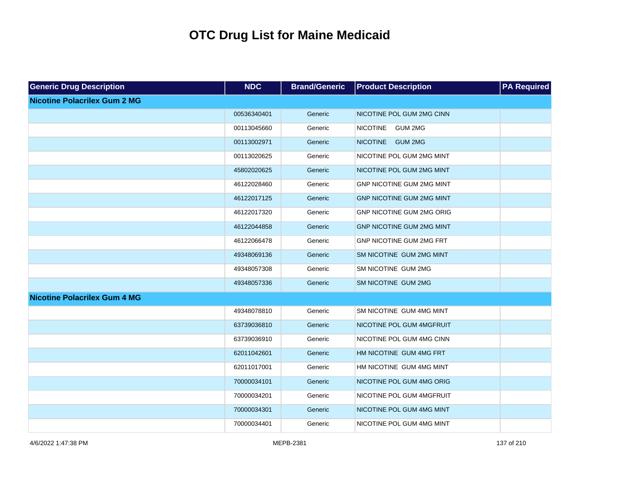| <b>Generic Drug Description</b>     | <b>NDC</b>  | <b>Brand/Generic</b> | <b>Product Description</b>        | <b>PA Required</b> |
|-------------------------------------|-------------|----------------------|-----------------------------------|--------------------|
| <b>Nicotine Polacrilex Gum 2 MG</b> |             |                      |                                   |                    |
|                                     | 00536340401 | Generic              | NICOTINE POL GUM 2MG CINN         |                    |
|                                     | 00113045660 | Generic              | <b>NICOTINE</b><br><b>GUM 2MG</b> |                    |
|                                     | 00113002971 | Generic              | <b>NICOTINE</b><br><b>GUM 2MG</b> |                    |
|                                     | 00113020625 | Generic              | NICOTINE POL GUM 2MG MINT         |                    |
|                                     | 45802020625 | Generic              | NICOTINE POL GUM 2MG MINT         |                    |
|                                     | 46122028460 | Generic              | GNP NICOTINE GUM 2MG MINT         |                    |
|                                     | 46122017125 | Generic              | <b>GNP NICOTINE GUM 2MG MINT</b>  |                    |
|                                     | 46122017320 | Generic              | GNP NICOTINE GUM 2MG ORIG         |                    |
|                                     | 46122044858 | Generic              | <b>GNP NICOTINE GUM 2MG MINT</b>  |                    |
|                                     | 46122066478 | Generic              | <b>GNP NICOTINE GUM 2MG FRT</b>   |                    |
|                                     | 49348069136 | Generic              | SM NICOTINE GUM 2MG MINT          |                    |
|                                     | 49348057308 | Generic              | SM NICOTINE GUM 2MG               |                    |
|                                     | 49348057336 | Generic              | SM NICOTINE GUM 2MG               |                    |
| <b>Nicotine Polacrilex Gum 4 MG</b> |             |                      |                                   |                    |
|                                     | 49348078810 | Generic              | SM NICOTINE GUM 4MG MINT          |                    |
|                                     | 63739036810 | Generic              | NICOTINE POL GUM 4MGFRUIT         |                    |
|                                     | 63739036910 | Generic              | NICOTINE POL GUM 4MG CINN         |                    |
|                                     | 62011042601 | Generic              | HM NICOTINE GUM 4MG FRT           |                    |
|                                     | 62011017001 | Generic              | HM NICOTINE GUM 4MG MINT          |                    |
|                                     | 70000034101 | Generic              | NICOTINE POL GUM 4MG ORIG         |                    |
|                                     | 70000034201 | Generic              | NICOTINE POL GUM 4MGFRUIT         |                    |
|                                     | 70000034301 | Generic              | NICOTINE POL GUM 4MG MINT         |                    |
|                                     | 70000034401 | Generic              | NICOTINE POL GUM 4MG MINT         |                    |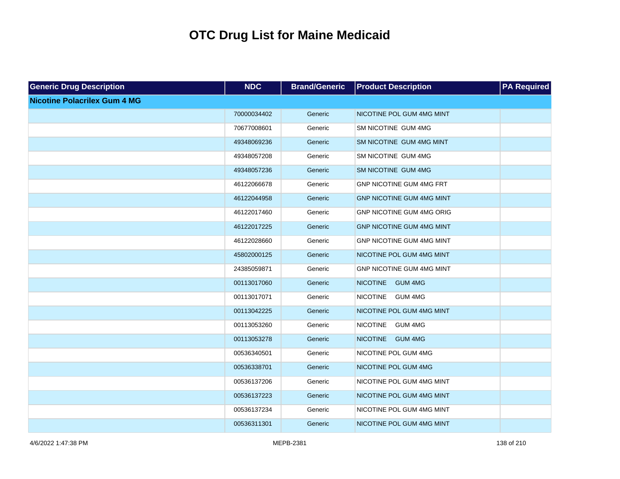| <b>Generic Drug Description</b>     | <b>NDC</b>  | <b>Brand/Generic</b> | <b>Product Description</b>        | <b>PA Required</b> |
|-------------------------------------|-------------|----------------------|-----------------------------------|--------------------|
| <b>Nicotine Polacrilex Gum 4 MG</b> |             |                      |                                   |                    |
|                                     | 70000034402 | Generic              | NICOTINE POL GUM 4MG MINT         |                    |
|                                     | 70677008601 | Generic              | SM NICOTINE GUM 4MG               |                    |
|                                     | 49348069236 | Generic              | SM NICOTINE GUM 4MG MINT          |                    |
|                                     | 49348057208 | Generic              | SM NICOTINE GUM 4MG               |                    |
|                                     | 49348057236 | Generic              | SM NICOTINE GUM 4MG               |                    |
|                                     | 46122066678 | Generic              | GNP NICOTINE GUM 4MG FRT          |                    |
|                                     | 46122044958 | Generic              | <b>GNP NICOTINE GUM 4MG MINT</b>  |                    |
|                                     | 46122017460 | Generic              | GNP NICOTINE GUM 4MG ORIG         |                    |
|                                     | 46122017225 | Generic              | <b>GNP NICOTINE GUM 4MG MINT</b>  |                    |
|                                     | 46122028660 | Generic              | GNP NICOTINE GUM 4MG MINT         |                    |
|                                     | 45802000125 | Generic              | NICOTINE POL GUM 4MG MINT         |                    |
|                                     | 24385059871 | Generic              | GNP NICOTINE GUM 4MG MINT         |                    |
|                                     | 00113017060 | Generic              | NICOTINE GUM 4MG                  |                    |
|                                     | 00113017071 | Generic              | <b>NICOTINE</b><br><b>GUM 4MG</b> |                    |
|                                     | 00113042225 | Generic              | NICOTINE POL GUM 4MG MINT         |                    |
|                                     | 00113053260 | Generic              | <b>NICOTINE</b><br><b>GUM 4MG</b> |                    |
|                                     | 00113053278 | Generic              | NICOTINE GUM 4MG                  |                    |
|                                     | 00536340501 | Generic              | NICOTINE POL GUM 4MG              |                    |
|                                     | 00536338701 | Generic              | NICOTINE POL GUM 4MG              |                    |
|                                     | 00536137206 | Generic              | NICOTINE POL GUM 4MG MINT         |                    |
|                                     | 00536137223 | Generic              | NICOTINE POL GUM 4MG MINT         |                    |
|                                     | 00536137234 | Generic              | NICOTINE POL GUM 4MG MINT         |                    |
|                                     | 00536311301 | Generic              | NICOTINE POL GUM 4MG MINT         |                    |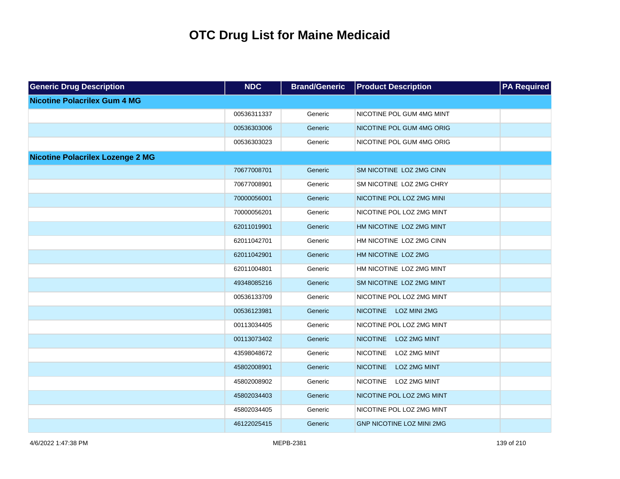| <b>Generic Drug Description</b>         | <b>NDC</b>  | <b>Brand/Generic</b> | <b>Product Description</b>       | <b>PA Required</b> |
|-----------------------------------------|-------------|----------------------|----------------------------------|--------------------|
| <b>Nicotine Polacrilex Gum 4 MG</b>     |             |                      |                                  |                    |
|                                         | 00536311337 | Generic              | NICOTINE POL GUM 4MG MINT        |                    |
|                                         | 00536303006 | Generic              | NICOTINE POL GUM 4MG ORIG        |                    |
|                                         | 00536303023 | Generic              | NICOTINE POL GUM 4MG ORIG        |                    |
| <b>Nicotine Polacrilex Lozenge 2 MG</b> |             |                      |                                  |                    |
|                                         | 70677008701 | Generic              | SM NICOTINE LOZ 2MG CINN         |                    |
|                                         | 70677008901 | Generic              | SM NICOTINE LOZ 2MG CHRY         |                    |
|                                         | 70000056001 | Generic              | NICOTINE POL LOZ 2MG MINI        |                    |
|                                         | 70000056201 | Generic              | NICOTINE POL LOZ 2MG MINT        |                    |
|                                         | 62011019901 | Generic              | HM NICOTINE LOZ 2MG MINT         |                    |
|                                         | 62011042701 | Generic              | HM NICOTINE LOZ 2MG CINN         |                    |
|                                         | 62011042901 | Generic              | HM NICOTINE LOZ 2MG              |                    |
|                                         | 62011004801 | Generic              | HM NICOTINE LOZ 2MG MINT         |                    |
|                                         | 49348085216 | Generic              | SM NICOTINE LOZ 2MG MINT         |                    |
|                                         | 00536133709 | Generic              | NICOTINE POL LOZ 2MG MINT        |                    |
|                                         | 00536123981 | Generic              | NICOTINE LOZ MINI 2MG            |                    |
|                                         | 00113034405 | Generic              | NICOTINE POL LOZ 2MG MINT        |                    |
|                                         | 00113073402 | Generic              | <b>NICOTINE</b><br>LOZ 2MG MINT  |                    |
|                                         | 43598048672 | Generic              | <b>NICOTINE</b><br>LOZ 2MG MINT  |                    |
|                                         | 45802008901 | Generic              | <b>NICOTINE</b><br>LOZ 2MG MINT  |                    |
|                                         | 45802008902 | Generic              | <b>NICOTINE</b><br>LOZ 2MG MINT  |                    |
|                                         | 45802034403 | Generic              | NICOTINE POL LOZ 2MG MINT        |                    |
|                                         | 45802034405 | Generic              | NICOTINE POL LOZ 2MG MINT        |                    |
|                                         | 46122025415 | Generic              | <b>GNP NICOTINE LOZ MINI 2MG</b> |                    |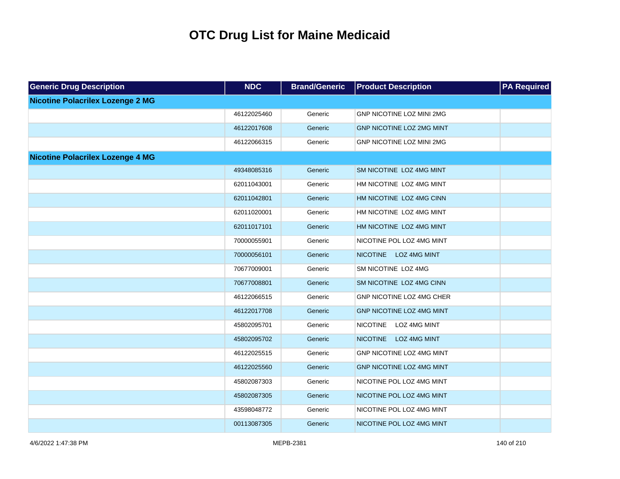| <b>Generic Drug Description</b>         | <b>NDC</b>  | <b>Brand/Generic</b> | <b>Product Description</b>       | <b>PA Required</b> |
|-----------------------------------------|-------------|----------------------|----------------------------------|--------------------|
| <b>Nicotine Polacrilex Lozenge 2 MG</b> |             |                      |                                  |                    |
|                                         | 46122025460 | Generic              | <b>GNP NICOTINE LOZ MINI 2MG</b> |                    |
|                                         | 46122017608 | Generic              | GNP NICOTINE LOZ 2MG MINT        |                    |
|                                         | 46122066315 | Generic              | GNP NICOTINE LOZ MINI 2MG        |                    |
| <b>Nicotine Polacrilex Lozenge 4 MG</b> |             |                      |                                  |                    |
|                                         | 49348085316 | Generic              | SM NICOTINE LOZ 4MG MINT         |                    |
|                                         | 62011043001 | Generic              | HM NICOTINE LOZ 4MG MINT         |                    |
|                                         | 62011042801 | Generic              | HM NICOTINE LOZ 4MG CINN         |                    |
|                                         | 62011020001 | Generic              | HM NICOTINE LOZ 4MG MINT         |                    |
|                                         | 62011017101 | Generic              | HM NICOTINE LOZ 4MG MINT         |                    |
|                                         | 70000055901 | Generic              | NICOTINE POL LOZ 4MG MINT        |                    |
|                                         | 70000056101 | Generic              | NICOTINE LOZ 4MG MINT            |                    |
|                                         | 70677009001 | Generic              | SM NICOTINE LOZ 4MG              |                    |
|                                         | 70677008801 | Generic              | SM NICOTINE LOZ 4MG CINN         |                    |
|                                         | 46122066515 | Generic              | GNP NICOTINE LOZ 4MG CHER        |                    |
|                                         | 46122017708 | Generic              | GNP NICOTINE LOZ 4MG MINT        |                    |
|                                         | 45802095701 | Generic              | LOZ 4MG MINT<br><b>NICOTINE</b>  |                    |
|                                         | 45802095702 | Generic              | NICOTINE LOZ 4MG MINT            |                    |
|                                         | 46122025515 | Generic              | GNP NICOTINE LOZ 4MG MINT        |                    |
|                                         | 46122025560 | Generic              | GNP NICOTINE LOZ 4MG MINT        |                    |
|                                         | 45802087303 | Generic              | NICOTINE POL LOZ 4MG MINT        |                    |
|                                         | 45802087305 | Generic              | NICOTINE POL LOZ 4MG MINT        |                    |
|                                         | 43598048772 | Generic              | NICOTINE POL LOZ 4MG MINT        |                    |
|                                         | 00113087305 | Generic              | NICOTINE POL LOZ 4MG MINT        |                    |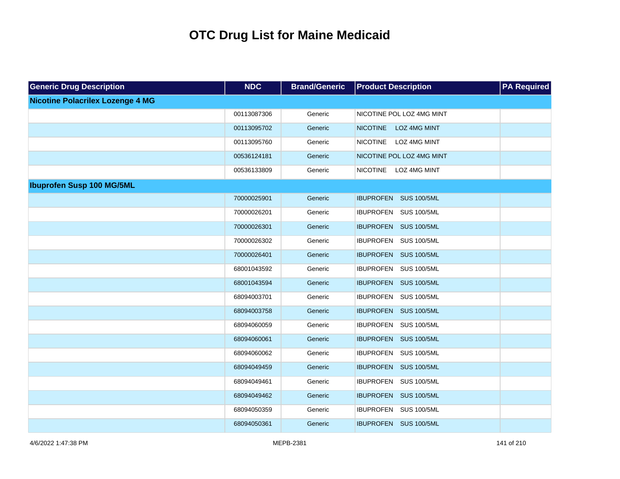| <b>Generic Drug Description</b>         | <b>NDC</b>  | <b>Brand/Generic</b> | <b>Product Description</b>      | <b>PA Required</b> |
|-----------------------------------------|-------------|----------------------|---------------------------------|--------------------|
| <b>Nicotine Polacrilex Lozenge 4 MG</b> |             |                      |                                 |                    |
|                                         | 00113087306 | Generic              | NICOTINE POL LOZ 4MG MINT       |                    |
|                                         | 00113095702 | Generic              | <b>NICOTINE</b><br>LOZ 4MG MINT |                    |
|                                         | 00113095760 | Generic              | NICOTINE LOZ 4MG MINT           |                    |
|                                         | 00536124181 | Generic              | NICOTINE POL LOZ 4MG MINT       |                    |
|                                         | 00536133809 | Generic              | NICOTINE LOZ 4MG MINT           |                    |
| <b>Ibuprofen Susp 100 MG/5ML</b>        |             |                      |                                 |                    |
|                                         | 70000025901 | Generic              | IBUPROFEN SUS 100/5ML           |                    |
|                                         | 70000026201 | Generic              | IBUPROFEN SUS 100/5ML           |                    |
|                                         | 70000026301 | Generic              | IBUPROFEN SUS 100/5ML           |                    |
|                                         | 70000026302 | Generic              | IBUPROFEN SUS 100/5ML           |                    |
|                                         | 70000026401 | Generic              | IBUPROFEN SUS 100/5ML           |                    |
|                                         | 68001043592 | Generic              | IBUPROFEN SUS 100/5ML           |                    |
|                                         | 68001043594 | Generic              | IBUPROFEN SUS 100/5ML           |                    |
|                                         | 68094003701 | Generic              | IBUPROFEN SUS 100/5ML           |                    |
|                                         | 68094003758 | Generic              | IBUPROFEN SUS 100/5ML           |                    |
|                                         | 68094060059 | Generic              | IBUPROFEN SUS 100/5ML           |                    |
|                                         | 68094060061 | Generic              | IBUPROFEN SUS 100/5ML           |                    |
|                                         | 68094060062 | Generic              | IBUPROFEN SUS 100/5ML           |                    |
|                                         | 68094049459 | Generic              | IBUPROFEN SUS 100/5ML           |                    |
|                                         | 68094049461 | Generic              | IBUPROFEN SUS 100/5ML           |                    |
|                                         | 68094049462 | Generic              | IBUPROFEN SUS 100/5ML           |                    |
|                                         | 68094050359 | Generic              | IBUPROFEN SUS 100/5ML           |                    |
|                                         | 68094050361 | Generic              | IBUPROFEN SUS 100/5ML           |                    |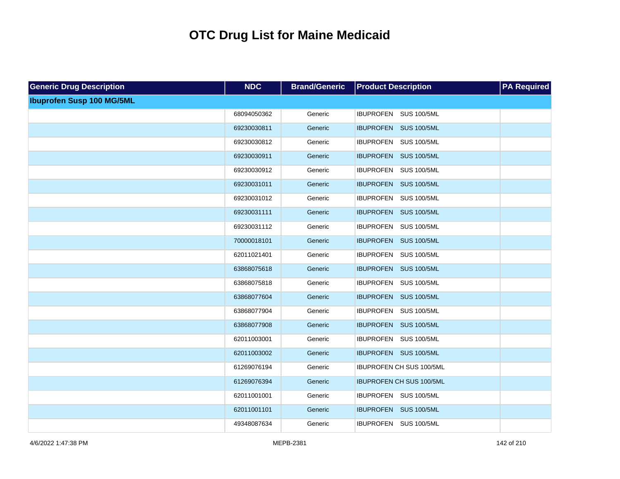| <b>Generic Drug Description</b>  | <b>NDC</b>  | <b>Brand/Generic</b> | <b>Product Description</b>      | <b>PA Required</b> |
|----------------------------------|-------------|----------------------|---------------------------------|--------------------|
| <b>Ibuprofen Susp 100 MG/5ML</b> |             |                      |                                 |                    |
|                                  | 68094050362 | Generic              | IBUPROFEN SUS 100/5ML           |                    |
|                                  | 69230030811 | Generic              | IBUPROFEN SUS 100/5ML           |                    |
|                                  | 69230030812 | Generic              | IBUPROFEN SUS 100/5ML           |                    |
|                                  | 69230030911 | Generic              | IBUPROFEN SUS 100/5ML           |                    |
|                                  | 69230030912 | Generic              | IBUPROFEN SUS 100/5ML           |                    |
|                                  | 69230031011 | Generic              | IBUPROFEN SUS 100/5ML           |                    |
|                                  | 69230031012 | Generic              | IBUPROFEN SUS 100/5ML           |                    |
|                                  | 69230031111 | Generic              | IBUPROFEN SUS 100/5ML           |                    |
|                                  | 69230031112 | Generic              | IBUPROFEN SUS 100/5ML           |                    |
|                                  | 70000018101 | Generic              | IBUPROFEN SUS 100/5ML           |                    |
|                                  | 62011021401 | Generic              | IBUPROFEN SUS 100/5ML           |                    |
|                                  | 63868075618 | Generic              | IBUPROFEN SUS 100/5ML           |                    |
|                                  | 63868075818 | Generic              | IBUPROFEN SUS 100/5ML           |                    |
|                                  | 63868077604 | Generic              | IBUPROFEN SUS 100/5ML           |                    |
|                                  | 63868077904 | Generic              | IBUPROFEN SUS 100/5ML           |                    |
|                                  | 63868077908 | Generic              | IBUPROFEN SUS 100/5ML           |                    |
|                                  | 62011003001 | Generic              | IBUPROFEN SUS 100/5ML           |                    |
|                                  | 62011003002 | Generic              | IBUPROFEN SUS 100/5ML           |                    |
|                                  | 61269076194 | Generic              | IBUPROFEN CH SUS 100/5ML        |                    |
|                                  | 61269076394 | Generic              | <b>IBUPROFEN CH SUS 100/5ML</b> |                    |
|                                  | 62011001001 | Generic              | IBUPROFEN SUS 100/5ML           |                    |
|                                  | 62011001101 | Generic              | IBUPROFEN SUS 100/5ML           |                    |
|                                  | 49348087634 | Generic              | IBUPROFEN SUS 100/5ML           |                    |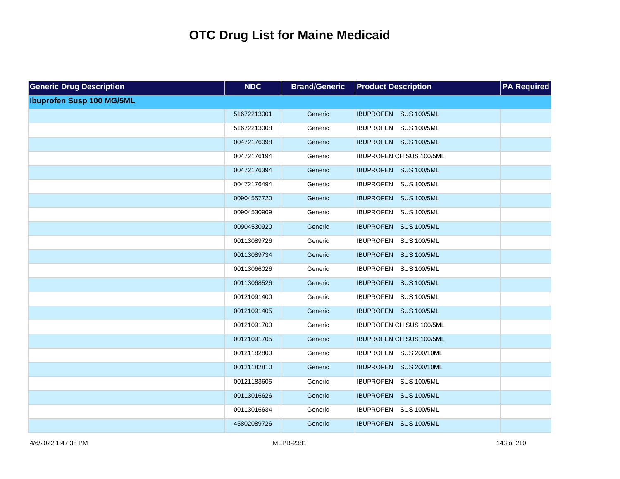| <b>Generic Drug Description</b>  | <b>NDC</b>  | <b>Brand/Generic</b> | <b>Product Description</b>      | <b>PA</b> Required |
|----------------------------------|-------------|----------------------|---------------------------------|--------------------|
| <b>Ibuprofen Susp 100 MG/5ML</b> |             |                      |                                 |                    |
|                                  | 51672213001 | Generic              | IBUPROFEN SUS 100/5ML           |                    |
|                                  | 51672213008 | Generic              | IBUPROFEN SUS 100/5ML           |                    |
|                                  | 00472176098 | Generic              | IBUPROFEN SUS 100/5ML           |                    |
|                                  | 00472176194 | Generic              | IBUPROFEN CH SUS 100/5ML        |                    |
|                                  | 00472176394 | Generic              | IBUPROFEN SUS 100/5ML           |                    |
|                                  | 00472176494 | Generic              | IBUPROFEN SUS 100/5ML           |                    |
|                                  | 00904557720 | Generic              | IBUPROFEN SUS 100/5ML           |                    |
|                                  | 00904530909 | Generic              | IBUPROFEN SUS 100/5ML           |                    |
|                                  | 00904530920 | Generic              | IBUPROFEN SUS 100/5ML           |                    |
|                                  | 00113089726 | Generic              | IBUPROFEN SUS 100/5ML           |                    |
|                                  | 00113089734 | Generic              | IBUPROFEN SUS 100/5ML           |                    |
|                                  | 00113066026 | Generic              | IBUPROFEN SUS 100/5ML           |                    |
|                                  | 00113068526 | Generic              | IBUPROFEN SUS 100/5ML           |                    |
|                                  | 00121091400 | Generic              | IBUPROFEN SUS 100/5ML           |                    |
|                                  | 00121091405 | Generic              | IBUPROFEN SUS 100/5ML           |                    |
|                                  | 00121091700 | Generic              | IBUPROFEN CH SUS 100/5ML        |                    |
|                                  | 00121091705 | Generic              | <b>IBUPROFEN CH SUS 100/5ML</b> |                    |
|                                  | 00121182800 | Generic              | IBUPROFEN SUS 200/10ML          |                    |
|                                  | 00121182810 | Generic              | IBUPROFEN SUS 200/10ML          |                    |
|                                  | 00121183605 | Generic              | IBUPROFEN SUS 100/5ML           |                    |
|                                  | 00113016626 | Generic              | IBUPROFEN SUS 100/5ML           |                    |
|                                  | 00113016634 | Generic              | IBUPROFEN SUS 100/5ML           |                    |
|                                  | 45802089726 | Generic              | IBUPROFEN SUS 100/5ML           |                    |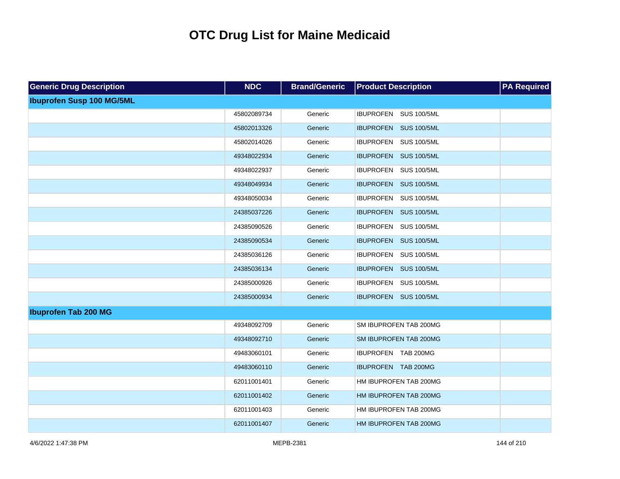| <b>Generic Drug Description</b>  | <b>NDC</b>  | <b>Brand/Generic</b> | <b>Product Description</b> | <b>PA</b> Required |
|----------------------------------|-------------|----------------------|----------------------------|--------------------|
| <b>Ibuprofen Susp 100 MG/5ML</b> |             |                      |                            |                    |
|                                  | 45802089734 | Generic              | IBUPROFEN SUS 100/5ML      |                    |
|                                  | 45802013326 | Generic              | IBUPROFEN SUS 100/5ML      |                    |
|                                  | 45802014026 | Generic              | IBUPROFEN SUS 100/5ML      |                    |
|                                  | 49348022934 | Generic              | IBUPROFEN SUS 100/5ML      |                    |
|                                  | 49348022937 | Generic              | IBUPROFEN SUS 100/5ML      |                    |
|                                  | 49348049934 | Generic              | IBUPROFEN SUS 100/5ML      |                    |
|                                  | 49348050034 | Generic              | IBUPROFEN SUS 100/5ML      |                    |
|                                  | 24385037226 | Generic              | IBUPROFEN SUS 100/5ML      |                    |
|                                  | 24385090526 | Generic              | IBUPROFEN SUS 100/5ML      |                    |
|                                  | 24385090534 | Generic              | IBUPROFEN SUS 100/5ML      |                    |
|                                  | 24385036126 | Generic              | IBUPROFEN SUS 100/5ML      |                    |
|                                  | 24385036134 | Generic              | IBUPROFEN SUS 100/5ML      |                    |
|                                  | 24385000926 | Generic              | IBUPROFEN SUS 100/5ML      |                    |
|                                  | 24385000934 | Generic              | IBUPROFEN SUS 100/5ML      |                    |
| <b>Ibuprofen Tab 200 MG</b>      |             |                      |                            |                    |
|                                  | 49348092709 | Generic              | SM IBUPROFEN TAB 200MG     |                    |
|                                  | 49348092710 | Generic              | SM IBUPROFEN TAB 200MG     |                    |
|                                  | 49483060101 | Generic              | IBUPROFEN TAB 200MG        |                    |
|                                  | 49483060110 | Generic              | IBUPROFEN TAB 200MG        |                    |
|                                  | 62011001401 | Generic              | HM IBUPROFEN TAB 200MG     |                    |
|                                  | 62011001402 | Generic              | HM IBUPROFEN TAB 200MG     |                    |
|                                  | 62011001403 | Generic              | HM IBUPROFEN TAB 200MG     |                    |
|                                  | 62011001407 | Generic              | HM IBUPROFEN TAB 200MG     |                    |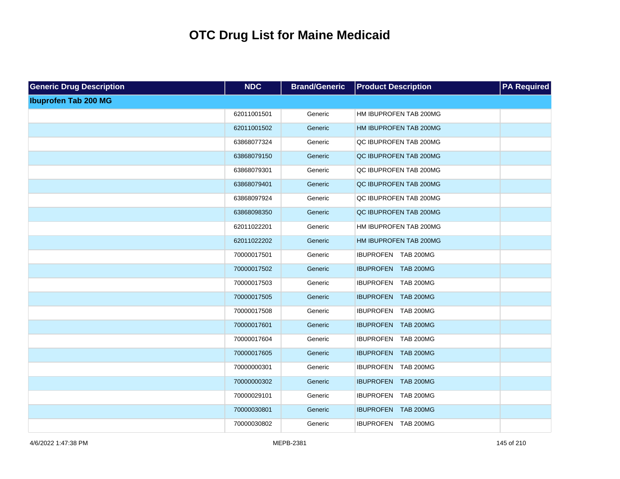| <b>Generic Drug Description</b> | <b>NDC</b>  | <b>Brand/Generic</b> | <b>Product Description</b> | <b>PA Required</b> |
|---------------------------------|-------------|----------------------|----------------------------|--------------------|
| <b>Ibuprofen Tab 200 MG</b>     |             |                      |                            |                    |
|                                 | 62011001501 | Generic              | HM IBUPROFEN TAB 200MG     |                    |
|                                 | 62011001502 | Generic              | HM IBUPROFEN TAB 200MG     |                    |
|                                 | 63868077324 | Generic              | QC IBUPROFEN TAB 200MG     |                    |
|                                 | 63868079150 | Generic              | QC IBUPROFEN TAB 200MG     |                    |
|                                 | 63868079301 | Generic              | QC IBUPROFEN TAB 200MG     |                    |
|                                 | 63868079401 | Generic              | QC IBUPROFEN TAB 200MG     |                    |
|                                 | 63868097924 | Generic              | QC IBUPROFEN TAB 200MG     |                    |
|                                 | 63868098350 | Generic              | QC IBUPROFEN TAB 200MG     |                    |
|                                 | 62011022201 | Generic              | HM IBUPROFEN TAB 200MG     |                    |
|                                 | 62011022202 | Generic              | HM IBUPROFEN TAB 200MG     |                    |
|                                 | 70000017501 | Generic              | IBUPROFEN TAB 200MG        |                    |
|                                 | 70000017502 | Generic              | IBUPROFEN TAB 200MG        |                    |
|                                 | 70000017503 | Generic              | IBUPROFEN TAB 200MG        |                    |
|                                 | 70000017505 | Generic              | IBUPROFEN TAB 200MG        |                    |
|                                 | 70000017508 | Generic              | IBUPROFEN TAB 200MG        |                    |
|                                 | 70000017601 | Generic              | IBUPROFEN TAB 200MG        |                    |
|                                 | 70000017604 | Generic              | IBUPROFEN TAB 200MG        |                    |
|                                 | 70000017605 | Generic              | IBUPROFEN TAB 200MG        |                    |
|                                 | 70000000301 | Generic              | IBUPROFEN TAB 200MG        |                    |
|                                 | 70000000302 | Generic              | IBUPROFEN TAB 200MG        |                    |
|                                 | 70000029101 | Generic              | IBUPROFEN TAB 200MG        |                    |
|                                 | 70000030801 | Generic              | IBUPROFEN TAB 200MG        |                    |
|                                 | 70000030802 | Generic              | IBUPROFEN TAB 200MG        |                    |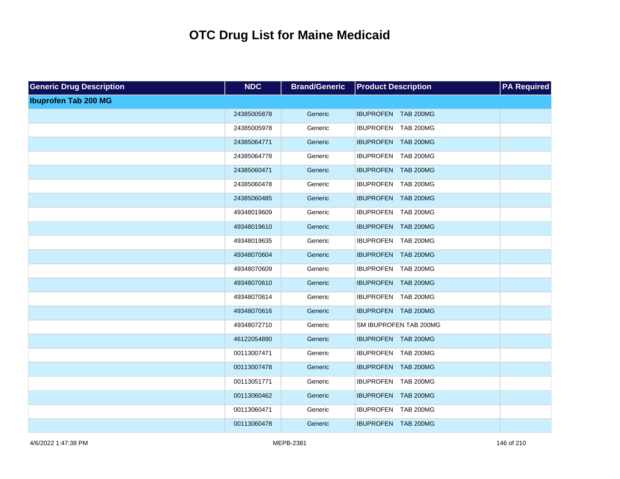| <b>Generic Drug Description</b> | <b>NDC</b>  | <b>Brand/Generic</b> | <b>Product Description</b> | <b>PA Required</b> |
|---------------------------------|-------------|----------------------|----------------------------|--------------------|
| <b>Ibuprofen Tab 200 MG</b>     |             |                      |                            |                    |
|                                 | 24385005878 | Generic              | IBUPROFEN TAB 200MG        |                    |
|                                 | 24385005978 | Generic              | IBUPROFEN TAB 200MG        |                    |
|                                 | 24385064771 | Generic              | IBUPROFEN TAB 200MG        |                    |
|                                 | 24385064778 | Generic              | IBUPROFEN TAB 200MG        |                    |
|                                 | 24385060471 | Generic              | IBUPROFEN TAB 200MG        |                    |
|                                 | 24385060478 | Generic              | IBUPROFEN TAB 200MG        |                    |
|                                 | 24385060485 | Generic              | IBUPROFEN TAB 200MG        |                    |
|                                 | 49348019609 | Generic              | IBUPROFEN TAB 200MG        |                    |
|                                 | 49348019610 | Generic              | IBUPROFEN TAB 200MG        |                    |
|                                 | 49348019635 | Generic              | IBUPROFEN TAB 200MG        |                    |
|                                 | 49348070604 | Generic              | IBUPROFEN TAB 200MG        |                    |
|                                 | 49348070609 | Generic              | IBUPROFEN TAB 200MG        |                    |
|                                 | 49348070610 | Generic              | IBUPROFEN TAB 200MG        |                    |
|                                 | 49348070614 | Generic              | IBUPROFEN TAB 200MG        |                    |
|                                 | 49348070616 | Generic              | IBUPROFEN TAB 200MG        |                    |
|                                 | 49348072710 | Generic              | SM IBUPROFEN TAB 200MG     |                    |
|                                 | 46122054890 | Generic              | IBUPROFEN TAB 200MG        |                    |
|                                 | 00113007471 | Generic              | IBUPROFEN TAB 200MG        |                    |
|                                 | 00113007478 | Generic              | IBUPROFEN TAB 200MG        |                    |
|                                 | 00113051771 | Generic              | IBUPROFEN TAB 200MG        |                    |
|                                 | 00113060462 | Generic              | IBUPROFEN TAB 200MG        |                    |
|                                 | 00113060471 | Generic              | IBUPROFEN TAB 200MG        |                    |
|                                 | 00113060478 | Generic              | IBUPROFEN TAB 200MG        |                    |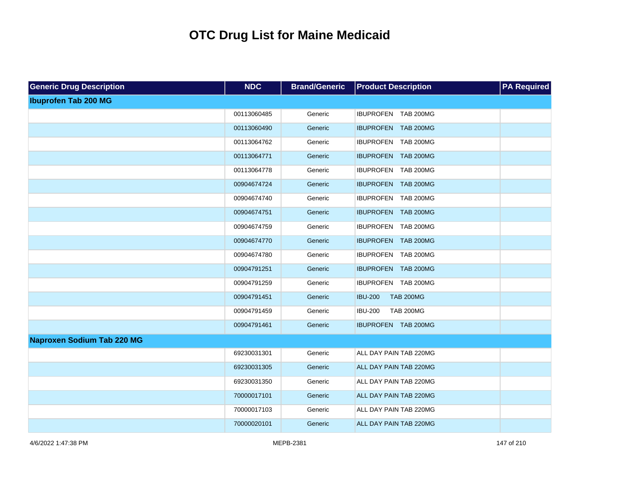| <b>Generic Drug Description</b>   | <b>NDC</b>  | <b>Brand/Generic</b> | <b>Product Description</b>         | <b>PA Required</b> |
|-----------------------------------|-------------|----------------------|------------------------------------|--------------------|
| <b>Ibuprofen Tab 200 MG</b>       |             |                      |                                    |                    |
|                                   | 00113060485 | Generic              | IBUPROFEN TAB 200MG                |                    |
|                                   | 00113060490 | Generic              | IBUPROFEN TAB 200MG                |                    |
|                                   | 00113064762 | Generic              | IBUPROFEN TAB 200MG                |                    |
|                                   | 00113064771 | Generic              | IBUPROFEN TAB 200MG                |                    |
|                                   | 00113064778 | Generic              | IBUPROFEN TAB 200MG                |                    |
|                                   | 00904674724 | Generic              | IBUPROFEN TAB 200MG                |                    |
|                                   | 00904674740 | Generic              | IBUPROFEN TAB 200MG                |                    |
|                                   | 00904674751 | Generic              | IBUPROFEN TAB 200MG                |                    |
|                                   | 00904674759 | Generic              | IBUPROFEN TAB 200MG                |                    |
|                                   | 00904674770 | Generic              | IBUPROFEN TAB 200MG                |                    |
|                                   | 00904674780 | Generic              | IBUPROFEN TAB 200MG                |                    |
|                                   | 00904791251 | Generic              | IBUPROFEN TAB 200MG                |                    |
|                                   | 00904791259 | Generic              | IBUPROFEN TAB 200MG                |                    |
|                                   | 00904791451 | Generic              | <b>IBU-200</b><br><b>TAB 200MG</b> |                    |
|                                   | 00904791459 | Generic              | <b>IBU-200</b><br><b>TAB 200MG</b> |                    |
|                                   | 00904791461 | Generic              | IBUPROFEN TAB 200MG                |                    |
| <b>Naproxen Sodium Tab 220 MG</b> |             |                      |                                    |                    |
|                                   | 69230031301 | Generic              | ALL DAY PAIN TAB 220MG             |                    |
|                                   | 69230031305 | Generic              | ALL DAY PAIN TAB 220MG             |                    |
|                                   | 69230031350 | Generic              | ALL DAY PAIN TAB 220MG             |                    |
|                                   | 70000017101 | Generic              | ALL DAY PAIN TAB 220MG             |                    |
|                                   | 70000017103 | Generic              | ALL DAY PAIN TAB 220MG             |                    |
|                                   | 70000020101 | Generic              | ALL DAY PAIN TAB 220MG             |                    |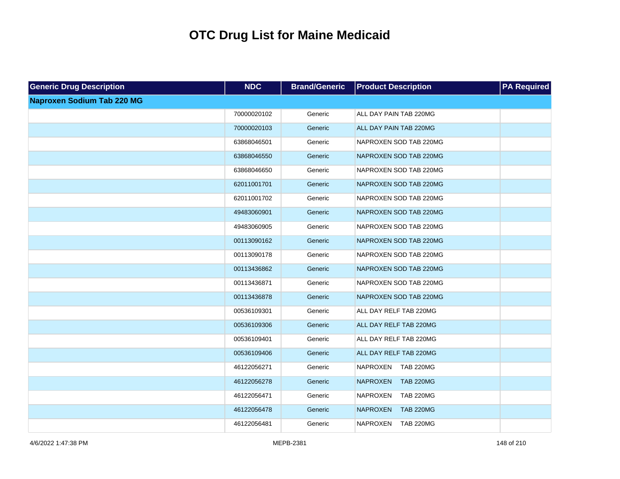| <b>Generic Drug Description</b>   | <b>NDC</b>  | <b>Brand/Generic</b> | <b>Product Description</b>          | <b>PA Required</b> |
|-----------------------------------|-------------|----------------------|-------------------------------------|--------------------|
| <b>Naproxen Sodium Tab 220 MG</b> |             |                      |                                     |                    |
|                                   | 70000020102 | Generic              | ALL DAY PAIN TAB 220MG              |                    |
|                                   | 70000020103 | Generic              | ALL DAY PAIN TAB 220MG              |                    |
|                                   | 63868046501 | Generic              | NAPROXEN SOD TAB 220MG              |                    |
|                                   | 63868046550 | Generic              | NAPROXEN SOD TAB 220MG              |                    |
|                                   | 63868046650 | Generic              | NAPROXEN SOD TAB 220MG              |                    |
|                                   | 62011001701 | Generic              | NAPROXEN SOD TAB 220MG              |                    |
|                                   | 62011001702 | Generic              | NAPROXEN SOD TAB 220MG              |                    |
|                                   | 49483060901 | Generic              | NAPROXEN SOD TAB 220MG              |                    |
|                                   | 49483060905 | Generic              | NAPROXEN SOD TAB 220MG              |                    |
|                                   | 00113090162 | Generic              | NAPROXEN SOD TAB 220MG              |                    |
|                                   | 00113090178 | Generic              | NAPROXEN SOD TAB 220MG              |                    |
|                                   | 00113436862 | Generic              | NAPROXEN SOD TAB 220MG              |                    |
|                                   | 00113436871 | Generic              | NAPROXEN SOD TAB 220MG              |                    |
|                                   | 00113436878 | Generic              | NAPROXEN SOD TAB 220MG              |                    |
|                                   | 00536109301 | Generic              | ALL DAY RELF TAB 220MG              |                    |
|                                   | 00536109306 | Generic              | ALL DAY RELF TAB 220MG              |                    |
|                                   | 00536109401 | Generic              | ALL DAY RELF TAB 220MG              |                    |
|                                   | 00536109406 | Generic              | ALL DAY RELF TAB 220MG              |                    |
|                                   | 46122056271 | Generic              | <b>NAPROXEN</b><br><b>TAB 220MG</b> |                    |
|                                   | 46122056278 | Generic              | <b>NAPROXEN</b><br><b>TAB 220MG</b> |                    |
|                                   | 46122056471 | Generic              | <b>TAB 220MG</b><br><b>NAPROXEN</b> |                    |
|                                   | 46122056478 | Generic              | <b>NAPROXEN</b><br><b>TAB 220MG</b> |                    |
|                                   | 46122056481 | Generic              | <b>NAPROXEN</b><br><b>TAB 220MG</b> |                    |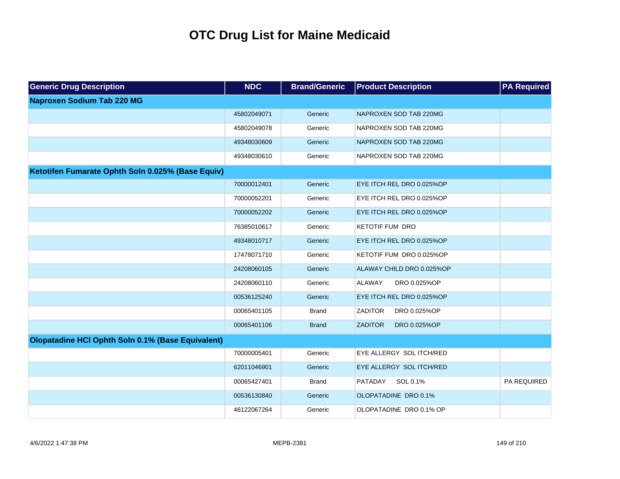| <b>Generic Drug Description</b>                   | <b>NDC</b>  | <b>Brand/Generic</b> | <b>Product Description</b>     | <b>PA Required</b> |
|---------------------------------------------------|-------------|----------------------|--------------------------------|--------------------|
| <b>Naproxen Sodium Tab 220 MG</b>                 |             |                      |                                |                    |
|                                                   | 45802049071 | Generic              | NAPROXEN SOD TAB 220MG         |                    |
|                                                   | 45802049078 | Generic              | NAPROXEN SOD TAB 220MG         |                    |
|                                                   | 49348030609 | Generic              | NAPROXEN SOD TAB 220MG         |                    |
|                                                   | 49348030610 | Generic              | NAPROXEN SOD TAB 220MG         |                    |
| Ketotifen Fumarate Ophth Soln 0.025% (Base Equiv) |             |                      |                                |                    |
|                                                   | 70000012401 | Generic              | EYE ITCH REL DRO 0.025%OP      |                    |
|                                                   | 70000052201 | Generic              | EYE ITCH REL DRO 0.025%OP      |                    |
|                                                   | 70000052202 | Generic              | EYE ITCH REL DRO 0.025%OP      |                    |
|                                                   | 76385010617 | Generic              | <b>KETOTIF FUM DRO</b>         |                    |
|                                                   | 49348010717 | Generic              | EYE ITCH REL DRO 0.025%OP      |                    |
|                                                   | 17478071710 | Generic              | KETOTIF FUM DRO 0.025%OP       |                    |
|                                                   | 24208060105 | Generic              | ALAWAY CHILD DRO 0.025%OP      |                    |
|                                                   | 24208060110 | Generic              | <b>ALAWAY</b><br>DRO 0.025%OP  |                    |
|                                                   | 00536125240 | Generic              | EYE ITCH REL DRO 0.025%OP      |                    |
|                                                   | 00065401105 | <b>Brand</b>         | <b>ZADITOR</b><br>DRO 0.025%OP |                    |
|                                                   | 00065401106 | <b>Brand</b>         | <b>ZADITOR</b><br>DRO 0.025%OP |                    |
| Olopatadine HCI Ophth Soln 0.1% (Base Equivalent) |             |                      |                                |                    |
|                                                   | 70000005401 | Generic              | EYE ALLERGY SOL ITCH/RED       |                    |
|                                                   | 62011046901 | Generic              | EYE ALLERGY SOL ITCH/RED       |                    |
|                                                   | 00065427401 | <b>Brand</b>         | PATADAY<br>SOL 0.1%            | PA REQUIRED        |
|                                                   | 00536130840 | Generic              | OLOPATADINE DRO 0.1%           |                    |
|                                                   | 46122067264 | Generic              | OLOPATADINE DRO 0.1% OP        |                    |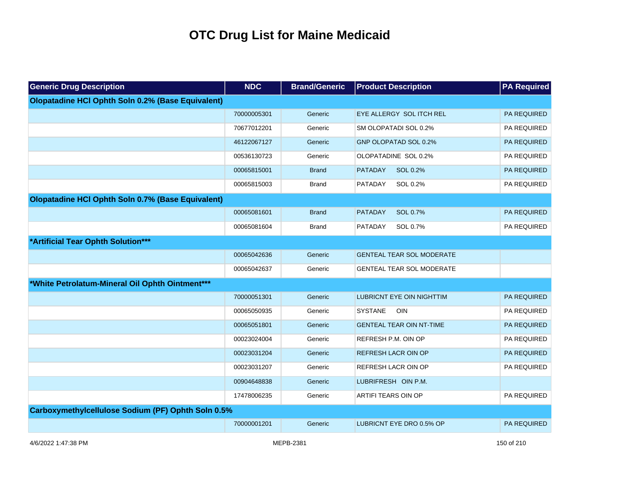| <b>Generic Drug Description</b>                    | <b>NDC</b>  | <b>Brand/Generic</b> | <b>Product Description</b>       | <b>PA Required</b> |
|----------------------------------------------------|-------------|----------------------|----------------------------------|--------------------|
| Olopatadine HCI Ophth Soln 0.2% (Base Equivalent)  |             |                      |                                  |                    |
|                                                    | 70000005301 | Generic              | EYE ALLERGY SOL ITCH REL         | <b>PA REQUIRED</b> |
|                                                    | 70677012201 | Generic              | SM OLOPATADI SOL 0.2%            | PA REQUIRED        |
|                                                    | 46122067127 | Generic              | GNP OLOPATAD SOL 0.2%            | PA REQUIRED        |
|                                                    | 00536130723 | Generic              | OLOPATADINE SOL 0.2%             | PA REQUIRED        |
|                                                    | 00065815001 | <b>Brand</b>         | <b>PATADAY</b><br>SOL 0.2%       | PA REQUIRED        |
|                                                    | 00065815003 | <b>Brand</b>         | SOL 0.2%<br><b>PATADAY</b>       | PA REQUIRED        |
| Olopatadine HCI Ophth Soln 0.7% (Base Equivalent)  |             |                      |                                  |                    |
|                                                    | 00065081601 | <b>Brand</b>         | <b>PATADAY</b><br>SOL 0.7%       | <b>PA REQUIRED</b> |
|                                                    | 00065081604 | <b>Brand</b>         | SOL 0.7%<br><b>PATADAY</b>       | PA REQUIRED        |
| *Artificial Tear Ophth Solution***                 |             |                      |                                  |                    |
|                                                    | 00065042636 | Generic              | <b>GENTEAL TEAR SOL MODERATE</b> |                    |
|                                                    | 00065042637 | Generic              | <b>GENTEAL TEAR SOL MODERATE</b> |                    |
| *White Petrolatum-Mineral Oil Ophth Ointment***    |             |                      |                                  |                    |
|                                                    | 70000051301 | Generic              | <b>LUBRICNT EYE OIN NIGHTTIM</b> | <b>PA REQUIRED</b> |
|                                                    | 00065050935 | Generic              | <b>SYSTANE</b><br>OIN            | PA REQUIRED        |
|                                                    | 00065051801 | Generic              | <b>GENTEAL TEAR OIN NT-TIME</b>  | PA REQUIRED        |
|                                                    | 00023024004 | Generic              | REFRESH P.M. OIN OP              | <b>PA REQUIRED</b> |
|                                                    | 00023031204 | Generic              | REFRESH LACR OIN OP              | PA REQUIRED        |
|                                                    | 00023031207 | Generic              | REFRESH LACR OIN OP              | <b>PA REQUIRED</b> |
|                                                    | 00904648838 | Generic              | LUBRIFRESH OIN P.M.              |                    |
|                                                    | 17478006235 | Generic              | ARTIFI TEARS OIN OP              | PA REQUIRED        |
| Carboxymethylcellulose Sodium (PF) Ophth Soln 0.5% |             |                      |                                  |                    |
|                                                    | 70000001201 | Generic              | LUBRICNT EYE DRO 0.5% OP         | <b>PA REQUIRED</b> |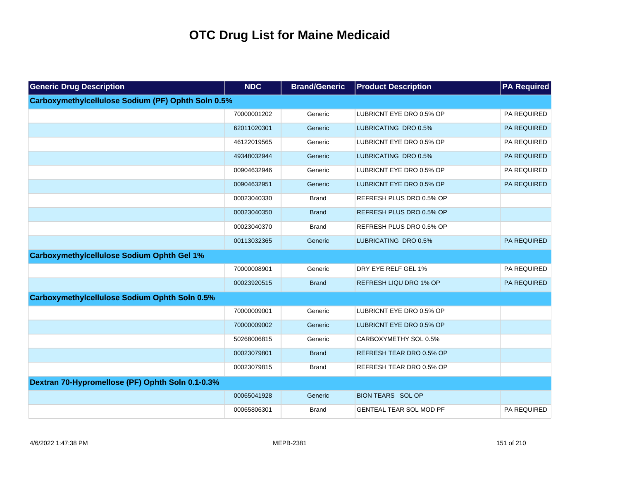| <b>Generic Drug Description</b>                      | <b>NDC</b>  | <b>Brand/Generic</b> | <b>Product Description</b>     | <b>PA Required</b> |
|------------------------------------------------------|-------------|----------------------|--------------------------------|--------------------|
| Carboxymethylcellulose Sodium (PF) Ophth Soln 0.5%   |             |                      |                                |                    |
|                                                      | 70000001202 | Generic              | LUBRICNT EYE DRO 0.5% OP       | PA REQUIRED        |
|                                                      | 62011020301 | Generic              | LUBRICATING DRO 0.5%           | PA REQUIRED        |
|                                                      | 46122019565 | Generic              | LUBRICNT EYE DRO 0.5% OP       | PA REQUIRED        |
|                                                      | 49348032944 | Generic              | LUBRICATING DRO 0.5%           | PA REQUIRED        |
|                                                      | 00904632946 | Generic              | LUBRICNT EYE DRO 0.5% OP       | PA REQUIRED        |
|                                                      | 00904632951 | Generic              | LUBRICNT EYE DRO 0.5% OP       | PA REQUIRED        |
|                                                      | 00023040330 | <b>Brand</b>         | REFRESH PLUS DRO 0.5% OP       |                    |
|                                                      | 00023040350 | <b>Brand</b>         | REFRESH PLUS DRO 0.5% OP       |                    |
|                                                      | 00023040370 | <b>Brand</b>         | REFRESH PLUS DRO 0.5% OP       |                    |
|                                                      | 00113032365 | Generic              | LUBRICATING DRO 0.5%           | PA REQUIRED        |
| <b>Carboxymethylcellulose Sodium Ophth Gel 1%</b>    |             |                      |                                |                    |
|                                                      | 70000008901 | Generic              | DRY EYE RELF GEL 1%            | PA REQUIRED        |
|                                                      | 00023920515 | <b>Brand</b>         | <b>REFRESH LIQU DRO 1% OP</b>  | <b>PA REQUIRED</b> |
| <b>Carboxymethylcellulose Sodium Ophth Soln 0.5%</b> |             |                      |                                |                    |
|                                                      | 70000009001 | Generic              | LUBRICNT EYE DRO 0.5% OP       |                    |
|                                                      | 70000009002 | Generic              | LUBRICNT EYE DRO 0.5% OP       |                    |
|                                                      | 50268006815 | Generic              | CARBOXYMETHY SOL 0.5%          |                    |
|                                                      | 00023079801 | <b>Brand</b>         | REFRESH TEAR DRO 0.5% OP       |                    |
|                                                      | 00023079815 | <b>Brand</b>         | REFRESH TEAR DRO 0.5% OP       |                    |
| Dextran 70-Hypromellose (PF) Ophth Soln 0.1-0.3%     |             |                      |                                |                    |
|                                                      | 00065041928 | Generic              | <b>BION TEARS SOL OP</b>       |                    |
|                                                      | 00065806301 | Brand                | <b>GENTEAL TEAR SOL MOD PF</b> | PA REQUIRED        |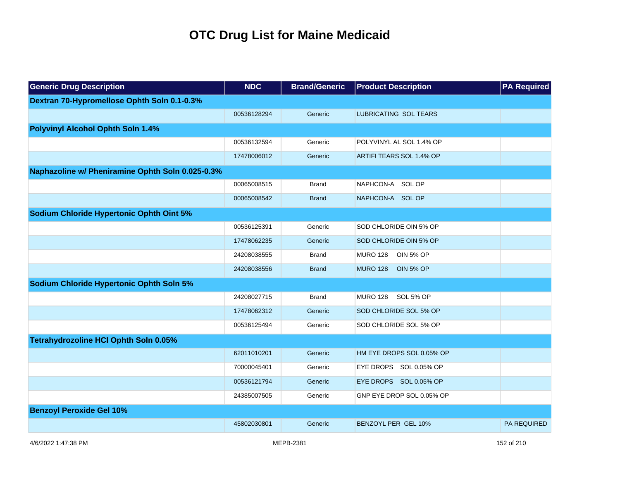| <b>Generic Drug Description</b>                  | <b>NDC</b>  | <b>Brand/Generic</b> | <b>Product Description</b>          | <b>PA Required</b> |
|--------------------------------------------------|-------------|----------------------|-------------------------------------|--------------------|
| Dextran 70-Hypromellose Ophth Soln 0.1-0.3%      |             |                      |                                     |                    |
|                                                  | 00536128294 | Generic              | <b>LUBRICATING SOL TEARS</b>        |                    |
| <b>Polyvinyl Alcohol Ophth Soln 1.4%</b>         |             |                      |                                     |                    |
|                                                  | 00536132594 | Generic              | POLYVINYL AL SOL 1.4% OP            |                    |
|                                                  | 17478006012 | Generic              | ARTIFI TEARS SOL 1.4% OP            |                    |
| Naphazoline w/ Pheniramine Ophth Soln 0.025-0.3% |             |                      |                                     |                    |
|                                                  | 00065008515 | <b>Brand</b>         | NAPHCON-A SOL OP                    |                    |
|                                                  | 00065008542 | <b>Brand</b>         | NAPHCON-A SOL OP                    |                    |
| <b>Sodium Chloride Hypertonic Ophth Oint 5%</b>  |             |                      |                                     |                    |
|                                                  | 00536125391 | Generic              | SOD CHLORIDE OIN 5% OP              |                    |
|                                                  | 17478062235 | Generic              | SOD CHLORIDE OIN 5% OP              |                    |
|                                                  | 24208038555 | <b>Brand</b>         | <b>MURO 128</b><br><b>OIN 5% OP</b> |                    |
|                                                  | 24208038556 | <b>Brand</b>         | <b>MURO 128</b><br><b>OIN 5% OP</b> |                    |
| <b>Sodium Chloride Hypertonic Ophth Soln 5%</b>  |             |                      |                                     |                    |
|                                                  | 24208027715 | <b>Brand</b>         | MURO 128 SOL 5% OP                  |                    |
|                                                  | 17478062312 | Generic              | SOD CHLORIDE SOL 5% OP              |                    |
|                                                  | 00536125494 | Generic              | SOD CHLORIDE SOL 5% OP              |                    |
| Tetrahydrozoline HCI Ophth Soln 0.05%            |             |                      |                                     |                    |
|                                                  | 62011010201 | Generic              | HM EYE DROPS SOL 0.05% OP           |                    |
|                                                  | 70000045401 | Generic              | EYE DROPS SOL 0.05% OP              |                    |
|                                                  | 00536121794 | Generic              | EYE DROPS SOL 0.05% OP              |                    |
|                                                  | 24385007505 | Generic              | GNP EYE DROP SOL 0.05% OP           |                    |
| <b>Benzoyl Peroxide Gel 10%</b>                  |             |                      |                                     |                    |
|                                                  | 45802030801 | Generic              | BENZOYL PER GEL 10%                 | <b>PA REQUIRED</b> |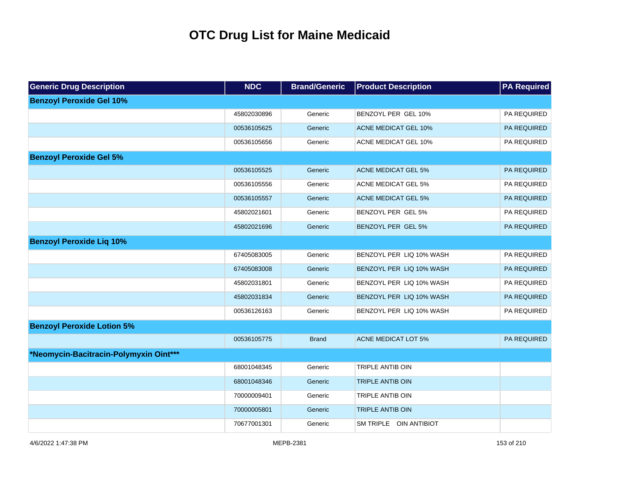| <b>Generic Drug Description</b>        | <b>NDC</b>  | <b>Brand/Generic</b> | <b>Product Description</b>  | <b>PA Required</b> |
|----------------------------------------|-------------|----------------------|-----------------------------|--------------------|
| <b>Benzoyl Peroxide Gel 10%</b>        |             |                      |                             |                    |
|                                        | 45802030896 | Generic              | BENZOYL PER GEL 10%         | PA REQUIRED        |
|                                        | 00536105625 | Generic              | <b>ACNE MEDICAT GEL 10%</b> | PA REQUIRED        |
|                                        | 00536105656 | Generic              | ACNE MEDICAT GEL 10%        | PA REQUIRED        |
| <b>Benzoyl Peroxide Gel 5%</b>         |             |                      |                             |                    |
|                                        | 00536105525 | Generic              | <b>ACNE MEDICAT GEL 5%</b>  | PA REQUIRED        |
|                                        | 00536105556 | Generic              | ACNE MEDICAT GEL 5%         | PA REQUIRED        |
|                                        | 00536105557 | Generic              | <b>ACNE MEDICAT GEL 5%</b>  | PA REQUIRED        |
|                                        | 45802021601 | Generic              | BENZOYL PER GEL 5%          | PA REQUIRED        |
|                                        | 45802021696 | Generic              | BENZOYL PER GEL 5%          | PA REQUIRED        |
| <b>Benzoyl Peroxide Lig 10%</b>        |             |                      |                             |                    |
|                                        | 67405083005 | Generic              | BENZOYL PER LIQ 10% WASH    | PA REQUIRED        |
|                                        | 67405083008 | Generic              | BENZOYL PER LIQ 10% WASH    | PA REQUIRED        |
|                                        | 45802031801 | Generic              | BENZOYL PER LIQ 10% WASH    | PA REQUIRED        |
|                                        | 45802031834 | Generic              | BENZOYL PER LIQ 10% WASH    | PA REQUIRED        |
|                                        | 00536126163 | Generic              | BENZOYL PER LIQ 10% WASH    | PA REQUIRED        |
| <b>Benzoyl Peroxide Lotion 5%</b>      |             |                      |                             |                    |
|                                        | 00536105775 | <b>Brand</b>         | <b>ACNE MEDICAT LOT 5%</b>  | PA REQUIRED        |
| *Neomycin-Bacitracin-Polymyxin Oint*** |             |                      |                             |                    |
|                                        | 68001048345 | Generic              | TRIPLE ANTIB OIN            |                    |
|                                        | 68001048346 | Generic              | <b>TRIPLE ANTIB OIN</b>     |                    |
|                                        | 70000009401 | Generic              | TRIPLE ANTIB OIN            |                    |
|                                        | 70000005801 | Generic              | <b>TRIPLE ANTIB OIN</b>     |                    |
|                                        | 70677001301 | Generic              | SM TRIPLE OIN ANTIBIOT      |                    |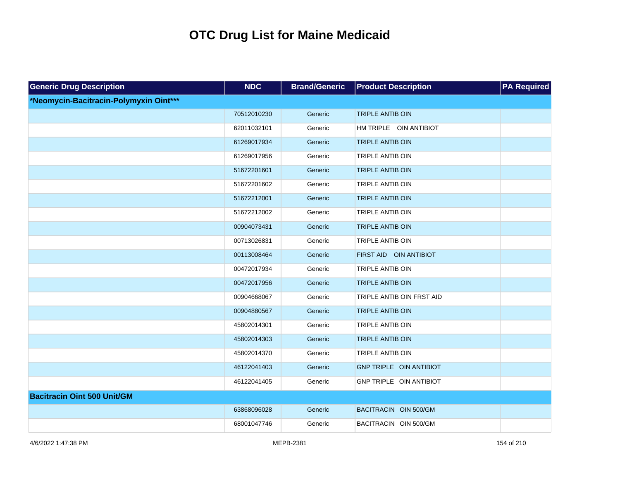| <b>Generic Drug Description</b>        | <b>NDC</b>  | <b>Brand/Generic</b> | <b>Product Description</b> | <b>PA Required</b> |
|----------------------------------------|-------------|----------------------|----------------------------|--------------------|
| *Neomycin-Bacitracin-Polymyxin Oint*** |             |                      |                            |                    |
|                                        | 70512010230 | Generic              | <b>TRIPLE ANTIB OIN</b>    |                    |
|                                        | 62011032101 | Generic              | HM TRIPLE OIN ANTIBIOT     |                    |
|                                        | 61269017934 | Generic              | <b>TRIPLE ANTIB OIN</b>    |                    |
|                                        | 61269017956 | Generic              | TRIPLE ANTIB OIN           |                    |
|                                        | 51672201601 | Generic              | <b>TRIPLE ANTIB OIN</b>    |                    |
|                                        | 51672201602 | Generic              | <b>TRIPLE ANTIB OIN</b>    |                    |
|                                        | 51672212001 | Generic              | TRIPLE ANTIB OIN           |                    |
|                                        | 51672212002 | Generic              | TRIPLE ANTIB OIN           |                    |
|                                        | 00904073431 | Generic              | <b>TRIPLE ANTIB OIN</b>    |                    |
|                                        | 00713026831 | Generic              | <b>TRIPLE ANTIB OIN</b>    |                    |
|                                        | 00113008464 | Generic              | FIRST AID OIN ANTIBIOT     |                    |
|                                        | 00472017934 | Generic              | <b>TRIPLE ANTIB OIN</b>    |                    |
|                                        | 00472017956 | Generic              | <b>TRIPLE ANTIB OIN</b>    |                    |
|                                        | 00904668067 | Generic              | TRIPLE ANTIB OIN FRST AID  |                    |
|                                        | 00904880567 | Generic              | <b>TRIPLE ANTIB OIN</b>    |                    |
|                                        | 45802014301 | Generic              | <b>TRIPLE ANTIB OIN</b>    |                    |
|                                        | 45802014303 | Generic              | <b>TRIPLE ANTIB OIN</b>    |                    |
|                                        | 45802014370 | Generic              | <b>TRIPLE ANTIB OIN</b>    |                    |
|                                        | 46122041403 | Generic              | GNP TRIPLE OIN ANTIBIOT    |                    |
|                                        | 46122041405 | Generic              | GNP TRIPLE OIN ANTIBIOT    |                    |
| <b>Bacitracin Oint 500 Unit/GM</b>     |             |                      |                            |                    |
|                                        | 63868096028 | Generic              | BACITRACIN OIN 500/GM      |                    |
|                                        | 68001047746 | Generic              | BACITRACIN OIN 500/GM      |                    |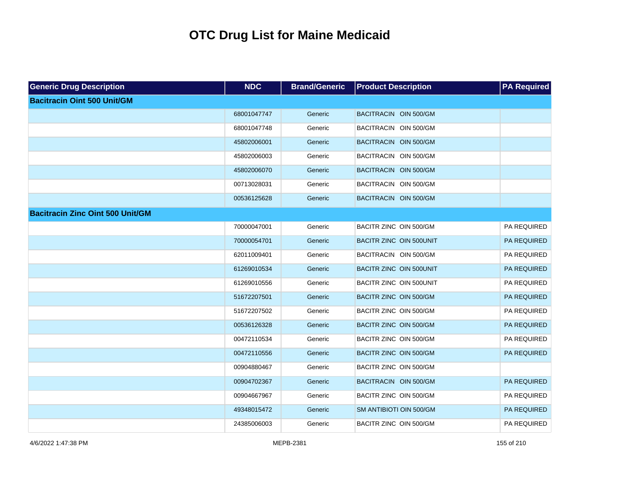| <b>Generic Drug Description</b>         | <b>NDC</b>  | <b>Brand/Generic</b> | <b>Product Description</b> | <b>PA Required</b> |
|-----------------------------------------|-------------|----------------------|----------------------------|--------------------|
| <b>Bacitracin Oint 500 Unit/GM</b>      |             |                      |                            |                    |
|                                         | 68001047747 | Generic              | BACITRACIN OIN 500/GM      |                    |
|                                         | 68001047748 | Generic              | BACITRACIN OIN 500/GM      |                    |
|                                         | 45802006001 | Generic              | BACITRACIN OIN 500/GM      |                    |
|                                         | 45802006003 | Generic              | BACITRACIN OIN 500/GM      |                    |
|                                         | 45802006070 | Generic              | BACITRACIN OIN 500/GM      |                    |
|                                         | 00713028031 | Generic              | BACITRACIN OIN 500/GM      |                    |
|                                         | 00536125628 | Generic              | BACITRACIN OIN 500/GM      |                    |
| <b>Bacitracin Zinc Oint 500 Unit/GM</b> |             |                      |                            |                    |
|                                         | 70000047001 | Generic              | BACITR ZINC OIN 500/GM     | PA REQUIRED        |
|                                         | 70000054701 | Generic              | BACITR ZINC OIN 500UNIT    | PA REQUIRED        |
|                                         | 62011009401 | Generic              | BACITRACIN OIN 500/GM      | PA REQUIRED        |
|                                         | 61269010534 | Generic              | BACITR ZINC OIN 500UNIT    | PA REQUIRED        |
|                                         | 61269010556 | Generic              | BACITR ZINC OIN 500UNIT    | PA REQUIRED        |
|                                         | 51672207501 | Generic              | BACITR ZINC OIN 500/GM     | PA REQUIRED        |
|                                         | 51672207502 | Generic              | BACITR ZINC OIN 500/GM     | PA REQUIRED        |
|                                         | 00536126328 | Generic              | BACITR ZINC OIN 500/GM     | PA REQUIRED        |
|                                         | 00472110534 | Generic              | BACITR ZINC OIN 500/GM     | PA REQUIRED        |
|                                         | 00472110556 | Generic              | BACITR ZINC OIN 500/GM     | PA REQUIRED        |
|                                         | 00904880467 | Generic              | BACITR ZINC OIN 500/GM     |                    |
|                                         | 00904702367 | Generic              | BACITRACIN OIN 500/GM      | PA REQUIRED        |
|                                         | 00904667967 | Generic              | BACITR ZINC OIN 500/GM     | PA REQUIRED        |
|                                         | 49348015472 | Generic              | SM ANTIBIOTI OIN 500/GM    | PA REQUIRED        |
|                                         | 24385006003 | Generic              | BACITR ZINC OIN 500/GM     | PA REQUIRED        |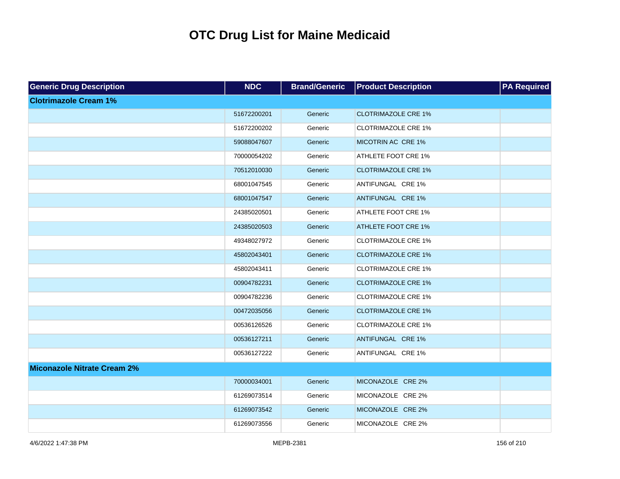| <b>Generic Drug Description</b>    | <b>NDC</b>  | <b>Brand/Generic</b> | <b>Product Description</b> | <b>PA Required</b> |
|------------------------------------|-------------|----------------------|----------------------------|--------------------|
| <b>Clotrimazole Cream 1%</b>       |             |                      |                            |                    |
|                                    | 51672200201 | Generic              | <b>CLOTRIMAZOLE CRE 1%</b> |                    |
|                                    | 51672200202 | Generic              | <b>CLOTRIMAZOLE CRE 1%</b> |                    |
|                                    | 59088047607 | Generic              | MICOTRIN AC CRE 1%         |                    |
|                                    | 70000054202 | Generic              | ATHLETE FOOT CRE 1%        |                    |
|                                    | 70512010030 | Generic              | <b>CLOTRIMAZOLE CRE 1%</b> |                    |
|                                    | 68001047545 | Generic              | ANTIFUNGAL CRE 1%          |                    |
|                                    | 68001047547 | Generic              | ANTIFUNGAL CRE 1%          |                    |
|                                    | 24385020501 | Generic              | ATHLETE FOOT CRE 1%        |                    |
|                                    | 24385020503 | Generic              | <b>ATHLETE FOOT CRE 1%</b> |                    |
|                                    | 49348027972 | Generic              | <b>CLOTRIMAZOLE CRE 1%</b> |                    |
|                                    | 45802043401 | Generic              | <b>CLOTRIMAZOLE CRE 1%</b> |                    |
|                                    | 45802043411 | Generic              | <b>CLOTRIMAZOLE CRE 1%</b> |                    |
|                                    | 00904782231 | Generic              | <b>CLOTRIMAZOLE CRE 1%</b> |                    |
|                                    | 00904782236 | Generic              | <b>CLOTRIMAZOLE CRE 1%</b> |                    |
|                                    | 00472035056 | Generic              | <b>CLOTRIMAZOLE CRE 1%</b> |                    |
|                                    | 00536126526 | Generic              | <b>CLOTRIMAZOLE CRE 1%</b> |                    |
|                                    | 00536127211 | Generic              | ANTIFUNGAL CRE 1%          |                    |
|                                    | 00536127222 | Generic              | ANTIFUNGAL CRE 1%          |                    |
| <b>Miconazole Nitrate Cream 2%</b> |             |                      |                            |                    |
|                                    | 70000034001 | Generic              | MICONAZOLE CRE 2%          |                    |
|                                    | 61269073514 | Generic              | MICONAZOLE CRE 2%          |                    |
|                                    | 61269073542 | Generic              | MICONAZOLE CRE 2%          |                    |
|                                    | 61269073556 | Generic              | MICONAZOLE CRE 2%          |                    |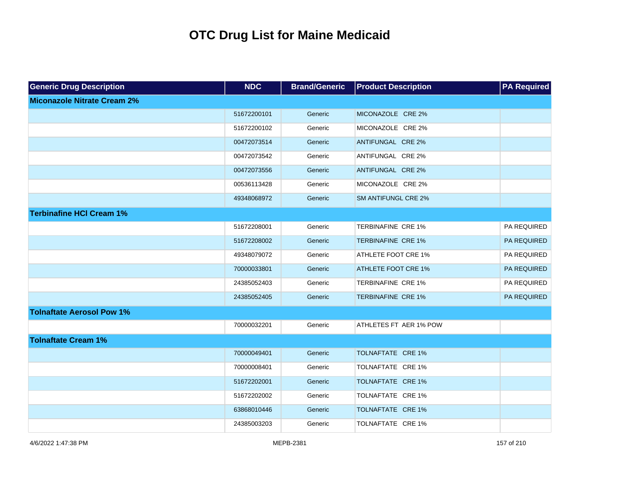| <b>Generic Drug Description</b>    | <b>NDC</b>  | <b>Brand/Generic</b> | <b>Product Description</b> | <b>PA Required</b> |
|------------------------------------|-------------|----------------------|----------------------------|--------------------|
| <b>Miconazole Nitrate Cream 2%</b> |             |                      |                            |                    |
|                                    | 51672200101 | Generic              | MICONAZOLE CRE 2%          |                    |
|                                    | 51672200102 | Generic              | MICONAZOLE CRE 2%          |                    |
|                                    | 00472073514 | Generic              | ANTIFUNGAL CRE 2%          |                    |
|                                    | 00472073542 | Generic              | ANTIFUNGAL CRE 2%          |                    |
|                                    | 00472073556 | Generic              | ANTIFUNGAL CRE 2%          |                    |
|                                    | 00536113428 | Generic              | MICONAZOLE CRE 2%          |                    |
|                                    | 49348068972 | Generic              | <b>SM ANTIFUNGL CRE 2%</b> |                    |
| <b>Terbinafine HCI Cream 1%</b>    |             |                      |                            |                    |
|                                    | 51672208001 | Generic              | TERBINAFINE CRE 1%         | PA REQUIRED        |
|                                    | 51672208002 | Generic              | <b>TERBINAFINE CRE 1%</b>  | PA REQUIRED        |
|                                    | 49348079072 | Generic              | <b>ATHLETE FOOT CRE 1%</b> | PA REQUIRED        |
|                                    | 70000033801 | Generic              | <b>ATHLETE FOOT CRE 1%</b> | PA REQUIRED        |
|                                    | 24385052403 | Generic              | TERBINAFINE CRE 1%         | PA REQUIRED        |
|                                    | 24385052405 | Generic              | <b>TERBINAFINE CRE 1%</b>  | PA REQUIRED        |
| <b>Tolnaftate Aerosol Pow 1%</b>   |             |                      |                            |                    |
|                                    | 70000032201 | Generic              | ATHLETES FT AER 1% POW     |                    |
| <b>Tolnaftate Cream 1%</b>         |             |                      |                            |                    |
|                                    | 70000049401 | Generic              | TOLNAFTATE CRE 1%          |                    |
|                                    | 70000008401 | Generic              | TOLNAFTATE CRE 1%          |                    |
|                                    | 51672202001 | Generic              | TOLNAFTATE CRE 1%          |                    |
|                                    | 51672202002 | Generic              | TOLNAFTATE CRE 1%          |                    |
|                                    | 63868010446 | Generic              | TOLNAFTATE CRE 1%          |                    |
|                                    | 24385003203 | Generic              | TOLNAFTATE CRE 1%          |                    |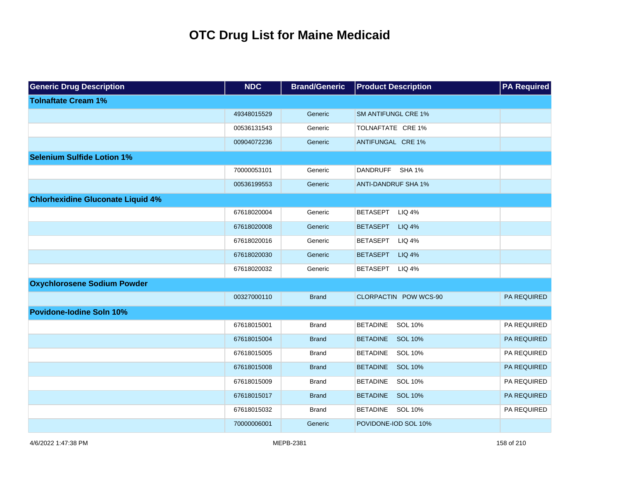| <b>Generic Drug Description</b>          | <b>NDC</b>  | <b>Brand/Generic</b> | <b>Product Description</b>       | <b>PA Required</b> |
|------------------------------------------|-------------|----------------------|----------------------------------|--------------------|
| <b>Tolnaftate Cream 1%</b>               |             |                      |                                  |                    |
|                                          | 49348015529 | Generic              | <b>SM ANTIFUNGL CRE 1%</b>       |                    |
|                                          | 00536131543 | Generic              | TOLNAFTATE CRE 1%                |                    |
|                                          | 00904072236 | Generic              | ANTIFUNGAL CRE 1%                |                    |
| <b>Selenium Sulfide Lotion 1%</b>        |             |                      |                                  |                    |
|                                          | 70000053101 | Generic              | DANDRUFF SHA 1%                  |                    |
|                                          | 00536199553 | Generic              | <b>ANTI-DANDRUF SHA 1%</b>       |                    |
| <b>Chlorhexidine Gluconate Liquid 4%</b> |             |                      |                                  |                    |
|                                          | 67618020004 | Generic              | <b>BETASEPT</b><br><b>LIQ 4%</b> |                    |
|                                          | 67618020008 | Generic              | <b>BETASEPT</b><br><b>LIQ 4%</b> |                    |
|                                          | 67618020016 | Generic              | <b>BETASEPT</b><br><b>LIQ 4%</b> |                    |
|                                          | 67618020030 | Generic              | <b>BETASEPT</b><br><b>LIQ 4%</b> |                    |
|                                          | 67618020032 | Generic              | <b>BETASEPT</b><br><b>LIQ 4%</b> |                    |
| <b>Oxychlorosene Sodium Powder</b>       |             |                      |                                  |                    |
|                                          | 00327000110 | <b>Brand</b>         | CLORPACTIN POW WCS-90            | PA REQUIRED        |
| <b>Povidone-lodine Soln 10%</b>          |             |                      |                                  |                    |
|                                          | 67618015001 | <b>Brand</b>         | <b>BETADINE</b><br>SOL 10%       | PA REQUIRED        |
|                                          | 67618015004 | <b>Brand</b>         | BETADINE SOL 10%                 | PA REQUIRED        |
|                                          | 67618015005 | <b>Brand</b>         | <b>BETADINE</b><br>SOL 10%       | PA REQUIRED        |
|                                          | 67618015008 | <b>Brand</b>         | BETADINE SOL 10%                 | PA REQUIRED        |
|                                          | 67618015009 | <b>Brand</b>         | <b>BETADINE</b><br>SOL 10%       | PA REQUIRED        |
|                                          | 67618015017 | <b>Brand</b>         | BETADINE SOL 10%                 | PA REQUIRED        |
|                                          | 67618015032 | <b>Brand</b>         | BETADINE SOL 10%                 | PA REQUIRED        |
|                                          | 70000006001 | Generic              | POVIDONE-IOD SOL 10%             |                    |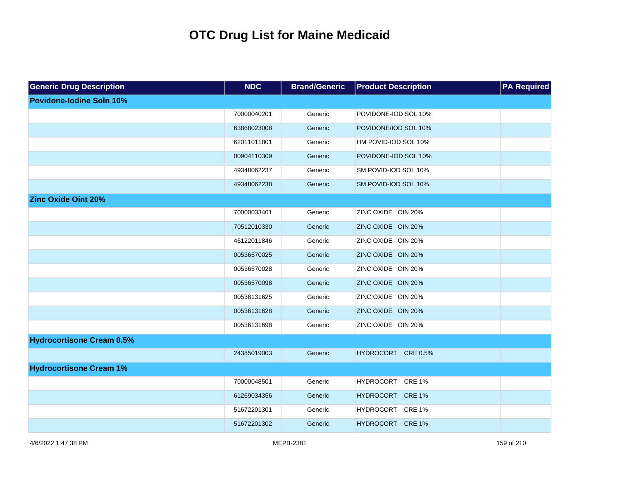| <b>Generic Drug Description</b>  | <b>NDC</b>  | <b>Brand/Generic</b> | <b>Product Description</b> | <b>PA Required</b> |
|----------------------------------|-------------|----------------------|----------------------------|--------------------|
| <b>Povidone-lodine Soln 10%</b>  |             |                      |                            |                    |
|                                  | 70000040201 | Generic              | POVIDONE-IOD SOL 10%       |                    |
|                                  | 63868023008 | Generic              | POVIDONE/IOD SOL 10%       |                    |
|                                  | 62011011801 | Generic              | HM POVID-IOD SOL 10%       |                    |
|                                  | 00904110309 | Generic              | POVIDONE-IOD SOL 10%       |                    |
|                                  | 49348062237 | Generic              | SM POVID-IOD SOL 10%       |                    |
|                                  | 49348062238 | Generic              | SM POVID-IOD SOL 10%       |                    |
| <b>Zinc Oxide Oint 20%</b>       |             |                      |                            |                    |
|                                  | 70000033401 | Generic              | ZINC OXIDE OIN 20%         |                    |
|                                  | 70512010330 | Generic              | ZINC OXIDE OIN 20%         |                    |
|                                  | 46122011846 | Generic              | ZINC OXIDE OIN 20%         |                    |
|                                  | 00536570025 | Generic              | ZINC OXIDE OIN 20%         |                    |
|                                  | 00536570028 | Generic              | ZINC OXIDE OIN 20%         |                    |
|                                  | 00536570098 | Generic              | ZINC OXIDE OIN 20%         |                    |
|                                  | 00536131625 | Generic              | ZINC OXIDE OIN 20%         |                    |
|                                  | 00536131628 | Generic              | ZINC OXIDE OIN 20%         |                    |
|                                  | 00536131698 | Generic              | ZINC OXIDE OIN 20%         |                    |
| <b>Hydrocortisone Cream 0.5%</b> |             |                      |                            |                    |
|                                  | 24385019003 | Generic              | HYDROCORT CRE 0.5%         |                    |
| <b>Hydrocortisone Cream 1%</b>   |             |                      |                            |                    |
|                                  | 70000048501 | Generic              | HYDROCORT CRE 1%           |                    |
|                                  | 61269034356 | Generic              | HYDROCORT CRE 1%           |                    |
|                                  | 51672201301 | Generic              | HYDROCORT CRE 1%           |                    |
|                                  | 51672201302 | Generic              | HYDROCORT CRE 1%           |                    |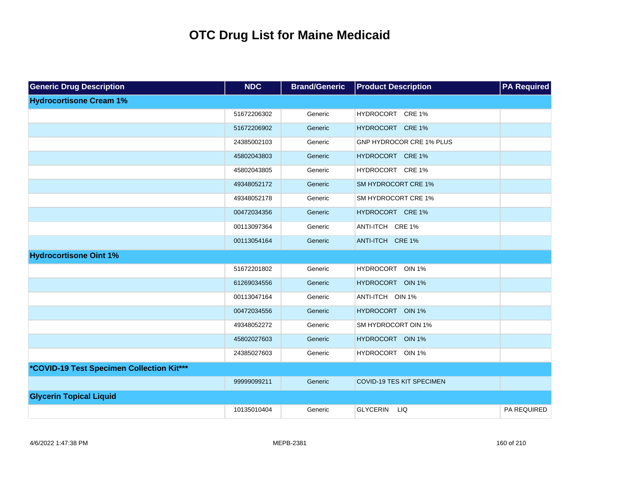| <b>Generic Drug Description</b>           | <b>NDC</b>  | <b>Brand/Generic</b> | <b>Product Description</b>        | <b>PA Required</b> |
|-------------------------------------------|-------------|----------------------|-----------------------------------|--------------------|
| <b>Hydrocortisone Cream 1%</b>            |             |                      |                                   |                    |
|                                           | 51672206302 | Generic              | HYDROCORT CRE 1%                  |                    |
|                                           | 51672206902 | Generic              | HYDROCORT CRE 1%                  |                    |
|                                           | 24385002103 | Generic              | GNP HYDROCOR CRE 1% PLUS          |                    |
|                                           | 45802043803 | Generic              | HYDROCORT CRE 1%                  |                    |
|                                           | 45802043805 | Generic              | HYDROCORT CRE 1%                  |                    |
|                                           | 49348052172 | Generic              | <b>SM HYDROCORT CRE 1%</b>        |                    |
|                                           | 49348052178 | Generic              | SM HYDROCORT CRE 1%               |                    |
|                                           | 00472034356 | Generic              | HYDROCORT CRE 1%                  |                    |
|                                           | 00113097364 | Generic              | ANTI-ITCH CRE 1%                  |                    |
|                                           | 00113054164 | Generic              | ANTI-ITCH CRE 1%                  |                    |
| <b>Hydrocortisone Oint 1%</b>             |             |                      |                                   |                    |
|                                           | 51672201802 | Generic              | <b>HYDROCORT</b><br><b>OIN 1%</b> |                    |
|                                           | 61269034556 | Generic              | HYDROCORT OIN 1%                  |                    |
|                                           | 00113047164 | Generic              | ANTI-ITCH OIN 1%                  |                    |
|                                           | 00472034556 | Generic              | HYDROCORT OIN 1%                  |                    |
|                                           | 49348052272 | Generic              | SM HYDROCORT OIN 1%               |                    |
|                                           | 45802027603 | Generic              | HYDROCORT OIN 1%                  |                    |
|                                           | 24385027603 | Generic              | HYDROCORT OIN 1%                  |                    |
| *COVID-19 Test Specimen Collection Kit*** |             |                      |                                   |                    |
|                                           | 99999099211 | Generic              | <b>COVID-19 TES KIT SPECIMEN</b>  |                    |
| <b>Glycerin Topical Liquid</b>            |             |                      |                                   |                    |
|                                           | 10135010404 | Generic              | <b>GLYCERIN</b><br><b>LIQ</b>     | PA REQUIRED        |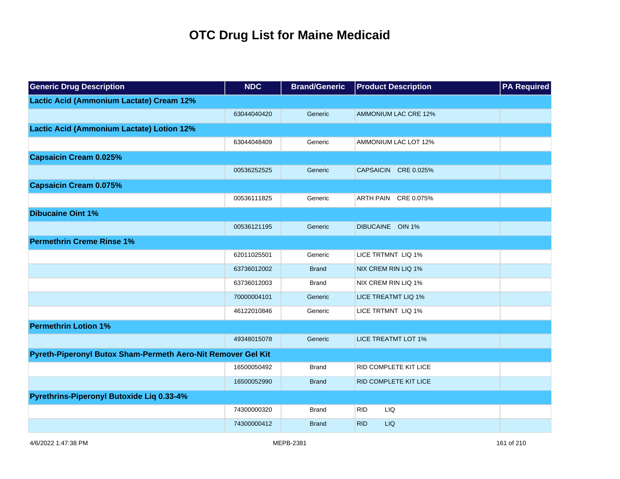| <b>Generic Drug Description</b>                              | <b>NDC</b>  | <b>Brand/Generic</b> | <b>Product Description</b>   | <b>PA Required</b> |
|--------------------------------------------------------------|-------------|----------------------|------------------------------|--------------------|
| Lactic Acid (Ammonium Lactate) Cream 12%                     |             |                      |                              |                    |
|                                                              | 63044040420 | Generic              | AMMONIUM LAC CRE 12%         |                    |
| <b>Lactic Acid (Ammonium Lactate) Lotion 12%</b>             |             |                      |                              |                    |
|                                                              | 63044048409 | Generic              | AMMONIUM LAC LOT 12%         |                    |
| <b>Capsaicin Cream 0.025%</b>                                |             |                      |                              |                    |
|                                                              | 00536252525 | Generic              | CAPSAICIN CRE 0.025%         |                    |
| <b>Capsaicin Cream 0.075%</b>                                |             |                      |                              |                    |
|                                                              | 00536111825 | Generic              | ARTH PAIN CRE 0.075%         |                    |
| <b>Dibucaine Oint 1%</b>                                     |             |                      |                              |                    |
|                                                              | 00536121195 | Generic              | DIBUCAINE OIN 1%             |                    |
| <b>Permethrin Creme Rinse 1%</b>                             |             |                      |                              |                    |
|                                                              | 62011025501 | Generic              | LICE TRTMNT LIQ 1%           |                    |
|                                                              | 63736012002 | <b>Brand</b>         | NIX CREM RIN LIQ 1%          |                    |
|                                                              | 63736012003 | <b>Brand</b>         | NIX CREM RIN LIQ 1%          |                    |
|                                                              | 70000004101 | Generic              | <b>LICE TREATMT LIQ 1%</b>   |                    |
|                                                              | 46122010846 | Generic              | LICE TRTMNT LIQ 1%           |                    |
| <b>Permethrin Lotion 1%</b>                                  |             |                      |                              |                    |
|                                                              | 49348015078 | Generic              | <b>LICE TREATMT LOT 1%</b>   |                    |
| Pyreth-Piperonyl Butox Sham-Permeth Aero-Nit Remover Gel Kit |             |                      |                              |                    |
|                                                              | 16500050492 | <b>Brand</b>         | <b>RID COMPLETE KIT LICE</b> |                    |
|                                                              | 16500052990 | <b>Brand</b>         | RID COMPLETE KIT LICE        |                    |
| Pyrethrins-Piperonyl Butoxide Liq 0.33-4%                    |             |                      |                              |                    |
|                                                              | 74300000320 | <b>Brand</b>         | LIQ<br><b>RID</b>            |                    |
|                                                              | 74300000412 | <b>Brand</b>         | <b>RID</b><br><b>LIQ</b>     |                    |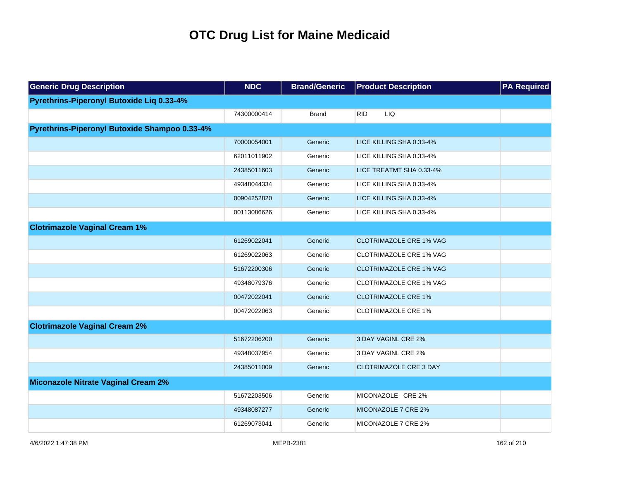| <b>Generic Drug Description</b>               | <b>NDC</b>  | <b>Brand/Generic</b> | <b>Product Description</b>     | <b>PA Required</b> |
|-----------------------------------------------|-------------|----------------------|--------------------------------|--------------------|
| Pyrethrins-Piperonyl Butoxide Liq 0.33-4%     |             |                      |                                |                    |
|                                               | 74300000414 | <b>Brand</b>         | <b>RID</b><br>LIQ              |                    |
| Pyrethrins-Piperonyl Butoxide Shampoo 0.33-4% |             |                      |                                |                    |
|                                               | 70000054001 | Generic              | LICE KILLING SHA 0.33-4%       |                    |
|                                               | 62011011902 | Generic              | LICE KILLING SHA 0.33-4%       |                    |
|                                               | 24385011603 | Generic              | LICE TREATMT SHA 0.33-4%       |                    |
|                                               | 49348044334 | Generic              | LICE KILLING SHA 0.33-4%       |                    |
|                                               | 00904252820 | Generic              | LICE KILLING SHA 0.33-4%       |                    |
|                                               | 00113086626 | Generic              | LICE KILLING SHA 0.33-4%       |                    |
| <b>Clotrimazole Vaginal Cream 1%</b>          |             |                      |                                |                    |
|                                               | 61269022041 | Generic              | <b>CLOTRIMAZOLE CRE 1% VAG</b> |                    |
|                                               | 61269022063 | Generic              | CLOTRIMAZOLE CRE 1% VAG        |                    |
|                                               | 51672200306 | Generic              | <b>CLOTRIMAZOLE CRE 1% VAG</b> |                    |
|                                               | 49348079376 | Generic              | CLOTRIMAZOLE CRE 1% VAG        |                    |
|                                               | 00472022041 | Generic              | <b>CLOTRIMAZOLE CRE 1%</b>     |                    |
|                                               | 00472022063 | Generic              | <b>CLOTRIMAZOLE CRE 1%</b>     |                    |
| <b>Clotrimazole Vaginal Cream 2%</b>          |             |                      |                                |                    |
|                                               | 51672206200 | Generic              | 3 DAY VAGINL CRE 2%            |                    |
|                                               | 49348037954 | Generic              | 3 DAY VAGINL CRE 2%            |                    |
|                                               | 24385011009 | Generic              | <b>CLOTRIMAZOLE CRE 3 DAY</b>  |                    |
| <b>Miconazole Nitrate Vaginal Cream 2%</b>    |             |                      |                                |                    |
|                                               | 51672203506 | Generic              | MICONAZOLE CRE 2%              |                    |
|                                               | 49348087277 | Generic              | MICONAZOLE 7 CRE 2%            |                    |
|                                               | 61269073041 | Generic              | MICONAZOLE 7 CRE 2%            |                    |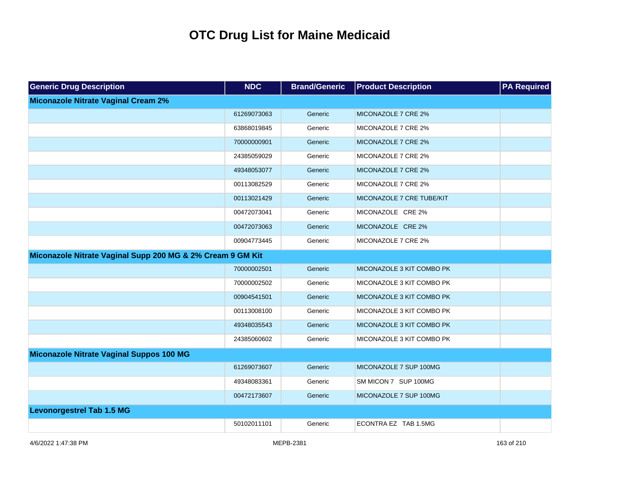| <b>Generic Drug Description</b>                            | <b>NDC</b>  | <b>Brand/Generic</b> | <b>Product Description</b> | <b>PA Required</b> |
|------------------------------------------------------------|-------------|----------------------|----------------------------|--------------------|
| <b>Miconazole Nitrate Vaginal Cream 2%</b>                 |             |                      |                            |                    |
|                                                            | 61269073063 | Generic              | MICONAZOLE 7 CRE 2%        |                    |
|                                                            | 63868019845 | Generic              | MICONAZOLE 7 CRE 2%        |                    |
|                                                            | 70000000901 | Generic              | MICONAZOLE 7 CRE 2%        |                    |
|                                                            | 24385059029 | Generic              | MICONAZOLE 7 CRE 2%        |                    |
|                                                            | 49348053077 | Generic              | MICONAZOLE 7 CRE 2%        |                    |
|                                                            | 00113082529 | Generic              | MICONAZOLE 7 CRE 2%        |                    |
|                                                            | 00113021429 | Generic              | MICONAZOLE 7 CRE TUBE/KIT  |                    |
|                                                            | 00472073041 | Generic              | MICONAZOLE CRE 2%          |                    |
|                                                            | 00472073063 | Generic              | MICONAZOLE CRE 2%          |                    |
|                                                            | 00904773445 | Generic              | MICONAZOLE 7 CRE 2%        |                    |
| Miconazole Nitrate Vaginal Supp 200 MG & 2% Cream 9 GM Kit |             |                      |                            |                    |
|                                                            | 70000002501 | Generic              | MICONAZOLE 3 KIT COMBO PK  |                    |
|                                                            | 70000002502 | Generic              | MICONAZOLE 3 KIT COMBO PK  |                    |
|                                                            | 00904541501 | Generic              | MICONAZOLE 3 KIT COMBO PK  |                    |
|                                                            | 00113008100 | Generic              | MICONAZOLE 3 KIT COMBO PK  |                    |
|                                                            | 49348035543 | Generic              | MICONAZOLE 3 KIT COMBO PK  |                    |
|                                                            | 24385060602 | Generic              | MICONAZOLE 3 KIT COMBO PK  |                    |
| Miconazole Nitrate Vaginal Suppos 100 MG                   |             |                      |                            |                    |
|                                                            | 61269073607 | Generic              | MICONAZOLE 7 SUP 100MG     |                    |
|                                                            | 49348083361 | Generic              | SM MICON 7 SUP 100MG       |                    |
|                                                            | 00472173607 | Generic              | MICONAZOLE 7 SUP 100MG     |                    |
| <b>Levonorgestrel Tab 1.5 MG</b>                           |             |                      |                            |                    |
|                                                            | 50102011101 | Generic              | ECONTRA EZ TAB 1.5MG       |                    |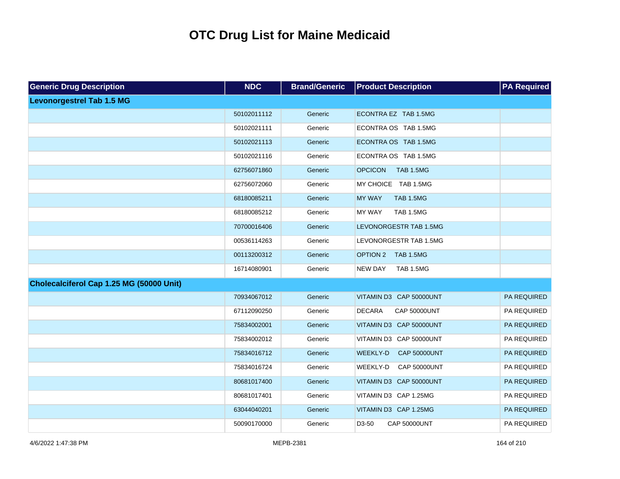| <b>Generic Drug Description</b>          | <b>NDC</b>  | <b>Brand/Generic</b> | <b>Product Description</b>                | <b>PA Required</b> |
|------------------------------------------|-------------|----------------------|-------------------------------------------|--------------------|
| <b>Levonorgestrel Tab 1.5 MG</b>         |             |                      |                                           |                    |
|                                          | 50102011112 | Generic              | ECONTRA EZ TAB 1.5MG                      |                    |
|                                          | 50102021111 | Generic              | ECONTRA OS TAB 1.5MG                      |                    |
|                                          | 50102021113 | Generic              | ECONTRA OS TAB 1.5MG                      |                    |
|                                          | 50102021116 | Generic              | ECONTRA OS TAB 1.5MG                      |                    |
|                                          | 62756071860 | Generic              | <b>TAB 1.5MG</b><br><b>OPCICON</b>        |                    |
|                                          | 62756072060 | Generic              | MY CHOICE TAB 1.5MG                       |                    |
|                                          | 68180085211 | Generic              | <b>TAB 1.5MG</b><br><b>MY WAY</b>         |                    |
|                                          | 68180085212 | Generic              | MY WAY<br>TAB 1.5MG                       |                    |
|                                          | 70700016406 | Generic              | LEVONORGESTR TAB 1.5MG                    |                    |
|                                          | 00536114263 | Generic              | LEVONORGESTR TAB 1.5MG                    |                    |
|                                          | 00113200312 | Generic              | OPTION 2 TAB 1.5MG                        |                    |
|                                          | 16714080901 | Generic              | <b>TAB 1.5MG</b><br><b>NEW DAY</b>        |                    |
| Cholecalciferol Cap 1.25 MG (50000 Unit) |             |                      |                                           |                    |
|                                          | 70934067012 | Generic              | VITAMIN D3 CAP 50000UNT                   | PA REQUIRED        |
|                                          | 67112090250 | Generic              | <b>DECARA</b><br><b>CAP 50000UNT</b>      | PA REQUIRED        |
|                                          | 75834002001 | Generic              | VITAMIN D3 CAP 50000UNT                   | PA REQUIRED        |
|                                          | 75834002012 | Generic              | VITAMIN D3 CAP 50000UNT                   | PA REQUIRED        |
|                                          | 75834016712 | Generic              | <b>WEEKLY-D</b><br><b>CAP 50000UNT</b>    | PA REQUIRED        |
|                                          | 75834016724 | Generic              | WEEKLY-D<br><b>CAP 50000UNT</b>           | PA REQUIRED        |
|                                          | 80681017400 | Generic              | VITAMIN D3 CAP 50000UNT                   | PA REQUIRED        |
|                                          | 80681017401 | Generic              | VITAMIN D3 CAP 1.25MG                     | PA REQUIRED        |
|                                          | 63044040201 | Generic              | VITAMIN D3 CAP 1.25MG                     | PA REQUIRED        |
|                                          | 50090170000 | Generic              | D <sub>3</sub> -50<br><b>CAP 50000UNT</b> | PA REQUIRED        |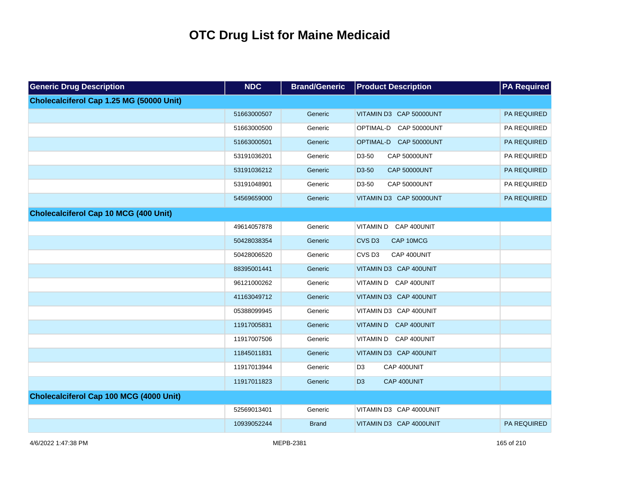| <b>Generic Drug Description</b>              | <b>NDC</b>  | <b>Brand/Generic</b> | <b>Product Description</b>       | <b>PA Required</b> |
|----------------------------------------------|-------------|----------------------|----------------------------------|--------------------|
| Cholecalciferol Cap 1.25 MG (50000 Unit)     |             |                      |                                  |                    |
|                                              | 51663000507 | Generic              | VITAMIN D3 CAP 50000UNT          | PA REQUIRED        |
|                                              | 51663000500 | Generic              | OPTIMAL-D CAP 50000UNT           | PA REQUIRED        |
|                                              | 51663000501 | Generic              | OPTIMAL-D CAP 50000UNT           | PA REQUIRED        |
|                                              | 53191036201 | Generic              | <b>CAP 50000UNT</b><br>D3-50     | PA REQUIRED        |
|                                              | 53191036212 | Generic              | D3-50<br><b>CAP 50000UNT</b>     | PA REQUIRED        |
|                                              | 53191048901 | Generic              | D3-50<br><b>CAP 50000UNT</b>     | PA REQUIRED        |
|                                              | 54569659000 | Generic              | VITAMIN D3 CAP 50000UNT          | PA REQUIRED        |
| <b>Cholecalciferol Cap 10 MCG (400 Unit)</b> |             |                      |                                  |                    |
|                                              | 49614057878 | Generic              | VITAMIN D CAP 400UNIT            |                    |
|                                              | 50428038354 | Generic              | CVS <sub>D3</sub><br>CAP 10MCG   |                    |
|                                              | 50428006520 | Generic              | CVS <sub>D3</sub><br>CAP 400UNIT |                    |
|                                              | 88395001441 | Generic              | VITAMIN D3 CAP 400UNIT           |                    |
|                                              | 96121000262 | Generic              | VITAMIN D CAP 400UNIT            |                    |
|                                              | 41163049712 | Generic              | VITAMIN D3 CAP 400UNIT           |                    |
|                                              | 05388099945 | Generic              | VITAMIN D3 CAP 400UNIT           |                    |
|                                              | 11917005831 | Generic              | VITAMIN D CAP 400UNIT            |                    |
|                                              | 11917007506 | Generic              | VITAMIN D CAP 400UNIT            |                    |
|                                              | 11845011831 | Generic              | VITAMIN D3 CAP 400UNIT           |                    |
|                                              | 11917013944 | Generic              | CAP 400UNIT<br>D <sub>3</sub>    |                    |
|                                              | 11917011823 | Generic              | D <sub>3</sub><br>CAP 400UNIT    |                    |
| Cholecalciferol Cap 100 MCG (4000 Unit)      |             |                      |                                  |                    |
|                                              | 52569013401 | Generic              | VITAMIN D3 CAP 4000UNIT          |                    |
|                                              | 10939052244 | <b>Brand</b>         | VITAMIN D3 CAP 4000UNIT          | <b>PA REQUIRED</b> |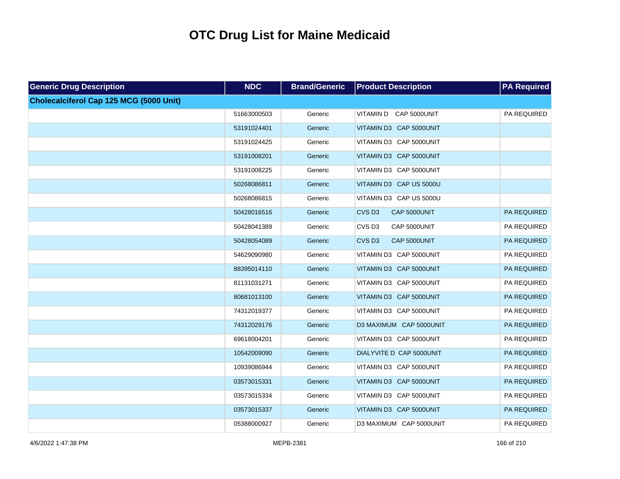| <b>Generic Drug Description</b>         | <b>NDC</b>  | <b>Brand/Generic</b> | <b>Product Description</b>        | <b>PA Required</b> |
|-----------------------------------------|-------------|----------------------|-----------------------------------|--------------------|
| Cholecalciferol Cap 125 MCG (5000 Unit) |             |                      |                                   |                    |
|                                         | 51663000503 | Generic              | VITAMIN D CAP 5000UNIT            | PA REQUIRED        |
|                                         | 53191024401 | Generic              | VITAMIN D3 CAP 5000UNIT           |                    |
|                                         | 53191024425 | Generic              | VITAMIN D3 CAP 5000UNIT           |                    |
|                                         | 53191008201 | Generic              | VITAMIN D3 CAP 5000UNIT           |                    |
|                                         | 53191008225 | Generic              | VITAMIN D3 CAP 5000UNIT           |                    |
|                                         | 50268086811 | Generic              | VITAMIN D3 CAP US 5000U           |                    |
|                                         | 50268086815 | Generic              | VITAMIN D3 CAP US 5000U           |                    |
|                                         | 50428016516 | Generic              | CVS <sub>D3</sub><br>CAP 5000UNIT | <b>PA REQUIRED</b> |
|                                         | 50428041389 | Generic              | CVS <sub>D3</sub><br>CAP 5000UNIT | PA REQUIRED        |
|                                         | 50428054089 | Generic              | CVS <sub>D3</sub><br>CAP 5000UNIT | PA REQUIRED        |
|                                         | 54629090980 | Generic              | VITAMIN D3 CAP 5000UNIT           | PA REQUIRED        |
|                                         | 88395014110 | Generic              | VITAMIN D3 CAP 5000UNIT           | PA REQUIRED        |
|                                         | 81131031271 | Generic              | VITAMIN D3 CAP 5000UNIT           | PA REQUIRED        |
|                                         | 80681013100 | Generic              | VITAMIN D3 CAP 5000UNIT           | PA REQUIRED        |
|                                         | 74312019377 | Generic              | VITAMIN D3 CAP 5000UNIT           | PA REQUIRED        |
|                                         | 74312029176 | Generic              | D3 MAXIMUM CAP 5000UNIT           | PA REQUIRED        |
|                                         | 69618004201 | Generic              | VITAMIN D3 CAP 5000UNIT           | PA REQUIRED        |
|                                         | 10542009090 | Generic              | DIALYVITE D CAP 5000UNIT          | PA REQUIRED        |
|                                         | 10939086944 | Generic              | VITAMIN D3 CAP 5000UNIT           | PA REQUIRED        |
|                                         | 03573015331 | Generic              | VITAMIN D3 CAP 5000UNIT           | PA REQUIRED        |
|                                         | 03573015334 | Generic              | VITAMIN D3 CAP 5000UNIT           | PA REQUIRED        |
|                                         | 03573015337 | Generic              | VITAMIN D3 CAP 5000UNIT           | PA REQUIRED        |
|                                         | 05388000927 | Generic              | D3 MAXIMUM CAP 5000UNIT           | PA REQUIRED        |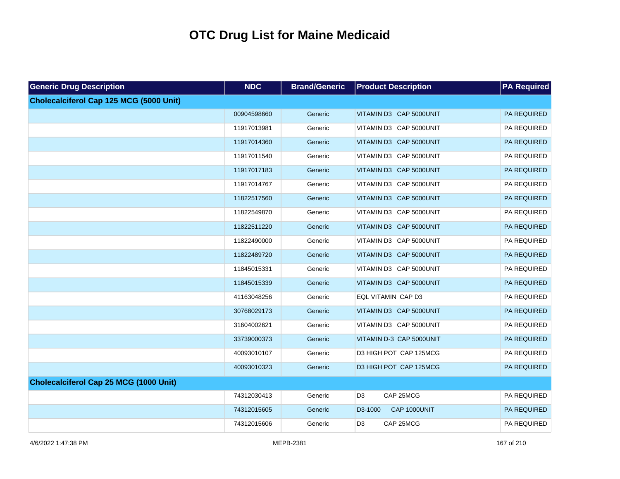| <b>Generic Drug Description</b>                | <b>NDC</b>  | <b>Brand/Generic</b> | <b>Product Description</b>  | <b>PA</b> Required |
|------------------------------------------------|-------------|----------------------|-----------------------------|--------------------|
| <b>Cholecalciferol Cap 125 MCG (5000 Unit)</b> |             |                      |                             |                    |
|                                                | 00904598660 | Generic              | VITAMIN D3 CAP 5000UNIT     | PA REQUIRED        |
|                                                | 11917013981 | Generic              | VITAMIN D3 CAP 5000UNIT     | PA REQUIRED        |
|                                                | 11917014360 | Generic              | VITAMIN D3 CAP 5000UNIT     | PA REQUIRED        |
|                                                | 11917011540 | Generic              | VITAMIN D3 CAP 5000UNIT     | PA REQUIRED        |
|                                                | 11917017183 | Generic              | VITAMIN D3 CAP 5000UNIT     | PA REQUIRED        |
|                                                | 11917014767 | Generic              | VITAMIN D3 CAP 5000UNIT     | PA REQUIRED        |
|                                                | 11822517560 | Generic              | VITAMIN D3 CAP 5000UNIT     | PA REQUIRED        |
|                                                | 11822549870 | Generic              | VITAMIN D3 CAP 5000UNIT     | PA REQUIRED        |
|                                                | 11822511220 | Generic              | VITAMIN D3 CAP 5000UNIT     | PA REQUIRED        |
|                                                | 11822490000 | Generic              | VITAMIN D3 CAP 5000UNIT     | PA REQUIRED        |
|                                                | 11822489720 | Generic              | VITAMIN D3 CAP 5000UNIT     | PA REQUIRED        |
|                                                | 11845015331 | Generic              | VITAMIN D3 CAP 5000UNIT     | PA REQUIRED        |
|                                                | 11845015339 | Generic              | VITAMIN D3 CAP 5000UNIT     | PA REQUIRED        |
|                                                | 41163048256 | Generic              | EQL VITAMIN CAP D3          | PA REQUIRED        |
|                                                | 30768029173 | Generic              | VITAMIN D3 CAP 5000UNIT     | PA REQUIRED        |
|                                                | 31604002621 | Generic              | VITAMIN D3 CAP 5000UNIT     | PA REQUIRED        |
|                                                | 33739000373 | Generic              | VITAMIN D-3 CAP 5000UNIT    | PA REQUIRED        |
|                                                | 40093010107 | Generic              | D3 HIGH POT CAP 125MCG      | PA REQUIRED        |
|                                                | 40093010323 | Generic              | D3 HIGH POT CAP 125MCG      | PA REQUIRED        |
| Cholecalciferol Cap 25 MCG (1000 Unit)         |             |                      |                             |                    |
|                                                | 74312030413 | Generic              | CAP 25MCG<br>D <sub>3</sub> | PA REQUIRED        |
|                                                | 74312015605 | Generic              | CAP 1000UNIT<br>D3-1000     | PA REQUIRED        |
|                                                | 74312015606 | Generic              | D <sub>3</sub><br>CAP 25MCG | PA REQUIRED        |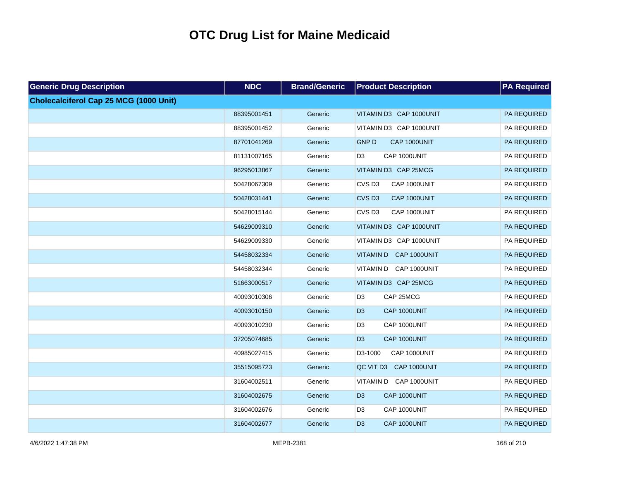| <b>Generic Drug Description</b>        | <b>NDC</b>  | <b>Brand/Generic</b> | <b>Product Description</b>        | <b>PA Required</b> |
|----------------------------------------|-------------|----------------------|-----------------------------------|--------------------|
| Cholecalciferol Cap 25 MCG (1000 Unit) |             |                      |                                   |                    |
|                                        | 88395001451 | Generic              | VITAMIN D3 CAP 1000UNIT           | PA REQUIRED        |
|                                        | 88395001452 | Generic              | VITAMIN D3 CAP 1000UNIT           | PA REQUIRED        |
|                                        | 87701041269 | Generic              | <b>GNP D</b><br>CAP 1000UNIT      | PA REQUIRED        |
|                                        | 81131007165 | Generic              | D <sub>3</sub><br>CAP 1000UNIT    | PA REQUIRED        |
|                                        | 96295013867 | Generic              | VITAMIN D3 CAP 25MCG              | PA REQUIRED        |
|                                        | 50428067309 | Generic              | CVS <sub>D3</sub><br>CAP 1000UNIT | PA REQUIRED        |
|                                        | 50428031441 | Generic              | CVS <sub>D3</sub><br>CAP 1000UNIT | PA REQUIRED        |
|                                        | 50428015144 | Generic              | CVS <sub>D3</sub><br>CAP 1000UNIT | PA REQUIRED        |
|                                        | 54629009310 | Generic              | VITAMIN D3 CAP 1000UNIT           | PA REQUIRED        |
|                                        | 54629009330 | Generic              | VITAMIN D3 CAP 1000UNIT           | PA REQUIRED        |
|                                        | 54458032334 | Generic              | VITAMIN D CAP 1000UNIT            | PA REQUIRED        |
|                                        | 54458032344 | Generic              | VITAMIN D CAP 1000UNIT            | PA REQUIRED        |
|                                        | 51663000517 | Generic              | VITAMIN D3 CAP 25MCG              | PA REQUIRED        |
|                                        | 40093010306 | Generic              | D <sub>3</sub><br>CAP 25MCG       | PA REQUIRED        |
|                                        | 40093010150 | Generic              | CAP 1000UNIT<br>D <sub>3</sub>    | PA REQUIRED        |
|                                        | 40093010230 | Generic              | D <sub>3</sub><br>CAP 1000UNIT    | PA REQUIRED        |
|                                        | 37205074685 | Generic              | CAP 1000UNIT<br>D <sub>3</sub>    | PA REQUIRED        |
|                                        | 40985027415 | Generic              | D3-1000<br>CAP 1000UNIT           | PA REQUIRED        |
|                                        | 35515095723 | Generic              | QC VIT D3 CAP 1000UNIT            | PA REQUIRED        |
|                                        | 31604002511 | Generic              | VITAMIN D CAP 1000UNIT            | PA REQUIRED        |
|                                        | 31604002675 | Generic              | D <sub>3</sub><br>CAP 1000UNIT    | PA REQUIRED        |
|                                        | 31604002676 | Generic              | D <sub>3</sub><br>CAP 1000UNIT    | PA REQUIRED        |
|                                        | 31604002677 | Generic              | D <sub>3</sub><br>CAP 1000UNIT    | PA REQUIRED        |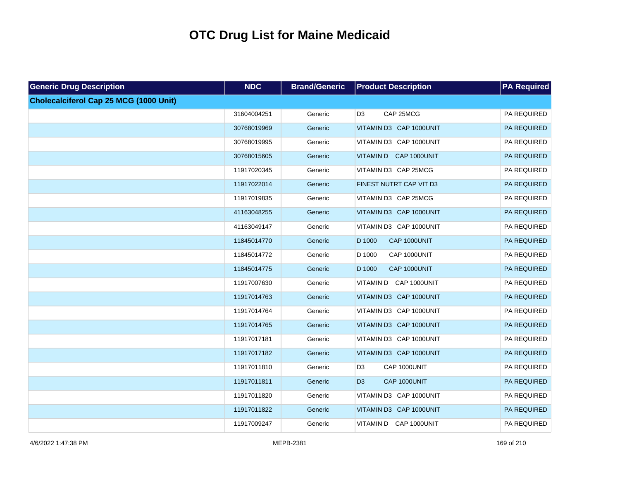| <b>Generic Drug Description</b>               | <b>NDC</b>  | <b>Brand/Generic</b> | <b>Product Description</b>     | <b>PA Required</b> |
|-----------------------------------------------|-------------|----------------------|--------------------------------|--------------------|
| <b>Cholecalciferol Cap 25 MCG (1000 Unit)</b> |             |                      |                                |                    |
|                                               | 31604004251 | Generic              | D <sub>3</sub><br>CAP 25MCG    | PA REQUIRED        |
|                                               | 30768019969 | Generic              | VITAMIN D3 CAP 1000UNIT        | PA REQUIRED        |
|                                               | 30768019995 | Generic              | VITAMIN D3 CAP 1000UNIT        | PA REQUIRED        |
|                                               | 30768015605 | Generic              | VITAMIN D CAP 1000UNIT         | PA REQUIRED        |
|                                               | 11917020345 | Generic              | VITAMIN D3 CAP 25MCG           | PA REQUIRED        |
|                                               | 11917022014 | Generic              | FINEST NUTRT CAP VIT D3        | PA REQUIRED        |
|                                               | 11917019835 | Generic              | VITAMIN D3 CAP 25MCG           | PA REQUIRED        |
|                                               | 41163048255 | Generic              | VITAMIN D3 CAP 1000UNIT        | PA REQUIRED        |
|                                               | 41163049147 | Generic              | VITAMIN D3 CAP 1000UNIT        | PA REQUIRED        |
|                                               | 11845014770 | Generic              | D 1000<br>CAP 1000UNIT         | PA REQUIRED        |
|                                               | 11845014772 | Generic              | CAP 1000UNIT<br>D 1000         | PA REQUIRED        |
|                                               | 11845014775 | Generic              | D 1000<br>CAP 1000UNIT         | PA REQUIRED        |
|                                               | 11917007630 | Generic              | VITAMIN D CAP 1000UNIT         | PA REQUIRED        |
|                                               | 11917014763 | Generic              | VITAMIN D3 CAP 1000UNIT        | PA REQUIRED        |
|                                               | 11917014764 | Generic              | VITAMIN D3 CAP 1000UNIT        | PA REQUIRED        |
|                                               | 11917014765 | Generic              | VITAMIN D3 CAP 1000UNIT        | PA REQUIRED        |
|                                               | 11917017181 | Generic              | VITAMIN D3 CAP 1000UNIT        | PA REQUIRED        |
|                                               | 11917017182 | Generic              | VITAMIN D3 CAP 1000UNIT        | PA REQUIRED        |
|                                               | 11917011810 | Generic              | CAP 1000UNIT<br>D <sub>3</sub> | PA REQUIRED        |
|                                               | 11917011811 | Generic              | D <sub>3</sub><br>CAP 1000UNIT | PA REQUIRED        |
|                                               | 11917011820 | Generic              | VITAMIN D3 CAP 1000UNIT        | PA REQUIRED        |
|                                               | 11917011822 | Generic              | VITAMIN D3 CAP 1000UNIT        | PA REQUIRED        |
|                                               | 11917009247 | Generic              | VITAMIN D CAP 1000UNIT         | PA REQUIRED        |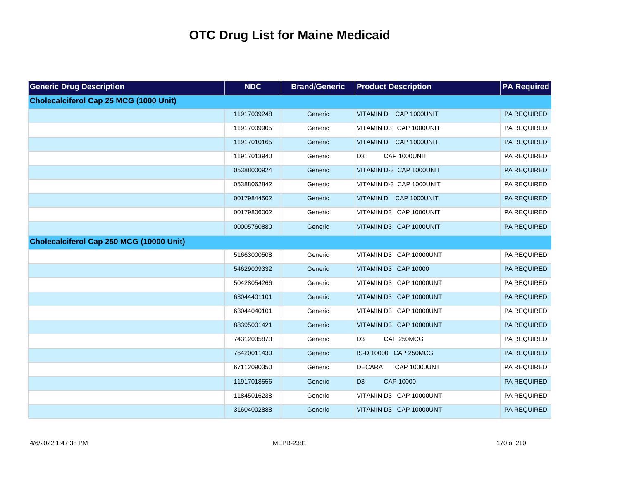| <b>Generic Drug Description</b>               | <b>NDC</b>  | <b>Brand/Generic</b> | <b>Product Description</b>           | <b>PA Required</b> |
|-----------------------------------------------|-------------|----------------------|--------------------------------------|--------------------|
| <b>Cholecalciferol Cap 25 MCG (1000 Unit)</b> |             |                      |                                      |                    |
|                                               | 11917009248 | Generic              | VITAMIN D CAP 1000UNIT               | <b>PA REQUIRED</b> |
|                                               | 11917009905 | Generic              | VITAMIN D3 CAP 1000UNIT              | PA REQUIRED        |
|                                               | 11917010165 | Generic              | VITAMIN D CAP 1000UNIT               | PA REQUIRED        |
|                                               | 11917013940 | Generic              | D <sub>3</sub><br>CAP 1000UNIT       | PA REQUIRED        |
|                                               | 05388000924 | Generic              | VITAMIN D-3 CAP 1000UNIT             | PA REQUIRED        |
|                                               | 05388062842 | Generic              | VITAMIN D-3 CAP 1000UNIT             | PA REQUIRED        |
|                                               | 00179844502 | Generic              | VITAMIN D CAP 1000UNIT               | PA REQUIRED        |
|                                               | 00179806002 | Generic              | VITAMIN D3 CAP 1000UNIT              | PA REQUIRED        |
|                                               | 00005760880 | Generic              | VITAMIN D3 CAP 1000UNIT              | PA REQUIRED        |
| Cholecalciferol Cap 250 MCG (10000 Unit)      |             |                      |                                      |                    |
|                                               | 51663000508 | Generic              | VITAMIN D3 CAP 10000UNT              | PA REQUIRED        |
|                                               | 54629009332 | Generic              | VITAMIN D3 CAP 10000                 | PA REQUIRED        |
|                                               | 50428054266 | Generic              | VITAMIN D3 CAP 10000UNT              | PA REQUIRED        |
|                                               | 63044401101 | Generic              | VITAMIN D3 CAP 10000UNT              | PA REQUIRED        |
|                                               | 63044040101 | Generic              | VITAMIN D3 CAP 10000UNT              | PA REQUIRED        |
|                                               | 88395001421 | Generic              | VITAMIN D3 CAP 10000UNT              | PA REQUIRED        |
|                                               | 74312035873 | Generic              | D <sub>3</sub><br>CAP 250MCG         | PA REQUIRED        |
|                                               | 76420011430 | Generic              | IS-D 10000 CAP 250MCG                | PA REQUIRED        |
|                                               | 67112090350 | Generic              | <b>DECARA</b><br><b>CAP 10000UNT</b> | PA REQUIRED        |
|                                               | 11917018556 | Generic              | CAP 10000<br>D <sub>3</sub>          | PA REQUIRED        |
|                                               | 11845016238 | Generic              | VITAMIN D3 CAP 10000UNT              | PA REQUIRED        |
|                                               | 31604002888 | Generic              | VITAMIN D3 CAP 10000UNT              | PA REQUIRED        |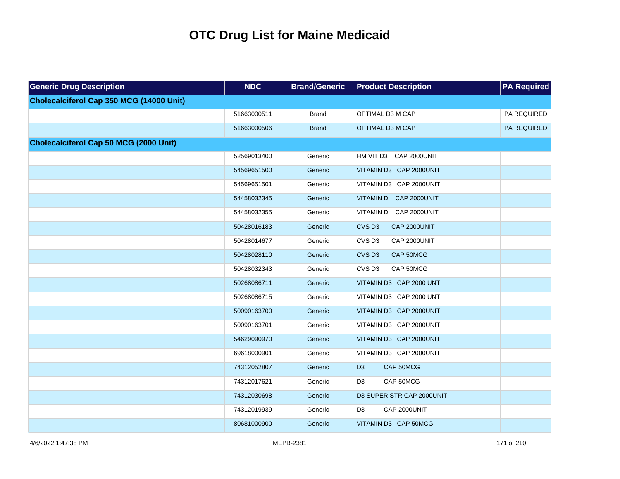| <b>Generic Drug Description</b>          | <b>NDC</b>  | <b>Brand/Generic</b> | <b>Product Description</b>        | <b>PA Required</b> |
|------------------------------------------|-------------|----------------------|-----------------------------------|--------------------|
| Cholecalciferol Cap 350 MCG (14000 Unit) |             |                      |                                   |                    |
|                                          | 51663000511 | <b>Brand</b>         | OPTIMAL D3 M CAP                  | PA REQUIRED        |
|                                          | 51663000506 | <b>Brand</b>         | OPTIMAL D3 M CAP                  | PA REQUIRED        |
| Cholecalciferol Cap 50 MCG (2000 Unit)   |             |                      |                                   |                    |
|                                          | 52569013400 | Generic              | HM VIT D3 CAP 2000UNIT            |                    |
|                                          | 54569651500 | Generic              | VITAMIN D3 CAP 2000UNIT           |                    |
|                                          | 54569651501 | Generic              | VITAMIN D3 CAP 2000UNIT           |                    |
|                                          | 54458032345 | Generic              | VITAMIN D CAP 2000UNIT            |                    |
|                                          | 54458032355 | Generic              | VITAMIN D CAP 2000UNIT            |                    |
|                                          | 50428016183 | Generic              | CVS <sub>D3</sub><br>CAP 2000UNIT |                    |
|                                          | 50428014677 | Generic              | CVS <sub>D3</sub><br>CAP 2000UNIT |                    |
|                                          | 50428028110 | Generic              | CVS <sub>D3</sub><br>CAP 50MCG    |                    |
|                                          | 50428032343 | Generic              | CVS <sub>D3</sub><br>CAP 50MCG    |                    |
|                                          | 50268086711 | Generic              | VITAMIN D3 CAP 2000 UNT           |                    |
|                                          | 50268086715 | Generic              | VITAMIN D3 CAP 2000 UNT           |                    |
|                                          | 50090163700 | Generic              | VITAMIN D3 CAP 2000UNIT           |                    |
|                                          | 50090163701 | Generic              | VITAMIN D3 CAP 2000UNIT           |                    |
|                                          | 54629090970 | Generic              | VITAMIN D3 CAP 2000UNIT           |                    |
|                                          | 69618000901 | Generic              | VITAMIN D3 CAP 2000UNIT           |                    |
|                                          | 74312052807 | Generic              | D <sub>3</sub><br>CAP 50MCG       |                    |
|                                          | 74312017621 | Generic              | D <sub>3</sub><br>CAP 50MCG       |                    |
|                                          | 74312030698 | Generic              | D3 SUPER STR CAP 2000UNIT         |                    |
|                                          | 74312019939 | Generic              | D <sub>3</sub><br>CAP 2000UNIT    |                    |
|                                          | 80681000900 | Generic              | VITAMIN D3 CAP 50MCG              |                    |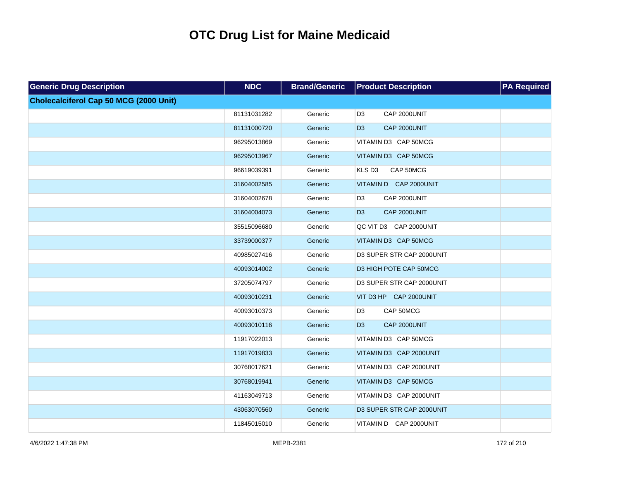| <b>Generic Drug Description</b>               | <b>NDC</b>  | <b>Brand/Generic</b> | <b>Product Description</b>      | <b>PA Required</b> |
|-----------------------------------------------|-------------|----------------------|---------------------------------|--------------------|
| <b>Cholecalciferol Cap 50 MCG (2000 Unit)</b> |             |                      |                                 |                    |
|                                               | 81131031282 | Generic              | D <sub>3</sub><br>CAP 2000UNIT  |                    |
|                                               | 81131000720 | Generic              | CAP 2000UNIT<br>D <sub>3</sub>  |                    |
|                                               | 96295013869 | Generic              | VITAMIN D3 CAP 50MCG            |                    |
|                                               | 96295013967 | Generic              | VITAMIN D3 CAP 50MCG            |                    |
|                                               | 96619039391 | Generic              | KLS D <sub>3</sub><br>CAP 50MCG |                    |
|                                               | 31604002585 | Generic              | VITAMIN D CAP 2000UNIT          |                    |
|                                               | 31604002678 | Generic              | D <sub>3</sub><br>CAP 2000UNIT  |                    |
|                                               | 31604004073 | Generic              | D <sub>3</sub><br>CAP 2000UNIT  |                    |
|                                               | 35515096680 | Generic              | QC VIT D3 CAP 2000UNIT          |                    |
|                                               | 33739000377 | Generic              | VITAMIN D3 CAP 50MCG            |                    |
|                                               | 40985027416 | Generic              | D3 SUPER STR CAP 2000UNIT       |                    |
|                                               | 40093014002 | Generic              | D3 HIGH POTE CAP 50MCG          |                    |
|                                               | 37205074797 | Generic              | D3 SUPER STR CAP 2000UNIT       |                    |
|                                               | 40093010231 | Generic              | VIT D3 HP CAP 2000UNIT          |                    |
|                                               | 40093010373 | Generic              | D <sub>3</sub><br>CAP 50MCG     |                    |
|                                               | 40093010116 | Generic              | D <sub>3</sub><br>CAP 2000UNIT  |                    |
|                                               | 11917022013 | Generic              | VITAMIN D3 CAP 50MCG            |                    |
|                                               | 11917019833 | Generic              | VITAMIN D3 CAP 2000UNIT         |                    |
|                                               | 30768017621 | Generic              | VITAMIN D3 CAP 2000UNIT         |                    |
|                                               | 30768019941 | Generic              | VITAMIN D3 CAP 50MCG            |                    |
|                                               | 41163049713 | Generic              | VITAMIN D3 CAP 2000UNIT         |                    |
|                                               | 43063070560 | Generic              | D3 SUPER STR CAP 2000UNIT       |                    |
|                                               | 11845015010 | Generic              | VITAMIN D CAP 2000UNIT          |                    |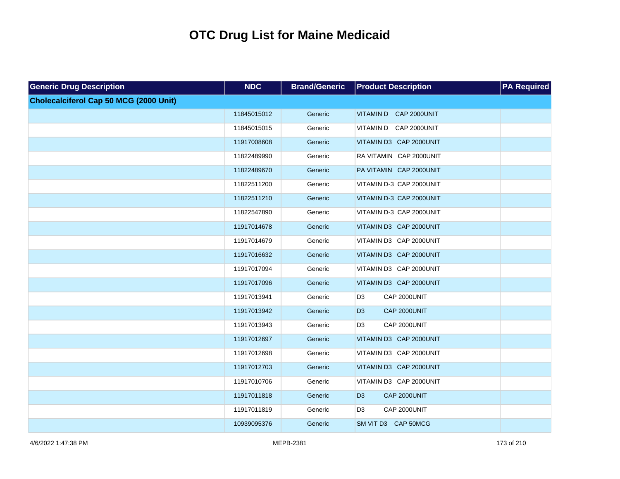| <b>Generic Drug Description</b>        | <b>NDC</b>  | <b>Brand/Generic</b> | <b>Product Description</b>     | <b>PA Required</b> |
|----------------------------------------|-------------|----------------------|--------------------------------|--------------------|
| Cholecalciferol Cap 50 MCG (2000 Unit) |             |                      |                                |                    |
|                                        | 11845015012 | Generic              | VITAMIN D CAP 2000UNIT         |                    |
|                                        | 11845015015 | Generic              | VITAMIN D CAP 2000UNIT         |                    |
|                                        | 11917008608 | Generic              | VITAMIN D3 CAP 2000UNIT        |                    |
|                                        | 11822489990 | Generic              | RA VITAMIN CAP 2000UNIT        |                    |
|                                        | 11822489670 | Generic              | PA VITAMIN CAP 2000UNIT        |                    |
|                                        | 11822511200 | Generic              | VITAMIN D-3 CAP 2000UNIT       |                    |
|                                        | 11822511210 | Generic              | VITAMIN D-3 CAP 2000UNIT       |                    |
|                                        | 11822547890 | Generic              | VITAMIN D-3 CAP 2000UNIT       |                    |
|                                        | 11917014678 | Generic              | VITAMIN D3 CAP 2000UNIT        |                    |
|                                        | 11917014679 | Generic              | VITAMIN D3 CAP 2000UNIT        |                    |
|                                        | 11917016632 | Generic              | VITAMIN D3 CAP 2000UNIT        |                    |
|                                        | 11917017094 | Generic              | VITAMIN D3 CAP 2000UNIT        |                    |
|                                        | 11917017096 | Generic              | VITAMIN D3 CAP 2000UNIT        |                    |
|                                        | 11917013941 | Generic              | CAP 2000UNIT<br>D <sub>3</sub> |                    |
|                                        | 11917013942 | Generic              | CAP 2000UNIT<br>D <sub>3</sub> |                    |
|                                        | 11917013943 | Generic              | D <sub>3</sub><br>CAP 2000UNIT |                    |
|                                        | 11917012697 | Generic              | VITAMIN D3 CAP 2000UNIT        |                    |
|                                        | 11917012698 | Generic              | VITAMIN D3 CAP 2000UNIT        |                    |
|                                        | 11917012703 | Generic              | VITAMIN D3 CAP 2000UNIT        |                    |
|                                        | 11917010706 | Generic              | VITAMIN D3 CAP 2000UNIT        |                    |
|                                        | 11917011818 | Generic              | CAP 2000UNIT<br>D <sub>3</sub> |                    |
|                                        | 11917011819 | Generic              | CAP 2000UNIT<br>D <sub>3</sub> |                    |
|                                        | 10939095376 | Generic              | SM VIT D3 CAP 50MCG            |                    |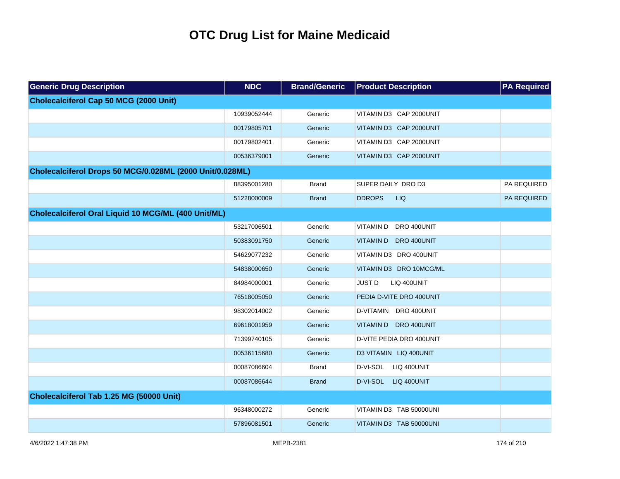| <b>Generic Drug Description</b>                          | <b>NDC</b>  | <b>Brand/Generic</b> | <b>Product Description</b>   | <b>PA Required</b> |
|----------------------------------------------------------|-------------|----------------------|------------------------------|--------------------|
| <b>Cholecalciferol Cap 50 MCG (2000 Unit)</b>            |             |                      |                              |                    |
|                                                          | 10939052444 | Generic              | VITAMIN D3 CAP 2000UNIT      |                    |
|                                                          | 00179805701 | Generic              | VITAMIN D3 CAP 2000UNIT      |                    |
|                                                          | 00179802401 | Generic              | VITAMIN D3 CAP 2000UNIT      |                    |
|                                                          | 00536379001 | Generic              | VITAMIN D3 CAP 2000UNIT      |                    |
| Cholecalciferol Drops 50 MCG/0.028ML (2000 Unit/0.028ML) |             |                      |                              |                    |
|                                                          | 88395001280 | <b>Brand</b>         | SUPER DAILY DRO D3           | PA REQUIRED        |
|                                                          | 51228000009 | <b>Brand</b>         | <b>DDROPS</b><br><b>LIQ</b>  | PA REQUIRED        |
| Cholecalciferol Oral Liquid 10 MCG/ML (400 Unit/ML)      |             |                      |                              |                    |
|                                                          | 53217006501 | Generic              | VITAMIN D<br>DRO 400UNIT     |                    |
|                                                          | 50383091750 | Generic              | VITAMIN D DRO 400UNIT        |                    |
|                                                          | 54629077232 | Generic              | VITAMIN D3 DRO 400UNIT       |                    |
|                                                          | 54838000650 | Generic              | VITAMIN D3 DRO 10MCG/ML      |                    |
|                                                          | 84984000001 | Generic              | <b>JUST D</b><br>LIQ 400UNIT |                    |
|                                                          | 76518005050 | Generic              | PEDIA D-VITE DRO 400UNIT     |                    |
|                                                          | 98302014002 | Generic              | D-VITAMIN DRO 400UNIT        |                    |
|                                                          | 69618001959 | Generic              | VITAMIN D DRO 400UNIT        |                    |
|                                                          | 71399740105 | Generic              | D-VITE PEDIA DRO 400UNIT     |                    |
|                                                          | 00536115680 | Generic              | D3 VITAMIN LIQ 400UNIT       |                    |
|                                                          | 00087086604 | <b>Brand</b>         | D-VI-SOL LIQ 400UNIT         |                    |
|                                                          | 00087086644 | <b>Brand</b>         | D-VI-SOL LIQ 400UNIT         |                    |
| Cholecalciferol Tab 1.25 MG (50000 Unit)                 |             |                      |                              |                    |
|                                                          | 96348000272 | Generic              | VITAMIN D3 TAB 50000UNI      |                    |
|                                                          | 57896081501 | Generic              | VITAMIN D3 TAB 50000UNI      |                    |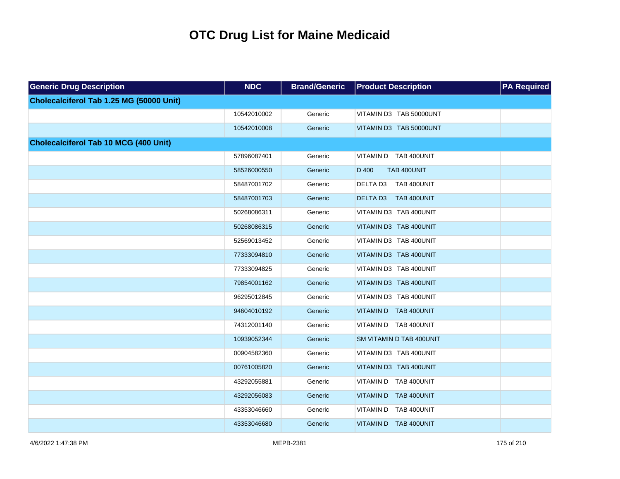| <b>Generic Drug Description</b>              | <b>NDC</b>  | <b>Brand/Generic</b> | <b>Product Description</b> | <b>PA Required</b> |
|----------------------------------------------|-------------|----------------------|----------------------------|--------------------|
| Cholecalciferol Tab 1.25 MG (50000 Unit)     |             |                      |                            |                    |
|                                              | 10542010002 | Generic              | VITAMIN D3 TAB 50000UNT    |                    |
|                                              | 10542010008 | Generic              | VITAMIN D3 TAB 50000UNT    |                    |
| <b>Cholecalciferol Tab 10 MCG (400 Unit)</b> |             |                      |                            |                    |
|                                              | 57896087401 | Generic              | VITAMIN D TAB 400UNIT      |                    |
|                                              | 58526000550 | Generic              | D 400<br>TAB 400UNIT       |                    |
|                                              | 58487001702 | Generic              | DELTA D3<br>TAB 400UNIT    |                    |
|                                              | 58487001703 | Generic              | DELTA D3 TAB 400UNIT       |                    |
|                                              | 50268086311 | Generic              | VITAMIN D3 TAB 400UNIT     |                    |
|                                              | 50268086315 | Generic              | VITAMIN D3 TAB 400UNIT     |                    |
|                                              | 52569013452 | Generic              | VITAMIN D3 TAB 400UNIT     |                    |
|                                              | 77333094810 | Generic              | VITAMIN D3 TAB 400UNIT     |                    |
|                                              | 77333094825 | Generic              | VITAMIN D3 TAB 400UNIT     |                    |
|                                              | 79854001162 | Generic              | VITAMIN D3 TAB 400UNIT     |                    |
|                                              | 96295012845 | Generic              | VITAMIN D3 TAB 400UNIT     |                    |
|                                              | 94604010192 | Generic              | VITAMIN D TAB 400UNIT      |                    |
|                                              | 74312001140 | Generic              | VITAMIN D TAB 400UNIT      |                    |
|                                              | 10939052344 | Generic              | SM VITAMIN D TAB 400UNIT   |                    |
|                                              | 00904582360 | Generic              | VITAMIN D3 TAB 400UNIT     |                    |
|                                              | 00761005820 | Generic              | VITAMIN D3 TAB 400UNIT     |                    |
|                                              | 43292055881 | Generic              | VITAMIN D TAB 400UNIT      |                    |
|                                              | 43292056083 | Generic              | VITAMIN D TAB 400UNIT      |                    |
|                                              | 43353046660 | Generic              | VITAMIN D TAB 400UNIT      |                    |
|                                              | 43353046680 | Generic              | VITAMIN D TAB 400UNIT      |                    |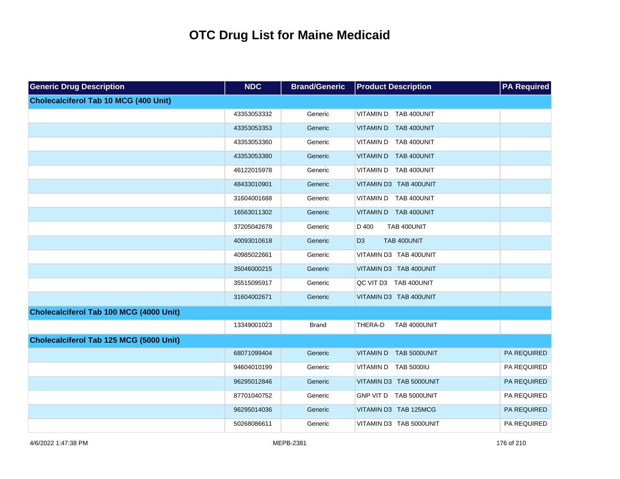| <b>Generic Drug Description</b>              | <b>NDC</b>  | <b>Brand/Generic</b> | <b>Product Description</b>      | <b>PA Required</b> |
|----------------------------------------------|-------------|----------------------|---------------------------------|--------------------|
| <b>Cholecalciferol Tab 10 MCG (400 Unit)</b> |             |                      |                                 |                    |
|                                              | 43353053332 | Generic              | VITAMIN D TAB 400UNIT           |                    |
|                                              | 43353053353 | Generic              | VITAMIN D TAB 400UNIT           |                    |
|                                              | 43353053360 | Generic              | VITAMIN D TAB 400UNIT           |                    |
|                                              | 43353053380 | Generic              | VITAMIN D TAB 400UNIT           |                    |
|                                              | 46122015978 | Generic              | VITAMIN D TAB 400UNIT           |                    |
|                                              | 48433010901 | Generic              | VITAMIN D3 TAB 400UNIT          |                    |
|                                              | 31604001688 | Generic              | VITAMIN D TAB 400UNIT           |                    |
|                                              | 16563011302 | Generic              | VITAMIN D TAB 400UNIT           |                    |
|                                              | 37205042678 | Generic              | D 400<br>TAB 400UNIT            |                    |
|                                              | 40093010618 | Generic              | D <sub>3</sub><br>TAB 400UNIT   |                    |
|                                              | 40985022661 | Generic              | VITAMIN D3 TAB 400UNIT          |                    |
|                                              | 35046000215 | Generic              | VITAMIN D3 TAB 400UNIT          |                    |
|                                              | 35515095917 | Generic              | QC VIT D3 TAB 400UNIT           |                    |
|                                              | 31604002671 | Generic              | VITAMIN D3 TAB 400UNIT          |                    |
| Cholecalciferol Tab 100 MCG (4000 Unit)      |             |                      |                                 |                    |
|                                              | 13349001023 | <b>Brand</b>         | THERA-D<br>TAB 4000UNIT         |                    |
| Cholecalciferol Tab 125 MCG (5000 Unit)      |             |                      |                                 |                    |
|                                              | 68071099404 | Generic              | TAB 5000UNIT<br><b>VITAMIND</b> | <b>PA REQUIRED</b> |
|                                              | 94604010199 | Generic              | VITAMIN D TAB 5000IU            | PA REQUIRED        |
|                                              | 96295012846 | Generic              | VITAMIN D3 TAB 5000UNIT         | <b>PA REQUIRED</b> |
|                                              | 87701040752 | Generic              | GNP VIT D TAB 5000UNIT          | PA REQUIRED        |
|                                              | 96295014036 | Generic              | VITAMIN D3 TAB 125MCG           | PA REQUIRED        |
|                                              | 50268086611 | Generic              | VITAMIN D3 TAB 5000UNIT         | PA REQUIRED        |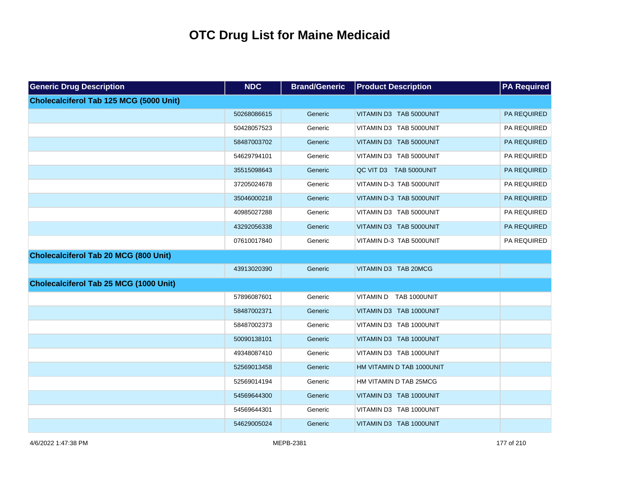| <b>Generic Drug Description</b>         | <b>NDC</b>  | <b>Brand/Generic</b> | <b>Product Description</b> | <b>PA Required</b> |
|-----------------------------------------|-------------|----------------------|----------------------------|--------------------|
| Cholecalciferol Tab 125 MCG (5000 Unit) |             |                      |                            |                    |
|                                         | 50268086615 | Generic              | VITAMIN D3 TAB 5000UNIT    | <b>PA REQUIRED</b> |
|                                         | 50428057523 | Generic              | VITAMIN D3 TAB 5000UNIT    | PA REQUIRED        |
|                                         | 58487003702 | Generic              | VITAMIN D3 TAB 5000UNIT    | PA REQUIRED        |
|                                         | 54629794101 | Generic              | VITAMIN D3 TAB 5000UNIT    | PA REQUIRED        |
|                                         | 35515098643 | Generic              | QC VIT D3 TAB 5000UNIT     | PA REQUIRED        |
|                                         | 37205024678 | Generic              | VITAMIN D-3 TAB 5000UNIT   | PA REQUIRED        |
|                                         | 35046000218 | Generic              | VITAMIN D-3 TAB 5000UNIT   | PA REQUIRED        |
|                                         | 40985027288 | Generic              | VITAMIN D3 TAB 5000UNIT    | PA REQUIRED        |
|                                         | 43292056338 | Generic              | VITAMIN D3 TAB 5000UNIT    | PA REQUIRED        |
|                                         | 07610017840 | Generic              | VITAMIN D-3 TAB 5000UNIT   | PA REQUIRED        |
| Cholecalciferol Tab 20 MCG (800 Unit)   |             |                      |                            |                    |
|                                         | 43913020390 | Generic              | VITAMIN D3 TAB 20MCG       |                    |
| Cholecalciferol Tab 25 MCG (1000 Unit)  |             |                      |                            |                    |
|                                         | 57896087601 | Generic              | VITAMIN D TAB 1000UNIT     |                    |
|                                         | 58487002371 | Generic              | VITAMIN D3 TAB 1000UNIT    |                    |
|                                         | 58487002373 | Generic              | VITAMIN D3 TAB 1000UNIT    |                    |
|                                         | 50090138101 | Generic              | VITAMIN D3 TAB 1000UNIT    |                    |
|                                         | 49348087410 | Generic              | VITAMIN D3 TAB 1000UNIT    |                    |
|                                         | 52569013458 | Generic              | HM VITAMIN D TAB 1000UNIT  |                    |
|                                         | 52569014194 | Generic              | HM VITAMIN D TAB 25MCG     |                    |
|                                         | 54569644300 | Generic              | VITAMIN D3 TAB 1000UNIT    |                    |
|                                         | 54569644301 | Generic              | VITAMIN D3 TAB 1000UNIT    |                    |
|                                         | 54629005024 | Generic              | VITAMIN D3 TAB 1000UNIT    |                    |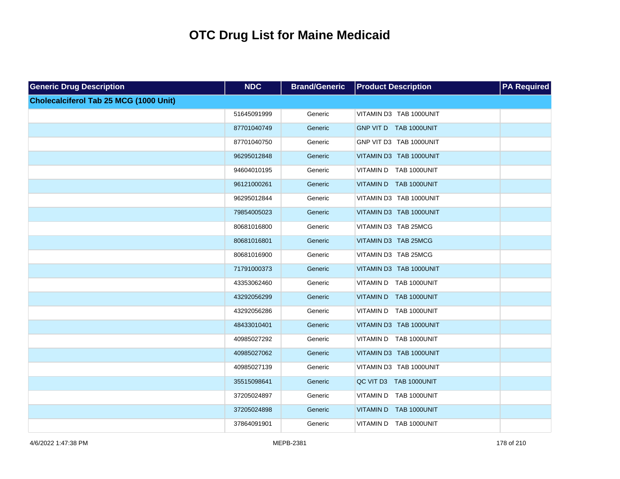| <b>Generic Drug Description</b>        | <b>NDC</b>  | <b>Brand/Generic</b> | <b>Product Description</b> | <b>PA Required</b> |
|----------------------------------------|-------------|----------------------|----------------------------|--------------------|
| Cholecalciferol Tab 25 MCG (1000 Unit) |             |                      |                            |                    |
|                                        | 51645091999 | Generic              | VITAMIN D3 TAB 1000UNIT    |                    |
|                                        | 87701040749 | Generic              | GNP VIT D TAB 1000UNIT     |                    |
|                                        | 87701040750 | Generic              | GNP VIT D3 TAB 1000UNIT    |                    |
|                                        | 96295012848 | Generic              | VITAMIN D3 TAB 1000UNIT    |                    |
|                                        | 94604010195 | Generic              | VITAMIN D TAB 1000UNIT     |                    |
|                                        | 96121000261 | Generic              | VITAMIN D TAB 1000UNIT     |                    |
|                                        | 96295012844 | Generic              | VITAMIN D3 TAB 1000UNIT    |                    |
|                                        | 79854005023 | Generic              | VITAMIN D3 TAB 1000UNIT    |                    |
|                                        | 80681016800 | Generic              | VITAMIN D3 TAB 25MCG       |                    |
|                                        | 80681016801 | Generic              | VITAMIN D3 TAB 25MCG       |                    |
|                                        | 80681016900 | Generic              | VITAMIN D3 TAB 25MCG       |                    |
|                                        | 71791000373 | Generic              | VITAMIN D3 TAB 1000UNIT    |                    |
|                                        | 43353062460 | Generic              | VITAMIN D TAB 1000UNIT     |                    |
|                                        | 43292056299 | Generic              | VITAMIN D TAB 1000UNIT     |                    |
|                                        | 43292056286 | Generic              | VITAMIN D TAB 1000UNIT     |                    |
|                                        | 48433010401 | Generic              | VITAMIN D3 TAB 1000UNIT    |                    |
|                                        | 40985027292 | Generic              | VITAMIN D TAB 1000UNIT     |                    |
|                                        | 40985027062 | Generic              | VITAMIN D3 TAB 1000UNIT    |                    |
|                                        | 40985027139 | Generic              | VITAMIN D3 TAB 1000UNIT    |                    |
|                                        | 35515098641 | Generic              | QC VIT D3 TAB 1000UNIT     |                    |
|                                        | 37205024897 | Generic              | VITAMIN D TAB 1000UNIT     |                    |
|                                        | 37205024898 | Generic              | VITAMIN D TAB 1000UNIT     |                    |
|                                        | 37864091901 | Generic              | VITAMIN D TAB 1000UNIT     |                    |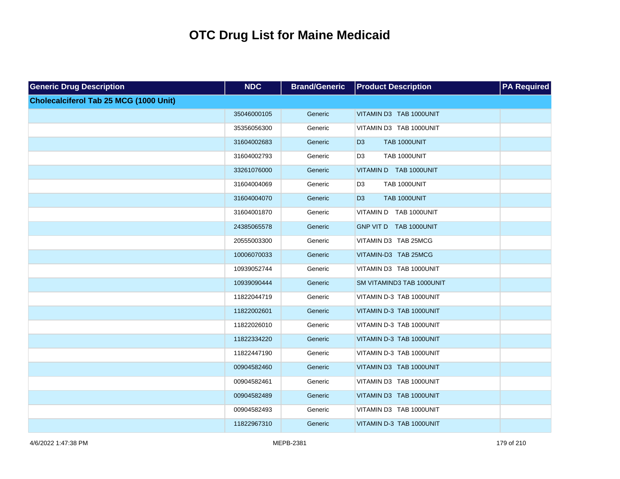| <b>Generic Drug Description</b>        | <b>NDC</b>  | <b>Brand/Generic</b> | <b>Product Description</b>            | <b>PA</b> Required |
|----------------------------------------|-------------|----------------------|---------------------------------------|--------------------|
| Cholecalciferol Tab 25 MCG (1000 Unit) |             |                      |                                       |                    |
|                                        | 35046000105 | Generic              | VITAMIN D3 TAB 1000UNIT               |                    |
|                                        | 35356056300 | Generic              | VITAMIN D3 TAB 1000UNIT               |                    |
|                                        | 31604002683 | Generic              | <b>TAB 1000UNIT</b><br>D <sub>3</sub> |                    |
|                                        | 31604002793 | Generic              | TAB 1000UNIT<br>D <sub>3</sub>        |                    |
|                                        | 33261076000 | Generic              | VITAMIN D TAB 1000UNIT                |                    |
|                                        | 31604004069 | Generic              | TAB 1000UNIT<br>D <sub>3</sub>        |                    |
|                                        | 31604004070 | Generic              | D <sub>3</sub><br><b>TAB 1000UNIT</b> |                    |
|                                        | 31604001870 | Generic              | VITAMIN D TAB 1000UNIT                |                    |
|                                        | 24385065578 | Generic              | GNP VIT D TAB 1000UNIT                |                    |
|                                        | 20555003300 | Generic              | VITAMIN D3 TAB 25MCG                  |                    |
|                                        | 10006070033 | Generic              | VITAMIN-D3 TAB 25MCG                  |                    |
|                                        | 10939052744 | Generic              | VITAMIN D3 TAB 1000UNIT               |                    |
|                                        | 10939090444 | Generic              | SM VITAMIND3 TAB 1000UNIT             |                    |
|                                        | 11822044719 | Generic              | VITAMIN D-3 TAB 1000UNIT              |                    |
|                                        | 11822002601 | Generic              | VITAMIN D-3 TAB 1000UNIT              |                    |
|                                        | 11822026010 | Generic              | VITAMIN D-3 TAB 1000UNIT              |                    |
|                                        | 11822334220 | Generic              | VITAMIN D-3 TAB 1000UNIT              |                    |
|                                        | 11822447190 | Generic              | VITAMIN D-3 TAB 1000UNIT              |                    |
|                                        | 00904582460 | Generic              | VITAMIN D3 TAB 1000UNIT               |                    |
|                                        | 00904582461 | Generic              | VITAMIN D3 TAB 1000UNIT               |                    |
|                                        | 00904582489 | Generic              | VITAMIN D3 TAB 1000UNIT               |                    |
|                                        | 00904582493 | Generic              | VITAMIN D3 TAB 1000UNIT               |                    |
|                                        | 11822967310 | Generic              | VITAMIN D-3 TAB 1000UNIT              |                    |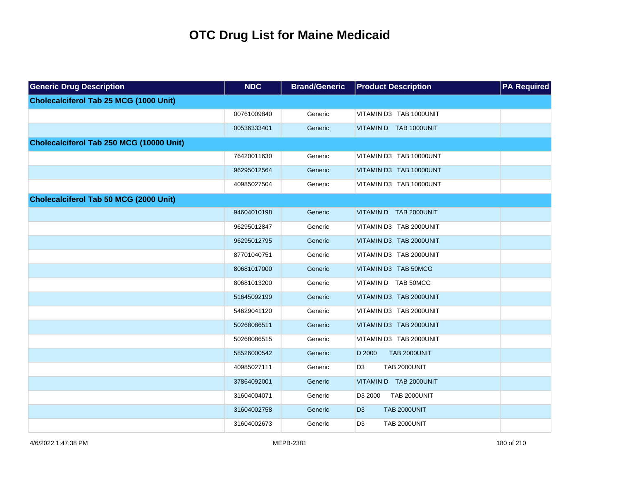| <b>Generic Drug Description</b>               | <b>NDC</b>  | <b>Brand/Generic</b> | <b>Product Description</b>            | <b>PA Required</b> |
|-----------------------------------------------|-------------|----------------------|---------------------------------------|--------------------|
| Cholecalciferol Tab 25 MCG (1000 Unit)        |             |                      |                                       |                    |
|                                               | 00761009840 | Generic              | VITAMIN D3 TAB 1000UNIT               |                    |
|                                               | 00536333401 | Generic              | VITAMIN D TAB 1000UNIT                |                    |
| Cholecalciferol Tab 250 MCG (10000 Unit)      |             |                      |                                       |                    |
|                                               | 76420011630 | Generic              | VITAMIN D3 TAB 10000UNT               |                    |
|                                               | 96295012564 | Generic              | VITAMIN D3 TAB 10000UNT               |                    |
|                                               | 40985027504 | Generic              | VITAMIN D3 TAB 10000UNT               |                    |
| <b>Cholecalciferol Tab 50 MCG (2000 Unit)</b> |             |                      |                                       |                    |
|                                               | 94604010198 | Generic              | VITAMIN D TAB 2000UNIT                |                    |
|                                               | 96295012847 | Generic              | VITAMIN D3 TAB 2000UNIT               |                    |
|                                               | 96295012795 | Generic              | VITAMIN D3 TAB 2000UNIT               |                    |
|                                               | 87701040751 | Generic              | VITAMIN D3 TAB 2000UNIT               |                    |
|                                               | 80681017000 | Generic              | VITAMIN D3 TAB 50MCG                  |                    |
|                                               | 80681013200 | Generic              | VITAMIN D TAB 50MCG                   |                    |
|                                               | 51645092199 | Generic              | VITAMIN D3 TAB 2000UNIT               |                    |
|                                               | 54629041120 | Generic              | VITAMIN D3 TAB 2000UNIT               |                    |
|                                               | 50268086511 | Generic              | VITAMIN D3 TAB 2000UNIT               |                    |
|                                               | 50268086515 | Generic              | VITAMIN D3 TAB 2000UNIT               |                    |
|                                               | 58526000542 | Generic              | <b>TAB 2000UNIT</b><br>D 2000         |                    |
|                                               | 40985027111 | Generic              | D <sub>3</sub><br><b>TAB 2000UNIT</b> |                    |
|                                               | 37864092001 | Generic              | VITAMIN D TAB 2000UNIT                |                    |
|                                               | 31604004071 | Generic              | D3 2000<br>TAB 2000UNIT               |                    |
|                                               | 31604002758 | Generic              | <b>TAB 2000UNIT</b><br>D <sub>3</sub> |                    |
|                                               | 31604002673 | Generic              | D <sub>3</sub><br><b>TAB 2000UNIT</b> |                    |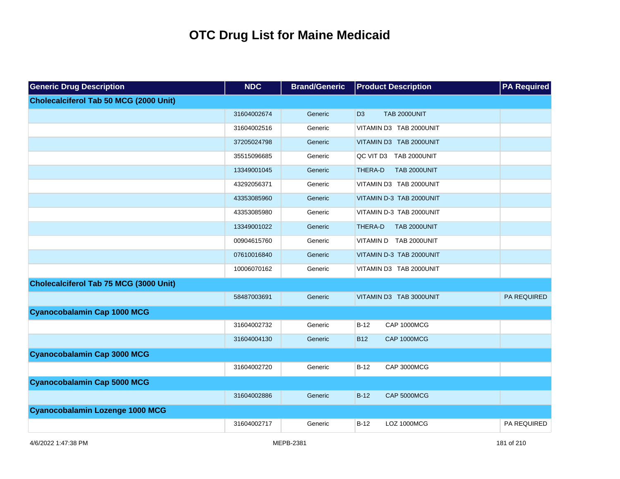| <b>Generic Drug Description</b>        | <b>NDC</b>  | <b>Brand/Generic</b> | <b>Product Description</b>            | <b>PA Required</b> |
|----------------------------------------|-------------|----------------------|---------------------------------------|--------------------|
| Cholecalciferol Tab 50 MCG (2000 Unit) |             |                      |                                       |                    |
|                                        | 31604002674 | Generic              | D <sub>3</sub><br><b>TAB 2000UNIT</b> |                    |
|                                        | 31604002516 | Generic              | VITAMIN D3 TAB 2000UNIT               |                    |
|                                        | 37205024798 | Generic              | VITAMIN D3 TAB 2000UNIT               |                    |
|                                        | 35515096685 | Generic              | QC VIT D3 TAB 2000UNIT                |                    |
|                                        | 13349001045 | Generic              | THERA-D<br><b>TAB 2000UNIT</b>        |                    |
|                                        | 43292056371 | Generic              | VITAMIN D3 TAB 2000UNIT               |                    |
|                                        | 43353085960 | Generic              | VITAMIN D-3 TAB 2000UNIT              |                    |
|                                        | 43353085980 | Generic              | VITAMIN D-3 TAB 2000UNIT              |                    |
|                                        | 13349001022 | Generic              | THERA-D<br><b>TAB 2000UNIT</b>        |                    |
|                                        | 00904615760 | Generic              | VITAMIN D TAB 2000UNIT                |                    |
|                                        | 07610016840 | Generic              | VITAMIN D-3 TAB 2000UNIT              |                    |
|                                        | 10006070162 | Generic              | VITAMIN D3 TAB 2000UNIT               |                    |
| Cholecalciferol Tab 75 MCG (3000 Unit) |             |                      |                                       |                    |
|                                        | 58487003691 | Generic              | VITAMIN D3 TAB 3000UNIT               | <b>PA REQUIRED</b> |
| <b>Cyanocobalamin Cap 1000 MCG</b>     |             |                      |                                       |                    |
|                                        | 31604002732 | Generic              | CAP 1000MCG<br>$B-12$                 |                    |
|                                        | 31604004130 | Generic              | <b>B12</b><br>CAP 1000MCG             |                    |
| <b>Cyanocobalamin Cap 3000 MCG</b>     |             |                      |                                       |                    |
|                                        | 31604002720 | Generic              | $B-12$<br>CAP 3000MCG                 |                    |
| <b>Cyanocobalamin Cap 5000 MCG</b>     |             |                      |                                       |                    |
|                                        | 31604002886 | Generic              | $B-12$<br>CAP 5000MCG                 |                    |
| <b>Cyanocobalamin Lozenge 1000 MCG</b> |             |                      |                                       |                    |
|                                        | 31604002717 | Generic              | $B-12$<br><b>LOZ 1000MCG</b>          | PA REQUIRED        |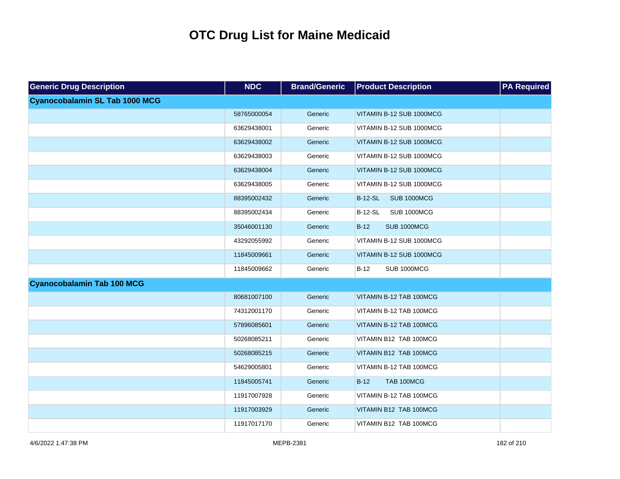| <b>Generic Drug Description</b>       | <b>NDC</b>  | <b>Brand/Generic</b> | <b>Product Description</b>           | <b>PA Required</b> |
|---------------------------------------|-------------|----------------------|--------------------------------------|--------------------|
| <b>Cyanocobalamin SL Tab 1000 MCG</b> |             |                      |                                      |                    |
|                                       | 58765000054 | Generic              | VITAMIN B-12 SUB 1000MCG             |                    |
|                                       | 63629438001 | Generic              | VITAMIN B-12 SUB 1000MCG             |                    |
|                                       | 63629438002 | Generic              | VITAMIN B-12 SUB 1000MCG             |                    |
|                                       | 63629438003 | Generic              | VITAMIN B-12 SUB 1000MCG             |                    |
|                                       | 63629438004 | Generic              | VITAMIN B-12 SUB 1000MCG             |                    |
|                                       | 63629438005 | Generic              | VITAMIN B-12 SUB 1000MCG             |                    |
|                                       | 88395002432 | Generic              | <b>SUB 1000MCG</b><br><b>B-12-SL</b> |                    |
|                                       | 88395002434 | Generic              | <b>B-12-SL</b><br><b>SUB 1000MCG</b> |                    |
|                                       | 35046001130 | Generic              | $B-12$<br><b>SUB 1000MCG</b>         |                    |
|                                       | 43292055992 | Generic              | VITAMIN B-12 SUB 1000MCG             |                    |
|                                       | 11845009661 | Generic              | VITAMIN B-12 SUB 1000MCG             |                    |
|                                       | 11845009662 | Generic              | $B-12$<br>SUB 1000MCG                |                    |
| <b>Cyanocobalamin Tab 100 MCG</b>     |             |                      |                                      |                    |
|                                       | 80681007100 | Generic              | VITAMIN B-12 TAB 100MCG              |                    |
|                                       | 74312001170 | Generic              | VITAMIN B-12 TAB 100MCG              |                    |
|                                       | 57896085601 | Generic              | VITAMIN B-12 TAB 100MCG              |                    |
|                                       | 50268085211 | Generic              | VITAMIN B12 TAB 100MCG               |                    |
|                                       | 50268085215 | Generic              | VITAMIN B12 TAB 100MCG               |                    |
|                                       | 54629005801 | Generic              | VITAMIN B-12 TAB 100MCG              |                    |
|                                       | 11845005741 | Generic              | $B-12$<br>TAB 100MCG                 |                    |
|                                       | 11917007928 | Generic              | VITAMIN B-12 TAB 100MCG              |                    |
|                                       | 11917003929 | Generic              | VITAMIN B12 TAB 100MCG               |                    |
|                                       | 11917017170 | Generic              | VITAMIN B12 TAB 100MCG               |                    |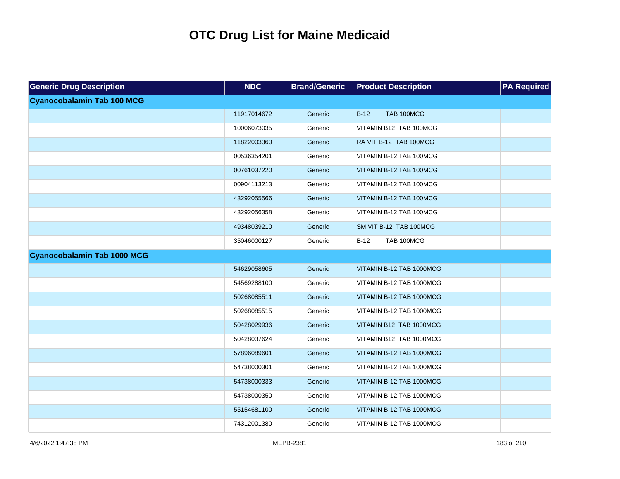| <b>Generic Drug Description</b>    | <b>NDC</b>  | <b>Brand/Generic</b> | <b>Product Description</b> | <b>PA Required</b> |
|------------------------------------|-------------|----------------------|----------------------------|--------------------|
| <b>Cyanocobalamin Tab 100 MCG</b>  |             |                      |                            |                    |
|                                    | 11917014672 | Generic              | TAB 100MCG<br>$B-12$       |                    |
|                                    | 10006073035 | Generic              | VITAMIN B12 TAB 100MCG     |                    |
|                                    | 11822003360 | Generic              | RA VIT B-12 TAB 100MCG     |                    |
|                                    | 00536354201 | Generic              | VITAMIN B-12 TAB 100MCG    |                    |
|                                    | 00761037220 | Generic              | VITAMIN B-12 TAB 100MCG    |                    |
|                                    | 00904113213 | Generic              | VITAMIN B-12 TAB 100MCG    |                    |
|                                    | 43292055566 | Generic              | VITAMIN B-12 TAB 100MCG    |                    |
|                                    | 43292056358 | Generic              | VITAMIN B-12 TAB 100MCG    |                    |
|                                    | 49348039210 | Generic              | SM VIT B-12 TAB 100MCG     |                    |
|                                    | 35046000127 | Generic              | TAB 100MCG<br>$B-12$       |                    |
| <b>Cyanocobalamin Tab 1000 MCG</b> |             |                      |                            |                    |
|                                    | 54629058605 | Generic              | VITAMIN B-12 TAB 1000MCG   |                    |
|                                    | 54569288100 | Generic              | VITAMIN B-12 TAB 1000MCG   |                    |
|                                    | 50268085511 | Generic              | VITAMIN B-12 TAB 1000MCG   |                    |
|                                    | 50268085515 | Generic              | VITAMIN B-12 TAB 1000MCG   |                    |
|                                    | 50428029936 | Generic              | VITAMIN B12 TAB 1000MCG    |                    |
|                                    | 50428037624 | Generic              | VITAMIN B12 TAB 1000MCG    |                    |
|                                    | 57896089601 | Generic              | VITAMIN B-12 TAB 1000MCG   |                    |
|                                    | 54738000301 | Generic              | VITAMIN B-12 TAB 1000MCG   |                    |
|                                    | 54738000333 | Generic              | VITAMIN B-12 TAB 1000MCG   |                    |
|                                    | 54738000350 | Generic              | VITAMIN B-12 TAB 1000MCG   |                    |
|                                    | 55154681100 | Generic              | VITAMIN B-12 TAB 1000MCG   |                    |
|                                    | 74312001380 | Generic              | VITAMIN B-12 TAB 1000MCG   |                    |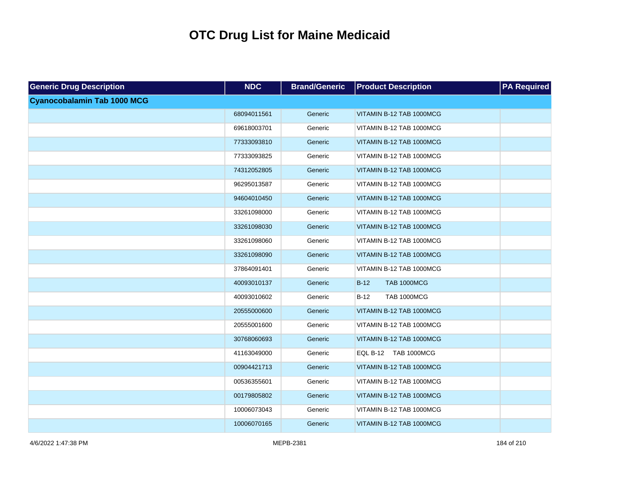| <b>Generic Drug Description</b>    | <b>NDC</b>  | <b>Brand/Generic</b> | <b>Product Description</b>   | <b>PA Required</b> |
|------------------------------------|-------------|----------------------|------------------------------|--------------------|
| <b>Cyanocobalamin Tab 1000 MCG</b> |             |                      |                              |                    |
|                                    | 68094011561 | Generic              | VITAMIN B-12 TAB 1000MCG     |                    |
|                                    | 69618003701 | Generic              | VITAMIN B-12 TAB 1000MCG     |                    |
|                                    | 77333093810 | Generic              | VITAMIN B-12 TAB 1000MCG     |                    |
|                                    | 77333093825 | Generic              | VITAMIN B-12 TAB 1000MCG     |                    |
|                                    | 74312052805 | Generic              | VITAMIN B-12 TAB 1000MCG     |                    |
|                                    | 96295013587 | Generic              | VITAMIN B-12 TAB 1000MCG     |                    |
|                                    | 94604010450 | Generic              | VITAMIN B-12 TAB 1000MCG     |                    |
|                                    | 33261098000 | Generic              | VITAMIN B-12 TAB 1000MCG     |                    |
|                                    | 33261098030 | Generic              | VITAMIN B-12 TAB 1000MCG     |                    |
|                                    | 33261098060 | Generic              | VITAMIN B-12 TAB 1000MCG     |                    |
|                                    | 33261098090 | Generic              | VITAMIN B-12 TAB 1000MCG     |                    |
|                                    | 37864091401 | Generic              | VITAMIN B-12 TAB 1000MCG     |                    |
|                                    | 40093010137 | Generic              | $B-12$<br><b>TAB 1000MCG</b> |                    |
|                                    | 40093010602 | Generic              | $B-12$<br><b>TAB 1000MCG</b> |                    |
|                                    | 20555000600 | Generic              | VITAMIN B-12 TAB 1000MCG     |                    |
|                                    | 20555001600 | Generic              | VITAMIN B-12 TAB 1000MCG     |                    |
|                                    | 30768060693 | Generic              | VITAMIN B-12 TAB 1000MCG     |                    |
|                                    | 41163049000 | Generic              | EQL B-12 TAB 1000MCG         |                    |
|                                    | 00904421713 | Generic              | VITAMIN B-12 TAB 1000MCG     |                    |
|                                    | 00536355601 | Generic              | VITAMIN B-12 TAB 1000MCG     |                    |
|                                    | 00179805802 | Generic              | VITAMIN B-12 TAB 1000MCG     |                    |
|                                    | 10006073043 | Generic              | VITAMIN B-12 TAB 1000MCG     |                    |
|                                    | 10006070165 | Generic              | VITAMIN B-12 TAB 1000MCG     |                    |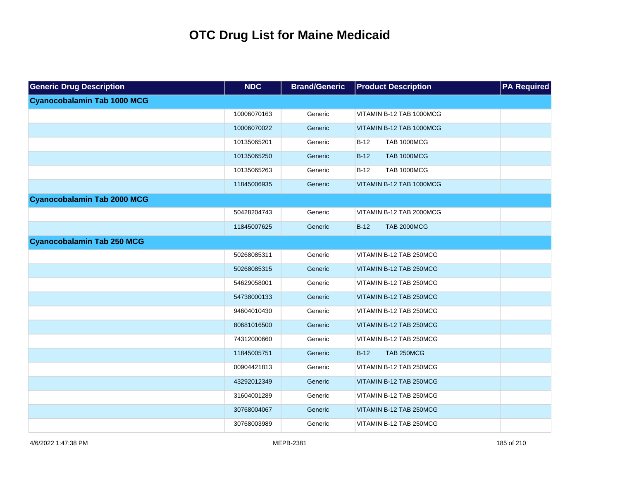| <b>Generic Drug Description</b>    | <b>NDC</b>  | <b>Brand/Generic</b> | <b>Product Description</b>   | <b>PA Required</b> |
|------------------------------------|-------------|----------------------|------------------------------|--------------------|
| <b>Cyanocobalamin Tab 1000 MCG</b> |             |                      |                              |                    |
|                                    | 10006070163 | Generic              | VITAMIN B-12 TAB 1000MCG     |                    |
|                                    | 10006070022 | Generic              | VITAMIN B-12 TAB 1000MCG     |                    |
|                                    | 10135065201 | Generic              | <b>TAB 1000MCG</b><br>$B-12$ |                    |
|                                    | 10135065250 | Generic              | <b>TAB 1000MCG</b><br>$B-12$ |                    |
|                                    | 10135065263 | Generic              | <b>TAB 1000MCG</b><br>$B-12$ |                    |
|                                    | 11845006935 | Generic              | VITAMIN B-12 TAB 1000MCG     |                    |
| <b>Cyanocobalamin Tab 2000 MCG</b> |             |                      |                              |                    |
|                                    | 50428204743 | Generic              | VITAMIN B-12 TAB 2000MCG     |                    |
|                                    | 11845007625 | Generic              | <b>TAB 2000MCG</b><br>$B-12$ |                    |
| <b>Cyanocobalamin Tab 250 MCG</b>  |             |                      |                              |                    |
|                                    | 50268085311 | Generic              | VITAMIN B-12 TAB 250MCG      |                    |
|                                    | 50268085315 | Generic              | VITAMIN B-12 TAB 250MCG      |                    |
|                                    | 54629058001 | Generic              | VITAMIN B-12 TAB 250MCG      |                    |
|                                    | 54738000133 | Generic              | VITAMIN B-12 TAB 250MCG      |                    |
|                                    | 94604010430 | Generic              | VITAMIN B-12 TAB 250MCG      |                    |
|                                    | 80681016500 | Generic              | VITAMIN B-12 TAB 250MCG      |                    |
|                                    | 74312000660 | Generic              | VITAMIN B-12 TAB 250MCG      |                    |
|                                    | 11845005751 | Generic              | $B-12$<br>TAB 250MCG         |                    |
|                                    | 00904421813 | Generic              | VITAMIN B-12 TAB 250MCG      |                    |
|                                    | 43292012349 | Generic              | VITAMIN B-12 TAB 250MCG      |                    |
|                                    | 31604001289 | Generic              | VITAMIN B-12 TAB 250MCG      |                    |
|                                    | 30768004067 | Generic              | VITAMIN B-12 TAB 250MCG      |                    |
|                                    | 30768003989 | Generic              | VITAMIN B-12 TAB 250MCG      |                    |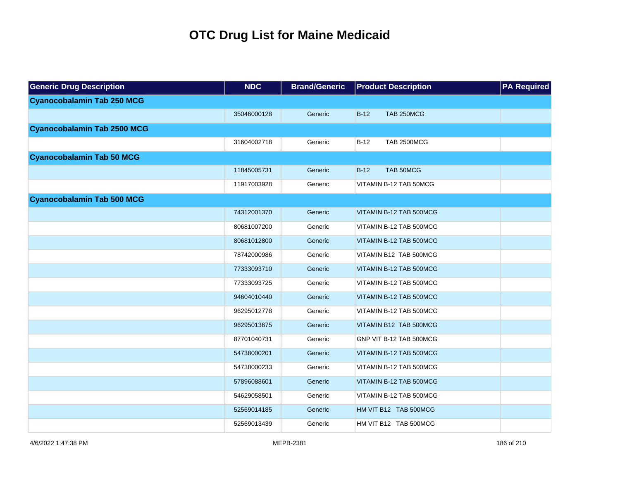| <b>Generic Drug Description</b>    | <b>NDC</b>  | <b>Brand/Generic</b> | <b>Product Description</b>   | <b>PA Required</b> |
|------------------------------------|-------------|----------------------|------------------------------|--------------------|
| <b>Cyanocobalamin Tab 250 MCG</b>  |             |                      |                              |                    |
|                                    | 35046000128 | Generic              | $B-12$<br>TAB 250MCG         |                    |
| <b>Cyanocobalamin Tab 2500 MCG</b> |             |                      |                              |                    |
|                                    | 31604002718 | Generic              | $B-12$<br><b>TAB 2500MCG</b> |                    |
| <b>Cyanocobalamin Tab 50 MCG</b>   |             |                      |                              |                    |
|                                    | 11845005731 | Generic              | $B-12$<br>TAB 50MCG          |                    |
|                                    | 11917003928 | Generic              | VITAMIN B-12 TAB 50MCG       |                    |
| <b>Cyanocobalamin Tab 500 MCG</b>  |             |                      |                              |                    |
|                                    | 74312001370 | Generic              | VITAMIN B-12 TAB 500MCG      |                    |
|                                    | 80681007200 | Generic              | VITAMIN B-12 TAB 500MCG      |                    |
|                                    | 80681012800 | Generic              | VITAMIN B-12 TAB 500MCG      |                    |
|                                    | 78742000986 | Generic              | VITAMIN B12 TAB 500MCG       |                    |
|                                    | 77333093710 | Generic              | VITAMIN B-12 TAB 500MCG      |                    |
|                                    | 77333093725 | Generic              | VITAMIN B-12 TAB 500MCG      |                    |
|                                    | 94604010440 | Generic              | VITAMIN B-12 TAB 500MCG      |                    |
|                                    | 96295012778 | Generic              | VITAMIN B-12 TAB 500MCG      |                    |
|                                    | 96295013675 | Generic              | VITAMIN B12 TAB 500MCG       |                    |
|                                    | 87701040731 | Generic              | GNP VIT B-12 TAB 500MCG      |                    |
|                                    | 54738000201 | Generic              | VITAMIN B-12 TAB 500MCG      |                    |
|                                    | 54738000233 | Generic              | VITAMIN B-12 TAB 500MCG      |                    |
|                                    | 57896088601 | Generic              | VITAMIN B-12 TAB 500MCG      |                    |
|                                    | 54629058501 | Generic              | VITAMIN B-12 TAB 500MCG      |                    |
|                                    | 52569014185 | Generic              | HM VIT B12 TAB 500MCG        |                    |
|                                    | 52569013439 | Generic              | HM VIT B12 TAB 500MCG        |                    |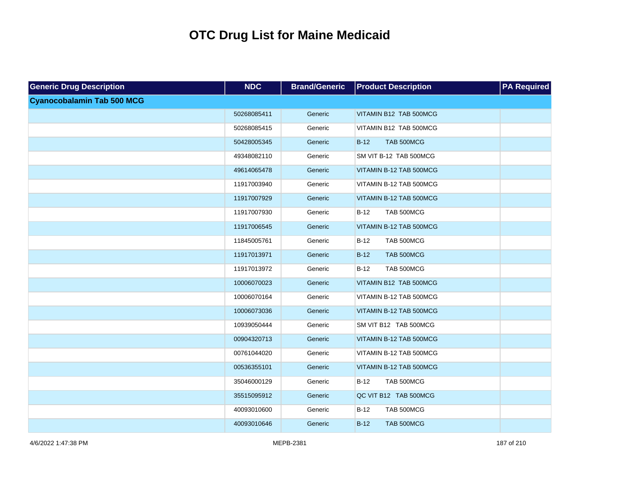| <b>Generic Drug Description</b>   | <b>NDC</b>  | <b>Brand/Generic</b> | <b>Product Description</b> | <b>PA Required</b> |
|-----------------------------------|-------------|----------------------|----------------------------|--------------------|
| <b>Cyanocobalamin Tab 500 MCG</b> |             |                      |                            |                    |
|                                   | 50268085411 | Generic              | VITAMIN B12 TAB 500MCG     |                    |
|                                   | 50268085415 | Generic              | VITAMIN B12 TAB 500MCG     |                    |
|                                   | 50428005345 | Generic              | TAB 500MCG<br>$B-12$       |                    |
|                                   | 49348082110 | Generic              | SM VIT B-12 TAB 500MCG     |                    |
|                                   | 49614065478 | Generic              | VITAMIN B-12 TAB 500MCG    |                    |
|                                   | 11917003940 | Generic              | VITAMIN B-12 TAB 500MCG    |                    |
|                                   | 11917007929 | Generic              | VITAMIN B-12 TAB 500MCG    |                    |
|                                   | 11917007930 | Generic              | $B-12$<br>TAB 500MCG       |                    |
|                                   | 11917006545 | Generic              | VITAMIN B-12 TAB 500MCG    |                    |
|                                   | 11845005761 | Generic              | TAB 500MCG<br>$B-12$       |                    |
|                                   | 11917013971 | Generic              | TAB 500MCG<br>$B-12$       |                    |
|                                   | 11917013972 | Generic              | TAB 500MCG<br>$B-12$       |                    |
|                                   | 10006070023 | Generic              | VITAMIN B12 TAB 500MCG     |                    |
|                                   | 10006070164 | Generic              | VITAMIN B-12 TAB 500MCG    |                    |
|                                   | 10006073036 | Generic              | VITAMIN B-12 TAB 500MCG    |                    |
|                                   | 10939050444 | Generic              | SM VIT B12 TAB 500MCG      |                    |
|                                   | 00904320713 | Generic              | VITAMIN B-12 TAB 500MCG    |                    |
|                                   | 00761044020 | Generic              | VITAMIN B-12 TAB 500MCG    |                    |
|                                   | 00536355101 | Generic              | VITAMIN B-12 TAB 500MCG    |                    |
|                                   | 35046000129 | Generic              | $B-12$<br>TAB 500MCG       |                    |
|                                   | 35515095912 | Generic              | QC VIT B12 TAB 500MCG      |                    |
|                                   | 40093010600 | Generic              | TAB 500MCG<br>$B-12$       |                    |
|                                   | 40093010646 | Generic              | $B-12$<br>TAB 500MCG       |                    |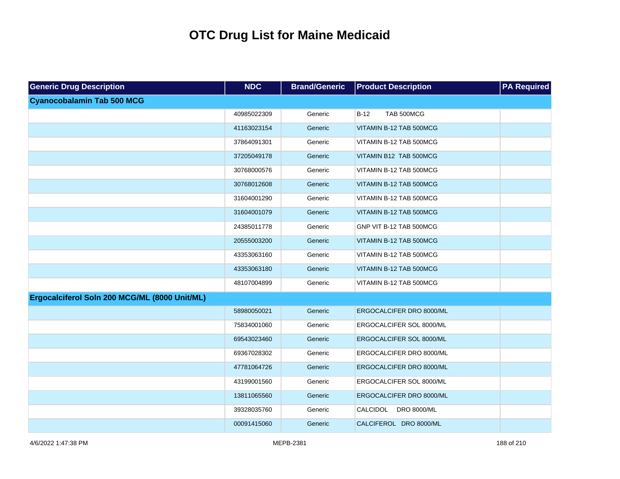| <b>Generic Drug Description</b>               | <b>NDC</b>  | <b>Brand/Generic</b> | <b>Product Description</b>            | <b>PA</b> Required |
|-----------------------------------------------|-------------|----------------------|---------------------------------------|--------------------|
| <b>Cyanocobalamin Tab 500 MCG</b>             |             |                      |                                       |                    |
|                                               | 40985022309 | Generic              | TAB 500MCG<br>$B-12$                  |                    |
|                                               | 41163023154 | Generic              | VITAMIN B-12 TAB 500MCG               |                    |
|                                               | 37864091301 | Generic              | VITAMIN B-12 TAB 500MCG               |                    |
|                                               | 37205049178 | Generic              | VITAMIN B12 TAB 500MCG                |                    |
|                                               | 30768000576 | Generic              | VITAMIN B-12 TAB 500MCG               |                    |
|                                               | 30768012608 | Generic              | VITAMIN B-12 TAB 500MCG               |                    |
|                                               | 31604001290 | Generic              | VITAMIN B-12 TAB 500MCG               |                    |
|                                               | 31604001079 | Generic              | VITAMIN B-12 TAB 500MCG               |                    |
|                                               | 24385011778 | Generic              | GNP VIT B-12 TAB 500MCG               |                    |
|                                               | 20555003200 | Generic              | VITAMIN B-12 TAB 500MCG               |                    |
|                                               | 43353063160 | Generic              | VITAMIN B-12 TAB 500MCG               |                    |
|                                               | 43353063180 | Generic              | VITAMIN B-12 TAB 500MCG               |                    |
|                                               | 48107004899 | Generic              | VITAMIN B-12 TAB 500MCG               |                    |
| Ergocalciferol Soln 200 MCG/ML (8000 Unit/ML) |             |                      |                                       |                    |
|                                               | 58980050021 | Generic              | ERGOCALCIFER DRO 8000/ML              |                    |
|                                               | 75834001060 | Generic              | ERGOCALCIFER SOL 8000/ML              |                    |
|                                               | 69543023460 | Generic              | ERGOCALCIFER SOL 8000/ML              |                    |
|                                               | 69367028302 | Generic              | ERGOCALCIFER DRO 8000/ML              |                    |
|                                               | 47781064726 | Generic              | ERGOCALCIFER DRO 8000/ML              |                    |
|                                               | 43199001560 | Generic              | ERGOCALCIFER SOL 8000/ML              |                    |
|                                               | 13811065560 | Generic              | ERGOCALCIFER DRO 8000/ML              |                    |
|                                               | 39328035760 | Generic              | <b>CALCIDOL</b><br><b>DRO 8000/ML</b> |                    |
|                                               | 00091415060 | Generic              | CALCIFEROL DRO 8000/ML                |                    |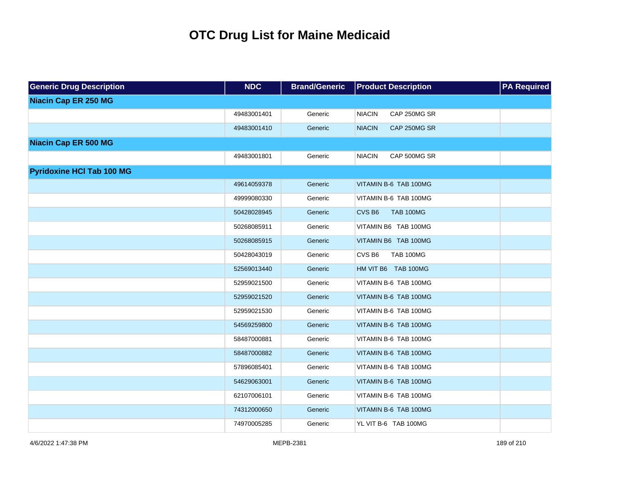| <b>Generic Drug Description</b>  | <b>NDC</b>  | <b>Brand/Generic</b> | <b>Product Description</b>            | <b>PA Required</b> |
|----------------------------------|-------------|----------------------|---------------------------------------|--------------------|
| <b>Niacin Cap ER 250 MG</b>      |             |                      |                                       |                    |
|                                  | 49483001401 | Generic              | <b>NIACIN</b><br>CAP 250MG SR         |                    |
|                                  | 49483001410 | Generic              | <b>NIACIN</b><br>CAP 250MG SR         |                    |
| <b>Niacin Cap ER 500 MG</b>      |             |                      |                                       |                    |
|                                  | 49483001801 | Generic              | <b>NIACIN</b><br>CAP 500MG SR         |                    |
| <b>Pyridoxine HCI Tab 100 MG</b> |             |                      |                                       |                    |
|                                  | 49614059378 | Generic              | VITAMIN B-6 TAB 100MG                 |                    |
|                                  | 49999080330 | Generic              | VITAMIN B-6 TAB 100MG                 |                    |
|                                  | 50428028945 | Generic              | CVS <sub>B6</sub><br><b>TAB 100MG</b> |                    |
|                                  | 50268085911 | Generic              | VITAMIN B6 TAB 100MG                  |                    |
|                                  | 50268085915 | Generic              | VITAMIN B6 TAB 100MG                  |                    |
|                                  | 50428043019 | Generic              | CVS <sub>B6</sub><br><b>TAB 100MG</b> |                    |
|                                  | 52569013440 | Generic              | HM VIT B6 TAB 100MG                   |                    |
|                                  | 52959021500 | Generic              | VITAMIN B-6 TAB 100MG                 |                    |
|                                  | 52959021520 | Generic              | VITAMIN B-6 TAB 100MG                 |                    |
|                                  | 52959021530 | Generic              | VITAMIN B-6 TAB 100MG                 |                    |
|                                  | 54569259800 | Generic              | VITAMIN B-6 TAB 100MG                 |                    |
|                                  | 58487000881 | Generic              | VITAMIN B-6 TAB 100MG                 |                    |
|                                  | 58487000882 | Generic              | VITAMIN B-6 TAB 100MG                 |                    |
|                                  | 57896085401 | Generic              | VITAMIN B-6 TAB 100MG                 |                    |
|                                  | 54629063001 | Generic              | VITAMIN B-6 TAB 100MG                 |                    |
|                                  | 62107006101 | Generic              | VITAMIN B-6 TAB 100MG                 |                    |
|                                  | 74312000650 | Generic              | VITAMIN B-6 TAB 100MG                 |                    |
|                                  | 74970005285 | Generic              | YL VIT B-6 TAB 100MG                  |                    |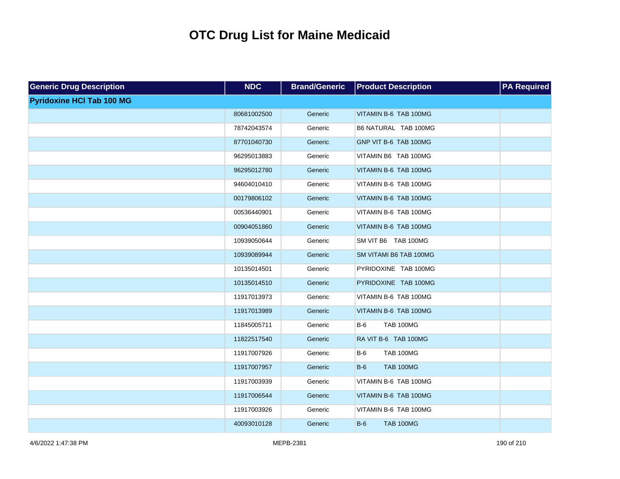| <b>Generic Drug Description</b>  | <b>NDC</b>  | <b>Brand/Generic</b> | <b>Product Description</b> | <b>PA Required</b> |
|----------------------------------|-------------|----------------------|----------------------------|--------------------|
| <b>Pyridoxine HCI Tab 100 MG</b> |             |                      |                            |                    |
|                                  | 80681002500 | Generic              | VITAMIN B-6 TAB 100MG      |                    |
|                                  | 78742043574 | Generic              | B6 NATURAL TAB 100MG       |                    |
|                                  | 87701040730 | Generic              | GNP VIT B-6 TAB 100MG      |                    |
|                                  | 96295013883 | Generic              | VITAMIN B6 TAB 100MG       |                    |
|                                  | 96295012780 | Generic              | VITAMIN B-6 TAB 100MG      |                    |
|                                  | 94604010410 | Generic              | VITAMIN B-6 TAB 100MG      |                    |
|                                  | 00179806102 | Generic              | VITAMIN B-6 TAB 100MG      |                    |
|                                  | 00536440901 | Generic              | VITAMIN B-6 TAB 100MG      |                    |
|                                  | 00904051860 | Generic              | VITAMIN B-6 TAB 100MG      |                    |
|                                  | 10939050644 | Generic              | SM VIT B6 TAB 100MG        |                    |
|                                  | 10939089944 | Generic              | SM VITAMI B6 TAB 100MG     |                    |
|                                  | 10135014501 | Generic              | PYRIDOXINE TAB 100MG       |                    |
|                                  | 10135014510 | Generic              | PYRIDOXINE TAB 100MG       |                    |
|                                  | 11917013973 | Generic              | VITAMIN B-6 TAB 100MG      |                    |
|                                  | 11917013989 | Generic              | VITAMIN B-6 TAB 100MG      |                    |
|                                  | 11845005711 | Generic              | <b>TAB 100MG</b><br>$B-6$  |                    |
|                                  | 11822517540 | Generic              | RA VIT B-6 TAB 100MG       |                    |
|                                  | 11917007926 | Generic              | <b>TAB 100MG</b><br>$B-6$  |                    |
|                                  | 11917007957 | Generic              | <b>TAB 100MG</b><br>$B-6$  |                    |
|                                  | 11917003939 | Generic              | VITAMIN B-6 TAB 100MG      |                    |
|                                  | 11917006544 | Generic              | VITAMIN B-6 TAB 100MG      |                    |
|                                  | 11917003926 | Generic              | VITAMIN B-6 TAB 100MG      |                    |
|                                  | 40093010128 | Generic              | $B-6$<br><b>TAB 100MG</b>  |                    |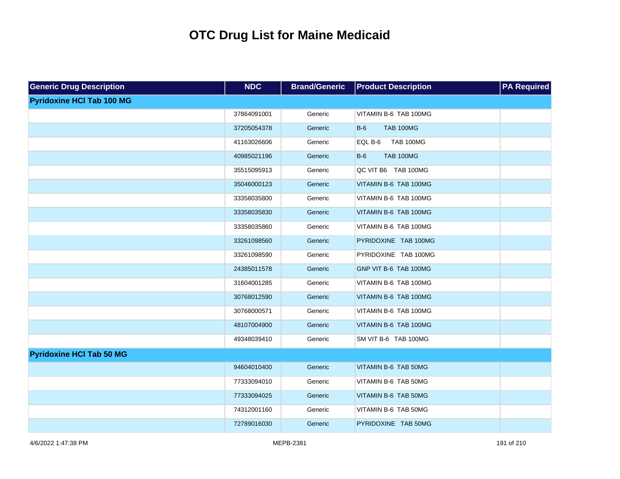| <b>Generic Drug Description</b>  | <b>NDC</b>  | <b>Brand/Generic</b> | <b>Product Description</b>  | <b>PA Required</b> |
|----------------------------------|-------------|----------------------|-----------------------------|--------------------|
| <b>Pyridoxine HCI Tab 100 MG</b> |             |                      |                             |                    |
|                                  | 37864091001 | Generic              | VITAMIN B-6 TAB 100MG       |                    |
|                                  | 37205054378 | Generic              | <b>TAB 100MG</b><br>$B-6$   |                    |
|                                  | 41163026606 | Generic              | <b>TAB 100MG</b><br>EQL B-6 |                    |
|                                  | 40985021196 | Generic              | $B-6$<br><b>TAB 100MG</b>   |                    |
|                                  | 35515095913 | Generic              | QC VIT B6 TAB 100MG         |                    |
|                                  | 35046000123 | Generic              | VITAMIN B-6 TAB 100MG       |                    |
|                                  | 33358035800 | Generic              | VITAMIN B-6 TAB 100MG       |                    |
|                                  | 33358035830 | Generic              | VITAMIN B-6 TAB 100MG       |                    |
|                                  | 33358035860 | Generic              | VITAMIN B-6 TAB 100MG       |                    |
|                                  | 33261098560 | Generic              | PYRIDOXINE TAB 100MG        |                    |
|                                  | 33261098590 | Generic              | PYRIDOXINE TAB 100MG        |                    |
|                                  | 24385011578 | Generic              | GNP VIT B-6 TAB 100MG       |                    |
|                                  | 31604001285 | Generic              | VITAMIN B-6 TAB 100MG       |                    |
|                                  | 30768012590 | Generic              | VITAMIN B-6 TAB 100MG       |                    |
|                                  | 30768000571 | Generic              | VITAMIN B-6 TAB 100MG       |                    |
|                                  | 48107004900 | Generic              | VITAMIN B-6 TAB 100MG       |                    |
|                                  | 49348039410 | Generic              | SM VIT B-6 TAB 100MG        |                    |
| <b>Pyridoxine HCI Tab 50 MG</b>  |             |                      |                             |                    |
|                                  | 94604010400 | Generic              | VITAMIN B-6 TAB 50MG        |                    |
|                                  | 77333094010 | Generic              | VITAMIN B-6 TAB 50MG        |                    |
|                                  | 77333094025 | Generic              | VITAMIN B-6 TAB 50MG        |                    |
|                                  | 74312001160 | Generic              | VITAMIN B-6 TAB 50MG        |                    |
|                                  | 72789016030 | Generic              | PYRIDOXINE TAB 50MG         |                    |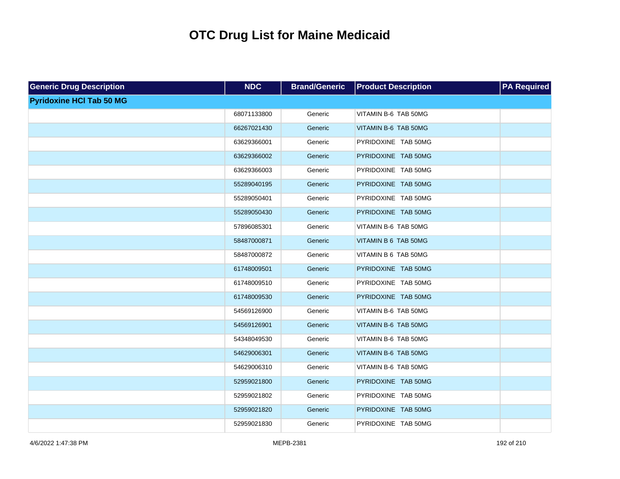| <b>Generic Drug Description</b> | <b>NDC</b>  | <b>Brand/Generic</b> | <b>Product Description</b> | <b>PA Required</b> |
|---------------------------------|-------------|----------------------|----------------------------|--------------------|
| <b>Pyridoxine HCI Tab 50 MG</b> |             |                      |                            |                    |
|                                 | 68071133800 | Generic              | VITAMIN B-6 TAB 50MG       |                    |
|                                 | 66267021430 | Generic              | VITAMIN B-6 TAB 50MG       |                    |
|                                 | 63629366001 | Generic              | PYRIDOXINE TAB 50MG        |                    |
|                                 | 63629366002 | Generic              | PYRIDOXINE TAB 50MG        |                    |
|                                 | 63629366003 | Generic              | PYRIDOXINE TAB 50MG        |                    |
|                                 | 55289040195 | Generic              | PYRIDOXINE TAB 50MG        |                    |
|                                 | 55289050401 | Generic              | PYRIDOXINE TAB 50MG        |                    |
|                                 | 55289050430 | Generic              | PYRIDOXINE TAB 50MG        |                    |
|                                 | 57896085301 | Generic              | VITAMIN B-6 TAB 50MG       |                    |
|                                 | 58487000871 | Generic              | VITAMIN B 6 TAB 50MG       |                    |
|                                 | 58487000872 | Generic              | VITAMIN B 6 TAB 50MG       |                    |
|                                 | 61748009501 | Generic              | PYRIDOXINE TAB 50MG        |                    |
|                                 | 61748009510 | Generic              | PYRIDOXINE TAB 50MG        |                    |
|                                 | 61748009530 | Generic              | PYRIDOXINE TAB 50MG        |                    |
|                                 | 54569126900 | Generic              | VITAMIN B-6 TAB 50MG       |                    |
|                                 | 54569126901 | Generic              | VITAMIN B-6 TAB 50MG       |                    |
|                                 | 54348049530 | Generic              | VITAMIN B-6 TAB 50MG       |                    |
|                                 | 54629006301 | Generic              | VITAMIN B-6 TAB 50MG       |                    |
|                                 | 54629006310 | Generic              | VITAMIN B-6 TAB 50MG       |                    |
|                                 | 52959021800 | Generic              | PYRIDOXINE TAB 50MG        |                    |
|                                 | 52959021802 | Generic              | PYRIDOXINE TAB 50MG        |                    |
|                                 | 52959021820 | Generic              | PYRIDOXINE TAB 50MG        |                    |
|                                 | 52959021830 | Generic              | PYRIDOXINE TAB 50MG        |                    |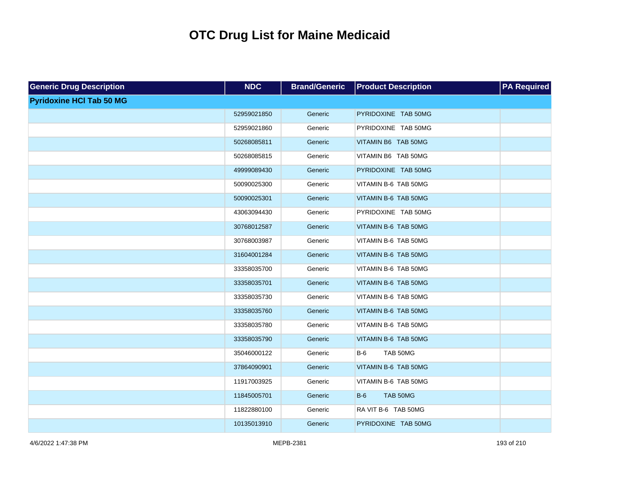| <b>Generic Drug Description</b> | <b>NDC</b>  | <b>Brand/Generic</b> | <b>Product Description</b> | <b>PA Required</b> |
|---------------------------------|-------------|----------------------|----------------------------|--------------------|
| <b>Pyridoxine HCI Tab 50 MG</b> |             |                      |                            |                    |
|                                 | 52959021850 | Generic              | PYRIDOXINE TAB 50MG        |                    |
|                                 | 52959021860 | Generic              | PYRIDOXINE TAB 50MG        |                    |
|                                 | 50268085811 | Generic              | VITAMIN B6 TAB 50MG        |                    |
|                                 | 50268085815 | Generic              | VITAMIN B6 TAB 50MG        |                    |
|                                 | 49999089430 | Generic              | PYRIDOXINE TAB 50MG        |                    |
|                                 | 50090025300 | Generic              | VITAMIN B-6 TAB 50MG       |                    |
|                                 | 50090025301 | Generic              | VITAMIN B-6 TAB 50MG       |                    |
|                                 | 43063094430 | Generic              | PYRIDOXINE TAB 50MG        |                    |
|                                 | 30768012587 | Generic              | VITAMIN B-6 TAB 50MG       |                    |
|                                 | 30768003987 | Generic              | VITAMIN B-6 TAB 50MG       |                    |
|                                 | 31604001284 | Generic              | VITAMIN B-6 TAB 50MG       |                    |
|                                 | 33358035700 | Generic              | VITAMIN B-6 TAB 50MG       |                    |
|                                 | 33358035701 | Generic              | VITAMIN B-6 TAB 50MG       |                    |
|                                 | 33358035730 | Generic              | VITAMIN B-6 TAB 50MG       |                    |
|                                 | 33358035760 | Generic              | VITAMIN B-6 TAB 50MG       |                    |
|                                 | 33358035780 | Generic              | VITAMIN B-6 TAB 50MG       |                    |
|                                 | 33358035790 | Generic              | VITAMIN B-6 TAB 50MG       |                    |
|                                 | 35046000122 | Generic              | TAB 50MG<br>$B-6$          |                    |
|                                 | 37864090901 | Generic              | VITAMIN B-6 TAB 50MG       |                    |
|                                 | 11917003925 | Generic              | VITAMIN B-6 TAB 50MG       |                    |
|                                 | 11845005701 | Generic              | $B-6$<br>TAB 50MG          |                    |
|                                 | 11822880100 | Generic              | RA VIT B-6 TAB 50MG        |                    |
|                                 | 10135013910 | Generic              | PYRIDOXINE TAB 50MG        |                    |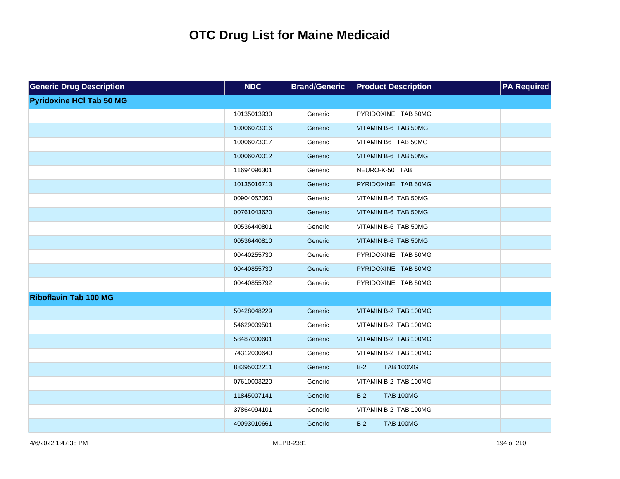| <b>Generic Drug Description</b> | <b>NDC</b>  | <b>Brand/Generic</b> | <b>Product Description</b> | <b>PA Required</b> |
|---------------------------------|-------------|----------------------|----------------------------|--------------------|
| <b>Pyridoxine HCI Tab 50 MG</b> |             |                      |                            |                    |
|                                 | 10135013930 | Generic              | PYRIDOXINE TAB 50MG        |                    |
|                                 | 10006073016 | Generic              | VITAMIN B-6 TAB 50MG       |                    |
|                                 | 10006073017 | Generic              | VITAMIN B6 TAB 50MG        |                    |
|                                 | 10006070012 | Generic              | VITAMIN B-6 TAB 50MG       |                    |
|                                 | 11694096301 | Generic              | NEURO-K-50 TAB             |                    |
|                                 | 10135016713 | Generic              | PYRIDOXINE TAB 50MG        |                    |
|                                 | 00904052060 | Generic              | VITAMIN B-6 TAB 50MG       |                    |
|                                 | 00761043620 | Generic              | VITAMIN B-6 TAB 50MG       |                    |
|                                 | 00536440801 | Generic              | VITAMIN B-6 TAB 50MG       |                    |
|                                 | 00536440810 | Generic              | VITAMIN B-6 TAB 50MG       |                    |
|                                 | 00440255730 | Generic              | PYRIDOXINE TAB 50MG        |                    |
|                                 | 00440855730 | Generic              | PYRIDOXINE TAB 50MG        |                    |
|                                 | 00440855792 | Generic              | PYRIDOXINE TAB 50MG        |                    |
| <b>Riboflavin Tab 100 MG</b>    |             |                      |                            |                    |
|                                 | 50428048229 | Generic              | VITAMIN B-2 TAB 100MG      |                    |
|                                 | 54629009501 | Generic              | VITAMIN B-2 TAB 100MG      |                    |
|                                 | 58487000601 | Generic              | VITAMIN B-2 TAB 100MG      |                    |
|                                 | 74312000640 | Generic              | VITAMIN B-2 TAB 100MG      |                    |
|                                 | 88395002211 | Generic              | $B-2$<br><b>TAB 100MG</b>  |                    |
|                                 | 07610003220 | Generic              | VITAMIN B-2 TAB 100MG      |                    |
|                                 | 11845007141 | Generic              | $B-2$<br><b>TAB 100MG</b>  |                    |
|                                 | 37864094101 | Generic              | VITAMIN B-2 TAB 100MG      |                    |
|                                 | 40093010661 | Generic              | $B-2$<br><b>TAB 100MG</b>  |                    |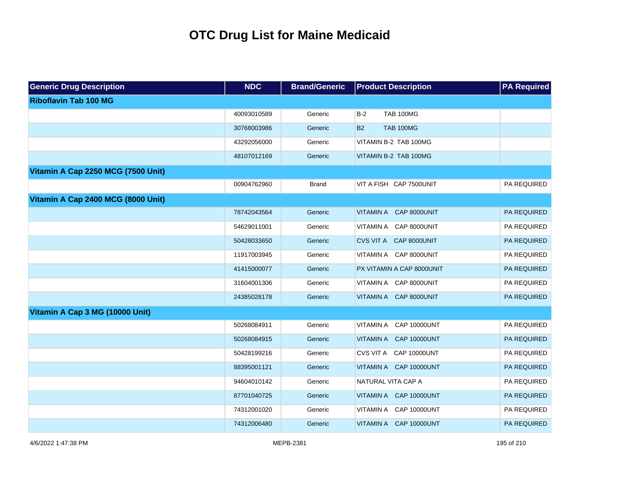| <b>Generic Drug Description</b>    | <b>NDC</b>  | <b>Brand/Generic</b> | <b>Product Description</b>       | <b>PA Required</b> |
|------------------------------------|-------------|----------------------|----------------------------------|--------------------|
| <b>Riboflavin Tab 100 MG</b>       |             |                      |                                  |                    |
|                                    | 40093010589 | Generic              | $B-2$<br><b>TAB 100MG</b>        |                    |
|                                    | 30768003986 | Generic              | <b>TAB 100MG</b><br><b>B2</b>    |                    |
|                                    | 43292056000 | Generic              | VITAMIN B-2 TAB 100MG            |                    |
|                                    | 48107012169 | Generic              | VITAMIN B-2 TAB 100MG            |                    |
| Vitamin A Cap 2250 MCG (7500 Unit) |             |                      |                                  |                    |
|                                    | 00904762960 | <b>Brand</b>         | VIT A FISH CAP 7500UNIT          | PA REQUIRED        |
| Vitamin A Cap 2400 MCG (8000 Unit) |             |                      |                                  |                    |
|                                    | 78742043564 | Generic              | VITAMIN A CAP 8000UNIT           | PA REQUIRED        |
|                                    | 54629011001 | Generic              | VITAMIN A CAP 8000UNIT           | PA REQUIRED        |
|                                    | 50428033650 | Generic              | CVS VIT A CAP 8000UNIT           | PA REQUIRED        |
|                                    | 11917003945 | Generic              | VITAMIN A CAP 8000UNIT           | PA REQUIRED        |
|                                    | 41415000077 | Generic              | PX VITAMIN A CAP 8000UNIT        | PA REQUIRED        |
|                                    | 31604001306 | Generic              | VITAMIN A CAP 8000UNIT           | PA REQUIRED        |
|                                    | 24385028178 | Generic              | VITAMIN A CAP 8000UNIT           | PA REQUIRED        |
| Vitamin A Cap 3 MG (10000 Unit)    |             |                      |                                  |                    |
|                                    | 50268084911 | Generic              | VITAMIN A<br><b>CAP 10000UNT</b> | PA REQUIRED        |
|                                    | 50268084915 | Generic              | VITAMIN A CAP 10000UNT           | PA REQUIRED        |
|                                    | 50428199216 | Generic              | CVS VIT A CAP 10000UNT           | PA REQUIRED        |
|                                    | 88395001121 | Generic              | VITAMIN A CAP 10000UNT           | PA REQUIRED        |
|                                    | 94604010142 | Generic              | NATURAL VITA CAP A               | PA REQUIRED        |
|                                    | 87701040725 | Generic              | VITAMIN A CAP 10000UNT           | PA REQUIRED        |
|                                    | 74312001020 | Generic              | VITAMIN A CAP 10000UNT           | PA REQUIRED        |
|                                    | 74312006480 | Generic              | VITAMIN A CAP 10000UNT           | PA REQUIRED        |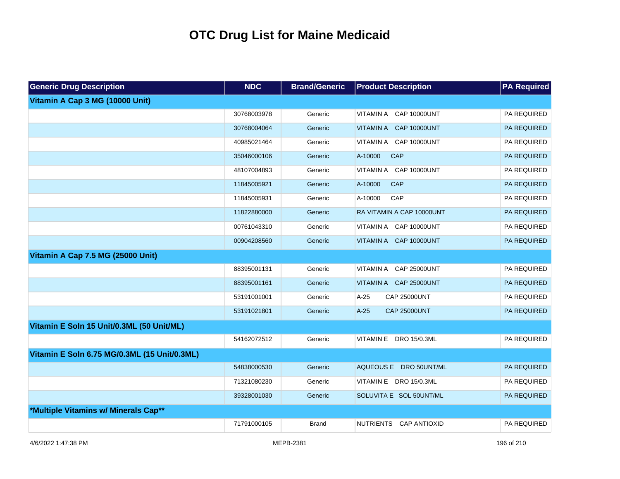| <b>Generic Drug Description</b>              | <b>NDC</b>  | <b>Brand/Generic</b> | <b>Product Description</b>    | <b>PA Required</b> |
|----------------------------------------------|-------------|----------------------|-------------------------------|--------------------|
| Vitamin A Cap 3 MG (10000 Unit)              |             |                      |                               |                    |
|                                              | 30768003978 | Generic              | VITAMIN A CAP 10000UNT        | PA REQUIRED        |
|                                              | 30768004064 | Generic              | VITAMIN A CAP 10000UNT        | PA REQUIRED        |
|                                              | 40985021464 | Generic              | VITAMIN A CAP 10000UNT        | PA REQUIRED        |
|                                              | 35046000106 | Generic              | A-10000<br>CAP                | <b>PA REQUIRED</b> |
|                                              | 48107004893 | Generic              | VITAMIN A CAP 10000UNT        | PA REQUIRED        |
|                                              | 11845005921 | Generic              | CAP<br>A-10000                | <b>PA REQUIRED</b> |
|                                              | 11845005931 | Generic              | A-10000<br>CAP                | PA REQUIRED        |
|                                              | 11822880000 | Generic              | RA VITAMIN A CAP 10000UNT     | PA REQUIRED        |
|                                              | 00761043310 | Generic              | VITAMIN A CAP 10000UNT        | PA REQUIRED        |
|                                              | 00904208560 | Generic              | VITAMIN A CAP 10000UNT        | PA REQUIRED        |
| Vitamin A Cap 7.5 MG (25000 Unit)            |             |                      |                               |                    |
|                                              | 88395001131 | Generic              | VITAMIN A CAP 25000UNT        | PA REQUIRED        |
|                                              | 88395001161 | Generic              | VITAMIN A CAP 25000UNT        | <b>PA REQUIRED</b> |
|                                              | 53191001001 | Generic              | <b>CAP 25000UNT</b><br>$A-25$ | PA REQUIRED        |
|                                              | 53191021801 | Generic              | <b>CAP 25000UNT</b><br>$A-25$ | <b>PA REQUIRED</b> |
| Vitamin E Soln 15 Unit/0.3ML (50 Unit/ML)    |             |                      |                               |                    |
|                                              | 54162072512 | Generic              | VITAMIN E DRO 15/0.3ML        | PA REQUIRED        |
| Vitamin E Soln 6.75 MG/0.3ML (15 Unit/0.3ML) |             |                      |                               |                    |
|                                              | 54838000530 | Generic              | AQUEOUS E DRO 50UNT/ML        | <b>PA REQUIRED</b> |
|                                              | 71321080230 | Generic              | VITAMIN E DRO 15/0.3ML        | PA REQUIRED        |
|                                              | 39328001030 | Generic              | SOLUVITA E SOL 50UNT/ML       | <b>PA REQUIRED</b> |
| *Multiple Vitamins w/ Minerals Cap**         |             |                      |                               |                    |
|                                              | 71791000105 | <b>Brand</b>         | NUTRIENTS CAP ANTIOXID        | PA REQUIRED        |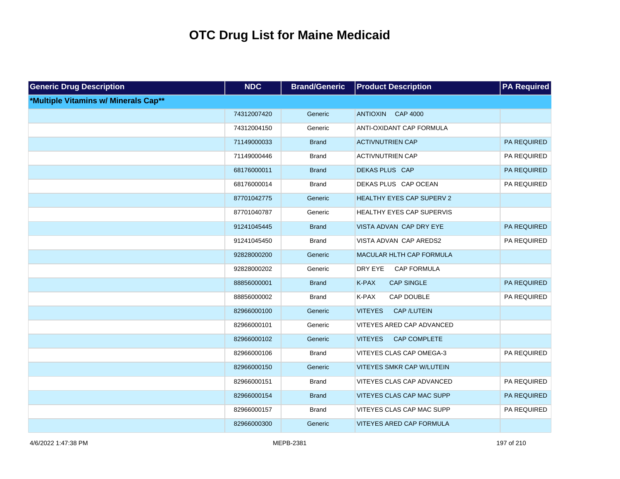| <b>Generic Drug Description</b>      | <b>NDC</b>  | <b>Brand/Generic</b> | <b>Product Description</b>          | <b>PA Required</b> |
|--------------------------------------|-------------|----------------------|-------------------------------------|--------------------|
| *Multiple Vitamins w/ Minerals Cap** |             |                      |                                     |                    |
|                                      | 74312007420 | Generic              | ANTIOXIN CAP 4000                   |                    |
|                                      | 74312004150 | Generic              | ANTI-OXIDANT CAP FORMULA            |                    |
|                                      | 71149000033 | <b>Brand</b>         | <b>ACTIVNUTRIEN CAP</b>             | PA REQUIRED        |
|                                      | 71149000446 | <b>Brand</b>         | <b>ACTIVNUTRIEN CAP</b>             | PA REQUIRED        |
|                                      | 68176000011 | <b>Brand</b>         | DEKAS PLUS CAP                      | PA REQUIRED        |
|                                      | 68176000014 | <b>Brand</b>         | DEKAS PLUS CAP OCEAN                | PA REQUIRED        |
|                                      | 87701042775 | Generic              | HEALTHY EYES CAP SUPERV 2           |                    |
|                                      | 87701040787 | Generic              | HEALTHY EYES CAP SUPERVIS           |                    |
|                                      | 91241045445 | <b>Brand</b>         | VISTA ADVAN CAP DRY EYE             | PA REQUIRED        |
|                                      | 91241045450 | <b>Brand</b>         | VISTA ADVAN CAP AREDS2              | PA REQUIRED        |
|                                      | 92828000200 | Generic              | MACULAR HLTH CAP FORMULA            |                    |
|                                      | 92828000202 | Generic              | DRY EYE<br><b>CAP FORMULA</b>       |                    |
|                                      | 88856000001 | <b>Brand</b>         | K-PAX<br><b>CAP SINGLE</b>          | PA REQUIRED        |
|                                      | 88856000002 | <b>Brand</b>         | K-PAX<br>CAP DOUBLE                 | PA REQUIRED        |
|                                      | 82966000100 | Generic              | <b>CAP/LUTEIN</b><br><b>VITEYES</b> |                    |
|                                      | 82966000101 | Generic              | VITEYES ARED CAP ADVANCED           |                    |
|                                      | 82966000102 | Generic              | CAP COMPLETE<br><b>VITEYES</b>      |                    |
|                                      | 82966000106 | <b>Brand</b>         | VITEYES CLAS CAP OMEGA-3            | PA REQUIRED        |
|                                      | 82966000150 | Generic              | <b>VITEYES SMKR CAP W/LUTEIN</b>    |                    |
|                                      | 82966000151 | <b>Brand</b>         | VITEYES CLAS CAP ADVANCED           | PA REQUIRED        |
|                                      | 82966000154 | <b>Brand</b>         | VITEYES CLAS CAP MAC SUPP           | PA REQUIRED        |
|                                      | 82966000157 | <b>Brand</b>         | VITEYES CLAS CAP MAC SUPP           | PA REQUIRED        |
|                                      | 82966000300 | Generic              | <b>VITEYES ARED CAP FORMULA</b>     |                    |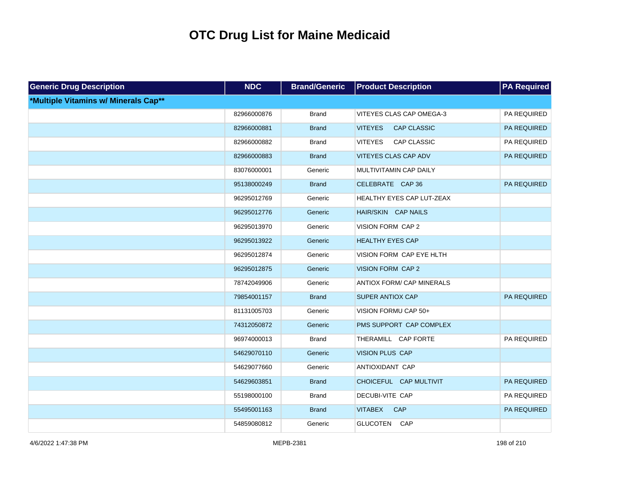| <b>Generic Drug Description</b>      | <b>NDC</b>  | <b>Brand/Generic</b> | <b>Product Description</b>           | <b>PA Required</b> |
|--------------------------------------|-------------|----------------------|--------------------------------------|--------------------|
| *Multiple Vitamins w/ Minerals Cap** |             |                      |                                      |                    |
|                                      | 82966000876 | <b>Brand</b>         | VITEYES CLAS CAP OMEGA-3             | PA REQUIRED        |
|                                      | 82966000881 | <b>Brand</b>         | <b>CAP CLASSIC</b><br><b>VITEYES</b> | PA REQUIRED        |
|                                      | 82966000882 | <b>Brand</b>         | CAP CLASSIC<br><b>VITEYES</b>        | PA REQUIRED        |
|                                      | 82966000883 | <b>Brand</b>         | VITEYES CLAS CAP ADV                 | PA REQUIRED        |
|                                      | 83076000001 | Generic              | MULTIVITAMIN CAP DAILY               |                    |
|                                      | 95138000249 | <b>Brand</b>         | CELEBRATE CAP 36                     | <b>PA REQUIRED</b> |
|                                      | 96295012769 | Generic              | HEALTHY EYES CAP LUT-ZEAX            |                    |
|                                      | 96295012776 | Generic              | HAIR/SKIN CAP NAILS                  |                    |
|                                      | 96295013970 | Generic              | VISION FORM CAP 2                    |                    |
|                                      | 96295013922 | Generic              | <b>HEALTHY EYES CAP</b>              |                    |
|                                      | 96295012874 | Generic              | VISION FORM CAP EYE HLTH             |                    |
|                                      | 96295012875 | Generic              | VISION FORM CAP 2                    |                    |
|                                      | 78742049906 | Generic              | <b>ANTIOX FORM/ CAP MINERALS</b>     |                    |
|                                      | 79854001157 | <b>Brand</b>         | <b>SUPER ANTIOX CAP</b>              | <b>PA REQUIRED</b> |
|                                      | 81131005703 | Generic              | VISION FORMU CAP 50+                 |                    |
|                                      | 74312050872 | Generic              | PMS SUPPORT CAP COMPLEX              |                    |
|                                      | 96974000013 | <b>Brand</b>         | THERAMILL CAP FORTE                  | PA REQUIRED        |
|                                      | 54629070110 | Generic              | <b>VISION PLUS CAP</b>               |                    |
|                                      | 54629077660 | Generic              | ANTIOXIDANT CAP                      |                    |
|                                      | 54629603851 | <b>Brand</b>         | CHOICEFUL CAP MULTIVIT               | PA REQUIRED        |
|                                      | 55198000100 | <b>Brand</b>         | DECUBI-VITE CAP                      | PA REQUIRED        |
|                                      | 55495001163 | <b>Brand</b>         | <b>VITABEX</b><br>CAP                | PA REQUIRED        |
|                                      | 54859080812 | Generic              | GLUCOTEN CAP                         |                    |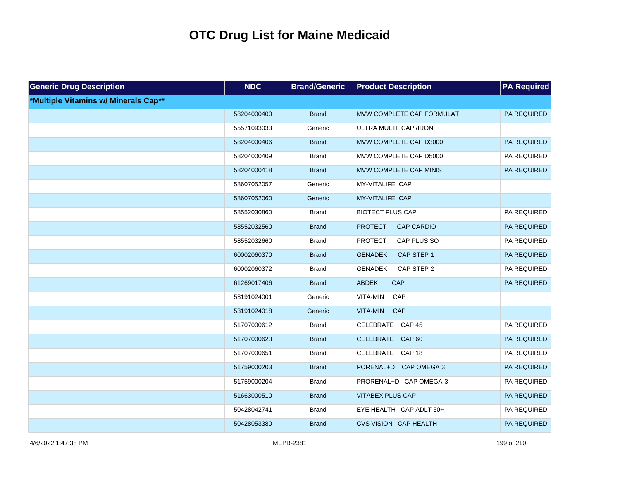| <b>Generic Drug Description</b>      | <b>NDC</b>  | <b>Brand/Generic</b> | <b>Product Description</b>          | <b>PA Required</b> |
|--------------------------------------|-------------|----------------------|-------------------------------------|--------------------|
| *Multiple Vitamins w/ Minerals Cap** |             |                      |                                     |                    |
|                                      | 58204000400 | <b>Brand</b>         | MVW COMPLETE CAP FORMULAT           | PA REQUIRED        |
|                                      | 55571093033 | Generic              | ULTRA MULTI CAP /IRON               |                    |
|                                      | 58204000406 | <b>Brand</b>         | MVW COMPLETE CAP D3000              | PA REQUIRED        |
|                                      | 58204000409 | <b>Brand</b>         | MVW COMPLETE CAP D5000              | PA REQUIRED        |
|                                      | 58204000418 | <b>Brand</b>         | MVW COMPLETE CAP MINIS              | PA REQUIRED        |
|                                      | 58607052057 | Generic              | MY-VITALIFE CAP                     |                    |
|                                      | 58607052060 | Generic              | MY-VITALIFE CAP                     |                    |
|                                      | 58552030860 | <b>Brand</b>         | <b>BIOTECT PLUS CAP</b>             | PA REQUIRED        |
|                                      | 58552032560 | <b>Brand</b>         | <b>PROTECT</b><br><b>CAP CARDIO</b> | PA REQUIRED        |
|                                      | 58552032660 | <b>Brand</b>         | <b>PROTECT</b><br>CAP PLUS SO       | PA REQUIRED        |
|                                      | 60002060370 | <b>Brand</b>         | <b>GENADEK</b><br>CAP STEP 1        | PA REQUIRED        |
|                                      | 60002060372 | <b>Brand</b>         | <b>GENADEK</b><br>CAP STEP 2        | PA REQUIRED        |
|                                      | 61269017406 | <b>Brand</b>         | <b>ABDEK</b><br>CAP                 | PA REQUIRED        |
|                                      | 53191024001 | Generic              | VITA-MIN<br>CAP                     |                    |
|                                      | 53191024018 | Generic              | VITA-MIN<br>CAP                     |                    |
|                                      | 51707000612 | <b>Brand</b>         | CELEBRATE CAP 45                    | PA REQUIRED        |
|                                      | 51707000623 | <b>Brand</b>         | CELEBRATE CAP 60                    | PA REQUIRED        |
|                                      | 51707000651 | <b>Brand</b>         | CELEBRATE CAP 18                    | PA REQUIRED        |
|                                      | 51759000203 | <b>Brand</b>         | PORENAL+D CAP OMEGA 3               | PA REQUIRED        |
|                                      | 51759000204 | <b>Brand</b>         | PRORENAL+D CAP OMEGA-3              | PA REQUIRED        |
|                                      | 51663000510 | <b>Brand</b>         | <b>VITABEX PLUS CAP</b>             | PA REQUIRED        |
|                                      | 50428042741 | <b>Brand</b>         | EYE HEALTH CAP ADLT 50+             | PA REQUIRED        |
|                                      | 50428053380 | <b>Brand</b>         | <b>CVS VISION CAP HEALTH</b>        | <b>PA REQUIRED</b> |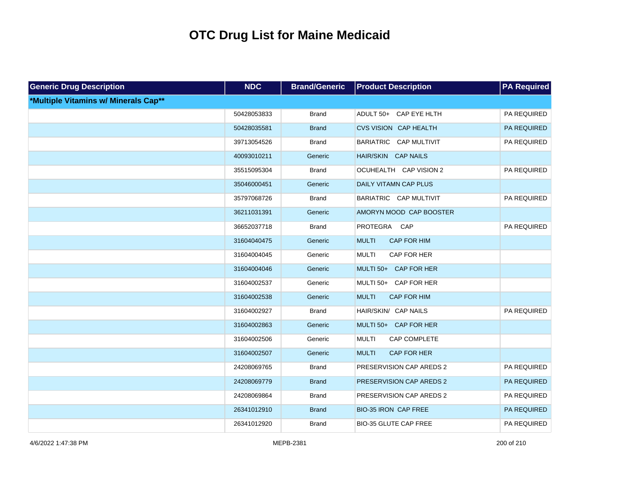| <b>Generic Drug Description</b>      | <b>NDC</b>  | <b>Brand/Generic</b> | <b>Product Description</b>          | <b>PA Required</b> |
|--------------------------------------|-------------|----------------------|-------------------------------------|--------------------|
| *Multiple Vitamins w/ Minerals Cap** |             |                      |                                     |                    |
|                                      | 50428053833 | <b>Brand</b>         | ADULT 50+ CAP EYE HLTH              | PA REQUIRED        |
|                                      | 50428035581 | <b>Brand</b>         | <b>CVS VISION CAP HEALTH</b>        | PA REQUIRED        |
|                                      | 39713054526 | <b>Brand</b>         | BARIATRIC CAP MULTIVIT              | PA REQUIRED        |
|                                      | 40093010211 | Generic              | HAIR/SKIN CAP NAILS                 |                    |
|                                      | 35515095304 | <b>Brand</b>         | OCUHEALTH CAP VISION 2              | PA REQUIRED        |
|                                      | 35046000451 | Generic              | DAILY VITAMN CAP PLUS               |                    |
|                                      | 35797068726 | <b>Brand</b>         | BARIATRIC CAP MULTIVIT              | PA REQUIRED        |
|                                      | 36211031391 | Generic              | AMORYN MOOD CAP BOOSTER             |                    |
|                                      | 36652037718 | <b>Brand</b>         | PROTEGRA CAP                        | PA REQUIRED        |
|                                      | 31604040475 | Generic              | <b>MULTI</b><br>CAP FOR HIM         |                    |
|                                      | 31604004045 | Generic              | <b>MULTI</b><br>CAP FOR HER         |                    |
|                                      | 31604004046 | Generic              | MULTI 50+ CAP FOR HER               |                    |
|                                      | 31604002537 | Generic              | MULTI 50+ CAP FOR HER               |                    |
|                                      | 31604002538 | Generic              | <b>CAP FOR HIM</b><br><b>MULTI</b>  |                    |
|                                      | 31604002927 | <b>Brand</b>         | HAIR/SKIN/ CAP NAILS                | PA REQUIRED        |
|                                      | 31604002863 | Generic              | MULTI 50+ CAP FOR HER               |                    |
|                                      | 31604002506 | Generic              | <b>MULTI</b><br><b>CAP COMPLETE</b> |                    |
|                                      | 31604002507 | Generic              | <b>MULTI</b><br>CAP FOR HER         |                    |
|                                      | 24208069765 | <b>Brand</b>         | PRESERVISION CAP AREDS 2            | PA REQUIRED        |
|                                      | 24208069779 | <b>Brand</b>         | PRESERVISION CAP AREDS 2            | PA REQUIRED        |
|                                      | 24208069864 | <b>Brand</b>         | PRESERVISION CAP AREDS 2            | PA REQUIRED        |
|                                      | 26341012910 | <b>Brand</b>         | <b>BIO-35 IRON CAP FREE</b>         | PA REQUIRED        |
|                                      | 26341012920 | <b>Brand</b>         | <b>BIO-35 GLUTE CAP FREE</b>        | PA REQUIRED        |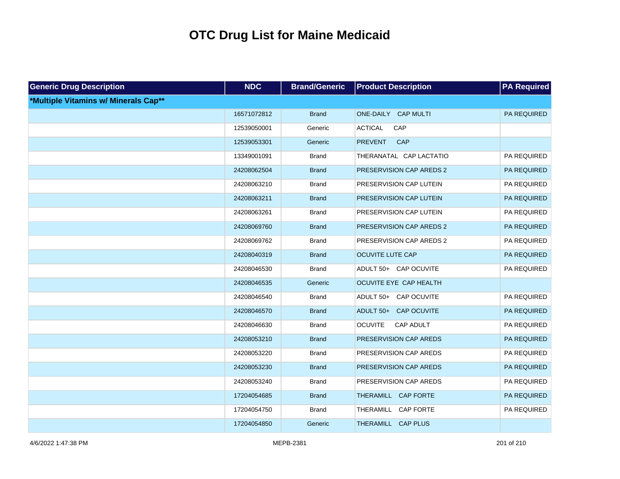| <b>Generic Drug Description</b>      | <b>NDC</b>  | <b>Brand/Generic</b> | <b>Product Description</b>         | <b>PA Required</b> |
|--------------------------------------|-------------|----------------------|------------------------------------|--------------------|
| *Multiple Vitamins w/ Minerals Cap** |             |                      |                                    |                    |
|                                      | 16571072812 | <b>Brand</b>         | ONE-DAILY CAP MULTI                | PA REQUIRED        |
|                                      | 12539050001 | Generic              | <b>ACTICAL</b><br>CAP              |                    |
|                                      | 12539053301 | Generic              | <b>CAP</b><br><b>PREVENT</b>       |                    |
|                                      | 13349001091 | <b>Brand</b>         | THERANATAL CAP LACTATIO            | PA REQUIRED        |
|                                      | 24208062504 | <b>Brand</b>         | PRESERVISION CAP AREDS 2           | PA REQUIRED        |
|                                      | 24208063210 | <b>Brand</b>         | PRESERVISION CAP LUTEIN            | PA REQUIRED        |
|                                      | 24208063211 | <b>Brand</b>         | PRESERVISION CAP LUTEIN            | PA REQUIRED        |
|                                      | 24208063261 | <b>Brand</b>         | PRESERVISION CAP LUTEIN            | PA REQUIRED        |
|                                      | 24208069760 | <b>Brand</b>         | PRESERVISION CAP AREDS 2           | PA REQUIRED        |
|                                      | 24208069762 | <b>Brand</b>         | PRESERVISION CAP AREDS 2           | PA REQUIRED        |
|                                      | 24208040319 | <b>Brand</b>         | OCUVITE LUTE CAP                   | PA REQUIRED        |
|                                      | 24208046530 | <b>Brand</b>         | ADULT 50+ CAP OCUVITE              | PA REQUIRED        |
|                                      | 24208046535 | Generic              | OCUVITE EYE CAP HEALTH             |                    |
|                                      | 24208046540 | <b>Brand</b>         | ADULT 50+ CAP OCUVITE              | PA REQUIRED        |
|                                      | 24208046570 | <b>Brand</b>         | ADULT 50+ CAP OCUVITE              | PA REQUIRED        |
|                                      | 24208046630 | <b>Brand</b>         | <b>OCUVITE</b><br><b>CAP ADULT</b> | PA REQUIRED        |
|                                      | 24208053210 | <b>Brand</b>         | PRESERVISION CAP AREDS             | PA REQUIRED        |
|                                      | 24208053220 | <b>Brand</b>         | PRESERVISION CAP AREDS             | PA REQUIRED        |
|                                      | 24208053230 | <b>Brand</b>         | PRESERVISION CAP AREDS             | PA REQUIRED        |
|                                      | 24208053240 | <b>Brand</b>         | PRESERVISION CAP AREDS             | PA REQUIRED        |
|                                      | 17204054685 | <b>Brand</b>         | THERAMILL CAP FORTE                | PA REQUIRED        |
|                                      | 17204054750 | <b>Brand</b>         | THERAMILL CAP FORTE                | PA REQUIRED        |
|                                      | 17204054850 | Generic              | THERAMILL CAP PLUS                 |                    |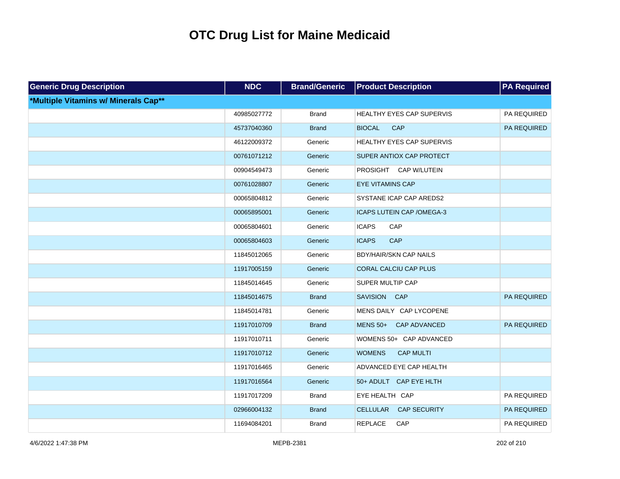| <b>Generic Drug Description</b>      | <b>NDC</b>  | <b>Brand/Generic</b> | <b>Product Description</b>             | <b>PA Required</b> |
|--------------------------------------|-------------|----------------------|----------------------------------------|--------------------|
| *Multiple Vitamins w/ Minerals Cap** |             |                      |                                        |                    |
|                                      | 40985027772 | <b>Brand</b>         | HEALTHY EYES CAP SUPERVIS              | PA REQUIRED        |
|                                      | 45737040360 | <b>Brand</b>         | <b>BIOCAL</b><br><b>CAP</b>            | PA REQUIRED        |
|                                      | 46122009372 | Generic              | HEALTHY EYES CAP SUPERVIS              |                    |
|                                      | 00761071212 | Generic              | SUPER ANTIOX CAP PROTECT               |                    |
|                                      | 00904549473 | Generic              | PROSIGHT CAP W/LUTEIN                  |                    |
|                                      | 00761028807 | Generic              | <b>EYE VITAMINS CAP</b>                |                    |
|                                      | 00065804812 | Generic              | SYSTANE ICAP CAP AREDS2                |                    |
|                                      | 00065895001 | Generic              | ICAPS LUTEIN CAP / OMEGA-3             |                    |
|                                      | 00065804601 | Generic              | <b>ICAPS</b><br>CAP                    |                    |
|                                      | 00065804603 | Generic              | <b>ICAPS</b><br>CAP                    |                    |
|                                      | 11845012065 | Generic              | <b>BDY/HAIR/SKN CAP NAILS</b>          |                    |
|                                      | 11917005159 | Generic              | <b>CORAL CALCIU CAP PLUS</b>           |                    |
|                                      | 11845014645 | Generic              | SUPER MULTIP CAP                       |                    |
|                                      | 11845014675 | <b>Brand</b>         | SAVISION CAP                           | PA REQUIRED        |
|                                      | 11845014781 | Generic              | MENS DAILY CAP LYCOPENE                |                    |
|                                      | 11917010709 | <b>Brand</b>         | $MENS$ 50+<br>CAP ADVANCED             | <b>PA REQUIRED</b> |
|                                      | 11917010711 | Generic              | WOMENS 50+ CAP ADVANCED                |                    |
|                                      | 11917010712 | Generic              | <b>WOMENS</b><br><b>CAP MULTI</b>      |                    |
|                                      | 11917016465 | Generic              | ADVANCED EYE CAP HEALTH                |                    |
|                                      | 11917016564 | Generic              | 50+ ADULT CAP EYE HLTH                 |                    |
|                                      | 11917017209 | <b>Brand</b>         | EYE HEALTH CAP                         | PA REQUIRED        |
|                                      | 02966004132 | <b>Brand</b>         | <b>CELLULAR</b><br><b>CAP SECURITY</b> | PA REQUIRED        |
|                                      | 11694084201 | <b>Brand</b>         | <b>REPLACE</b><br>CAP                  | PA REQUIRED        |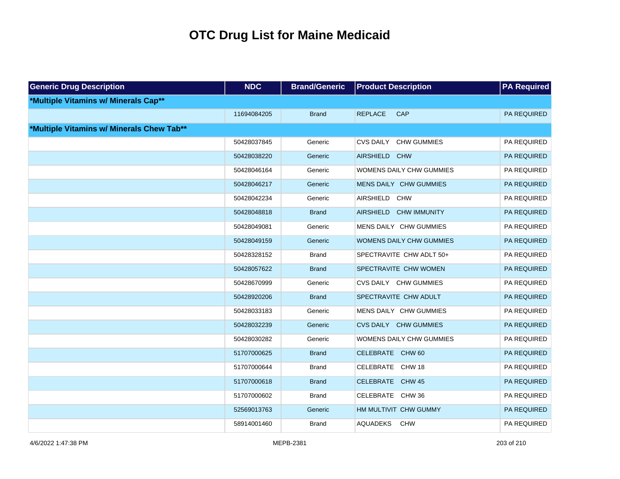| <b>Generic Drug Description</b>           | <b>NDC</b>  | <b>Brand/Generic</b> | <b>Product Description</b>    | <b>PA Required</b> |
|-------------------------------------------|-------------|----------------------|-------------------------------|--------------------|
| *Multiple Vitamins w/ Minerals Cap**      |             |                      |                               |                    |
|                                           | 11694084205 | <b>Brand</b>         | <b>CAP</b><br><b>REPLACE</b>  | PA REQUIRED        |
| *Multiple Vitamins w/ Minerals Chew Tab** |             |                      |                               |                    |
|                                           | 50428037845 | Generic              | CVS DAILY CHW GUMMIES         | PA REQUIRED        |
|                                           | 50428038220 | Generic              | AIRSHIELD CHW                 | PA REQUIRED        |
|                                           | 50428046164 | Generic              | WOMENS DAILY CHW GUMMIES      | PA REQUIRED        |
|                                           | 50428046217 | Generic              | MENS DAILY CHW GUMMIES        | PA REQUIRED        |
|                                           | 50428042234 | Generic              | AIRSHIELD CHW                 | PA REQUIRED        |
|                                           | 50428048818 | <b>Brand</b>         | AIRSHIELD CHW IMMUNITY        | PA REQUIRED        |
|                                           | 50428049081 | Generic              | MENS DAILY CHW GUMMIES        | PA REQUIRED        |
|                                           | 50428049159 | Generic              | WOMENS DAILY CHW GUMMIES      | PA REQUIRED        |
|                                           | 50428328152 | Brand                | SPECTRAVITE CHW ADLT 50+      | PA REQUIRED        |
|                                           | 50428057622 | <b>Brand</b>         | SPECTRAVITE CHW WOMEN         | PA REQUIRED        |
|                                           | 50428670999 | Generic              | CVS DAILY CHW GUMMIES         | PA REQUIRED        |
|                                           | 50428920206 | <b>Brand</b>         | SPECTRAVITE CHW ADULT         | PA REQUIRED        |
|                                           | 50428033183 | Generic              | MENS DAILY CHW GUMMIES        | PA REQUIRED        |
|                                           | 50428032239 | Generic              | <b>CVS DAILY CHW GUMMIES</b>  | PA REQUIRED        |
|                                           | 50428030282 | Generic              | WOMENS DAILY CHW GUMMIES      | PA REQUIRED        |
|                                           | 51707000625 | <b>Brand</b>         | CELEBRATE CHW 60              | PA REQUIRED        |
|                                           | 51707000644 | Brand                | CELEBRATE CHW 18              | PA REQUIRED        |
|                                           | 51707000618 | <b>Brand</b>         | CELEBRATE CHW 45              | PA REQUIRED        |
|                                           | 51707000602 | <b>Brand</b>         | CELEBRATE CHW 36              | PA REQUIRED        |
|                                           | 52569013763 | Generic              | HM MULTIVIT CHW GUMMY         | PA REQUIRED        |
|                                           | 58914001460 | <b>Brand</b>         | <b>AQUADEKS</b><br><b>CHW</b> | PA REQUIRED        |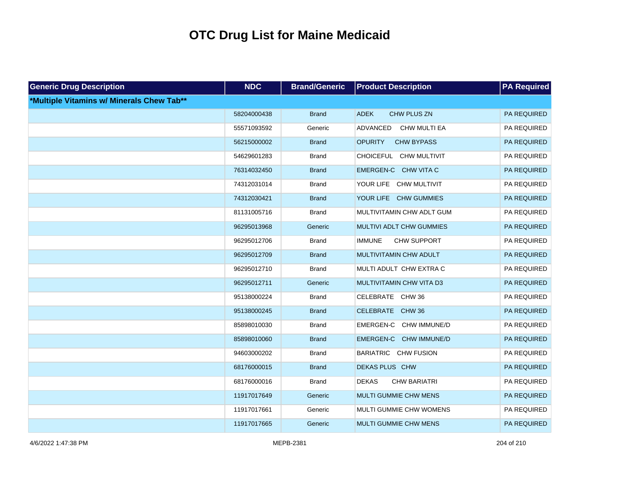| <b>Generic Drug Description</b>           | <b>NDC</b>  | <b>Brand/Generic</b> | <b>Product Description</b>          | <b>PA Required</b> |
|-------------------------------------------|-------------|----------------------|-------------------------------------|--------------------|
| *Multiple Vitamins w/ Minerals Chew Tab** |             |                      |                                     |                    |
|                                           | 58204000438 | <b>Brand</b>         | <b>ADEK</b><br>CHW PLUS ZN          | PA REQUIRED        |
|                                           | 55571093592 | Generic              | <b>ADVANCED</b><br>CHW MULTI EA     | PA REQUIRED        |
|                                           | 56215000002 | <b>Brand</b>         | <b>OPURITY</b><br><b>CHW BYPASS</b> | PA REQUIRED        |
|                                           | 54629601283 | <b>Brand</b>         | CHOICEFUL CHW MULTIVIT              | PA REQUIRED        |
|                                           | 76314032450 | <b>Brand</b>         | EMERGEN-C CHW VITA C                | PA REQUIRED        |
|                                           | 74312031014 | <b>Brand</b>         | YOUR LIFE CHW MULTIVIT              | PA REQUIRED        |
|                                           | 74312030421 | <b>Brand</b>         | YOUR LIFE CHW GUMMIES               | PA REQUIRED        |
|                                           | 81131005716 | <b>Brand</b>         | MULTIVITAMIN CHW ADLT GUM           | PA REQUIRED        |
|                                           | 96295013968 | Generic              | MULTIVI ADLT CHW GUMMIES            | PA REQUIRED        |
|                                           | 96295012706 | <b>Brand</b>         | CHW SUPPORT<br><b>IMMUNE</b>        | PA REQUIRED        |
|                                           | 96295012709 | <b>Brand</b>         | MULTIVITAMIN CHW ADULT              | PA REQUIRED        |
|                                           | 96295012710 | <b>Brand</b>         | MULTI ADULT CHW EXTRA C             | PA REQUIRED        |
|                                           | 96295012711 | Generic              | MULTIVITAMIN CHW VITA D3            | PA REQUIRED        |
|                                           | 95138000224 | <b>Brand</b>         | CELEBRATE CHW 36                    | PA REQUIRED        |
|                                           | 95138000245 | <b>Brand</b>         | CELEBRATE CHW 36                    | PA REQUIRED        |
|                                           | 85898010030 | <b>Brand</b>         | EMERGEN-C CHW IMMUNE/D              | PA REQUIRED        |
|                                           | 85898010060 | <b>Brand</b>         | EMERGEN-C CHW IMMUNE/D              | PA REQUIRED        |
|                                           | 94603000202 | <b>Brand</b>         | BARIATRIC CHW FUSION                | PA REQUIRED        |
|                                           | 68176000015 | <b>Brand</b>         | DEKAS PLUS CHW                      | PA REQUIRED        |
|                                           | 68176000016 | <b>Brand</b>         | <b>DEKAS</b><br><b>CHW BARIATRI</b> | PA REQUIRED        |
|                                           | 11917017649 | Generic              | MULTI GUMMIE CHW MENS               | PA REQUIRED        |
|                                           | 11917017661 | Generic              | MULTI GUMMIE CHW WOMENS             | PA REQUIRED        |
|                                           | 11917017665 | Generic              | <b>MULTI GUMMIE CHW MENS</b>        | PA REQUIRED        |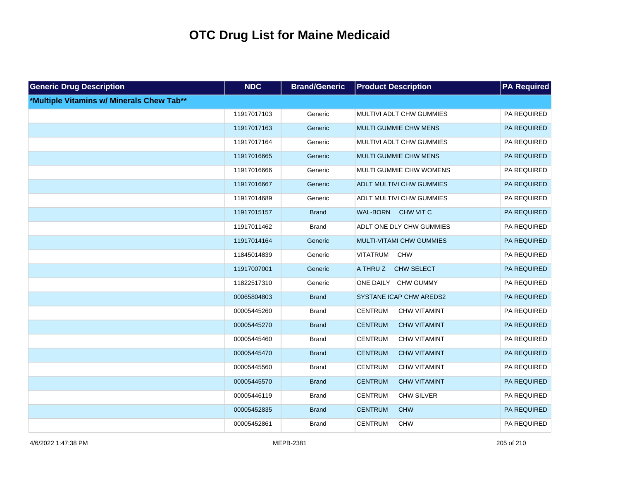| <b>Generic Drug Description</b>           | <b>NDC</b>  | <b>Brand/Generic</b> | <b>Product Description</b>            | <b>PA Required</b> |
|-------------------------------------------|-------------|----------------------|---------------------------------------|--------------------|
| *Multiple Vitamins w/ Minerals Chew Tab** |             |                      |                                       |                    |
|                                           | 11917017103 | Generic              | MULTIVI ADLT CHW GUMMIES              | PA REQUIRED        |
|                                           | 11917017163 | Generic              | <b>MULTI GUMMIE CHW MENS</b>          | PA REQUIRED        |
|                                           | 11917017164 | Generic              | MULTIVI ADLT CHW GUMMIES              | PA REQUIRED        |
|                                           | 11917016665 | Generic              | <b>MULTI GUMMIE CHW MENS</b>          | PA REQUIRED        |
|                                           | 11917016666 | Generic              | MULTI GUMMIE CHW WOMENS               | PA REQUIRED        |
|                                           | 11917016667 | Generic              | <b>ADLT MULTIVI CHW GUMMIES</b>       | PA REQUIRED        |
|                                           | 11917014689 | Generic              | ADLT MULTIVI CHW GUMMIES              | PA REQUIRED        |
|                                           | 11917015157 | <b>Brand</b>         | <b>WAL-BORN</b><br>CHW VIT C          | PA REQUIRED        |
|                                           | 11917011462 | <b>Brand</b>         | ADLT ONE DLY CHW GUMMIES              | PA REQUIRED        |
|                                           | 11917014164 | Generic              | MULTI-VITAMI CHW GUMMIES              | PA REQUIRED        |
|                                           | 11845014839 | Generic              | VITATRUM<br><b>CHW</b>                | PA REQUIRED        |
|                                           | 11917007001 | Generic              | A THRU Z<br>CHW SELECT                | PA REQUIRED        |
|                                           | 11822517310 | Generic              | ONE DAILY CHW GUMMY                   | PA REQUIRED        |
|                                           | 00065804803 | <b>Brand</b>         | SYSTANE ICAP CHW AREDS2               | PA REQUIRED        |
|                                           | 00005445260 | <b>Brand</b>         | <b>CENTRUM</b><br><b>CHW VITAMINT</b> | PA REQUIRED        |
|                                           | 00005445270 | <b>Brand</b>         | <b>CENTRUM</b><br><b>CHW VITAMINT</b> | PA REQUIRED        |
|                                           | 00005445460 | <b>Brand</b>         | <b>CENTRUM</b><br><b>CHW VITAMINT</b> | PA REQUIRED        |
|                                           | 00005445470 | <b>Brand</b>         | <b>CENTRUM</b><br><b>CHW VITAMINT</b> | PA REQUIRED        |
|                                           | 00005445560 | <b>Brand</b>         | <b>CENTRUM</b><br><b>CHW VITAMINT</b> | PA REQUIRED        |
|                                           | 00005445570 | <b>Brand</b>         | <b>CENTRUM</b><br><b>CHW VITAMINT</b> | PA REQUIRED        |
|                                           | 00005446119 | <b>Brand</b>         | <b>CENTRUM</b><br><b>CHW SILVER</b>   | PA REQUIRED        |
|                                           | 00005452835 | <b>Brand</b>         | <b>CENTRUM</b><br><b>CHW</b>          | PA REQUIRED        |
|                                           | 00005452861 | <b>Brand</b>         | <b>CENTRUM</b><br><b>CHW</b>          | PA REQUIRED        |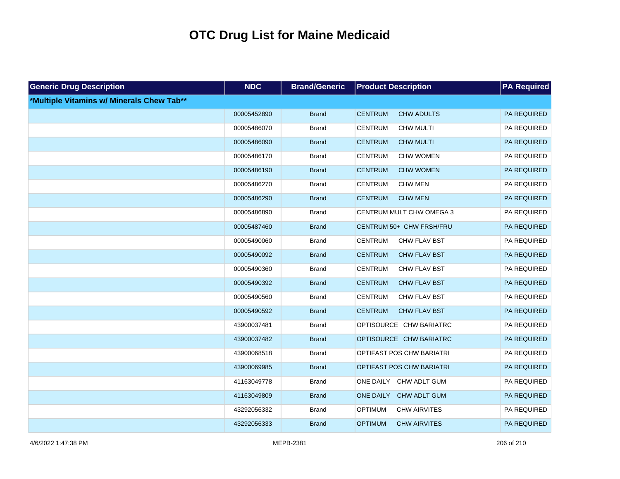| <b>Generic Drug Description</b>           | <b>NDC</b>  | <b>Brand/Generic</b> | <b>Product Description</b>            | <b>PA Required</b> |
|-------------------------------------------|-------------|----------------------|---------------------------------------|--------------------|
| *Multiple Vitamins w/ Minerals Chew Tab** |             |                      |                                       |                    |
|                                           | 00005452890 | <b>Brand</b>         | <b>CENTRUM</b><br><b>CHW ADULTS</b>   | PA REQUIRED        |
|                                           | 00005486070 | <b>Brand</b>         | <b>CENTRUM</b><br><b>CHW MULTI</b>    | PA REQUIRED        |
|                                           | 00005486090 | <b>Brand</b>         | <b>CENTRUM</b><br><b>CHW MULTI</b>    | PA REQUIRED        |
|                                           | 00005486170 | <b>Brand</b>         | <b>CENTRUM</b><br>CHW WOMEN           | PA REQUIRED        |
|                                           | 00005486190 | <b>Brand</b>         | <b>CENTRUM</b><br><b>CHW WOMEN</b>    | PA REQUIRED        |
|                                           | 00005486270 | <b>Brand</b>         | <b>CENTRUM</b><br><b>CHW MEN</b>      | PA REQUIRED        |
|                                           | 00005486290 | <b>Brand</b>         | <b>CENTRUM</b><br><b>CHW MEN</b>      | PA REQUIRED        |
|                                           | 00005486890 | <b>Brand</b>         | CENTRUM MULT CHW OMEGA 3              | PA REQUIRED        |
|                                           | 00005487460 | <b>Brand</b>         | CENTRUM 50+ CHW FRSH/FRU              | PA REQUIRED        |
|                                           | 00005490060 | <b>Brand</b>         | <b>CENTRUM</b><br>CHW FLAV BST        | PA REQUIRED        |
|                                           | 00005490092 | <b>Brand</b>         | <b>CENTRUM</b><br><b>CHW FLAV BST</b> | PA REQUIRED        |
|                                           | 00005490360 | <b>Brand</b>         | <b>CENTRUM</b><br>CHW FLAV BST        | PA REQUIRED        |
|                                           | 00005490392 | <b>Brand</b>         | <b>CENTRUM</b><br><b>CHW FLAV BST</b> | PA REQUIRED        |
|                                           | 00005490560 | <b>Brand</b>         | <b>CENTRUM</b><br>CHW FLAV BST        | PA REQUIRED        |
|                                           | 00005490592 | <b>Brand</b>         | <b>CENTRUM</b><br><b>CHW FLAV BST</b> | PA REQUIRED        |
|                                           | 43900037481 | <b>Brand</b>         | OPTISOURCE CHW BARIATRC               | PA REQUIRED        |
|                                           | 43900037482 | <b>Brand</b>         | OPTISOURCE CHW BARIATRC               | PA REQUIRED        |
|                                           | 43900068518 | <b>Brand</b>         | OPTIFAST POS CHW BARIATRI             | PA REQUIRED        |
|                                           | 43900069985 | <b>Brand</b>         | OPTIFAST POS CHW BARIATRI             | PA REQUIRED        |
|                                           | 41163049778 | <b>Brand</b>         | ONE DAILY CHW ADLT GUM                | PA REQUIRED        |
|                                           | 41163049809 | <b>Brand</b>         | ONE DAILY<br>CHW ADLT GUM             | PA REQUIRED        |
|                                           | 43292056332 | <b>Brand</b>         | <b>OPTIMUM</b><br><b>CHW AIRVITES</b> | PA REQUIRED        |
|                                           | 43292056333 | <b>Brand</b>         | <b>OPTIMUM</b><br><b>CHW AIRVITES</b> | PA REQUIRED        |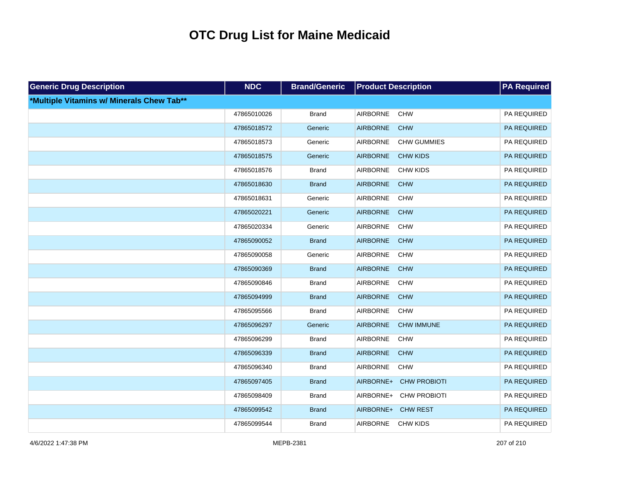| <b>Generic Drug Description</b>           | <b>NDC</b>  | <b>Brand/Generic</b> | <b>Product Description</b>            | <b>PA</b> Required |
|-------------------------------------------|-------------|----------------------|---------------------------------------|--------------------|
| *Multiple Vitamins w/ Minerals Chew Tab** |             |                      |                                       |                    |
|                                           | 47865010026 | <b>Brand</b>         | <b>AIRBORNE</b><br><b>CHW</b>         | PA REQUIRED        |
|                                           | 47865018572 | Generic              | <b>AIRBORNE</b><br><b>CHW</b>         | PA REQUIRED        |
|                                           | 47865018573 | Generic              | <b>AIRBORNE</b><br><b>CHW GUMMIES</b> | PA REQUIRED        |
|                                           | 47865018575 | Generic              | <b>AIRBORNE</b><br><b>CHW KIDS</b>    | PA REQUIRED        |
|                                           | 47865018576 | <b>Brand</b>         | <b>AIRBORNE</b><br><b>CHW KIDS</b>    | PA REQUIRED        |
|                                           | 47865018630 | <b>Brand</b>         | <b>AIRBORNE</b><br><b>CHW</b>         | PA REQUIRED        |
|                                           | 47865018631 | Generic              | AIRBORNE<br><b>CHW</b>                | PA REQUIRED        |
|                                           | 47865020221 | Generic              | <b>AIRBORNE</b><br><b>CHW</b>         | PA REQUIRED        |
|                                           | 47865020334 | Generic              | AIRBORNE<br><b>CHW</b>                | PA REQUIRED        |
|                                           | 47865090052 | <b>Brand</b>         | <b>AIRBORNE</b><br><b>CHW</b>         | PA REQUIRED        |
|                                           | 47865090058 | Generic              | AIRBORNE<br><b>CHW</b>                | PA REQUIRED        |
|                                           | 47865090369 | <b>Brand</b>         | <b>AIRBORNE</b><br><b>CHW</b>         | PA REQUIRED        |
|                                           | 47865090846 | <b>Brand</b>         | <b>AIRBORNE</b><br><b>CHW</b>         | PA REQUIRED        |
|                                           | 47865094999 | <b>Brand</b>         | <b>AIRBORNE</b><br><b>CHW</b>         | PA REQUIRED        |
|                                           | 47865095566 | <b>Brand</b>         | <b>AIRBORNE</b><br><b>CHW</b>         | PA REQUIRED        |
|                                           | 47865096297 | Generic              | <b>AIRBORNE</b><br><b>CHW IMMUNE</b>  | PA REQUIRED        |
|                                           | 47865096299 | <b>Brand</b>         | <b>AIRBORNE</b><br><b>CHW</b>         | PA REQUIRED        |
|                                           | 47865096339 | <b>Brand</b>         | <b>AIRBORNE</b><br><b>CHW</b>         | <b>PA REQUIRED</b> |
|                                           | 47865096340 | <b>Brand</b>         | <b>AIRBORNE</b><br><b>CHW</b>         | PA REQUIRED        |
|                                           | 47865097405 | <b>Brand</b>         | <b>CHW PROBIOTI</b><br>AIRBORNE+      | <b>PA REQUIRED</b> |
|                                           | 47865098409 | <b>Brand</b>         | AIRBORNE+ CHW PROBIOTI                | PA REQUIRED        |
|                                           | 47865099542 | <b>Brand</b>         | AIRBORNE+ CHW REST                    | PA REQUIRED        |
|                                           | 47865099544 | <b>Brand</b>         | <b>AIRBORNE</b><br><b>CHW KIDS</b>    | PA REQUIRED        |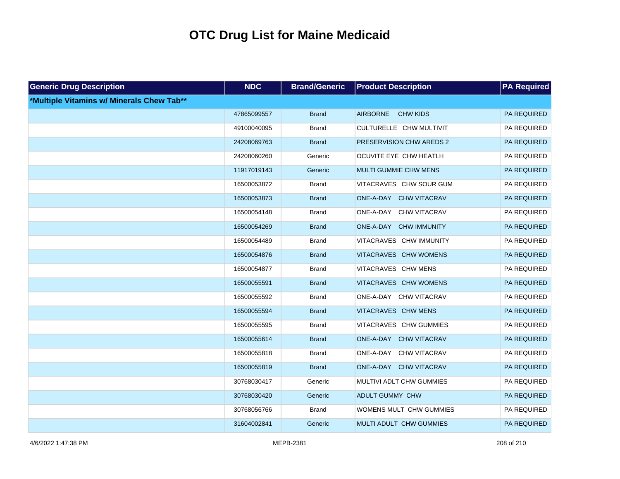| <b>Generic Drug Description</b>           | <b>NDC</b>  | <b>Brand/Generic</b> | <b>Product Description</b> | <b>PA</b> Required |  |
|-------------------------------------------|-------------|----------------------|----------------------------|--------------------|--|
| *Multiple Vitamins w/ Minerals Chew Tab** |             |                      |                            |                    |  |
|                                           | 47865099557 | <b>Brand</b>         | AIRBORNE CHW KIDS          | PA REQUIRED        |  |
|                                           | 49100040095 | <b>Brand</b>         | CULTURELLE CHW MULTIVIT    | PA REQUIRED        |  |
|                                           | 24208069763 | <b>Brand</b>         | PRESERVISION CHW AREDS 2   | PA REQUIRED        |  |
|                                           | 24208060260 | Generic              | OCUVITE EYE CHW HEATLH     | PA REQUIRED        |  |
|                                           | 11917019143 | Generic              | MULTI GUMMIE CHW MENS      | PA REQUIRED        |  |
|                                           | 16500053872 | <b>Brand</b>         | VITACRAVES CHW SOUR GUM    | PA REQUIRED        |  |
|                                           | 16500053873 | <b>Brand</b>         | ONE-A-DAY CHW VITACRAV     | PA REQUIRED        |  |
|                                           | 16500054148 | <b>Brand</b>         | ONE-A-DAY CHW VITACRAV     | PA REQUIRED        |  |
|                                           | 16500054269 | <b>Brand</b>         | ONE-A-DAY CHW IMMUNITY     | PA REQUIRED        |  |
|                                           | 16500054489 | <b>Brand</b>         | VITACRAVES CHW IMMUNITY    | PA REQUIRED        |  |
|                                           | 16500054876 | <b>Brand</b>         | VITACRAVES CHW WOMENS      | PA REQUIRED        |  |
|                                           | 16500054877 | <b>Brand</b>         | VITACRAVES CHW MENS        | PA REQUIRED        |  |
|                                           | 16500055591 | <b>Brand</b>         | VITACRAVES CHW WOMENS      | PA REQUIRED        |  |
|                                           | 16500055592 | <b>Brand</b>         | ONE-A-DAY CHW VITACRAV     | PA REQUIRED        |  |
|                                           | 16500055594 | <b>Brand</b>         | VITACRAVES CHW MENS        | PA REQUIRED        |  |
|                                           | 16500055595 | <b>Brand</b>         | VITACRAVES CHW GUMMIES     | PA REQUIRED        |  |
|                                           | 16500055614 | <b>Brand</b>         | ONE-A-DAY CHW VITACRAV     | PA REQUIRED        |  |
|                                           | 16500055818 | <b>Brand</b>         | ONE-A-DAY CHW VITACRAV     | PA REQUIRED        |  |
|                                           | 16500055819 | <b>Brand</b>         | ONE-A-DAY CHW VITACRAV     | PA REQUIRED        |  |
|                                           | 30768030417 | Generic              | MULTIVI ADLT CHW GUMMIES   | PA REQUIRED        |  |
|                                           | 30768030420 | Generic              | ADULT GUMMY CHW            | PA REQUIRED        |  |
|                                           | 30768056766 | <b>Brand</b>         | WOMENS MULT CHW GUMMIES    | PA REQUIRED        |  |
|                                           | 31604002841 | Generic              | MULTI ADULT CHW GUMMIES    | PA REQUIRED        |  |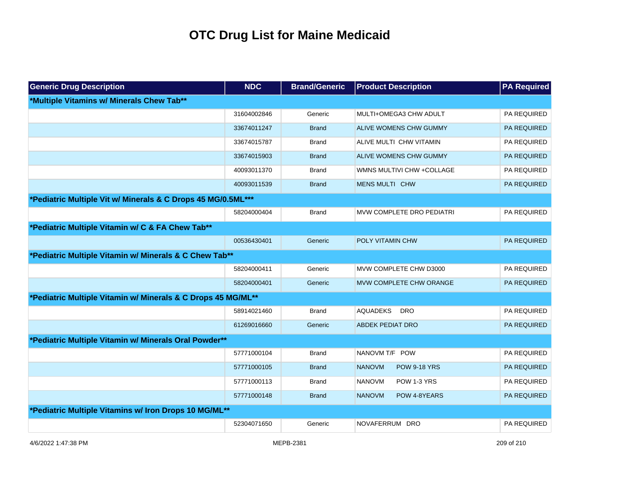| <b>Generic Drug Description</b>                              | <b>NDC</b>  | <b>Brand/Generic</b> | <b>Product Description</b>           | <b>PA Required</b> |  |  |
|--------------------------------------------------------------|-------------|----------------------|--------------------------------------|--------------------|--|--|
| *Multiple Vitamins w/ Minerals Chew Tab**                    |             |                      |                                      |                    |  |  |
|                                                              | 31604002846 | Generic              | MULTI+OMEGA3 CHW ADULT               | PA REQUIRED        |  |  |
|                                                              | 33674011247 | <b>Brand</b>         | ALIVE WOMENS CHW GUMMY               | <b>PA REQUIRED</b> |  |  |
|                                                              | 33674015787 | <b>Brand</b>         | ALIVE MULTI CHW VITAMIN              | PA REQUIRED        |  |  |
|                                                              | 33674015903 | <b>Brand</b>         | ALIVE WOMENS CHW GUMMY               | PA REQUIRED        |  |  |
|                                                              | 40093011370 | <b>Brand</b>         | WMNS MULTIVI CHW + COLLAGE           | <b>PA REQUIRED</b> |  |  |
|                                                              | 40093011539 | <b>Brand</b>         | MENS MULTI CHW                       | <b>PA REQUIRED</b> |  |  |
| *Pediatric Multiple Vit w/ Minerals & C Drops 45 MG/0.5ML*** |             |                      |                                      |                    |  |  |
|                                                              | 58204000404 | <b>Brand</b>         | MVW COMPLETE DRO PEDIATRI            | PA REQUIRED        |  |  |
| *Pediatric Multiple Vitamin w/ C & FA Chew Tab**             |             |                      |                                      |                    |  |  |
|                                                              | 00536430401 | Generic              | <b>POLY VITAMIN CHW</b>              | <b>PA REQUIRED</b> |  |  |
| *Pediatric Multiple Vitamin w/ Minerals & C Chew Tab**       |             |                      |                                      |                    |  |  |
|                                                              | 58204000411 | Generic              | MVW COMPLETE CHW D3000               | PA REQUIRED        |  |  |
|                                                              | 58204000401 | Generic              | MVW COMPLETE CHW ORANGE              | <b>PA REQUIRED</b> |  |  |
| *Pediatric Multiple Vitamin w/ Minerals & C Drops 45 MG/ML** |             |                      |                                      |                    |  |  |
|                                                              | 58914021460 | <b>Brand</b>         | <b>AQUADEKS</b><br><b>DRO</b>        | PA REQUIRED        |  |  |
|                                                              | 61269016660 | Generic              | <b>ABDEK PEDIAT DRO</b>              | <b>PA REQUIRED</b> |  |  |
| *Pediatric Multiple Vitamin w/ Minerals Oral Powder**        |             |                      |                                      |                    |  |  |
|                                                              | 57771000104 | <b>Brand</b>         | NANOVM T/F POW                       | PA REQUIRED        |  |  |
|                                                              | 57771000105 | <b>Brand</b>         | <b>NANOVM</b><br><b>POW 9-18 YRS</b> | <b>PA REQUIRED</b> |  |  |
|                                                              | 57771000113 | <b>Brand</b>         | <b>NANOVM</b><br>POW 1-3 YRS         | PA REQUIRED        |  |  |
|                                                              | 57771000148 | <b>Brand</b>         | <b>NANOVM</b><br>POW 4-8YEARS        | <b>PA REQUIRED</b> |  |  |
| *Pediatric Multiple Vitamins w/ Iron Drops 10 MG/ML**        |             |                      |                                      |                    |  |  |
|                                                              | 52304071650 | Generic              | NOVAFERRUM DRO                       | PA REQUIRED        |  |  |